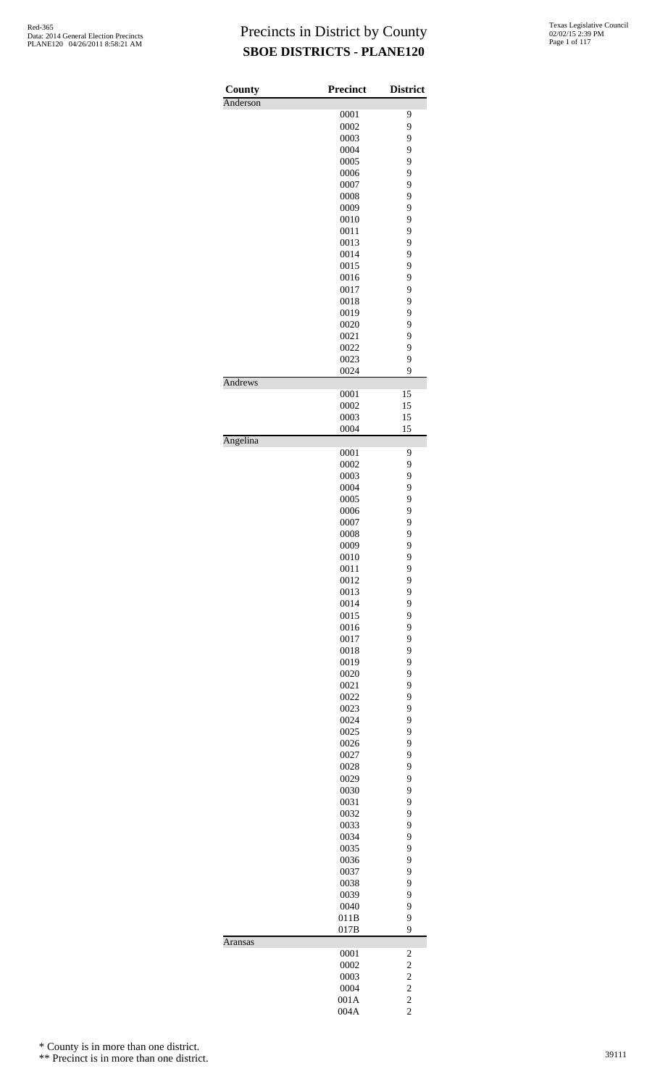| County<br>Anderson | <b>Precinct</b> | <b>District</b>         |
|--------------------|-----------------|-------------------------|
|                    | 0001            | 9                       |
|                    | 0002            | 9                       |
|                    | 0003            | 9                       |
|                    | 0004            | 9                       |
|                    | 0005            | 9                       |
|                    | 0006            | 9                       |
|                    | 0007            | 9                       |
|                    | 0008            | 9                       |
|                    | 0009            | 9                       |
|                    | 0010            | 9                       |
|                    | 0011            | 9                       |
|                    | 0013            | 9                       |
|                    | 0014            | 9                       |
|                    | 0015<br>0016    | 9<br>9                  |
|                    | 0017            | 9                       |
|                    | 0018            | 9                       |
|                    | 0019            | 9                       |
|                    | 0020            | 9                       |
|                    | 0021            | 9                       |
|                    | 0022            | 9                       |
|                    | 0023            | 9                       |
|                    | 0024            | 9                       |
| Andrews            |                 |                         |
|                    | 0001            | 15                      |
|                    | 0002            | 15                      |
|                    | 0003            | 15                      |
| Angelina           | 0004            | 15                      |
|                    | 0001            | 9                       |
|                    | 0002            | 9                       |
|                    | 0003            | 9                       |
|                    | 0004            | 9                       |
|                    | 0005            | 9                       |
|                    | 0006            | 9                       |
|                    | 0007            | 9                       |
|                    | 0008            | 9                       |
|                    | 0009            | 9                       |
|                    | 0010            | 9                       |
|                    | 0011            | 9                       |
|                    | 0012            | 9                       |
|                    | 0013            | 9                       |
|                    | 0014            | 9                       |
|                    | 0015            | 9                       |
|                    | 0016            | 9<br>9                  |
|                    | 0017<br>0018    | 9                       |
|                    | 0019            | 9                       |
|                    | 0020            | 9                       |
|                    | 0021            | 9                       |
|                    | 0022            | 9                       |
|                    | 0023            | 9                       |
|                    | 0024            | 9                       |
|                    | 0025            | 9                       |
|                    | 0026            | 9                       |
|                    | 0027            | 9                       |
|                    | 0028            | 9                       |
|                    | 0029            | 9                       |
|                    | 0030            | 9                       |
|                    | 0031            | 9                       |
|                    | 0032            | 9                       |
|                    | 0033            | 9                       |
|                    | 0034            | 9                       |
|                    | 0035            | 9                       |
|                    | 0036            | 9                       |
|                    | 0037            | 9                       |
|                    | 0038            | 9                       |
|                    | 0039<br>0040    | 9<br>9                  |
|                    | 011B            | 9                       |
|                    | 017B            | 9                       |
| Aransas            |                 |                         |
|                    | 0001            | $\overline{\mathbf{c}}$ |
|                    | 0002            | $\overline{c}$          |
|                    | 0003            | $\overline{c}$          |
|                    | 0004            | $\overline{c}$          |
|                    | 001A            | $\overline{c}$          |
|                    | 004A            | $\overline{c}$          |

\* County is in more than one district.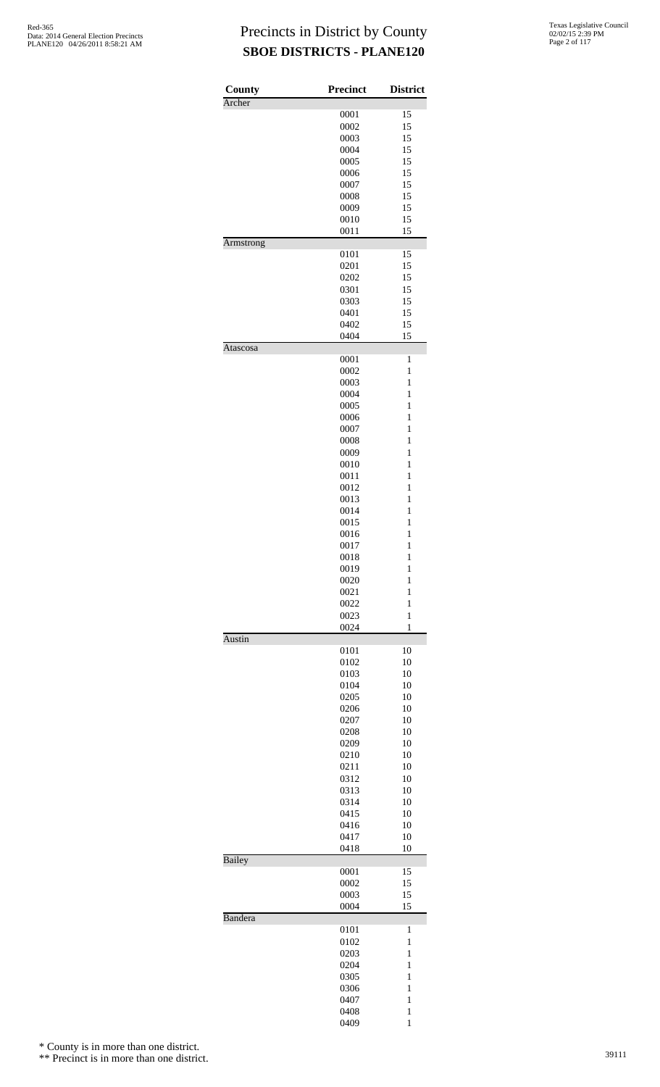| County<br>Archer | Precinct     | <b>District</b>   |
|------------------|--------------|-------------------|
|                  | 0001         | 15                |
|                  | 0002         | 15                |
|                  | 0003         | 15                |
|                  | 0004         | 15                |
|                  | 0005         | 15                |
|                  | 0006         | 15                |
|                  | 0007         | 15                |
|                  | 0008<br>0009 | 15<br>15          |
|                  | 0010         | 15                |
|                  | 0011         | 15                |
| Armstrong        |              |                   |
|                  | 0101         | 15                |
|                  | 0201         | 15                |
|                  | 0202         | 15                |
|                  | 0301         | 15                |
|                  | 0303         | 15                |
|                  | 0401         | 15                |
|                  | 0402<br>0404 | 15<br>15          |
| Atascosa         |              |                   |
|                  | 0001         | 1                 |
|                  | 0002         | $\mathbf{1}$      |
|                  | 0003         | $\mathbf{1}$      |
|                  | 0004         | $\mathbf{1}$      |
|                  | 0005         | 1                 |
|                  | 0006         | 1                 |
|                  | 0007         | $\mathbf{1}$      |
|                  | 0008         | $\mathbf{1}$      |
|                  | 0009         | $\mathbf{1}$      |
|                  | 0010         | $\mathbf{1}$      |
|                  | 0011<br>0012 | 1<br>$\mathbf{1}$ |
|                  | 0013         | $\mathbf{1}$      |
|                  | 0014         | $\mathbf{1}$      |
|                  | 0015         | $\mathbf{1}$      |
|                  | 0016         | 1                 |
|                  | 0017         | $\mathbf{1}$      |
|                  | 0018         | $\mathbf{1}$      |
|                  | 0019         | $\mathbf{1}$      |
|                  | 0020         | $\mathbf{1}$      |
|                  | 0021         | 1                 |
|                  | 0022         | $\mathbf{1}$      |
|                  | 0023         | $\mathbf{1}$      |
|                  | 0024         | 1                 |
| <b>Austin</b>    | 0101         | 10                |
|                  | 0102         | 10                |
|                  | 0103         | 10                |
|                  | 0104         | 10                |
|                  | 0205         | 10                |
|                  | 0206         | 10                |
|                  | 0207         | 10                |
|                  | 0208         | 10                |
|                  | 0209         | 10                |
|                  | 0210         | 10                |
|                  | 0211         | 10                |
|                  | 0312<br>0313 | 10<br>10          |
|                  | 0314         | 10                |
|                  | 0415         | 10                |
|                  | 0416         | 10                |
|                  | 0417         | 10                |
|                  | 0418         | 10                |
| Bailey           |              |                   |
|                  | 0001         | 15                |
|                  | 0002         | 15                |
|                  | 0003         | 15                |
| Bandera          | 0004         | 15                |
|                  | 0101         | 1                 |
|                  | 0102         | 1                 |
|                  | 0203         | $\mathbf{1}$      |
|                  | 0204         | $\mathbf{1}$      |
|                  | 0305         | $\mathbf{1}$      |
|                  | 0306         | 1                 |
|                  | 0407         | 1                 |
|                  | 0408         | $\mathbf{1}$      |
|                  | 0409         | $\mathbf{1}$      |

\* County is in more than one district.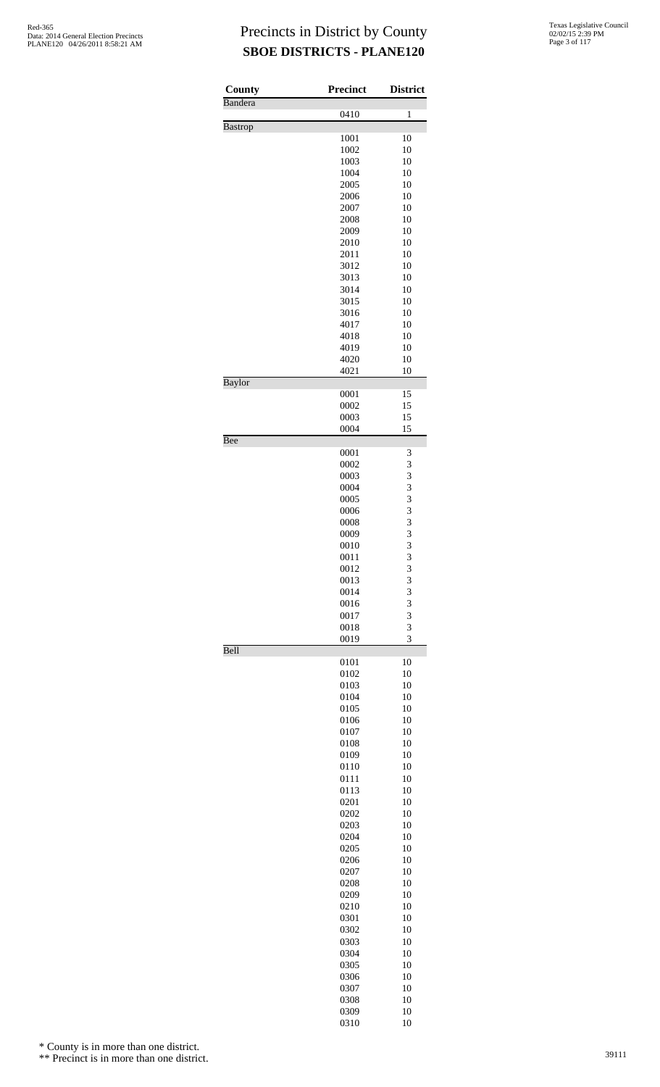| County<br>Bandera | Precinct     | <b>District</b>         |
|-------------------|--------------|-------------------------|
|                   | 0410         | $\mathbf{1}$            |
| <b>Bastrop</b>    |              |                         |
|                   | 1001<br>1002 | 10<br>10                |
|                   | 1003         | 10                      |
|                   | 1004         | 10                      |
|                   | 2005<br>2006 | 10<br>10                |
|                   | 2007         | 10                      |
|                   | 2008         | 10                      |
|                   | 2009         | 10                      |
|                   | 2010<br>2011 | 10<br>10                |
|                   | 3012         | 10                      |
|                   | 3013         | 10                      |
|                   | 3014<br>3015 | 10<br>10                |
|                   | 3016         | 10                      |
|                   | 4017         | 10                      |
|                   | 4018         | 10                      |
|                   | 4019         | 10                      |
|                   | 4020<br>4021 | 10<br>10                |
| Baylor            |              |                         |
|                   | 0001<br>0002 | 15<br>15                |
|                   | 0003         | 15                      |
|                   | 0004         | 15                      |
| Bee               |              |                         |
|                   | 0001<br>0002 | 3<br>3                  |
|                   | 0003         | 3                       |
|                   | 0004         | 3                       |
|                   | 0005<br>0006 | 3<br>3                  |
|                   | 0008         |                         |
|                   | 0009         | $\frac{3}{3}$           |
|                   | 0010         | $\overline{\mathbf{3}}$ |
|                   | 0011<br>0012 | 3<br>3                  |
|                   | 0013         | 3                       |
|                   | 0014         | 3                       |
|                   | 0016         | 3                       |
|                   | 0017<br>0018 | 3<br>3                  |
|                   | 0019         | 3                       |
| Bell              | 0101         | 10                      |
|                   | 0102         | 10                      |
|                   | 0103         | 10                      |
|                   | 0104         | 10                      |
|                   | 0105<br>0106 | 10<br>10                |
|                   | 0107         | 10                      |
|                   | 0108         | 10                      |
|                   | 0109<br>0110 | 10<br>10                |
|                   | 0111         | 10                      |
|                   | 0113         | 10                      |
|                   | 0201         | 10                      |
|                   | 0202<br>0203 | 10<br>10                |
|                   | 0204         | 10                      |
|                   | 0205         | 10                      |
|                   | 0206         | 10                      |
|                   | 0207<br>0208 | 10<br>10                |
|                   | 0209         | 10                      |
|                   | 0210         | 10                      |
|                   | 0301         | 10                      |
|                   | 0302<br>0303 | 10<br>10                |
|                   | 0304         | 10                      |
|                   | 0305         | 10                      |
|                   | 0306         | 10                      |
|                   | 0307<br>0308 | 10<br>10                |
|                   | 0309         | 10                      |
|                   | 0310         | 10                      |

\* County is in more than one district.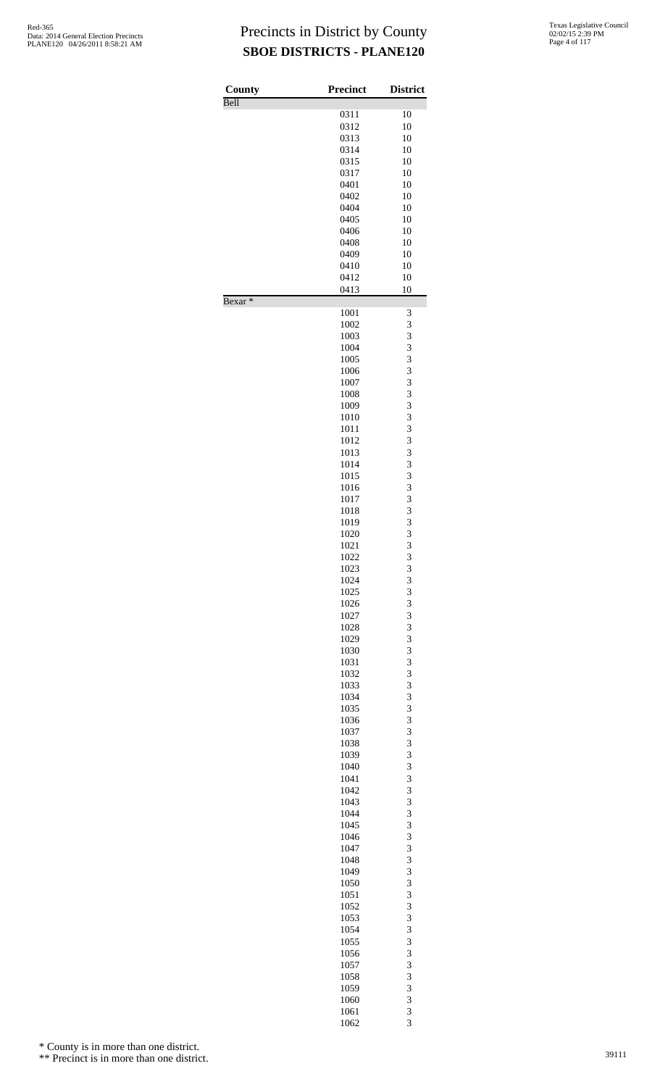| County<br>Bell     | <b>Precinct</b> | <b>District</b> |
|--------------------|-----------------|-----------------|
|                    | 0311            | 10              |
|                    | 0312            | 10              |
|                    | 0313            | 10              |
|                    | 0314            | 10              |
|                    | 0315            | 10              |
|                    | 0317            | 10              |
|                    | 0401            | 10              |
|                    | 0402            | 10              |
|                    | 0404            | 10              |
|                    | 0405            | 10              |
|                    | 0406            | 10              |
|                    | 0408            | 10              |
|                    | 0409            | 10              |
|                    | 0410            | 10              |
|                    | 0412            | 10              |
| Bexar <sup>*</sup> | 0413            | 10              |
|                    | 1001            | 3<br>3          |
|                    | 1002            | 3               |
|                    | 1003<br>1004    | 3               |
|                    | 1005            | 3               |
|                    | 1006            | 3               |
|                    | 1007            | 3               |
|                    | 1008            | 3               |
|                    | 1009            | 3               |
|                    | 1010            | 3               |
|                    | 1011            | 3               |
|                    | 1012            | 3               |
|                    | 1013            | 3               |
|                    | 1014            | 3               |
|                    | 1015            | 3               |
|                    | 1016            | 3               |
|                    | 1017            | 3               |
|                    | 1018            | 3               |
|                    | 1019            | 3               |
|                    | 1020            | 3               |
|                    | 1021            | 3               |
|                    | 1022            | $\overline{3}$  |
|                    | 1023            | 3               |
|                    | 1024            | $\frac{3}{3}$   |
|                    | 1025            |                 |
|                    | 1026<br>1027    | 3<br>3          |
|                    | 1028            | 3               |
|                    | 1029            | 3               |
|                    | 1030            | 3               |
|                    | 1031            | 3               |
|                    | 1032            | 3               |
|                    | 1033            | 3               |
|                    | 1034            | 3               |
|                    | 1035            | 3               |
|                    | 1036            | 3               |
|                    | 1037            | 3               |
|                    | 1038            | 3               |
|                    | 1039            | 3               |
|                    | 1040            | 3               |
|                    | 1041            | 3               |
|                    | 1042            | 3               |
|                    | 1043            | 3               |
|                    | 1044            | 3               |
|                    | 1045            | 3               |
|                    | 1046            | 3               |
|                    | 1047            | 3               |
|                    | 1048            | 3               |
|                    | 1049<br>1050    | 3<br>3          |
|                    | 1051            | 3               |
|                    | 1052            | 3               |
|                    | 1053            | 3               |
|                    | 1054            | 3               |
|                    | 1055            | 3               |
|                    | 1056            | 3               |
|                    | 1057            | 3               |
|                    | 1058            | 3               |
|                    | 1059            |                 |
|                    | 1060            | $\frac{3}{3}$   |
|                    | 1061            | 3               |
|                    | 1062            | 3               |

\* County is in more than one district.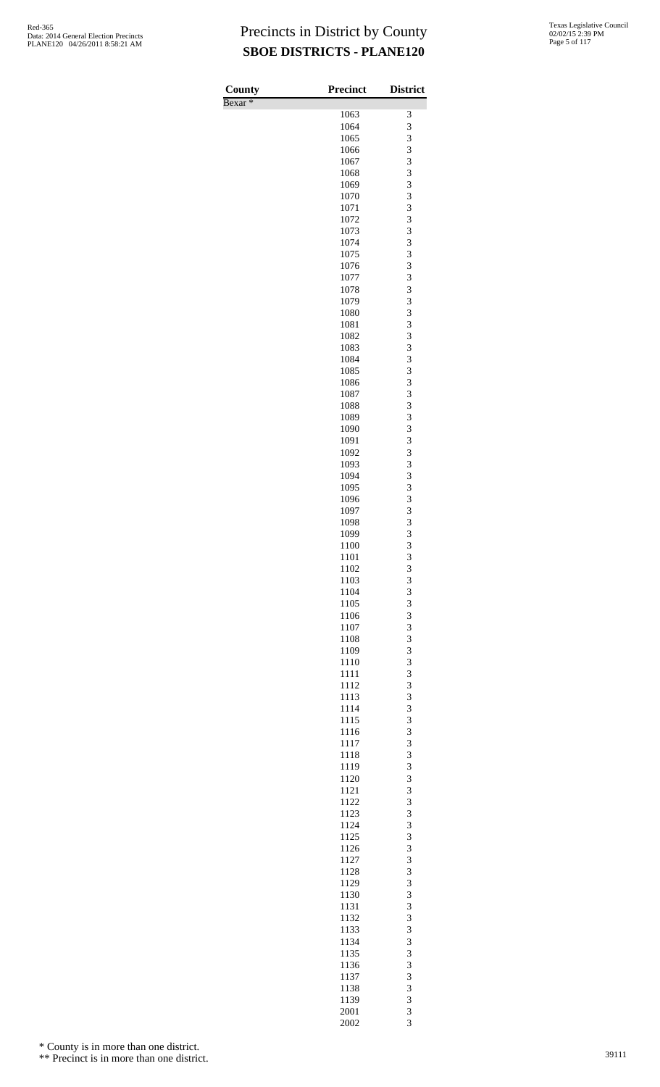| County             | <b>Precinct</b> | <b>District</b>     |
|--------------------|-----------------|---------------------|
| Bexar <sup>*</sup> |                 |                     |
|                    | 1063            | 3                   |
|                    | 1064            | 3                   |
|                    | 1065            | 3                   |
|                    | 1066            | 3                   |
|                    | 1067            | 3                   |
|                    | 1068<br>1069    | 3<br>3              |
|                    | 1070            | 3                   |
|                    | 1071            | 3                   |
|                    | 1072            | 3                   |
|                    | 1073            | 3                   |
|                    | 1074            | 3                   |
|                    | 1075            | 3                   |
|                    | 1076            | 3                   |
|                    | 1077            | 3                   |
|                    | 1078            | 3                   |
|                    | 1079            | 3<br>3              |
|                    | 1080<br>1081    | 3                   |
|                    | 1082            | 3                   |
|                    | 1083            | 3                   |
|                    | 1084            | 3                   |
|                    | 1085            | 3                   |
|                    | 1086            | 3                   |
|                    | 1087            | 3                   |
|                    | 1088            | 3                   |
|                    | 1089            | 3                   |
|                    | 1090            | 3                   |
|                    | 1091            | 3                   |
|                    | 1092<br>1093    | 3<br>3              |
|                    | 1094            | 3                   |
|                    | 1095            | 3                   |
|                    | 1096            | 3                   |
|                    | 1097            | 3                   |
|                    | 1098            | 3                   |
|                    | 1099            | 3                   |
|                    | 1100            | 3                   |
|                    | 1101            | 3                   |
|                    | 1102<br>1103    | $\overline{3}$<br>3 |
|                    | 1104            | 3                   |
|                    | 1105            |                     |
|                    | 1106            | $\frac{3}{3}$       |
|                    | 1107            | 3                   |
|                    | 1108            | 3                   |
|                    | 1109            | 3                   |
|                    | 1110            | $\frac{3}{3}$       |
|                    | 1111            |                     |
|                    | 1112            | 3                   |
|                    | 1113<br>1114    | 3<br>3              |
|                    | 1115            |                     |
|                    | 1116            | $\frac{3}{3}$       |
|                    | 1117            | 3                   |
|                    | 1118            | 3                   |
|                    | 1119            | 3                   |
|                    | 1120            | $\frac{3}{3}$       |
|                    | 1121            |                     |
|                    | 1122            | 3                   |
|                    | 1123            | 3                   |
|                    | 1124<br>1125    | 3                   |
|                    | 1126            | $\frac{3}{3}$       |
|                    | 1127            | 3                   |
|                    | 1128            | 3                   |
|                    | 1129            | 3                   |
|                    | 1130            | $\frac{3}{3}$       |
|                    | 1131            |                     |
|                    | 1132            | 3                   |
|                    | 1133            | 3                   |
|                    | 1134            | 3                   |
|                    | 1135            | $\frac{3}{3}$       |
|                    | 1136<br>1137    | 3                   |
|                    | 1138            | 3                   |
|                    | 1139            | 3                   |
|                    | 2001            |                     |
|                    | 2002            | $\frac{3}{3}$       |

\* County is in more than one district.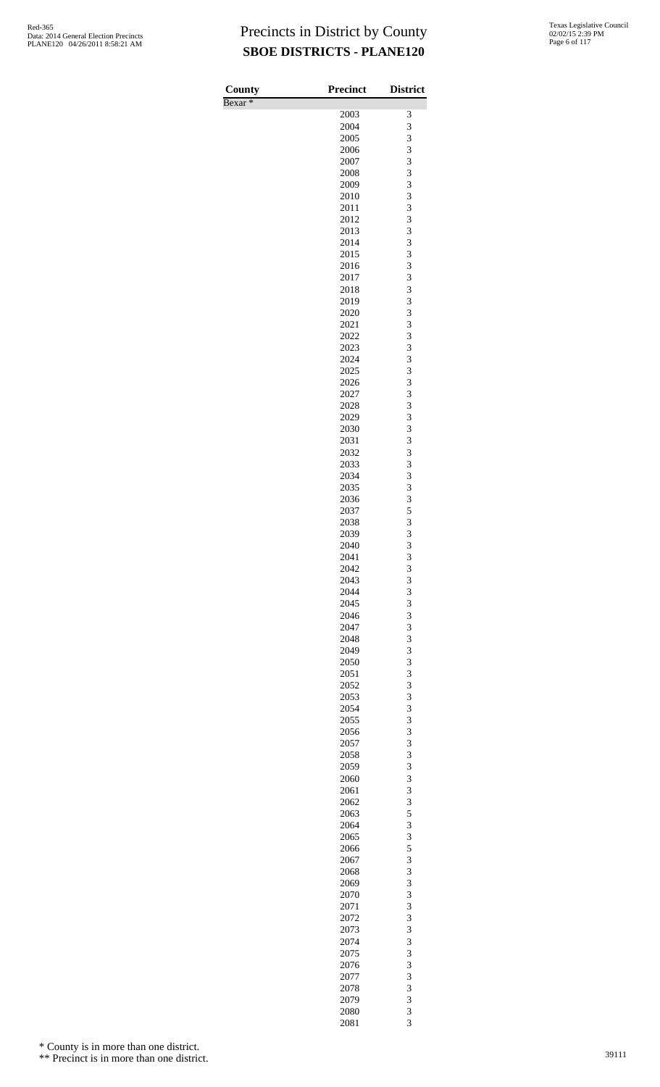| County             | <b>Precinct</b> | <b>District</b> |
|--------------------|-----------------|-----------------|
| Bexar <sup>*</sup> |                 |                 |
|                    | 2003            | 3               |
|                    | 2004            | 3               |
|                    | 2005<br>2006    | 3<br>3          |
|                    | 2007            | 3               |
|                    | 2008            | 3               |
|                    | 2009            | 3               |
|                    | 2010            | 3               |
|                    | 2011            | 3               |
|                    | 2012            | 3               |
|                    | 2013            | 3               |
|                    | 2014<br>2015    | 3<br>3          |
|                    | 2016            | 3               |
|                    | 2017            | 3               |
|                    | 2018            | 3               |
|                    | 2019            | 3               |
|                    | 2020            | 3               |
|                    | 2021            | 3               |
|                    | 2022            | 3               |
|                    | 2023<br>2024    | 3<br>3          |
|                    | 2025            | 3               |
|                    | 2026            | 3               |
|                    | 2027            | 3               |
|                    | 2028            | 3               |
|                    | 2029            | 3               |
|                    | 2030            | 3               |
|                    | 2031            | 3               |
|                    | 2032            | 3<br>3          |
|                    | 2033<br>2034    | 3               |
|                    | 2035            | 3               |
|                    | 2036            | 3               |
|                    | 2037            | 5               |
|                    | 2038            | 3               |
|                    | 2039            | 3               |
|                    | 2040            | 3               |
|                    | 2041            | 3               |
|                    | 2042<br>2043    | 3<br>3          |
|                    | 2044            | 3               |
|                    | 2045            | 3               |
|                    | 2046            | 3               |
|                    | 2047            | 3               |
|                    | 2048            | 3               |
|                    | 2049            | 3               |
|                    | 2050            | 3<br>3          |
|                    | 2051<br>2052    | 3               |
|                    | 2053            | 3               |
|                    | 2054            | 3               |
|                    | 2055            | 3               |
|                    | 2056            | 3               |
|                    | 2057            | 3               |
|                    | 2058            | 3               |
|                    | 2059            | 3               |
|                    | 2060<br>2061    | 3<br>3          |
|                    | 2062            | 3               |
|                    | 2063            | 5               |
|                    | 2064            | 3               |
|                    | 2065            | 3               |
|                    | 2066            | 5               |
|                    | 2067            | 3               |
|                    | 2068            | 3               |
|                    | 2069<br>2070    | 3<br>3          |
|                    | 2071            | 3               |
|                    | 2072            | 3               |
|                    | 2073            | 3               |
|                    | 2074            | 3               |
|                    | 2075            | 3               |
|                    | 2076            | 3               |
|                    | 2077            | 3               |
|                    | 2078            | 3               |
|                    | 2079<br>2080    | 3<br>3          |
|                    |                 |                 |

\* County is in more than one district.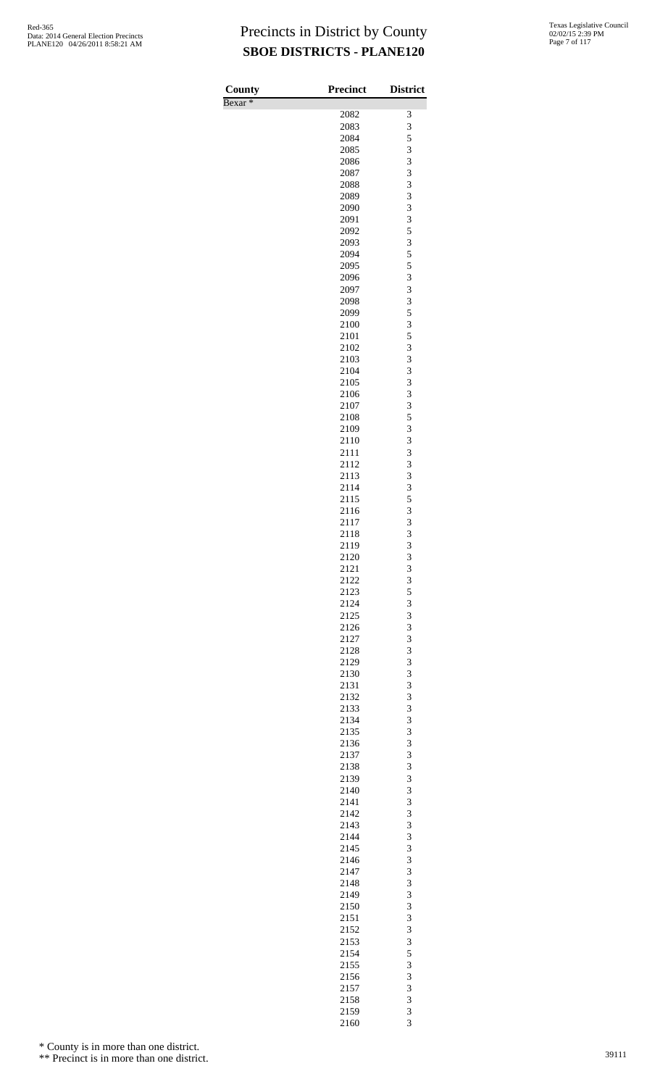| County             | <b>Precinct</b> | <b>District</b>         |
|--------------------|-----------------|-------------------------|
| Bexar <sup>*</sup> | 2082            | 3                       |
|                    | 2083            | 3                       |
|                    | 2084            | 5                       |
|                    | 2085            | 3                       |
|                    | 2086            | 3                       |
|                    | 2087            | 3                       |
|                    | 2088            | 3<br>3                  |
|                    | 2089<br>2090    | 3                       |
|                    | 2091            | 3                       |
|                    | 2092            | 5                       |
|                    | 2093            | 3                       |
|                    | 2094            | 5                       |
|                    | 2095            | 5                       |
|                    | 2096            | 3                       |
|                    | 2097<br>2098    | 3<br>3                  |
|                    | 2099            | 5                       |
|                    | 2100            | 3                       |
|                    | 2101            | 5                       |
|                    | 2102            | 3                       |
|                    | 2103            | 3                       |
|                    | 2104            | 3                       |
|                    | 2105            | 3                       |
|                    | 2106<br>2107    | 3<br>3                  |
|                    | 2108            | 5                       |
|                    | 2109            | 3                       |
|                    | 2110            | 3                       |
|                    | 2111            | 3                       |
|                    | 2112            | 3                       |
|                    | 2113            | 3                       |
|                    | 2114            | 3                       |
|                    | 2115<br>2116    | 5<br>3                  |
|                    | 2117            | 3                       |
|                    | 2118            | 3                       |
|                    | 2119            | $\overline{\mathbf{3}}$ |
|                    | 2120            | 3                       |
|                    | 2121            | 3                       |
|                    | 2122            | $\overline{\mathbf{3}}$ |
|                    | 2123            | $\frac{5}{3}$           |
|                    | 2124<br>2125    | 3                       |
|                    | 2126            | 3                       |
|                    | 2127            | 3                       |
|                    | 2128            | 3                       |
|                    | 2129            | 3                       |
|                    | 2130            | 3                       |
|                    | 2131            | 3                       |
|                    | 2132            | 3                       |
|                    | 2133<br>2134    | 3<br>3                  |
|                    | 2135            | 3                       |
|                    | 2136            | 3                       |
|                    | 2137            | 3                       |
|                    | 2138            | 3                       |
|                    | 2139            | 3                       |
|                    | 2140            | 3                       |
|                    | 2141            | 3                       |
|                    | 2142            | 3                       |
|                    | 2143<br>2144    | 3<br>3                  |
|                    | 2145            | 3                       |
|                    | 2146            | 3                       |
|                    | 2147            | 3                       |
|                    | 2148            | 3                       |
|                    | 2149            | 3                       |
|                    | 2150            | 3                       |
|                    | 2151<br>2152    | 3<br>3                  |
|                    | 2153            | 3                       |
|                    | 2154            | 5                       |
|                    | 2155            | 3                       |
|                    | 2156            | 3                       |
|                    | 2157            | 3                       |
|                    | 2158            | 3                       |
|                    | 2159            | 3                       |
|                    | 2160            | 3                       |

\* County is in more than one district.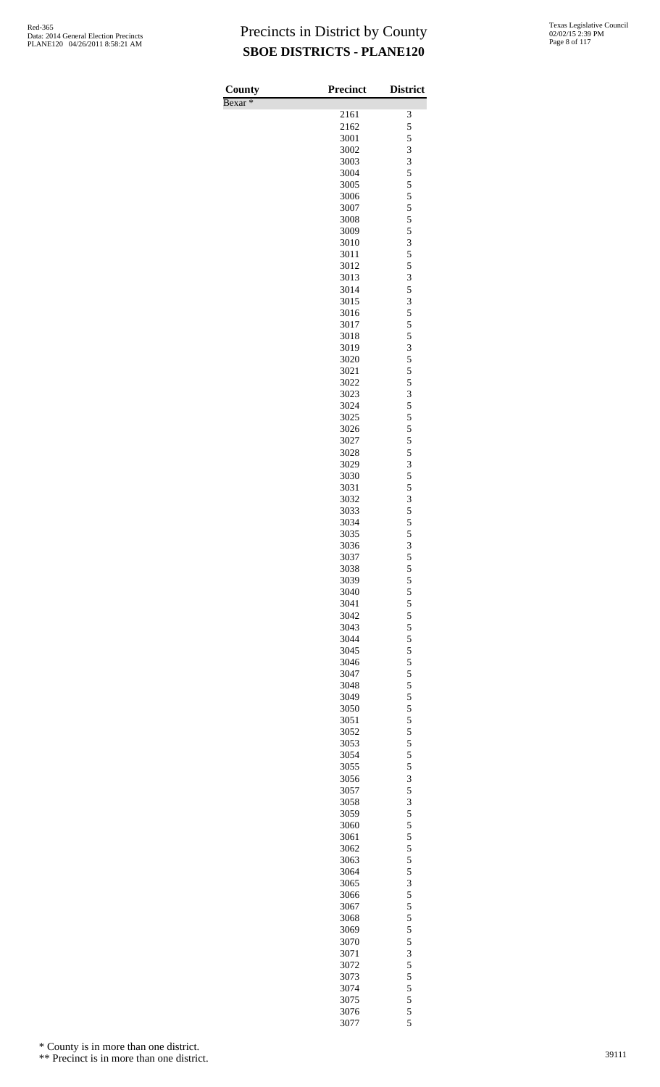| <b>County</b>      | <b>Precinct</b> | <b>District</b> |
|--------------------|-----------------|-----------------|
| Bexar <sup>*</sup> |                 |                 |
|                    | 2161            | 3               |
|                    | 2162            | 5               |
|                    | 3001            | 5               |
|                    | 3002            | 3               |
|                    | 3003            | 3               |
|                    | 3004            | 5               |
|                    | 3005<br>3006    | 5<br>5          |
|                    | 3007            | 5               |
|                    | 3008            | 5               |
|                    | 3009            | 5               |
|                    | 3010            | 3               |
|                    | 3011            | 5               |
|                    | 3012            | 5               |
|                    | 3013            | 3               |
|                    | 3014            | 5               |
|                    | 3015            | 3               |
|                    | 3016            | 5               |
|                    | 3017            | 5               |
|                    | 3018            | 5<br>3          |
|                    | 3019<br>3020    | 5               |
|                    | 3021            | 5               |
|                    | 3022            | 5               |
|                    | 3023            | 3               |
|                    | 3024            | 5               |
|                    | 3025            | 5               |
|                    | 3026            | 5               |
|                    | 3027            | 5               |
|                    | 3028            | 5               |
|                    | 3029            | 3               |
|                    | 3030            | 5               |
|                    | 3031            | 5               |
|                    | 3032            | 3               |
|                    | 3033            | 5<br>5          |
|                    | 3034<br>3035    | 5               |
|                    | 3036            | 3               |
|                    | 3037            | 5               |
|                    | 3038            | 5               |
|                    | 3039            | 5               |
|                    | 3040            | 5               |
|                    | 3041            | 5               |
|                    | 3042            | 5               |
|                    | 3043            | 5               |
|                    | 3044            | 5               |
|                    | 3045            | 5               |
|                    | 3046            | 5               |
|                    | 3047            | 5               |
|                    | 3048            | 5<br>5          |
|                    | 3049<br>3050    | 5               |
|                    | 3051            | 5               |
|                    | 3052            | 5               |
|                    | 3053            | 5               |
|                    | 3054            | 5               |
|                    | 3055            | 5               |
|                    | 3056            | 3               |
|                    | 3057            | 5               |
|                    | 3058            | 3               |
|                    | 3059            | 5               |
|                    | 3060            | 5               |
|                    | 3061            | 5               |
|                    | 3062            | 5<br>5          |
|                    | 3063<br>3064    | 5               |
|                    | 3065            | 3               |
|                    | 3066            | 5               |
|                    | 3067            | 5               |
|                    | 3068            | 5               |
|                    | 3069            | 5               |
|                    | 3070            | 5               |
|                    | 3071            | 3               |
|                    | 3072            | 5               |
|                    | 3073            | 5               |
|                    | 3074            | 5               |
|                    | 3075            | 5               |
|                    | 3076            | 5<br>5          |
|                    | 3077            |                 |

\* County is in more than one district.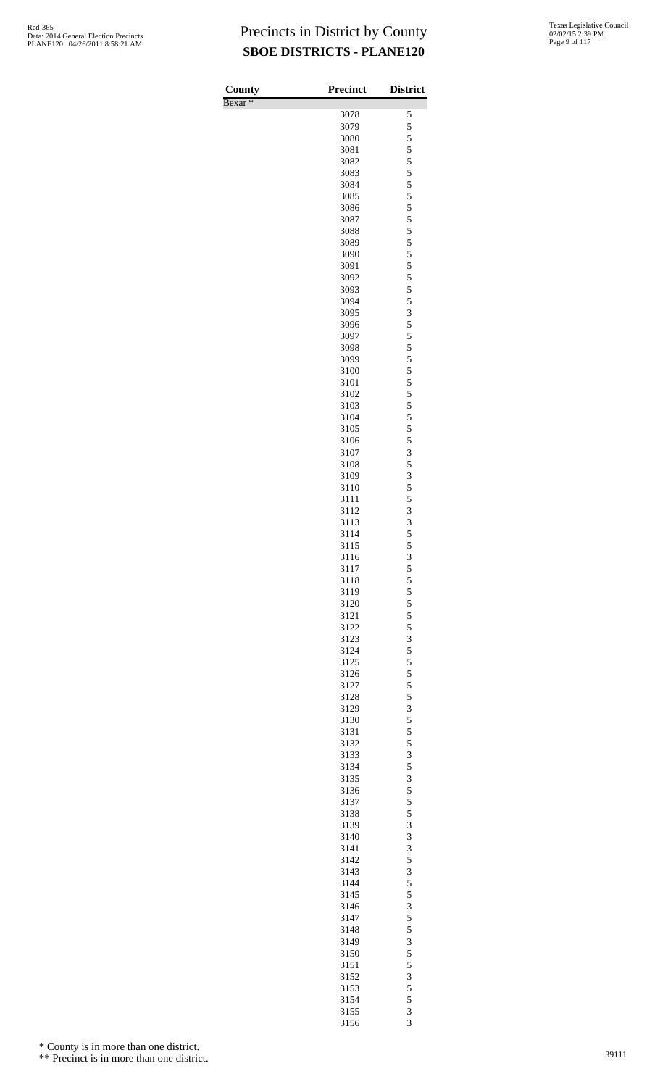Bexar \*

| County    | <b>Precinct</b> | <b>District</b>                            |
|-----------|-----------------|--------------------------------------------|
| $Bexar *$ |                 |                                            |
|           | 3078            | 5                                          |
|           | 3079<br>3080    | 5                                          |
|           | 3081            | $\frac{5}{5}$                              |
|           | 3082            | 5                                          |
|           | 3083            | 5                                          |
|           | 3084            | $\overline{5}$                             |
|           | 3085            |                                            |
|           | 3086            | $\frac{5}{5}$                              |
|           | 3087            | 5                                          |
|           | 3088            | 5                                          |
|           | 3089            | $\overline{5}$                             |
|           | 3090            | $\frac{5}{5}$                              |
|           | 3091            |                                            |
|           | 3092            | 5                                          |
|           | 3093            | 5                                          |
|           | 3094            | 5                                          |
|           | 3095<br>3096    | $rac{3}{5}$                                |
|           | 3097            | 5                                          |
|           | 3098            | 5                                          |
|           | 3099            | $\overline{5}$                             |
|           | 3100            |                                            |
|           | 3101            | $\frac{5}{5}$                              |
|           | 3102            | 5                                          |
|           | 3103            | 5                                          |
|           | 3104            | $\overline{5}$                             |
|           | 3105            | $\frac{5}{5}$                              |
|           | 3106            |                                            |
|           | 3107            | 3                                          |
|           | 3108            | 5                                          |
|           | 3109            | 3                                          |
|           | 3110            | $\frac{5}{5}$                              |
|           | 3111<br>3112    | 3                                          |
|           | 3113            |                                            |
|           | 3114            | $\frac{3}{5}$                              |
|           | 3115            | 5                                          |
|           | 3116            | 3                                          |
|           | 3117            |                                            |
|           | 3118            | $\begin{array}{c} 5 \\ 5 \\ 5 \end{array}$ |
|           | 3119            |                                            |
|           | 3120            | $\frac{5}{5}$                              |
|           | 3121            |                                            |
|           | 3122            | $\begin{array}{c} 5 \\ 3 \\ 5 \end{array}$ |
|           | 3123            |                                            |
|           | 3124            |                                            |
|           | 3125<br>3126    | $\frac{5}{5}$ 5 5                          |
|           | 3127            |                                            |
|           | 3128            |                                            |
|           | 3129            | $\overline{\mathbf{3}}$                    |
|           | 3130            |                                            |
|           | 3131            | $\frac{5}{5}$                              |
|           | 3132            |                                            |
|           | 3133            | $\begin{array}{c} 5 \\ 3 \\ 5 \end{array}$ |
|           | 3134            |                                            |
|           | 3135            | $rac{3}{5}$                                |
|           | 3136            |                                            |
|           | 3137            | 5                                          |
|           | 3138            | 5                                          |
|           | 3139            | 3                                          |
|           | 3140<br>3141    | $\frac{3}{3}$                              |
|           | 3142            |                                            |
|           | 3143            | $\begin{array}{c} 5 \\ 3 \\ 5 \end{array}$ |
|           | 3144            |                                            |
|           | 3145            |                                            |
|           | 3146            | $\frac{5}{3}$                              |
|           | 3147            |                                            |
|           | 3148            | $\frac{5}{5}$                              |
|           | 3149            | $\overline{\mathbf{3}}$                    |
|           | 3150            | $\frac{5}{5}$                              |
|           | 3151            |                                            |
|           | 3152            | 3                                          |
|           | 3153            | 5                                          |
|           | 3154            | 5                                          |
|           | 3155            | $\frac{3}{3}$                              |
|           | 3156            |                                            |

\* County is in more than one district.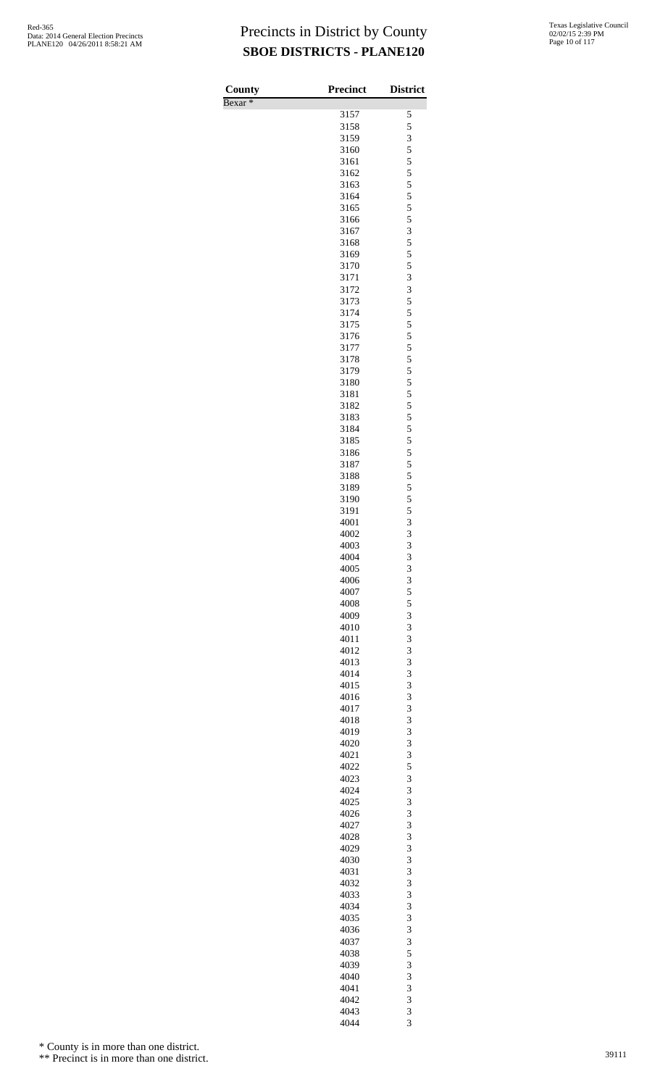| County             | <b>Precinct</b> | <b>District</b> |
|--------------------|-----------------|-----------------|
| Bexar <sup>*</sup> | 3157            | 5               |
|                    | 3158            | 5               |
|                    | 3159            | 3               |
|                    | 3160            | 5               |
|                    | 3161<br>3162    | 5<br>5          |
|                    | 3163            | 5               |
|                    | 3164            | 5               |
|                    | 3165            | 5               |
|                    | 3166<br>3167    | 5<br>3          |
|                    | 3168            | 5               |
|                    | 3169            | 5               |
|                    | 3170            | 5               |
|                    | 3171<br>3172    | 3<br>3          |
|                    | 3173            | 5               |
|                    | 3174            | 5               |
|                    | 3175            | 5               |
|                    | 3176            | 5<br>5          |
|                    | 3177<br>3178    | 5               |
|                    | 3179            | 5               |
|                    | 3180            | 5               |
|                    | 3181            | 5               |
|                    | 3182<br>3183    | 5<br>5          |
|                    | 3184            | 5               |
|                    | 3185            | 5               |
|                    | 3186            | 5               |
|                    | 3187<br>3188    | 5<br>5          |
|                    | 3189            | 5               |
|                    | 3190            | 5               |
|                    | 3191            | 5               |
|                    | 4001<br>4002    | 3<br>3          |
|                    | 4003            | 3               |
|                    | 4004            | 3               |
|                    | 4005            | 3               |
|                    | 4006<br>4007    | 3<br>5          |
|                    | 4008            | 5               |
|                    | 4009            | 3               |
|                    | 4010            | 3               |
|                    | 4011<br>4012    | 3<br>3          |
|                    | 4013            | 3               |
|                    | 4014            | 3               |
|                    | 4015            | 3               |
|                    | 4016<br>4017    | 3<br>3          |
|                    | 4018            | 3               |
|                    | 4019            | 3               |
|                    | 4020            | 3               |
|                    | 4021<br>4022    | 3<br>5          |
|                    | 4023            | 3               |
|                    | 4024            | 3               |
|                    | 4025            | 3               |
|                    | 4026<br>4027    | 3<br>3          |
|                    | 4028            | 3               |
|                    | 4029            | 3               |
|                    | 4030            | 3               |
|                    | 4031<br>4032    | 3<br>3          |
|                    | 4033            | 3               |
|                    | 4034            | 3               |
|                    | 4035            | 3               |
|                    | 4036<br>4037    | 3<br>3          |
|                    | 4038            | 5               |
|                    | 4039            | 3               |
|                    | 4040            | 3               |
|                    | 4041            | 3<br>3          |
|                    | 4042<br>4043    | 3               |
|                    | 4044            | $\overline{3}$  |

\* County is in more than one district.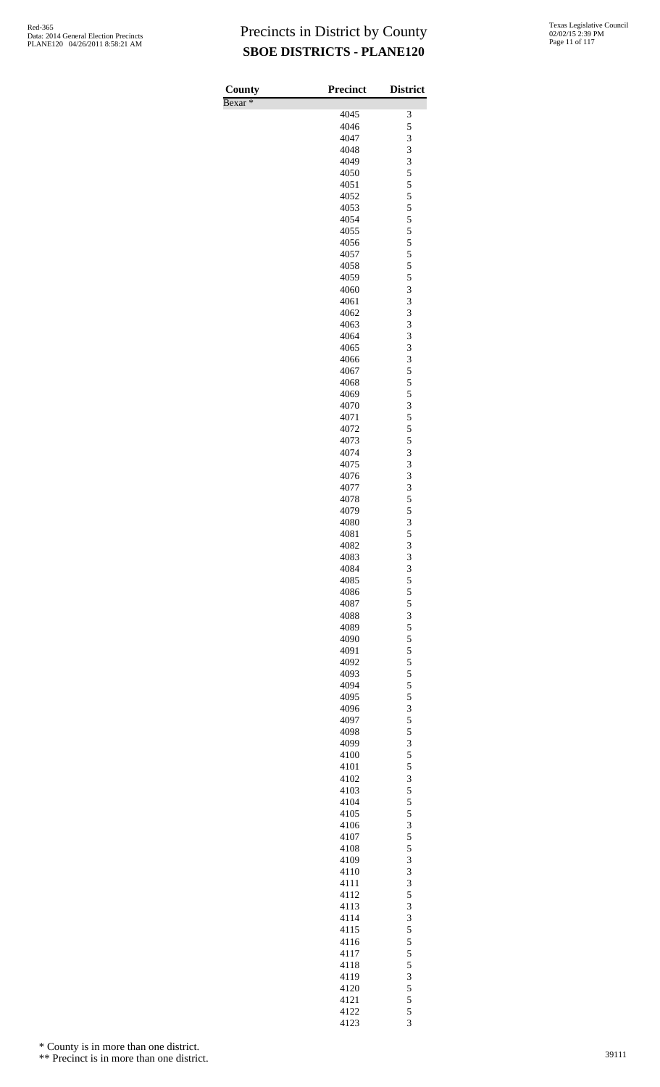| County             | <b>Precinct</b> | <b>District</b> |
|--------------------|-----------------|-----------------|
| Bexar <sup>*</sup> | 4045            | 3               |
|                    | 4046            | 5               |
|                    | 4047            | 3               |
|                    | 4048<br>4049    | 3<br>3          |
|                    | 4050            | 5               |
|                    | 4051            | 5               |
|                    | 4052            | 5               |
|                    | 4053<br>4054    | 5<br>5          |
|                    | 4055            | 5               |
|                    | 4056            | 5               |
|                    | 4057<br>4058    | 5<br>5          |
|                    | 4059            | 5               |
|                    | 4060            | 3               |
|                    | 4061            | 3               |
|                    | 4062<br>4063    | 3<br>3          |
|                    | 4064            | 3               |
|                    | 4065            | 3               |
|                    | 4066            | 3               |
|                    | 4067<br>4068    | 5<br>5          |
|                    | 4069            | 5               |
|                    | 4070            | 3               |
|                    | 4071<br>4072    | 5<br>5          |
|                    | 4073            | 5               |
|                    | 4074            | 3               |
|                    | 4075            | 3               |
|                    | 4076<br>4077    | 3<br>3          |
|                    | 4078            | 5               |
|                    | 4079            | 5               |
|                    | 4080<br>4081    | 3<br>5          |
|                    | 4082            | 3               |
|                    | 4083            | 3               |
|                    | 4084            | $\frac{3}{5}$   |
|                    | 4085<br>4086    | 5               |
|                    | 4087            | 5               |
|                    | 4088            | 3               |
|                    | 4089<br>4090    | 5<br>5          |
|                    | 4091            | 5               |
|                    | 4092            | 5               |
|                    | 4093            | 5               |
|                    | 4094<br>4095    | 5<br>5          |
|                    | 4096            | 3               |
|                    | 4097            | 5               |
|                    | 4098<br>4099    | 5<br>3          |
|                    | 4100            | 5               |
|                    | 4101            | 5               |
|                    | 4102            | 3               |
|                    | 4103<br>4104    | 5<br>5          |
|                    | 4105            | 5               |
|                    | 4106            | 3               |
|                    | 4107            | 5               |
|                    | 4108<br>4109    | 5<br>3          |
|                    | 4110            | 3               |
|                    | 4111            | 3               |
|                    | 4112<br>4113    | 5<br>3          |
|                    | 4114            | 3               |
|                    | 4115            | 5               |
|                    | 4116            | 5               |
|                    | 4117<br>4118    | 5<br>5          |
|                    | 4119            | 3               |
|                    | 4120            | 5               |
|                    | 4121<br>4122    | 5               |
|                    | 4123            | 5<br>3          |

\* County is in more than one district.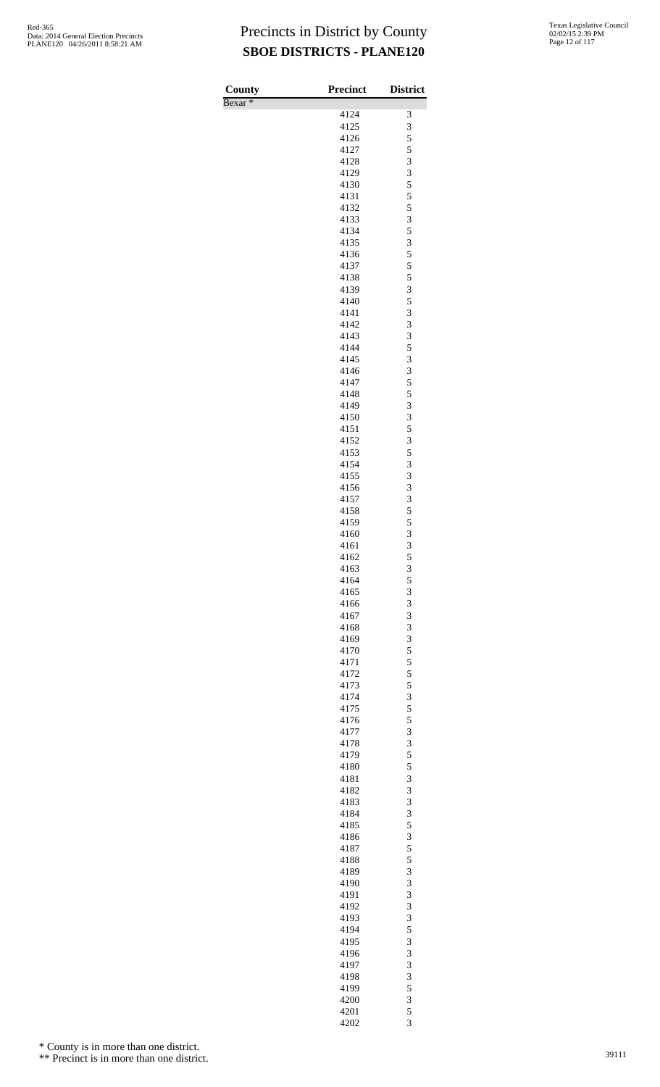| <b>County</b><br>Bexar <sup>*</sup> | <b>Precinct</b> | <b>District</b> |
|-------------------------------------|-----------------|-----------------|
|                                     | 4124            | 3               |
|                                     | 4125            | 3               |
|                                     | 4126            | 5               |
|                                     | 4127<br>4128    | 5<br>3          |
|                                     | 4129            | 3               |
|                                     | 4130            | 5               |
|                                     | 4131            | 5               |
|                                     | 4132            | 5               |
|                                     | 4133<br>4134    | 3<br>5          |
|                                     | 4135            | 3               |
|                                     | 4136            | 5               |
|                                     | 4137            | 5               |
|                                     | 4138            | 5               |
|                                     | 4139<br>4140    | 3<br>5          |
|                                     | 4141            | 3               |
|                                     | 4142            | 3               |
|                                     | 4143            | 3               |
|                                     | 4144            | 5               |
|                                     | 4145<br>4146    | 3<br>3          |
|                                     | 4147            | 5               |
|                                     | 4148            | 5               |
|                                     | 4149            | 3               |
|                                     | 4150            | 3               |
|                                     | 4151<br>4152    | 5<br>3          |
|                                     | 4153            | 5               |
|                                     | 4154            | 3               |
|                                     | 4155            | 3               |
|                                     | 4156            | 3               |
|                                     | 4157<br>4158    | 3<br>5          |
|                                     | 4159            | 5               |
|                                     | 4160            | 3               |
|                                     | 4161            | 3               |
|                                     | 4162            | 5               |
|                                     | 4163<br>4164    | 3<br>5          |
|                                     | 4165            | 3               |
|                                     | 4166            | 3               |
|                                     | 4167            | 3               |
|                                     | 4168            | 3               |
|                                     | 4169<br>4170    | 3<br>5          |
|                                     | 4171            | 5               |
|                                     | 4172            | 5               |
|                                     | 4173            | 5               |
|                                     | 4174            | 3               |
|                                     | 4175<br>4176    | 5<br>5          |
|                                     | 4177            | 3               |
|                                     | 4178            | 3               |
|                                     | 4179            | 5               |
|                                     | 4180            | 5               |
|                                     | 4181<br>4182    | 3<br>3          |
|                                     | 4183            | 3               |
|                                     | 4184            | 3               |
|                                     | 4185            | 5               |
|                                     | 4186            | 3<br>5          |
|                                     | 4187<br>4188    | 5               |
|                                     | 4189            | 3               |
|                                     | 4190            | 3               |
|                                     | 4191            | 3               |
|                                     | 4192<br>4193    | 3<br>3          |
|                                     | 4194            | 5               |
|                                     | 4195            | 3               |
|                                     | 4196            | 3               |
|                                     | 4197            | 3               |
|                                     | 4198            | 3<br>5          |
|                                     | 4199<br>4200    | 3               |
|                                     | 4201            | 5               |
|                                     | 4202            | 3               |

\* County is in more than one district.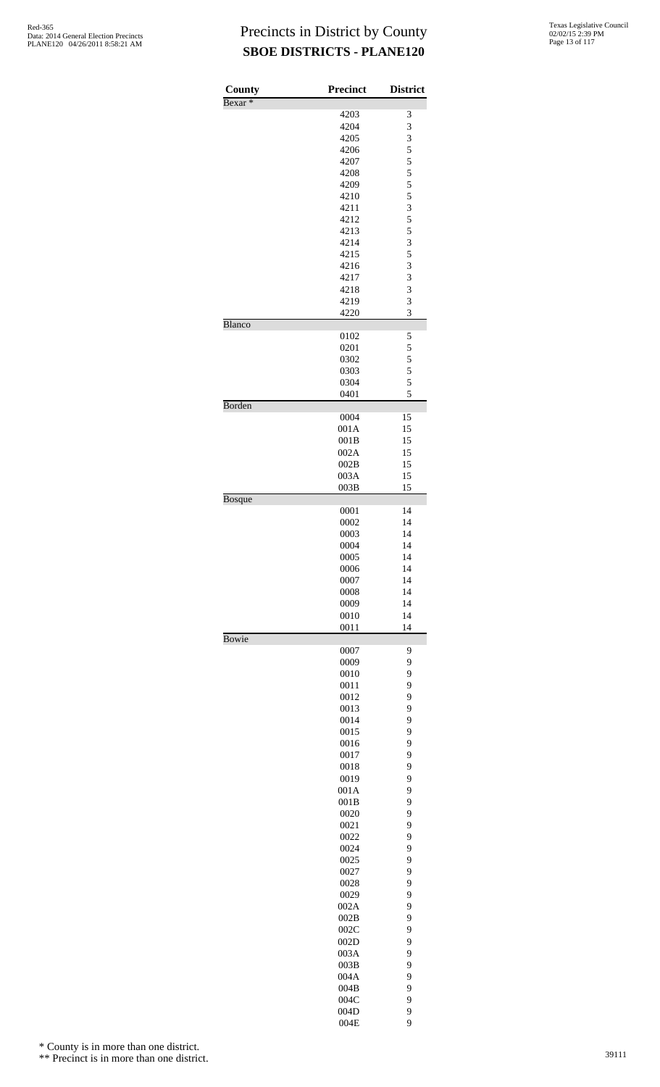| County             | <b>Precinct</b> | <b>District</b> |
|--------------------|-----------------|-----------------|
| Bexar <sup>*</sup> |                 |                 |
|                    | 4203            | 3               |
|                    | 4204            | 3               |
|                    | 4205<br>4206    | 3<br>5          |
|                    | 4207            | 5               |
|                    | 4208            | 5               |
|                    | 4209            | 5               |
|                    | 4210            | 5               |
|                    | 4211            | 3               |
|                    | 4212            | 5               |
|                    | 4213            | 5               |
|                    | 4214            | 3               |
|                    | 4215            | 5               |
|                    | 4216            | 3               |
|                    | 4217            | 3               |
|                    | 4218            | 3               |
|                    | 4219            | 3               |
|                    | 4220            | 3               |
| Blanco             |                 |                 |
|                    | 0102            | 5               |
|                    | 0201<br>0302    | 5<br>5          |
|                    | 0303            | 5               |
|                    | 0304            | 5               |
|                    | 0401            | 5               |
| Borden             |                 |                 |
|                    | 0004            | 15              |
|                    | 001A            | 15              |
|                    | 001B            | 15              |
|                    | 002A            | 15              |
|                    | 002B            | 15              |
|                    | 003A            | 15              |
|                    | 003B            | 15              |
| <b>Bosque</b>      |                 |                 |
|                    | 0001            | 14              |
|                    | 0002            | 14              |
|                    | 0003            | 14              |
|                    | 0004<br>0005    | 14<br>14        |
|                    | 0006            | 14              |
|                    | 0007            | 14              |
|                    | 0008            | 14              |
|                    | 0009            | 14              |
|                    | 0010            | 14              |
|                    | 0011            | 14              |
| Bowie              |                 |                 |
|                    | 0007            | 9               |
|                    | 0009            | 9               |
|                    | 0010            | 9               |
|                    | 0011            | 9               |
|                    | 0012            | 9               |
|                    | 0013            | 9               |
|                    | 0014            | 9               |
|                    | 0015            | 9               |
|                    | 0016            | 9               |
|                    | 0017            | 9               |
|                    | 0018<br>0019    | 9<br>9          |
|                    | 001A            | 9               |
|                    | 001B            | 9               |
|                    | 0020            | 9               |
|                    | 0021            | 9               |
|                    | 0022            | 9               |
|                    | 0024            | 9               |
|                    | 0025            | 9               |
|                    | 0027            | 9               |
|                    | 0028            | 9               |
|                    | 0029            | 9               |
|                    | 002A            | 9               |
|                    | 002B            | 9               |
|                    | 002C            | 9               |
|                    | 002D            | 9               |
|                    | 003A            | 9               |
|                    | 003B            | 9               |
|                    | 004A            | 9               |
|                    | 004B            | 9               |
|                    | 004C            | 9               |
|                    | 004D            | 9               |
|                    | 004E            | 9               |

\* County is in more than one district.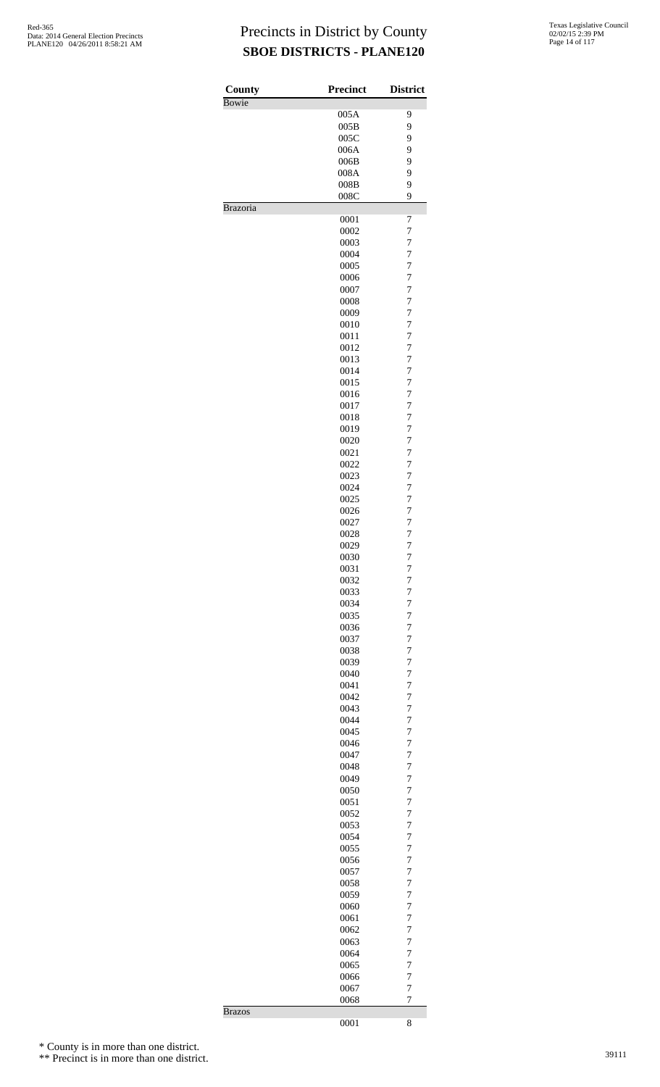| County          | <b>Precinct</b> | <b>District</b>                  |
|-----------------|-----------------|----------------------------------|
| Bowie           |                 |                                  |
|                 | 005A            | 9                                |
|                 | 005B            | 9                                |
|                 | 005C<br>006A    | 9<br>9                           |
|                 | 006B            | 9                                |
|                 | 008A            | 9                                |
|                 | 008B            | 9                                |
|                 | 008C            | 9                                |
| <b>Brazoria</b> |                 |                                  |
|                 | 0001            | 7                                |
|                 | 0002            | $\overline{7}$                   |
|                 | 0003            | 7                                |
|                 | 0004            | $\overline{7}$                   |
|                 | 0005            | $\overline{7}$                   |
|                 | 0006            | $\overline{7}$<br>$\overline{7}$ |
|                 | 0007<br>0008    | $\overline{7}$                   |
|                 | 0009            | $\overline{7}$                   |
|                 | 0010            | $\overline{7}$                   |
|                 | 0011            | $\overline{7}$                   |
|                 | 0012            | $\overline{7}$                   |
|                 | 0013            | $\overline{7}$                   |
|                 | 0014            | $\overline{7}$                   |
|                 | 0015            | $\overline{7}$                   |
|                 | 0016            | $\overline{7}$                   |
|                 | 0017            | $\overline{7}$                   |
|                 | 0018            | $\overline{7}$                   |
|                 | 0019            | $\overline{7}$                   |
|                 | 0020            | $\overline{7}$                   |
|                 | 0021            | $\overline{7}$                   |
|                 | 0022            | $\overline{7}$                   |
|                 | 0023            | $\overline{7}$                   |
|                 | 0024            | $\overline{7}$                   |
|                 | 0025            | $\overline{7}$                   |
|                 | 0026            | $\overline{7}$                   |
|                 | 0027            | $\overline{7}$                   |
|                 | 0028            | $\overline{7}$                   |
|                 | 0029            | $\overline{7}$                   |
|                 | 0030            | $\overline{7}$                   |
|                 | 0031            | 7                                |
|                 | 0032            | $\overline{7}$                   |
|                 | 0033<br>0034    | $\overline{7}$<br>7              |
|                 | 0035            | $\overline{7}$                   |
|                 | 0036            | $\overline{7}$                   |
|                 | 0037            | 7                                |
|                 | 0038            | $\overline{7}$                   |
|                 | 0039            | $\overline{7}$                   |
|                 | 0040            | $\overline{7}$                   |
|                 | 0041            | $\overline{7}$                   |
|                 | 0042            | 7                                |
|                 | 0043            | $\overline{7}$                   |
|                 | 0044            | 7                                |
|                 | 0045            | $\overline{7}$                   |
|                 | 0046            | $\overline{7}$                   |
|                 | 0047            | 7                                |
|                 | 0048            | $\overline{7}$                   |
|                 | 0049            | $\overline{7}$                   |
|                 | 0050            | $\overline{7}$                   |
|                 | 0051            | $\overline{7}$                   |
|                 | 0052            | 7                                |
|                 | 0053            | $\overline{7}$                   |
|                 | 0054            | 7                                |
|                 | 0055            | $\overline{7}$                   |
|                 | 0056            | $\overline{7}$                   |
|                 | 0057<br>0058    | 7<br>$\overline{7}$              |
|                 | 0059            | 7                                |
|                 | 0060            | $\overline{7}$                   |
|                 | 0061            | $\overline{7}$                   |
|                 | 0062            | 7                                |
|                 | 0063            | $\overline{7}$                   |
|                 | 0064            | 7                                |
|                 | 0065            | $\overline{7}$                   |
|                 | 0066            | $\overline{7}$                   |
|                 | 0067            | $\overline{7}$                   |
|                 | 0068            | 7                                |
| <b>Brazos</b>   |                 |                                  |
|                 | 0001            | 8                                |

\* County is in more than one district.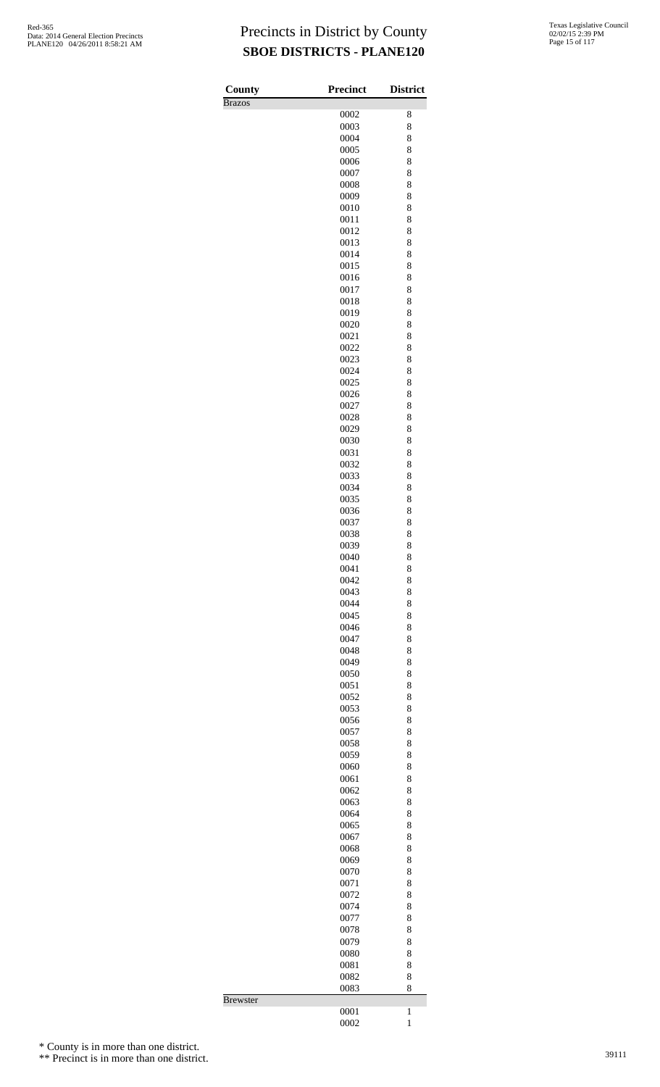| County        | Precinct     | <b>District</b>              |
|---------------|--------------|------------------------------|
| <b>Brazos</b> |              |                              |
|               | 0002         | 8                            |
|               | 0003         | 8                            |
|               | 0004<br>0005 | 8<br>8                       |
|               | 0006         | 8                            |
|               | 0007         | 8                            |
|               | 0008         | 8                            |
|               | 0009         | 8                            |
|               | 0010         | 8                            |
|               | 0011         | 8                            |
|               | 0012         | 8                            |
|               | 0013<br>0014 | 8<br>8                       |
|               | 0015         | 8                            |
|               | 0016         | 8                            |
|               | 0017         | 8                            |
|               | 0018         | 8                            |
|               | 0019         | 8                            |
|               | 0020         | 8                            |
|               | 0021         | 8                            |
|               | 0022         | 8                            |
|               | 0023<br>0024 | 8<br>8                       |
|               | 0025         | 8                            |
|               | 0026         | 8                            |
|               | 0027         | 8                            |
|               | 0028         | 8                            |
|               | 0029         | 8                            |
|               | 0030         | 8                            |
|               | 0031         | 8                            |
|               | 0032<br>0033 | 8                            |
|               | 0034         | 8<br>8                       |
|               | 0035         | 8                            |
|               | 0036         | 8                            |
|               | 0037         | 8                            |
|               | 0038         | 8                            |
|               | 0039         | 8                            |
|               | 0040         | 8                            |
|               | 0041         | 8                            |
|               | 0042<br>0043 | 8<br>8                       |
|               | 0044         | 8                            |
|               | 0045         | 8                            |
|               | 0046         | 8                            |
|               | 0047         | 8                            |
|               | 0048         | 8                            |
|               | 0049         | 8                            |
|               | 0050         | 8                            |
|               | 0051         | 8                            |
|               | 0052<br>0053 | 8<br>8                       |
|               | 0056         | 8                            |
|               | 0057         | 8                            |
|               | 0058         | 8                            |
|               | 0059         | 8                            |
|               | 0060         | 8                            |
|               | 0061         | 8                            |
|               | 0062         | 8                            |
|               | 0063         | 8                            |
|               | 0064<br>0065 | 8<br>8                       |
|               | 0067         | 8                            |
|               | 0068         | 8                            |
|               | 0069         | 8                            |
|               | 0070         | 8                            |
|               | 0071         | 8                            |
|               | 0072         | 8                            |
|               | 0074         | 8                            |
|               | 0077         | 8                            |
|               | 0078<br>0079 | 8<br>8                       |
|               | 0080         | 8                            |
|               | 0081         | 8                            |
|               | 0082         | 8                            |
|               | 0083         | 8                            |
| Brewster      |              |                              |
|               | 0001<br>0002 | $\mathbf{1}$<br>$\mathbf{1}$ |
|               |              |                              |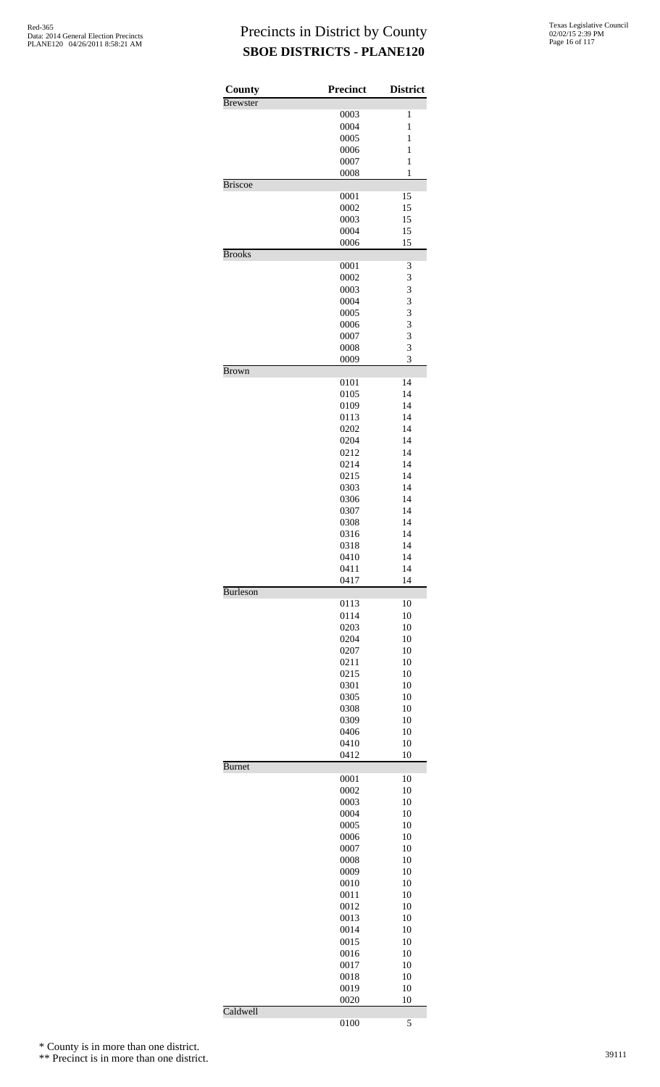| County          | Precinct     | <b>District</b> |
|-----------------|--------------|-----------------|
| <b>Brewster</b> | 0003         | 1               |
|                 | 0004         | $\mathbf{1}$    |
|                 | 0005         | 1               |
|                 | 0006         | $\mathbf{1}$    |
|                 | 0007         | $\mathbf{1}$    |
|                 | 0008         | 1               |
| <b>Briscoe</b>  |              |                 |
|                 | 0001         | 15              |
|                 | 0002         | 15              |
|                 | 0003         | 15              |
|                 | 0004         | 15              |
|                 | 0006         | 15              |
| <b>Brooks</b>   | 0001         | 3               |
|                 | 0002         | 3               |
|                 | 0003         | 3               |
|                 | 0004         | 3               |
|                 | 0005         | 3               |
|                 | 0006         | 3               |
|                 | 0007         | 3               |
|                 | 0008         | 3               |
|                 | 0009         | 3               |
| <b>Brown</b>    |              |                 |
|                 | 0101         | 14              |
|                 | 0105         | 14              |
|                 | 0109         | 14              |
|                 | 0113         | 14              |
|                 | 0202         | 14              |
|                 | 0204         | 14              |
|                 | 0212         | 14              |
|                 | 0214         | 14              |
|                 | 0215         | 14              |
|                 | 0303         | 14              |
|                 | 0306         | 14              |
|                 | 0307         | 14              |
|                 | 0308         | 14              |
|                 | 0316         | 14              |
|                 | 0318<br>0410 | 14<br>14        |
|                 | 0411         | 14              |
|                 | 0417         | 14              |
| <b>Burleson</b> |              |                 |
|                 | 0113         | 10              |
|                 | 0114         | 10              |
|                 | 0203         | 10              |
|                 | 0204         | 10              |
|                 | 0207         | 10              |
|                 | 0211         | 10              |
|                 | 0215         | 10              |
|                 | 0301         | 10              |
|                 | 0305         | 10              |
|                 | 0308         | 10              |
|                 | 0309         | 10              |
|                 | 0406         | 10              |
|                 | 0410<br>0412 | 10<br>10        |
| <b>Burnet</b>   |              |                 |
|                 | 0001         | 10              |
|                 | 0002         | 10              |
|                 | 0003         | 10              |
|                 | 0004         | 10              |
|                 | 0005         | 10              |
|                 | 0006         | 10              |
|                 | 0007         | 10              |
|                 | 0008         | 10              |
|                 | 0009         | 10              |
|                 | 0010         | 10              |
|                 | 0011         | 10              |
|                 | 0012         | 10              |
|                 | 0013         | 10              |
|                 | 0014         | 10              |
|                 | 0015         | 10              |
|                 | 0016         | 10              |
|                 | 0017         | 10              |
|                 | 0018         | 10              |
|                 | 0019         | 10              |
|                 | 0020         | 10              |
| Caldwell        | 0100         | 5               |
|                 |              |                 |

\* County is in more than one district.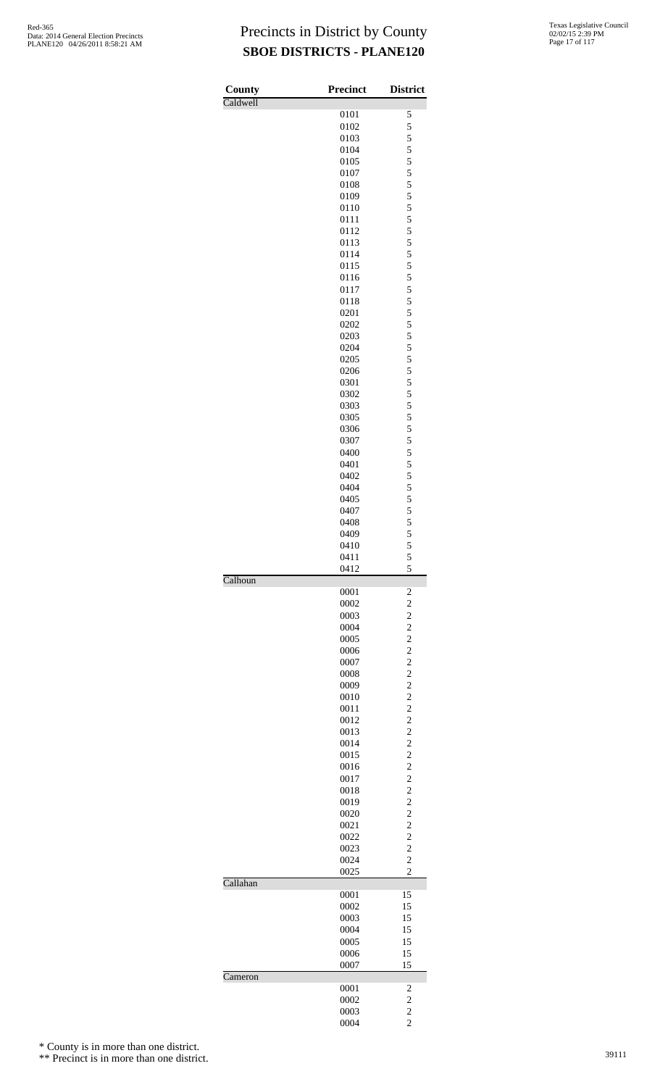| County   | <b>Precinct</b> | <b>District</b>                  |
|----------|-----------------|----------------------------------|
| Caldwell | 0101            | 5                                |
|          | 0102            | 5                                |
|          | 0103            | 5                                |
|          | 0104            | 5                                |
|          | 0105            | 5                                |
|          | 0107            | 5                                |
|          | 0108            | 5                                |
|          | 0109            | 5                                |
|          | 0110<br>0111    | 5<br>5                           |
|          | 0112            | 5                                |
|          | 0113            | 5                                |
|          | 0114            | 5                                |
|          | 0115            | 5                                |
|          | 0116            | 5                                |
|          | 0117            | 5                                |
|          | 0118            | 5                                |
|          | 0201            | 5<br>5                           |
|          | 0202<br>0203    | 5                                |
|          | 0204            | 5                                |
|          | 0205            | 5                                |
|          | 0206            | 5                                |
|          | 0301            | 5                                |
|          | 0302            | 5                                |
|          | 0303            | 5                                |
|          | 0305            | 5                                |
|          | 0306<br>0307    | 5<br>5                           |
|          | 0400            | 5                                |
|          | 0401            | 5                                |
|          | 0402            | 5                                |
|          | 0404            | 5                                |
|          | 0405            | 5                                |
|          | 0407            | 5                                |
|          | 0408            | 5                                |
|          | 0409            | 5<br>5                           |
|          | 0410<br>0411    | 5                                |
|          | 0412            | 5                                |
| Calhoun  |                 |                                  |
|          | 0001            | $\overline{\mathbf{c}}$          |
|          | 0002            | $\overline{c}$                   |
|          | 0003            | $\overline{c}$                   |
|          | 0004            | $\overline{c}$<br>$\overline{c}$ |
|          | 0005<br>0006    | $\overline{c}$                   |
|          | 0007            | $\overline{c}$                   |
|          | 0008            | $\overline{c}$                   |
|          | 0009            | $\overline{c}$                   |
|          | 0010            | $\overline{c}$                   |
|          | 0011            | $\overline{c}$                   |
|          | 0012            | $\overline{c}$                   |
|          | 0013            | $\overline{c}$                   |
|          | 0014<br>0015    | $\overline{c}$<br>$\overline{c}$ |
|          | 0016            | $\overline{c}$                   |
|          | 0017            | $\overline{c}$                   |
|          | 0018            | $\overline{c}$                   |
|          | 0019            | $\overline{c}$                   |
|          | 0020            | $\overline{c}$                   |
|          | 0021            | $\overline{c}$                   |
|          | 0022            | $\overline{c}$                   |
|          | 0023            | $\overline{c}$                   |
|          | 0024<br>0025    | $\overline{2}$<br>$\overline{c}$ |
| Callahan |                 |                                  |
|          | 0001            | 15                               |
|          | 0002            | 15                               |
|          | 0003            | 15                               |
|          | 0004            | 15                               |
|          | 0005            | 15                               |
|          | 0006            | 15                               |
| Cameron  | 0007            | 15                               |
|          | 0001            | 2                                |
|          | 0002            | $\overline{c}$                   |
|          | 0003            | $\overline{2}$                   |
|          | 0004            | $\overline{c}$                   |

\* County is in more than one district.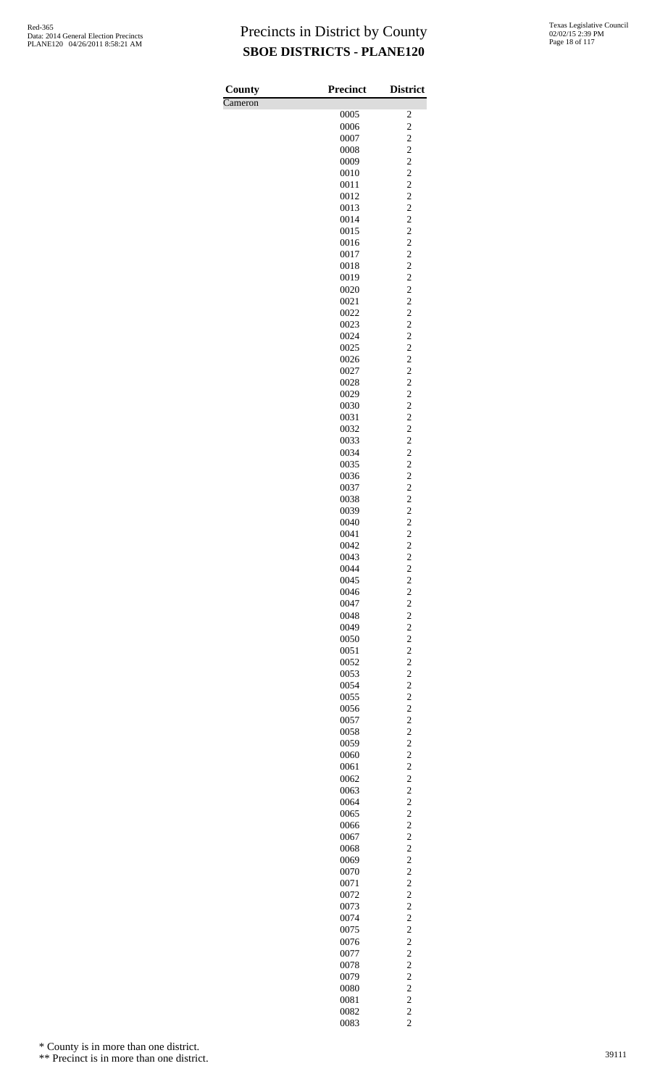| County  | <b>Precinct</b> | <b>District</b>                           |
|---------|-----------------|-------------------------------------------|
| Cameron |                 |                                           |
|         | 0005            | $\overline{\mathbf{c}}$                   |
|         | 0006            | $\overline{c}$                            |
|         | 0007            | $\overline{c}$                            |
|         | 0008            | $\overline{c}$                            |
|         | 0009<br>0010    | $\overline{c}$<br>$\overline{\mathbf{c}}$ |
|         | 0011            | $\overline{c}$                            |
|         | 0012            | $\overline{c}$                            |
|         | 0013            | $\overline{c}$                            |
|         | 0014            | $\overline{c}$                            |
|         | 0015            | $\overline{\mathbf{c}}$                   |
|         | 0016            | $\overline{c}$                            |
|         | 0017            | $\overline{c}$                            |
|         | 0018<br>0019    | $\overline{c}$<br>$\overline{c}$          |
|         | 0020            | $\overline{\mathbf{c}}$                   |
|         | 0021            | $\overline{c}$                            |
|         | 0022            | $\overline{c}$                            |
|         | 0023            | $\overline{c}$                            |
|         | 0024            | $\overline{c}$                            |
|         | 0025            | $\overline{\mathbf{c}}$                   |
|         | 0026            | $\overline{c}$                            |
|         | 0027<br>0028    | $\overline{c}$<br>$\overline{c}$          |
|         | 0029            | $\overline{c}$                            |
|         | 0030            | $\overline{\mathbf{c}}$                   |
|         | 0031            | $\overline{c}$                            |
|         | 0032            | $\overline{c}$                            |
|         | 0033            | $\overline{c}$                            |
|         | 0034            | $\overline{c}$                            |
|         | 0035            | $\overline{\mathbf{c}}$                   |
|         | 0036            | $\overline{c}$<br>$\overline{c}$          |
|         | 0037<br>0038    | $\overline{c}$                            |
|         | 0039            | $\overline{c}$                            |
|         | 0040            | $\overline{\mathbf{c}}$                   |
|         | 0041            | $\overline{c}$                            |
|         | 0042            | $\overline{c}$                            |
|         | 0043            | $\overline{2}$                            |
|         | 0044            | $\overline{c}$                            |
|         | 0045            | $\frac{2}{2}$                             |
|         | 0046<br>0047    |                                           |
|         | 0048            | $\frac{2}{2}$                             |
|         | 0049            | $\overline{c}$                            |
|         | 0050            | $\overline{\mathbf{c}}$                   |
|         | 0051            | $\overline{c}$                            |
|         | 0052            | $\overline{\mathbf{c}}$                   |
|         | 0053            | $\overline{c}$                            |
|         | 0054            | $\overline{c}$                            |
|         | 0055            | $\overline{\mathbf{c}}$<br>$\overline{c}$ |
|         | 0056<br>0057    |                                           |
|         | 0058            | $\frac{2}{2}$                             |
|         | 0059            | $\overline{c}$                            |
|         | 0060            | $\overline{\mathbf{c}}$                   |
|         | 0061            | $\overline{c}$                            |
|         | 0062            | $\overline{\mathbf{c}}$                   |
|         | 0063            | $\overline{c}$                            |
|         | 0064            | $\overline{c}$                            |
|         | 0065<br>0066    | $\overline{\mathbf{c}}$<br>$\overline{c}$ |
|         | 0067            |                                           |
|         | 0068            | $\frac{2}{2}$                             |
|         | 0069            | $\overline{c}$                            |
|         | 0070            | $\overline{\mathbf{c}}$                   |
|         | 0071            | $\overline{c}$                            |
|         | 0072            | $\overline{\mathbf{c}}$                   |
|         | 0073            | $\overline{c}$                            |
|         | 0074<br>0075    | $\overline{c}$                            |
|         | 0076            | $\overline{\mathbf{c}}$<br>$\overline{c}$ |
|         | 0077            | $\overline{\mathbf{c}}$                   |
|         | 0078            | $\overline{c}$                            |
|         | 0079            | $\overline{c}$                            |
|         | 0080            | $\frac{2}{2}$                             |
|         | 0081            |                                           |
|         | 0082            | $\frac{2}{2}$                             |
|         | 0083            |                                           |

\* County is in more than one district.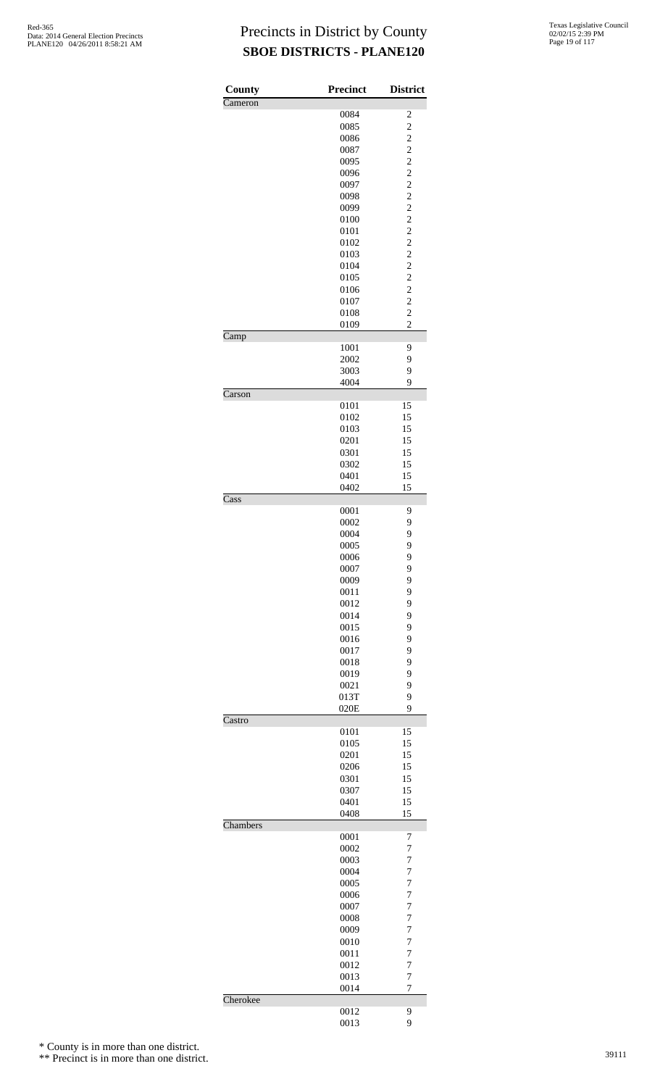| <b>County</b>            | <b>Precinct</b> | <b>District</b>     |
|--------------------------|-----------------|---------------------|
| Cameron                  |                 |                     |
|                          | 0084<br>0085    | 2<br>$\overline{c}$ |
|                          | 0086            | $\overline{c}$      |
|                          | 0087            | $\overline{c}$      |
|                          | 0095            | $\overline{c}$      |
|                          | 0096            | $\overline{c}$      |
|                          | 0097            | $\overline{c}$      |
|                          | 0098            | $\overline{c}$      |
|                          | 0099            | $\overline{c}$      |
|                          | 0100            | $\overline{c}$      |
|                          | 0101            | $\overline{c}$      |
|                          | 0102            | $\overline{c}$      |
|                          | 0103            | $\overline{c}$      |
|                          | 0104            | $\overline{c}$      |
|                          | 0105            | $\overline{c}$      |
|                          | 0106            | $\overline{c}$      |
|                          | 0107            | $\overline{c}$      |
|                          | 0108            | $\overline{c}$      |
| Camp                     | 0109            | $\overline{2}$      |
|                          | 1001            | 9                   |
|                          | 2002            | 9                   |
|                          | 3003            | 9                   |
|                          | 4004            | 9                   |
| Carson                   |                 |                     |
|                          | 0101            | 15                  |
|                          | 0102            | 15                  |
|                          | 0103            | 15                  |
|                          | 0201            | 15                  |
|                          | 0301            | 15                  |
|                          | 0302            | 15                  |
|                          | 0401<br>0402    | 15<br>15            |
| $\overline{\text{Cass}}$ |                 |                     |
|                          | 0001            | 9                   |
|                          | 0002            | 9                   |
|                          | 0004            | 9                   |
|                          | 0005            | 9                   |
|                          | 0006            | 9                   |
|                          | 0007            | 9                   |
|                          | 0009            | 9                   |
|                          | 0011            | 9                   |
|                          | 0012            | 9                   |
|                          | 0014            | 9                   |
|                          | 0015            | 9                   |
|                          | 0016            | 9                   |
|                          | 0017            | 9                   |
|                          | 0018            | 9                   |
|                          | 0019            | 9                   |
|                          | 0021            | 9                   |
|                          | 013T<br>020E    | 9<br>9              |
| Castro                   |                 |                     |
|                          | 0101            | 15                  |
|                          | 0105            | 15                  |
|                          | 0201            | 15                  |
|                          | 0206            | 15                  |
|                          | 0301            | 15                  |
|                          | 0307            | 15                  |
|                          | 0401            | 15                  |
| Chambers                 | 0408            | 15                  |
|                          | 0001            | $\boldsymbol{7}$    |
|                          | 0002            | 7                   |
|                          | 0003            | $\overline{7}$      |
|                          | 0004            | $\overline{7}$      |
|                          | 0005            | $\overline{7}$      |
|                          | 0006            | $\overline{7}$      |
|                          | 0007            | 7                   |
|                          | 0008            | $\overline{7}$      |
|                          | 0009            | $\overline{7}$      |
|                          | 0010            | $\overline{7}$      |
|                          | 0011            | $\overline{7}$      |
|                          | 0012            | 7                   |
|                          | 0013            | $\overline{7}$      |
| Cherokee                 | 0014            | $\overline{7}$      |
|                          | 0012            | 9                   |
|                          | 0013            | 9                   |

\* County is in more than one district.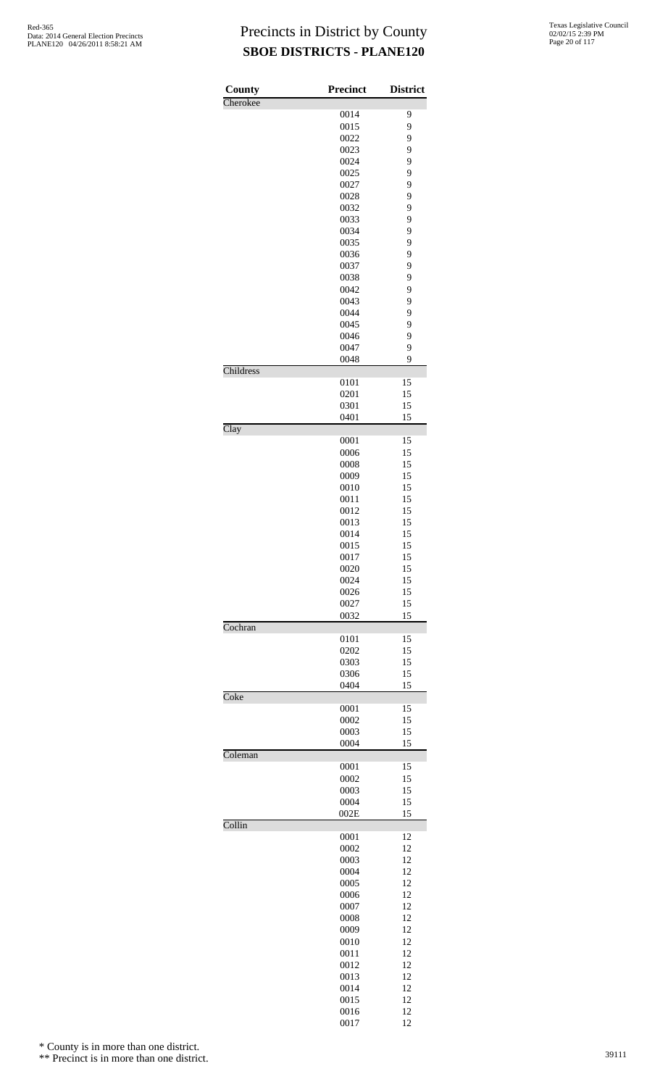| County    | <b>Precinct</b> | <b>District</b> |
|-----------|-----------------|-----------------|
| Cherokee  | 0014            | 9               |
|           | 0015            | 9               |
|           | 0022            | 9               |
|           | 0023            | 9               |
|           | 0024            | 9               |
|           | 0025            | 9               |
|           | 0027            | 9               |
|           | 0028            | 9               |
|           | 0032            | 9               |
|           | 0033            | 9               |
|           | 0034            | 9               |
|           | 0035            | 9               |
|           | 0036            | 9               |
|           | 0037            | 9               |
|           | 0038<br>0042    | 9<br>9          |
|           | 0043            | 9               |
|           | 0044            | 9               |
|           | 0045            | 9               |
|           | 0046            | 9               |
|           | 0047            | 9               |
|           | 0048            | 9               |
| Childress |                 |                 |
|           | 0101            | 15              |
|           | 0201            | 15              |
|           | 0301            | 15              |
|           | 0401            | 15              |
| Clay      |                 |                 |
|           | 0001<br>0006    | 15<br>15        |
|           | 0008            | 15              |
|           | 0009            | 15              |
|           | 0010            | 15              |
|           | 0011            | 15              |
|           | 0012            | 15              |
|           | 0013            | 15              |
|           | 0014            | 15              |
|           | 0015            | 15              |
|           | 0017            | 15              |
|           | 0020            | 15              |
|           | 0024            | 15              |
|           | 0026            | 15              |
|           | 0027            | 15              |
| Cochran   | 0032            | 15              |
|           | 0101            | 15              |
|           | 0202            | 15              |
|           | 0303            | 15              |
|           | 0306            | 15              |
|           | 0404            | 15              |
| Coke      |                 |                 |
|           | 0001            | 15              |
|           | 0002            | 15              |
|           | 0003<br>0004    | 15<br>15        |
| Coleman   |                 |                 |
|           | 0001            | 15              |
|           | 0002            | 15              |
|           | 0003            | 15              |
|           | 0004            | 15              |
|           | 002E            | 15              |
| Collin    |                 |                 |
|           | 0001            | 12<br>12        |
|           | 0002<br>0003    | 12              |
|           | 0004            | 12              |
|           | 0005            | 12              |
|           | 0006            | 12              |
|           | 0007            | 12              |
|           | 0008            | 12              |
|           | 0009            | 12              |
|           | 0010            | 12              |
|           | 0011            | 12              |
|           | 0012            | 12              |
|           | 0013            | 12              |
|           | 0014            | 12              |
|           | 0015            | 12              |
|           | 0016            | 12              |

12

\* County is in more than one district.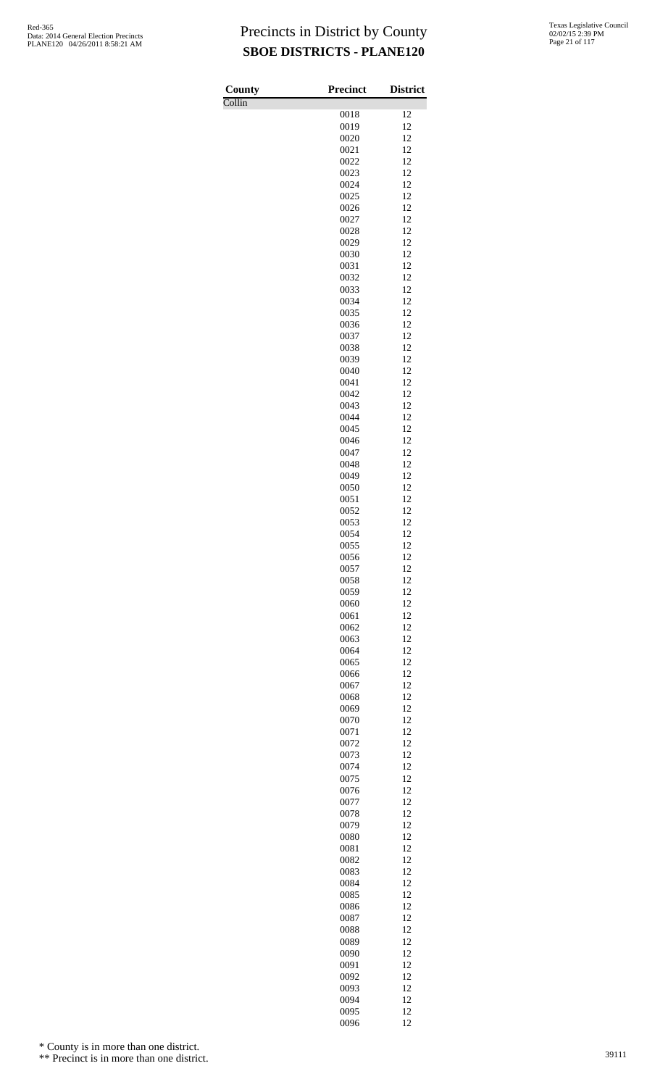Collin

| County | <b>Precinct</b> | <b>District</b> |
|--------|-----------------|-----------------|
| Collin | 0018            | 12              |
|        | 0019            | 12              |
|        | 0020            | 12              |
|        | 0021            | 12              |
|        | 0022            | 12<br>12        |
|        | 0023<br>0024    | 12              |
|        | 0025            | 12              |
|        | 0026            | 12              |
|        | 0027            | 12              |
|        | 0028            | 12              |
|        | 0029<br>0030    | 12<br>12        |
|        | 0031            | 12              |
|        | 0032            | 12              |
|        | 0033            | 12              |
|        | 0034            | 12              |
|        | 0035<br>0036    | 12<br>12        |
|        | 0037            | 12              |
|        | 0038            | 12              |
|        | 0039            | 12              |
|        | 0040            | 12              |
|        | 0041<br>0042    | 12<br>12        |
|        | 0043            | 12              |
|        | 0044            | 12              |
|        | 0045            | 12              |
|        | 0046            | 12              |
|        | 0047<br>0048    | 12<br>12        |
|        | 0049            | 12              |
|        | 0050            | 12              |
|        | 0051            | 12              |
|        | 0052            | 12              |
|        | 0053<br>0054    | 12<br>12        |
|        | 0055            | 12              |
|        | 0056            | 12              |
|        | 0057            | 12              |
|        | 0058            | 12              |
|        | 0059<br>0060    | 12<br>12        |
|        | 0061            | 12              |
|        | 0062            | 12              |
|        | 0063            | 12              |
|        | 0064            | 12              |
|        | 0065            | 12<br>12        |
|        | 0066<br>0067    | 12              |
|        | 0068            | 12              |
|        | 0069            | 12              |
|        | 0070            | 12              |
|        | 0071<br>0072    | 12<br>12        |
|        | 0073            | 12              |
|        | 0074            | 12              |
|        | 0075            | 12              |
|        | 0076            | 12              |
|        | 0077            | 12<br>12        |
|        | 0078<br>0079    | 12              |
|        | 0080            | 12              |
|        | 0081            | 12              |
|        | 0082            | 12              |
|        | 0083            | 12              |
|        | 0084<br>0085    | 12<br>12        |
|        | 0086            | 12              |
|        | 0087            | 12              |
|        | 0088            | 12              |
|        | 0089            | 12              |
|        | 0090<br>0091    | 12<br>12        |
|        | 0092            | 12              |
|        | 0093            | 12              |
|        | 0094            | 12              |
|        | 0095<br>0096    | 12<br>12        |
|        |                 |                 |

\* County is in more than one district.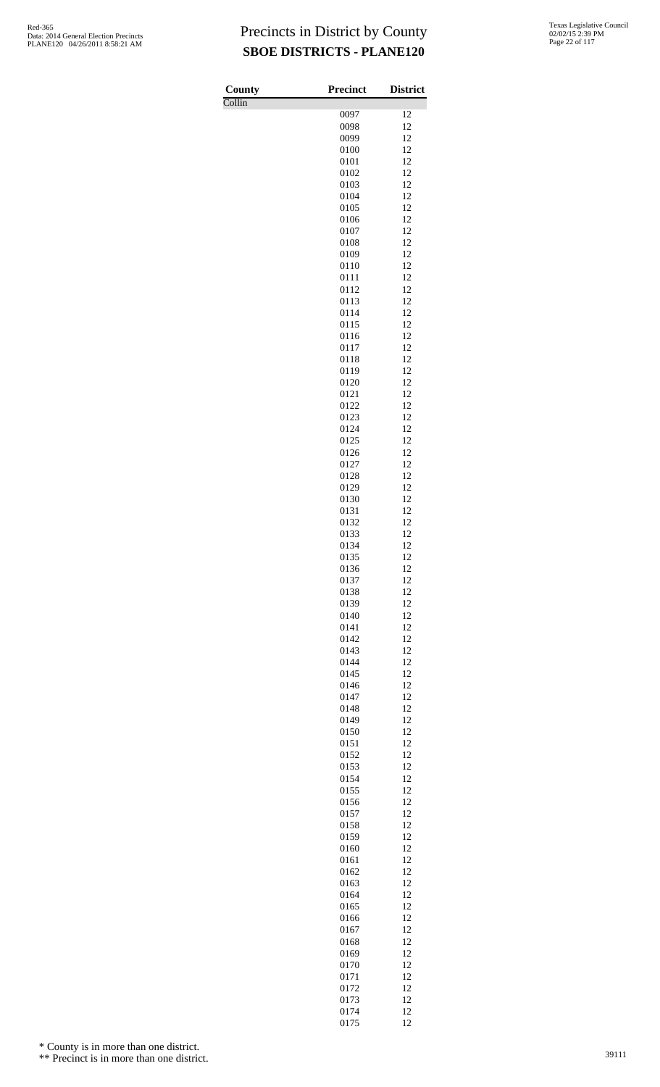Collin

| County                     | <b>Precinct</b> | <b>District</b> |
|----------------------------|-----------------|-----------------|
| $\overline{\text{Collin}}$ |                 |                 |
|                            | 0097<br>0098    | 12<br>12        |
|                            | 0099            | 12              |
|                            | 0100            | 12              |
|                            | 0101            | 12              |
|                            | 0102            | 12              |
|                            | 0103<br>0104    | 12<br>12        |
|                            | 0105            | 12              |
|                            | 0106            | 12              |
|                            | 0107            | 12              |
|                            | 0108<br>0109    | 12<br>12        |
|                            | 0110            | 12              |
|                            | 0111            | 12              |
|                            | 0112            | 12              |
|                            | 0113<br>0114    | 12<br>12        |
|                            | 0115            | 12              |
|                            | 0116            | 12              |
|                            | 0117            | 12              |
|                            | 0118<br>0119    | 12<br>12        |
|                            | 0120            | 12              |
|                            | 0121            | 12              |
|                            | 0122            | 12              |
|                            | 0123            | 12              |
|                            | 0124<br>0125    | 12<br>12        |
|                            | 0126            | 12              |
|                            | 0127            | 12              |
|                            | 0128            | 12              |
|                            | 0129<br>0130    | 12<br>12        |
|                            | 0131            | 12              |
|                            | 0132            | 12              |
|                            | 0133            | 12              |
|                            | 0134<br>0135    | 12<br>12        |
|                            | 0136            | 12              |
|                            | 0137            | 12              |
|                            | 0138            | 12              |
|                            | 0139<br>0140    | 12<br>12        |
|                            | 0141            | 12              |
|                            | 0142            | 12              |
|                            | 0143            | 12              |
|                            | 0144<br>0145    | 12<br>12        |
|                            | 0146            | 12              |
|                            | 0147            | 12              |
|                            | 0148            | 12              |
|                            | 0149            | 12              |
|                            | 0150<br>0151    | 12<br>12        |
|                            | 0152            | 12              |
|                            | 0153            | 12              |
|                            | 0154            | 12              |
|                            | 0155<br>0156    | 12<br>12        |
|                            | 0157            | 12              |
|                            | 0158            | 12              |
|                            | 0159            | 12              |
|                            | 0160<br>0161    | 12<br>12        |
|                            | 0162            | 12              |
|                            | 0163            | 12              |
|                            | 0164            | 12              |
|                            | 0165<br>0166    | 12<br>12        |
|                            | 0167            | 12              |
|                            | 0168            | 12              |
|                            | 0169            | 12              |
|                            | 0170<br>0171    | 12<br>12        |
|                            | 0172            | 12              |
|                            | 0173            | 12              |
|                            | 0174            | 12              |
|                            | 0175            | 12              |

\* County is in more than one district.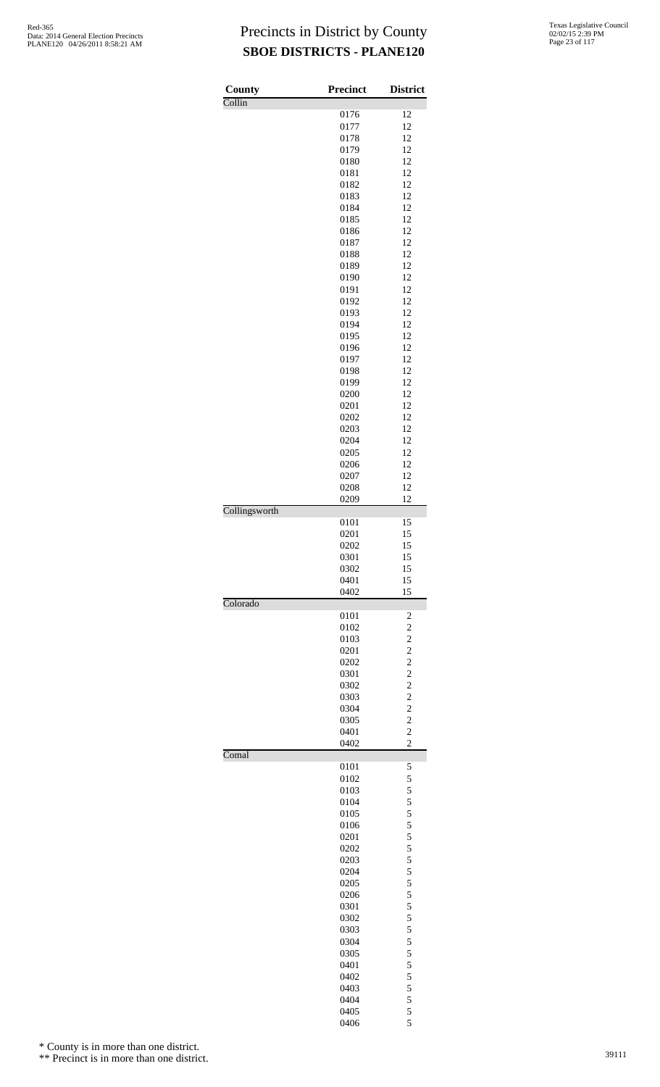| County        | <b>Precinct</b> | <b>District</b>                  |
|---------------|-----------------|----------------------------------|
| Collin        | 0176            | 12                               |
|               | 0177            | 12                               |
|               | 0178            | 12                               |
|               | 0179            | 12                               |
|               | 0180            | 12                               |
|               | 0181            | 12<br>12                         |
|               | 0182<br>0183    | 12                               |
|               | 0184            | 12                               |
|               | 0185            | 12                               |
|               | 0186            | 12                               |
|               | 0187            | 12                               |
|               | 0188<br>0189    | 12<br>12                         |
|               | 0190            | 12                               |
|               | 0191            | 12                               |
|               | 0192            | 12                               |
|               | 0193            | 12                               |
|               | 0194            | 12<br>12                         |
|               | 0195<br>0196    | 12                               |
|               | 0197            | 12                               |
|               | 0198            | 12                               |
|               | 0199            | 12                               |
|               | 0200            | 12                               |
|               | 0201            | 12                               |
|               | 0202<br>0203    | 12<br>12                         |
|               | 0204            | 12                               |
|               | 0205            | 12                               |
|               | 0206            | 12                               |
|               | 0207            | 12                               |
|               | 0208            | 12                               |
| Collingsworth | 0209            | 12                               |
|               | 0101            | 15                               |
|               | 0201            | 15                               |
|               | 0202            | 15                               |
|               | 0301<br>0302    | 15<br>15                         |
|               | 0401            | 15                               |
|               | 0402            | 15                               |
| Colorado      | 0101            | $\overline{\mathbf{c}}$          |
|               | 0102            | $\overline{c}$                   |
|               | 0103            | $\overline{c}$                   |
|               | 0201            | $\overline{c}$                   |
|               | 0202            | $\overline{c}$                   |
|               | 0301            | $\overline{c}$                   |
|               | 0302<br>0303    | $\overline{c}$<br>$\overline{c}$ |
|               | 0304            | $\overline{c}$                   |
|               | 0305            | $\overline{c}$                   |
|               | 0401            | $\overline{c}$                   |
| Comal         | 0402            | $\overline{2}$                   |
|               | 0101            | 5                                |
|               | 0102            | 5                                |
|               | 0103            | 5                                |
|               | 0104            | 5                                |
|               | 0105<br>0106    | 5<br>5                           |
|               | 0201            | 5                                |
|               | 0202            | 5                                |
|               | 0203            | 5                                |
|               | 0204            | 5                                |
|               | 0205            | 5                                |
|               | 0206<br>0301    | 5<br>5                           |
|               | 0302            | 5                                |
|               | 0303            | 5                                |
|               | 0304            | 5                                |
|               | 0305            | 5                                |
|               | 0401            | 5                                |
|               | 0402<br>0403    | 5<br>5                           |
|               | 0404            | 5                                |
|               | 0405            | 5                                |
|               | 0406            | 5                                |

\* County is in more than one district.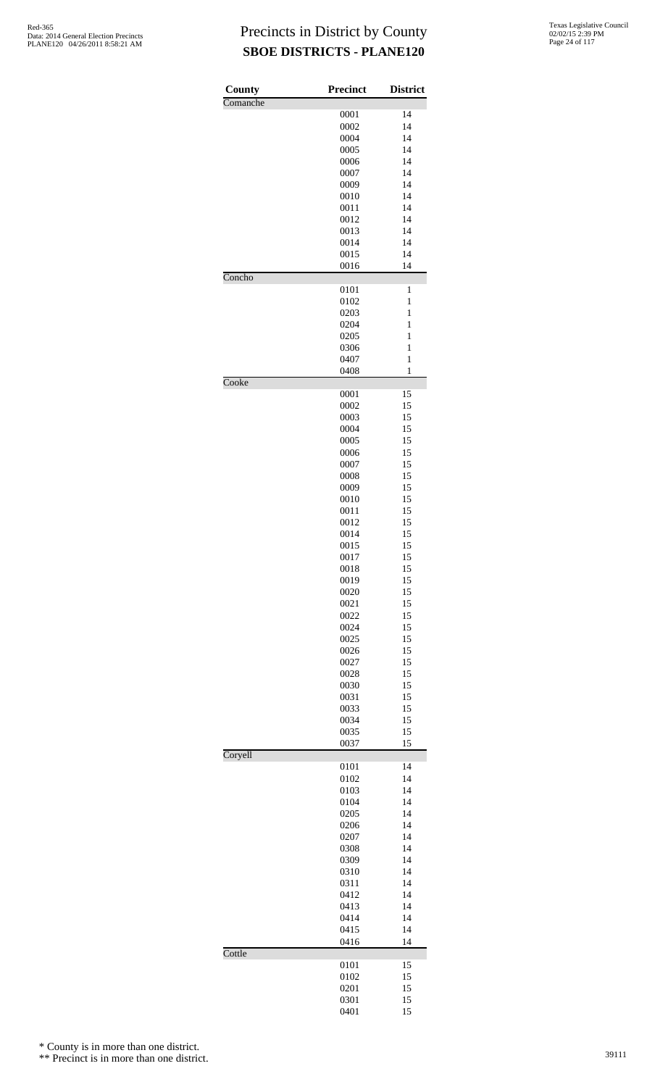| County   | <b>Precinct</b> | <b>District</b> |
|----------|-----------------|-----------------|
| Comanche |                 |                 |
|          | 0001            | 14              |
|          | 0002<br>0004    | 14<br>14        |
|          | 0005            | 14              |
|          | 0006            | 14              |
|          | 0007            | 14              |
|          | 0009            | 14              |
|          | 0010            | 14<br>14        |
|          | 0011<br>0012    | 14              |
|          | 0013            | 14              |
|          | 0014            | 14              |
|          | 0015            | 14              |
| Concho   | 0016            | 14              |
|          | 0101            | 1               |
|          | 0102            | 1               |
|          | 0203            | 1               |
|          | 0204            | 1               |
|          | 0205<br>0306    | 1<br>1          |
|          | 0407            | 1               |
|          | 0408            | $\mathbf{1}$    |
| Cooke    |                 |                 |
|          | 0001<br>0002    | 15<br>15        |
|          | 0003            | 15              |
|          | 0004            | 15              |
|          | 0005            | 15              |
|          | 0006            | 15              |
|          | 0007<br>0008    | 15<br>15        |
|          | 0009            | 15              |
|          | 0010            | 15              |
|          | 0011            | 15              |
|          | 0012            | 15              |
|          | 0014<br>0015    | 15<br>15        |
|          | 0017            | 15              |
|          | 0018            | 15              |
|          | 0019            | 15              |
|          | 0020            | 15              |
|          | 0021<br>0022    | 15<br>15        |
|          | 0024            | 15              |
|          | 0025            | 15              |
|          | 0026            | 15              |
|          | 0027<br>0028    | 15<br>15        |
|          | 0030            | 15              |
|          | 0031            | 15              |
|          | 0033            | 15              |
|          | 0034            | 15              |
|          | 0035<br>0037    | 15<br>15        |
| Coryell  |                 |                 |
|          | 0101            | 14              |
|          | 0102<br>0103    | 14<br>14        |
|          | 0104            | 14              |
|          | 0205            | 14              |
|          | 0206            | 14              |
|          | 0207            | 14              |
|          | 0308<br>0309    | 14<br>14        |
|          | 0310            | 14              |
|          | 0311            | 14              |
|          | 0412            | 14              |
|          | 0413            | 14              |
|          | 0414<br>0415    | 14<br>14        |
|          | 0416            | 14              |
| Cottle   |                 |                 |
|          | 0101<br>0102    | 15              |
|          | 0201            | 15<br>15        |
|          | 0301            | 15              |
|          | 0401            | 15              |

\* County is in more than one district.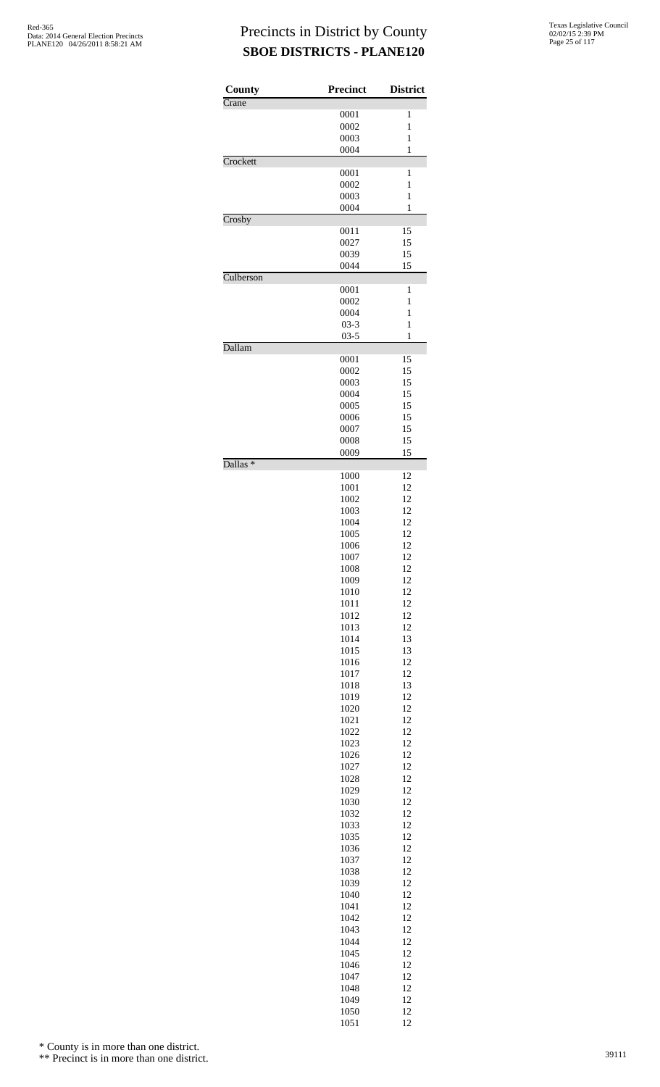| <b>County</b>                     | <b>Precinct</b> | <b>District</b>              |
|-----------------------------------|-----------------|------------------------------|
| $\overline{\text{C} \text{rane}}$ | 0001            | 1                            |
|                                   | 0002            | $\mathbf{1}$                 |
|                                   | 0003            | $\mathbf{1}$                 |
|                                   | 0004            | 1                            |
| Crockett                          |                 |                              |
|                                   | 0001            | 1                            |
|                                   | 0002<br>0003    | $\mathbf{1}$<br>$\mathbf{1}$ |
|                                   | 0004            | 1                            |
| Crosby                            |                 |                              |
|                                   | 0011            | 15                           |
|                                   | 0027            | 15                           |
|                                   | 0039            | 15                           |
|                                   | 0044            | 15                           |
| Culberson                         | 0001            | 1                            |
|                                   | 0002            | $\mathbf{1}$                 |
|                                   | 0004            | $\mathbf{1}$                 |
|                                   | $03 - 3$        | 1                            |
|                                   | $03 - 5$        | 1                            |
| Dallam                            |                 |                              |
|                                   | 0001            | 15                           |
|                                   | 0002            | 15                           |
|                                   | 0003            | 15                           |
|                                   | 0004<br>0005    | 15<br>15                     |
|                                   | 0006            | 15                           |
|                                   | 0007            | 15                           |
|                                   | 0008            | 15                           |
|                                   | 0009            | 15                           |
| Dallas <sup>*</sup>               |                 |                              |
|                                   | 1000            | 12                           |
|                                   | 1001<br>1002    | 12<br>12                     |
|                                   | 1003            | 12                           |
|                                   | 1004            | 12                           |
|                                   | 1005            | 12                           |
|                                   | 1006            | 12                           |
|                                   | 1007            | 12                           |
|                                   | 1008            | 12                           |
|                                   | 1009            | 12                           |
|                                   | 1010            | 12                           |
|                                   | 1011<br>1012    | 12<br>12                     |
|                                   | 1013            | 12                           |
|                                   | 1014            | 13                           |
|                                   | 1015            | 13                           |
|                                   | 1016            | 12                           |
|                                   | 1017            | 12                           |
|                                   | 1018            | 13                           |
|                                   | 1019            | 12                           |
|                                   | 1020            | 12<br>12                     |
|                                   | 1021<br>1022    | 12                           |
|                                   | 1023            | 12                           |
|                                   | 1026            | 12                           |
|                                   | 1027            | 12                           |
|                                   | 1028            | 12                           |
|                                   | 1029            | 12                           |
|                                   | 1030            | 12                           |
|                                   | 1032            | 12                           |
|                                   | 1033<br>1035    | 12<br>12                     |
|                                   | 1036            | 12                           |
|                                   | 1037            | 12                           |
|                                   | 1038            | 12                           |
|                                   | 1039            | 12                           |
|                                   | 1040            | 12                           |
|                                   | 1041            | 12                           |
|                                   | 1042            | 12                           |
|                                   | 1043            | 12                           |
|                                   | 1044<br>1045    | 12<br>12                     |
|                                   | 1046            | 12                           |
|                                   | 1047            | 12                           |
|                                   | 1048            | 12                           |
|                                   | 1049            | 12                           |
|                                   | 1050            | 12                           |
|                                   | 1051            | 12                           |

\* County is in more than one district.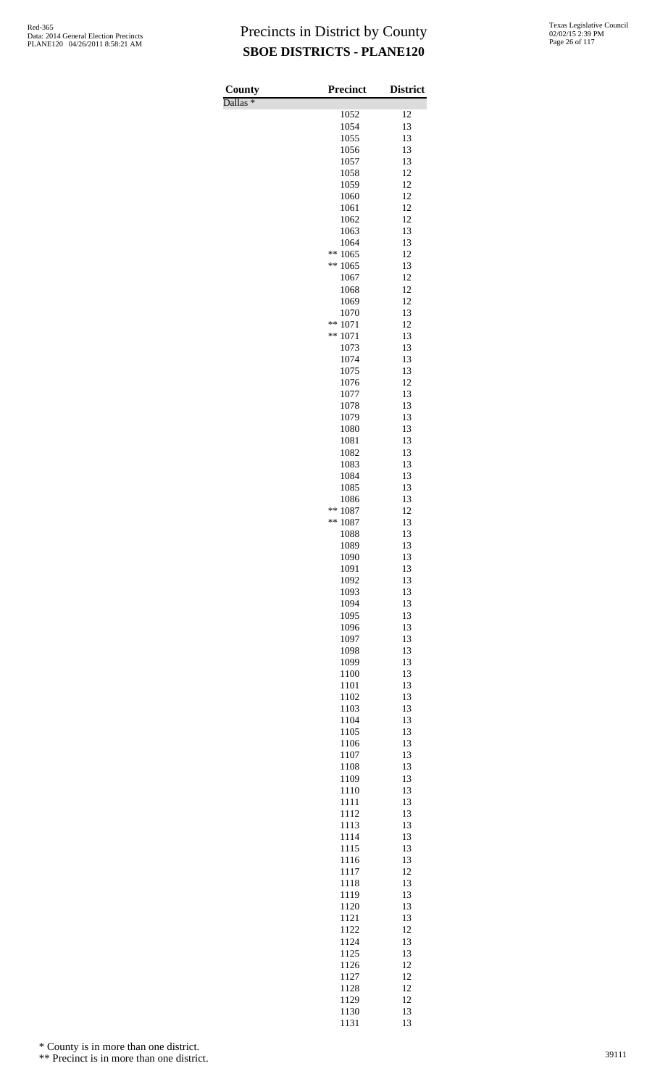Dallas \*

| County<br>$D$ allas $*$ | Precinct           | <b>District</b> |
|-------------------------|--------------------|-----------------|
|                         | 1052               | 12              |
|                         | 1054               | 13              |
|                         | 1055<br>1056       | 13<br>13        |
|                         | 1057               | 13              |
|                         | 1058               | 12              |
|                         | 1059<br>1060       | 12<br>12        |
|                         | 1061               | 12              |
|                         | 1062               | 12              |
|                         | 1063               | 13              |
|                         | 1064<br>**<br>1065 | 13<br>12        |
|                         | **<br>1065         | 13              |
|                         | 1067               | 12              |
|                         | 1068<br>1069       | 12<br>12        |
|                         | 1070               | 13              |
|                         | **<br>1071         | 12              |
|                         | **<br>1071         | 13              |
|                         | 1073<br>1074       | 13<br>13        |
|                         | 1075               | 13              |
|                         | 1076               | 12              |
|                         | 1077<br>1078       | 13<br>13        |
|                         | 1079               | 13              |
|                         | 1080               | 13              |
|                         | 1081               | 13              |
|                         | 1082<br>1083       | 13<br>13        |
|                         | 1084               | 13              |
|                         | 1085               | 13              |
|                         | 1086<br>**         | 13              |
|                         | 1087<br>**<br>1087 | 12<br>13        |
|                         | 1088               | 13              |
|                         | 1089               | 13              |
|                         | 1090<br>1091       | 13<br>13        |
|                         | 1092               | 13              |
|                         | 1093               | 13              |
|                         | 1094               | 13              |
|                         | 1095<br>1096       | 13<br>13        |
|                         | 1097               | 13              |
|                         | 1098               | 13              |
|                         | 1099<br>1100       | 13<br>13        |
|                         | 1101               | 13              |
|                         | 1102               | 13              |
|                         | 1103               | 13              |
|                         | 1104<br>1105       | 13<br>13        |
|                         | 1106               | 13              |
|                         | 1107               | 13              |
|                         | 1108<br>1109       | 13<br>13        |
|                         | 1110               | 13              |
|                         | 1111               | 13              |
|                         | 1112               | 13              |
|                         | 1113<br>1114       | 13<br>13        |
|                         | 1115               | 13              |
|                         | 1116               | 13              |
|                         | 1117               | 12              |
|                         | 1118<br>1119       | 13<br>13        |
|                         | 1120               | 13              |
|                         | 1121               | 13              |
|                         | 1122               | 12<br>13        |
|                         | 1124<br>1125       | 13              |
|                         | 1126               | 12              |
|                         | 1127               | 12              |
|                         | 1128<br>1129       | 12<br>12        |
|                         | 1130               | 13              |
|                         | 1131               | 13              |

\* County is in more than one district.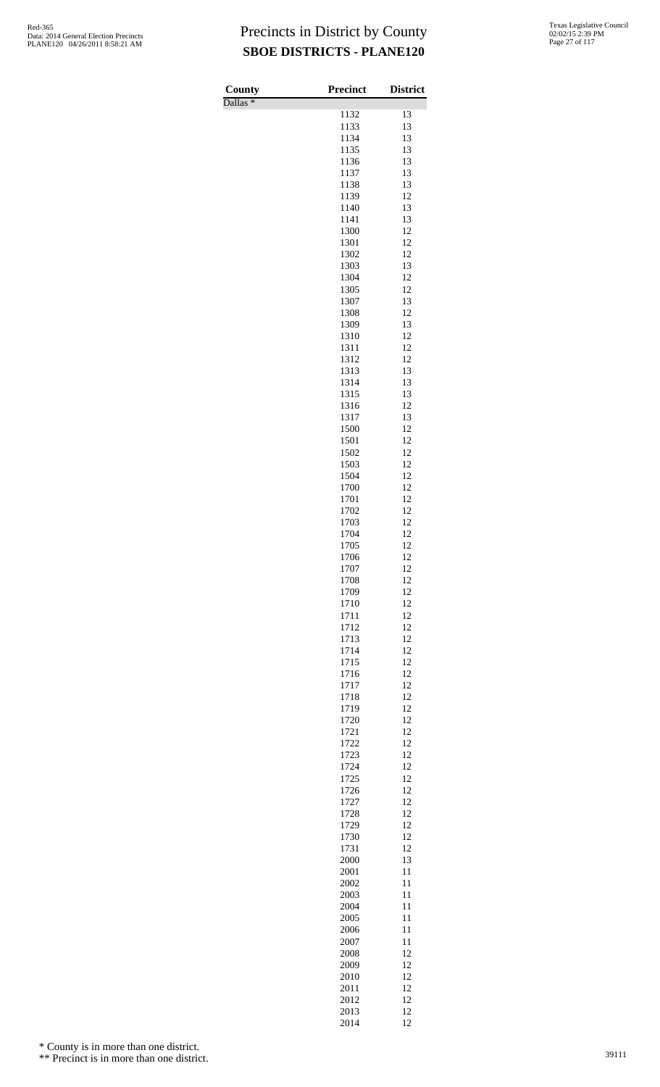Dallas \*

| County<br>$\overline{\text{Dallas}}$ * | Precinct     | <b>District</b> |
|----------------------------------------|--------------|-----------------|
|                                        | 1132         | 13              |
|                                        | 1133         | 13              |
|                                        | 1134         | 13              |
|                                        | 1135<br>1136 | 13<br>13        |
|                                        | 1137         | 13              |
|                                        | 1138         | 13              |
|                                        | 1139         | 12              |
|                                        | 1140         | 13              |
|                                        | 1141<br>1300 | 13<br>12        |
|                                        | 1301         | 12              |
|                                        | 1302         | 12              |
|                                        | 1303         | 13              |
|                                        | 1304         | 12              |
|                                        | 1305<br>1307 | 12<br>13        |
|                                        | 1308         | 12              |
|                                        | 1309         | 13              |
|                                        | 1310         | 12              |
|                                        | 1311         | 12              |
|                                        | 1312<br>1313 | 12<br>13        |
|                                        | 1314         | 13              |
|                                        | 1315         | 13              |
|                                        | 1316         | 12              |
|                                        | 1317         | 13              |
|                                        | 1500<br>1501 | 12<br>12        |
|                                        | 1502         | 12              |
|                                        | 1503         | 12              |
|                                        | 1504         | 12              |
|                                        | 1700         | 12              |
|                                        | 1701<br>1702 | 12<br>12        |
|                                        | 1703         | 12              |
|                                        | 1704         | 12              |
|                                        | 1705         | 12              |
|                                        | 1706         | 12              |
|                                        | 1707<br>1708 | 12<br>12        |
|                                        | 1709         | 12              |
|                                        | 1710         | 12              |
|                                        | 1711         | 12              |
|                                        | 1712         | 12              |
|                                        | 1713         | 12              |
|                                        | 1714<br>1715 | 12<br>12        |
|                                        | 1716         | 12              |
|                                        | 1717         | 12              |
|                                        | 1718         | 12              |
|                                        | 1719         | 12              |
|                                        | 1720<br>1721 | 12<br>12        |
|                                        | 1722         | 12              |
|                                        | 1723         | 12              |
|                                        | 1724         | 12              |
|                                        | 1725         | 12              |
|                                        | 1726<br>1727 | 12<br>12        |
|                                        | 1728         | 12              |
|                                        | 1729         | 12              |
|                                        | 1730         | 12              |
|                                        | 1731         | 12              |
|                                        | 2000<br>2001 | 13<br>11        |
|                                        | 2002         | 11              |
|                                        | 2003         | 11              |
|                                        | 2004         | 11              |
|                                        | 2005         | 11              |
|                                        | 2006<br>2007 | 11<br>11        |
|                                        | 2008         | 12              |
|                                        | 2009         | 12              |
|                                        | 2010         | 12              |
|                                        | 2011         | 12              |
|                                        | 2012<br>2013 | 12<br>12        |
|                                        | 2014         | 12              |

\* County is in more than one district.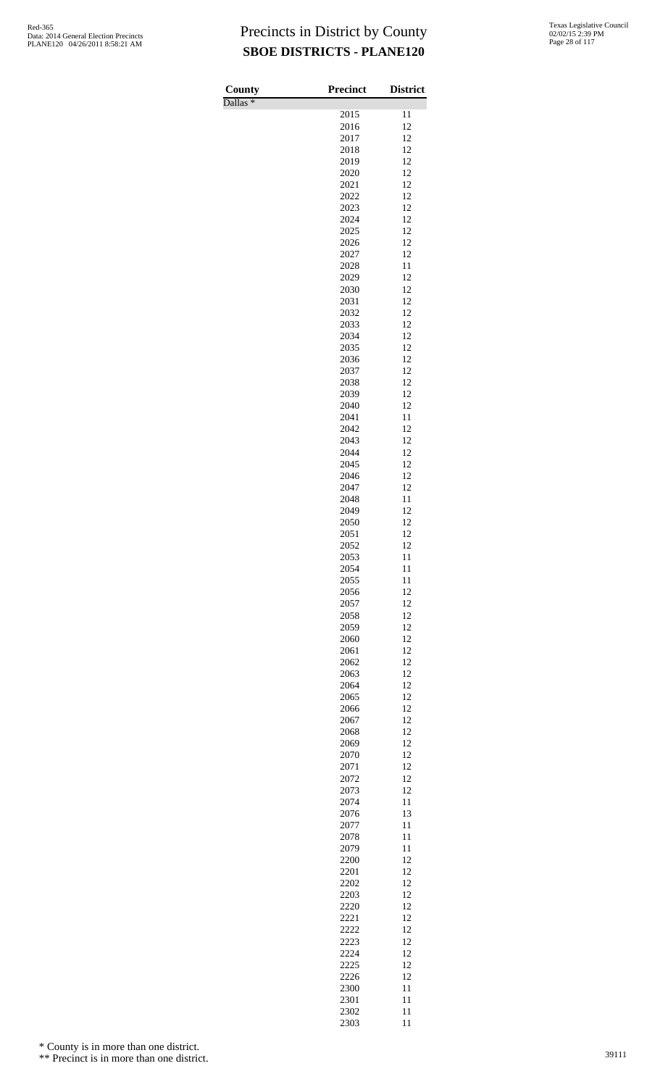Dallas \*

| County<br>Dallas <sup>*</sup> | <b>Precinct</b> | <b>District</b> |
|-------------------------------|-----------------|-----------------|
|                               | 2015            | 11              |
|                               | 2016            | 12              |
|                               | 2017            | 12              |
|                               | 2018            | 12              |
|                               | 2019            | 12              |
|                               | 2020            | 12              |
|                               | 2021            | 12              |
|                               | 2022<br>2023    | 12<br>12        |
|                               | 2024            | 12              |
|                               | 2025            | 12              |
|                               | 2026            | 12              |
|                               | 2027            | 12              |
|                               | 2028            | 11              |
|                               | 2029            | 12              |
|                               | 2030            | 12              |
|                               | 2031            | 12<br>12        |
|                               | 2032<br>2033    | 12              |
|                               | 2034            | 12              |
|                               | 2035            | 12              |
|                               | 2036            | 12              |
|                               | 2037            | 12              |
|                               | 2038            | 12              |
|                               | 2039            | 12              |
|                               | 2040            | 12              |
|                               | 2041            | 11              |
|                               | 2042<br>2043    | 12<br>12        |
|                               | 2044            | 12              |
|                               | 2045            | 12              |
|                               | 2046            | 12              |
|                               | 2047            | 12              |
|                               | 2048            | 11              |
|                               | 2049            | 12              |
|                               | 2050            | 12              |
|                               | 2051<br>2052    | 12<br>12        |
|                               | 2053            | 11              |
|                               | 2054            | 11              |
|                               | 2055            | 11              |
|                               | 2056            | 12              |
|                               | 2057            | 12              |
|                               | 2058            | 12              |
|                               | 2059            | 12              |
|                               | 2060            | 12<br>12        |
|                               | 2061<br>2062    | 12              |
|                               | 2063            | 12              |
|                               | 2064            | 12              |
|                               | 2065            | 12              |
|                               | 2066            | 12              |
|                               | 2067            | 12              |
|                               | 2068            | 12              |
|                               | 2069            | 12              |
|                               | 2070<br>2071    | 12<br>12        |
|                               | 2072            | 12              |
|                               | 2073            | 12              |
|                               | 2074            | 11              |
|                               | 2076            | 13              |
|                               | 2077            | 11              |
|                               | 2078            | 11              |
|                               | 2079            | 11              |
|                               | 2200<br>2201    | 12<br>12        |
|                               | 2202            | 12              |
|                               | 2203            | 12              |
|                               | 2220            | 12              |
|                               | 2221            | 12              |
|                               | 2222            | 12              |
|                               | 2223            | 12              |
|                               | 2224            | 12              |
|                               | 2225            | 12              |
|                               | 2226<br>2300    | 12              |
|                               | 2301            | 11<br>11        |
|                               | 2302            | 11              |
|                               | 2303            | 11              |

\* County is in more than one district.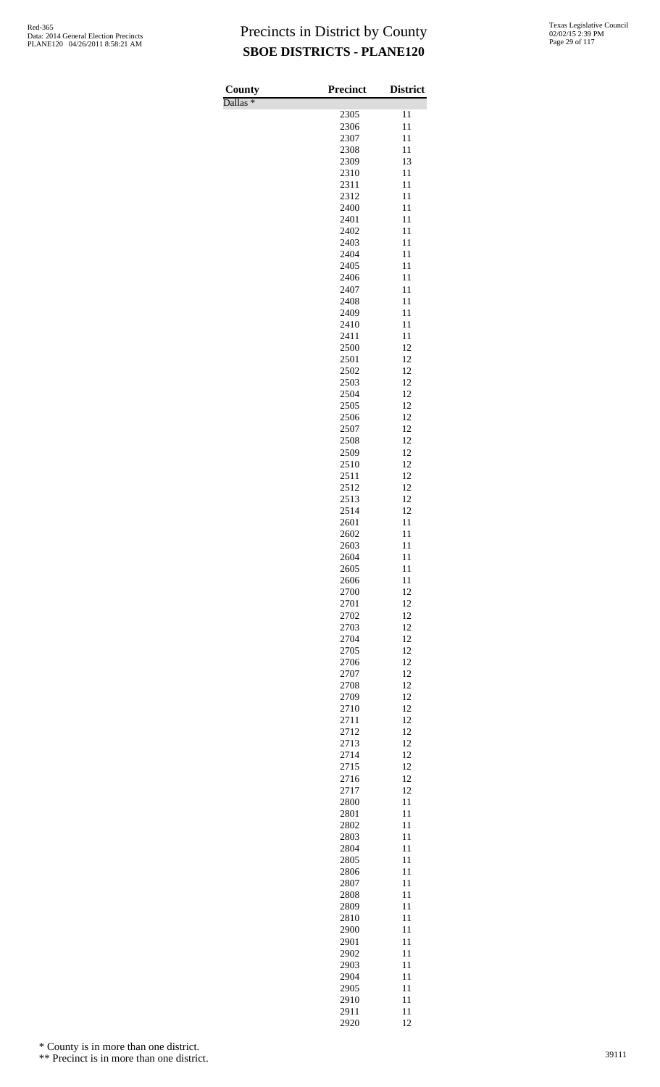Dallas \*

| County              | <b>Precinct</b> | <b>District</b> |
|---------------------|-----------------|-----------------|
| Dallas <sup>*</sup> | 2305            | 11              |
|                     | 2306            | 11              |
|                     | 2307            | 11              |
|                     | 2308            | 11              |
|                     | 2309            | 13              |
|                     | 2310            | 11              |
|                     | 2311<br>2312    | 11<br>11        |
|                     | 2400            | 11              |
|                     | 2401            | 11              |
|                     | 2402            | 11              |
|                     | 2403            | 11              |
|                     | 2404<br>2405    | 11<br>11        |
|                     | 2406            | 11              |
|                     | 2407            | 11              |
|                     | 2408            | 11              |
|                     | 2409            | 11              |
|                     | 2410<br>2411    | 11<br>11        |
|                     | 2500            | 12              |
|                     | 2501            | 12              |
|                     | 2502            | 12              |
|                     | 2503            | 12              |
|                     | 2504            | 12              |
|                     | 2505<br>2506    | 12<br>12        |
|                     | 2507            | 12              |
|                     | 2508            | 12              |
|                     | 2509            | 12              |
|                     | 2510            | 12              |
|                     | 2511<br>2512    | 12<br>12        |
|                     | 2513            | 12              |
|                     | 2514            | 12              |
|                     | 2601            | 11              |
|                     | 2602<br>2603    | 11<br>11        |
|                     | 2604            | 11              |
|                     | 2605            | 11              |
|                     | 2606            | 11              |
|                     | 2700            | 12              |
|                     | 2701<br>2702    | 12<br>12        |
|                     | 2703            | 12              |
|                     | 2704            | 12              |
|                     | 2705            | 12              |
|                     | 2706            | 12              |
|                     | 2707<br>2708    | 12<br>12        |
|                     | 2709            | 12              |
|                     | 2710            | 12              |
|                     | 2711            | 12              |
|                     | 2712            | 12              |
|                     | 2713<br>2714    | 12<br>12        |
|                     | 2715            | 12              |
|                     | 2716            | 12              |
|                     | 2717            | 12              |
|                     | 2800            | 11              |
|                     | 2801<br>2802    | 11<br>11        |
|                     | 2803            | 11              |
|                     | 2804            | 11              |
|                     | 2805            | 11              |
|                     | 2806            | 11              |
|                     | 2807<br>2808    | 11<br>11        |
|                     | 2809            | 11              |
|                     | 2810            | 11              |
|                     | 2900            | 11              |
|                     | 2901<br>2902    | 11<br>11        |
|                     | 2903            | 11              |
|                     | 2904            | 11              |
|                     | 2905            | 11              |
|                     | 2910            | 11              |
|                     | 2911<br>2920    | 11<br>12        |

\* County is in more than one district.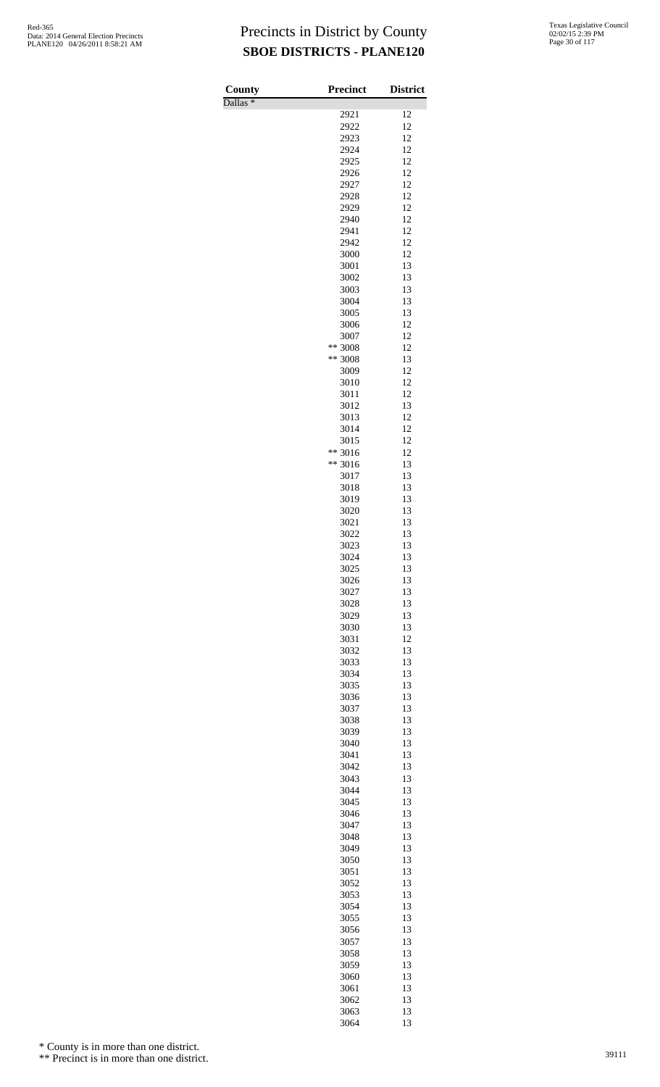Dallas \*

| County        | Precinct     | <b>District</b> |
|---------------|--------------|-----------------|
| $D$ allas $*$ | 2921         | 12              |
|               | 2922         | 12              |
|               | 2923         | 12              |
|               | 2924         | 12              |
|               | 2925         | 12              |
|               | 2926         | 12              |
|               | 2927         | 12              |
|               | 2928         | 12<br>12        |
|               | 2929<br>2940 | 12              |
|               | 2941         | 12              |
|               | 2942         | 12              |
|               | 3000         | 12              |
|               | 3001         | 13              |
|               | 3002         | 13              |
|               | 3003         | 13              |
|               | 3004         | 13<br>13        |
|               | 3005<br>3006 | 12              |
|               | 3007         | 12              |
|               | ** 3008      | 12              |
|               | ** 3008      | 13              |
|               | 3009         | 12              |
|               | 3010         | 12              |
|               | 3011         | 12              |
|               | 3012         | 13              |
|               | 3013         | 12              |
|               | 3014<br>3015 | 12<br>12        |
|               | ** 3016      | 12              |
|               | ** 3016      | 13              |
|               | 3017         | 13              |
|               | 3018         | 13              |
|               | 3019         | 13              |
|               | 3020         | 13              |
|               | 3021         | 13              |
|               | 3022<br>3023 | 13<br>13        |
|               | 3024         | 13              |
|               | 3025         | 13              |
|               | 3026         | 13              |
|               | 3027         | 13              |
|               | 3028         | 13              |
|               | 3029         | 13              |
|               | 3030         | 13              |
|               | 3031<br>3032 | 12<br>13        |
|               | 3033         | 13              |
|               | 3034         | 13              |
|               | 3035         | 13              |
|               | 3036         | 13              |
|               | 3037         | 13              |
|               | 3038         | 13              |
|               | 3039         | 13              |
|               | 3040         | 13              |
|               | 3041<br>3042 | 13<br>13        |
|               | 3043         | 13              |
|               | 3044         | 13              |
|               | 3045         | 13              |
|               | 3046         | 13              |
|               | 3047         | 13              |
|               | 3048         | 13              |
|               | 3049         | 13              |
|               | 3050         | 13<br>13        |
|               | 3051<br>3052 | 13              |
|               | 3053         | 13              |
|               | 3054         | 13              |
|               | 3055         | 13              |
|               | 3056         | 13              |
|               | 3057         | 13              |
|               | 3058         | 13              |
|               | 3059         | 13              |
|               | 3060         | 13              |
|               | 3061         | 13<br>13        |
|               | 3062<br>3063 | 13              |
|               | 3064         | 13              |

\* County is in more than one district.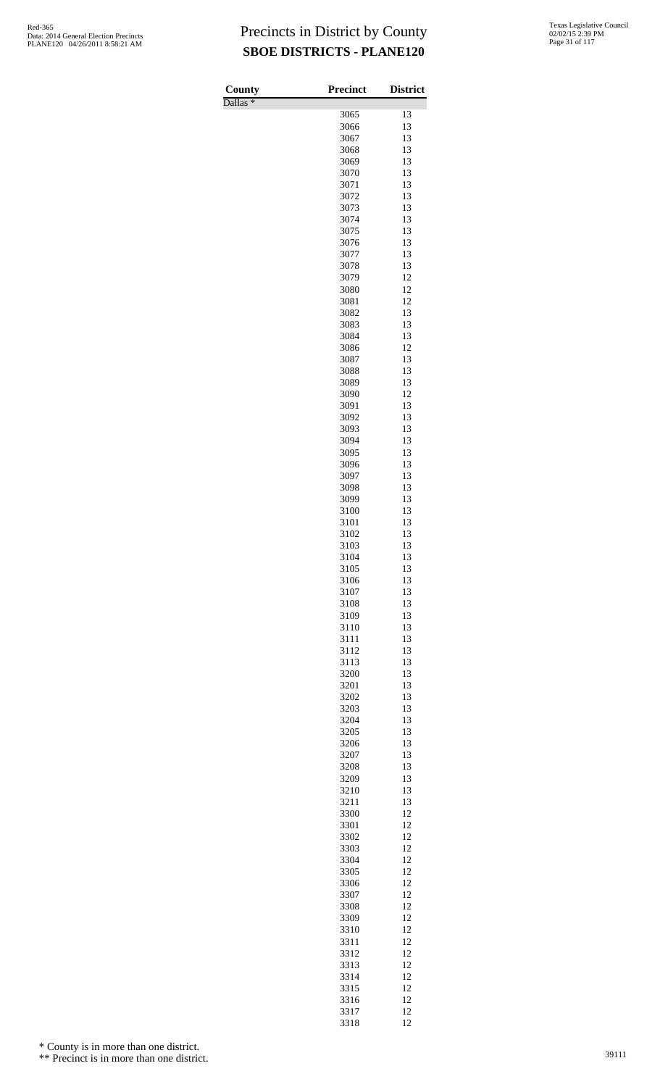Dallas \*

| County<br>$\overline{\text{Dallas}}$ * | <b>Precinct</b> | <b>District</b> |
|----------------------------------------|-----------------|-----------------|
|                                        | 3065            | 13              |
|                                        | 3066            | 13              |
|                                        | 3067            | 13              |
|                                        | 3068            | 13              |
|                                        | 3069<br>3070    | 13<br>13        |
|                                        | 3071            | 13              |
|                                        | 3072            | 13              |
|                                        | 3073            | 13              |
|                                        | 3074            | 13              |
|                                        | 3075            | 13              |
|                                        | 3076<br>3077    | 13<br>13        |
|                                        | 3078            | 13              |
|                                        | 3079            | 12              |
|                                        | 3080            | 12              |
|                                        | 3081            | 12              |
|                                        | 3082<br>3083    | 13<br>13        |
|                                        | 3084            | 13              |
|                                        | 3086            | 12              |
|                                        | 3087            | 13              |
|                                        | 3088            | 13              |
|                                        | 3089<br>3090    | 13<br>12        |
|                                        | 3091            | 13              |
|                                        | 3092            | 13              |
|                                        | 3093            | 13              |
|                                        | 3094            | 13              |
|                                        | 3095<br>3096    | 13<br>13        |
|                                        | 3097            | 13              |
|                                        | 3098            | 13              |
|                                        | 3099            | 13              |
|                                        | 3100            | 13              |
|                                        | 3101<br>3102    | 13<br>13        |
|                                        | 3103            | 13              |
|                                        | 3104            | 13              |
|                                        | 3105            | 13              |
|                                        | 3106            | 13              |
|                                        | 3107<br>3108    | 13<br>13        |
|                                        | 3109            | 13              |
|                                        | 3110            | 13              |
|                                        | 3111            | 13              |
|                                        | 3112            | 13              |
|                                        | 3113<br>3200    | 13<br>13        |
|                                        | 3201            | 13              |
|                                        | 3202            | 13              |
|                                        | 3203            | 13              |
|                                        | 3204            | 13              |
|                                        | 3205<br>3206    | 13<br>13        |
|                                        | 3207            | 13              |
|                                        | 3208            | 13              |
|                                        | 3209            | 13              |
|                                        | 3210            | 13              |
|                                        | 3211            | 13              |
|                                        | 3300<br>3301    | 12<br>12        |
|                                        | 3302            | 12              |
|                                        | 3303            | 12              |
|                                        | 3304            | 12              |
|                                        | 3305<br>3306    | 12<br>12        |
|                                        | 3307            | 12              |
|                                        | 3308            | 12              |
|                                        | 3309            | 12              |
|                                        | 3310            | 12              |
|                                        | 3311            | 12              |
|                                        | 3312<br>3313    | 12<br>12        |
|                                        | 3314            | 12              |
|                                        | 3315            | 12              |
|                                        | 3316            | 12              |
|                                        | 3317            | 12              |
|                                        | 3318            | 12              |

\* County is in more than one district.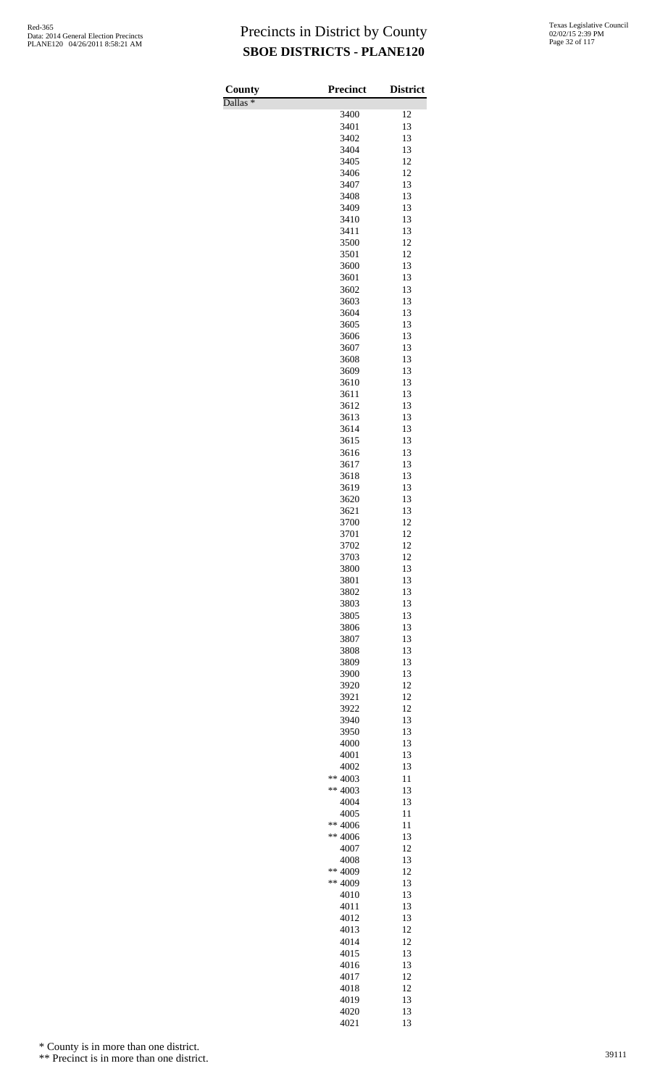Dallas \*

| County<br>$\overline{\text{Dallas}}$ $*$ | Precinct          | <b>District</b> |
|------------------------------------------|-------------------|-----------------|
|                                          | 3400              | 12              |
|                                          | 3401              | 13              |
|                                          | 3402              | 13              |
|                                          | 3404              | 13<br>12        |
|                                          | 3405<br>3406      | 12              |
|                                          | 3407              | 13              |
|                                          | 3408              | 13              |
|                                          | 3409              | 13              |
|                                          | 3410<br>3411      | 13<br>13        |
|                                          | 3500              | 12              |
|                                          | 3501              | 12              |
|                                          | 3600              | 13              |
|                                          | 3601              | 13              |
|                                          | 3602              | 13              |
|                                          | 3603<br>3604      | 13<br>13        |
|                                          | 3605              | 13              |
|                                          | 3606              | 13              |
|                                          | 3607              | 13              |
|                                          | 3608              | 13              |
|                                          | 3609<br>3610      | 13<br>13        |
|                                          | 3611              | 13              |
|                                          | 3612              | 13              |
|                                          | 3613              | 13              |
|                                          | 3614              | 13              |
|                                          | 3615<br>3616      | 13<br>13        |
|                                          | 3617              | 13              |
|                                          | 3618              | 13              |
|                                          | 3619              | 13              |
|                                          | 3620              | 13              |
|                                          | 3621<br>3700      | 13<br>12        |
|                                          | 3701              | 12              |
|                                          | 3702              | 12              |
|                                          | 3703              | 12              |
|                                          | 3800              | 13              |
|                                          | 3801<br>3802      | 13<br>13        |
|                                          | 3803              | 13              |
|                                          | 3805              | 13              |
|                                          | 3806              | 13              |
|                                          | 3807              | 13              |
|                                          | 3808<br>3809      | 13<br>13        |
|                                          | 3900              | 13              |
|                                          | 3920              | 12              |
|                                          | 3921              | 12              |
|                                          | 3922              | 12              |
|                                          | 3940<br>3950      | 13<br>13        |
|                                          | 4000              | 13              |
|                                          | 4001              | 13              |
|                                          | 4002              | 13              |
|                                          | ** 4003           | 11              |
|                                          | ** $4003$<br>4004 | 13<br>13        |
|                                          | 4005              | 11              |
|                                          | ** 4006           | 11              |
|                                          | $** 4006$         | 13              |
|                                          | 4007              | 12              |
|                                          | 4008<br>** 4009   | 13<br>12        |
|                                          | ** 4009           | 13              |
|                                          | 4010              | 13              |
|                                          | 4011              | 13              |
|                                          | 4012              | 13              |
|                                          | 4013              | 12              |
|                                          | 4014<br>4015      | 12<br>13        |
|                                          | 4016              | 13              |
|                                          | 4017              | 12              |
|                                          | 4018              | 12              |
|                                          | 4019              | 13              |
|                                          | 4020<br>4021      | 13<br>13        |

\* County is in more than one district.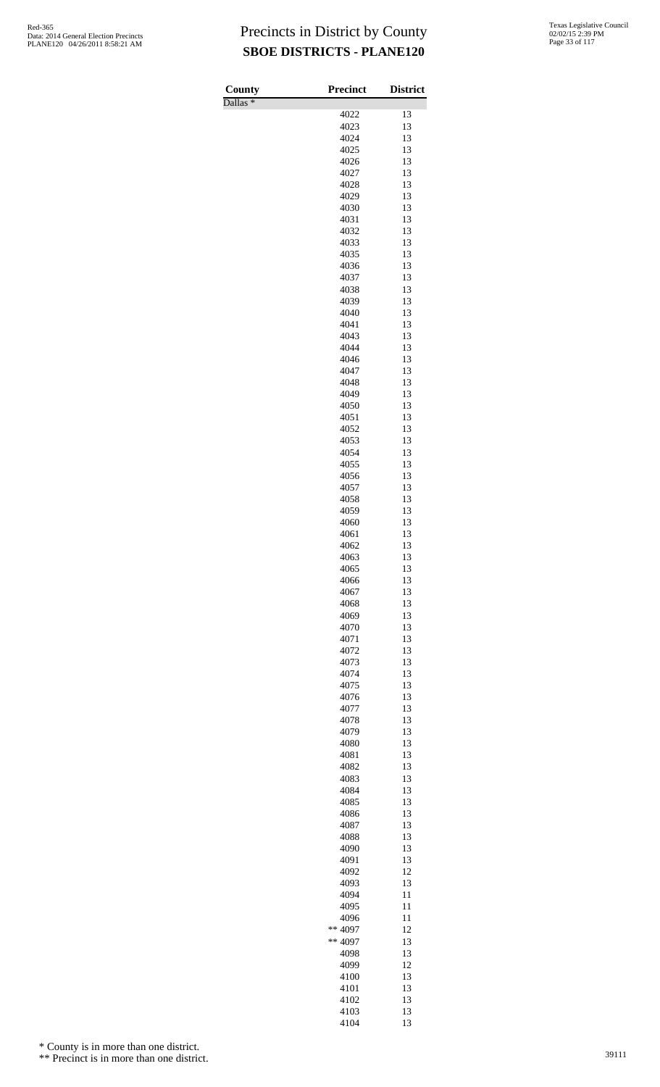Dallas \*

| County<br>$D$ allas $*$ | <b>Precinct</b> | <b>District</b> |
|-------------------------|-----------------|-----------------|
|                         | 4022            | 13              |
|                         | 4023            | 13              |
|                         | 4024            | 13              |
|                         | 4025            | 13              |
|                         | 4026<br>4027    | 13<br>13        |
|                         | 4028            | 13              |
|                         | 4029            | 13              |
|                         | 4030            | 13              |
|                         | 4031            | 13              |
|                         | 4032<br>4033    | 13<br>13        |
|                         | 4035            | 13              |
|                         | 4036            | 13              |
|                         | 4037            | 13              |
|                         | 4038            | 13              |
|                         | 4039<br>4040    | 13<br>13        |
|                         | 4041            | 13              |
|                         | 4043            | 13              |
|                         | 4044            | 13              |
|                         | 4046            | 13              |
|                         | 4047            | 13<br>13        |
|                         | 4048<br>4049    | 13              |
|                         | 4050            | 13              |
|                         | 4051            | 13              |
|                         | 4052            | 13              |
|                         | 4053            | 13<br>13        |
|                         | 4054<br>4055    | 13              |
|                         | 4056            | 13              |
|                         | 4057            | 13              |
|                         | 4058            | 13              |
|                         | 4059            | 13              |
|                         | 4060<br>4061    | 13<br>13        |
|                         | 4062            | 13              |
|                         | 4063            | 13              |
|                         | 4065            | 13              |
|                         | 4066            | 13              |
|                         | 4067<br>4068    | 13<br>13        |
|                         | 4069            | 13              |
|                         | 4070            | 13              |
|                         | 4071            | 13              |
|                         | 4072            | 13              |
|                         | 4073<br>4074    | 13<br>13        |
|                         | 4075            | 13              |
|                         | 4076            | 13              |
|                         | 4077            | 13              |
|                         | 4078            | 13              |
|                         | 4079<br>4080    | 13<br>13        |
|                         | 4081            | 13              |
|                         | 4082            | 13              |
|                         | 4083            | 13              |
|                         | 4084            | 13              |
|                         | 4085            | 13              |
|                         | 4086<br>4087    | 13<br>13        |
|                         | 4088            | 13              |
|                         | 4090            | 13              |
|                         | 4091            | 13              |
|                         | 4092<br>4093    | 12<br>13        |
|                         | 4094            | 11              |
|                         | 4095            | 11              |
|                         | 4096            | 11              |
|                         | ** 4097         | 12              |
|                         | ** 4097         | 13              |
|                         | 4098<br>4099    | 13<br>12        |
|                         | 4100            | 13              |
|                         | 4101            | 13              |
|                         | 4102            | 13              |
|                         | 4103<br>4104    | 13<br>13        |
|                         |                 |                 |

\* County is in more than one district.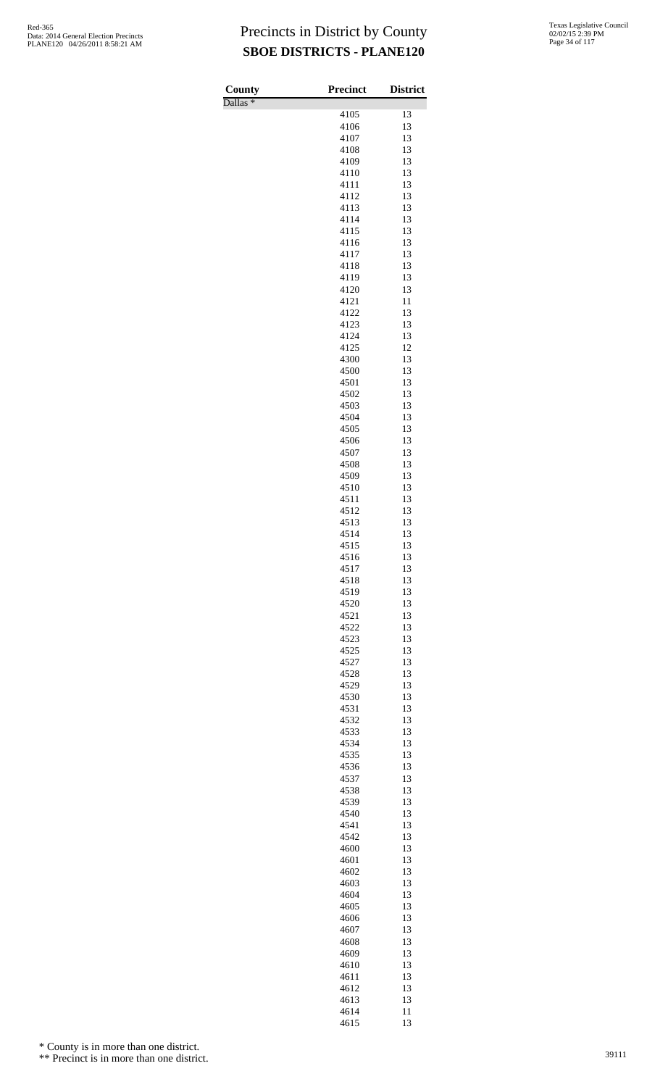Dallas \*

| County                       | Precinct     | <b>District</b> |
|------------------------------|--------------|-----------------|
| $\overline{\text{Dallas}}$ * | 4105         | 13              |
|                              | 4106         | 13              |
|                              | 4107         | 13              |
|                              | 4108         | 13              |
|                              | 4109         | 13              |
|                              | 4110         | 13              |
|                              | 4111         | 13              |
|                              | 4112<br>4113 | 13<br>13        |
|                              | 4114         | 13              |
|                              | 4115         | 13              |
|                              | 4116         | 13              |
|                              | 4117         | 13              |
|                              | 4118         | 13              |
|                              | 4119         | 13              |
|                              | 4120         | 13              |
|                              | 4121<br>4122 | 11<br>13        |
|                              | 4123         | 13              |
|                              | 4124         | 13              |
|                              | 4125         | 12              |
|                              | 4300         | 13              |
|                              | 4500         | 13              |
|                              | 4501         | 13              |
|                              | 4502         | 13              |
|                              | 4503         | 13              |
|                              | 4504<br>4505 | 13<br>13        |
|                              | 4506         | 13              |
|                              | 4507         | 13              |
|                              | 4508         | 13              |
|                              | 4509         | 13              |
|                              | 4510         | 13              |
|                              | 4511         | 13              |
|                              | 4512         | 13              |
|                              | 4513         | 13              |
|                              | 4514<br>4515 | 13<br>13        |
|                              | 4516         | 13              |
|                              | 4517         | 13              |
|                              | 4518         | 13              |
|                              | 4519         | 13              |
|                              | 4520         | 13              |
|                              | 4521         | 13              |
|                              | 4522         | 13              |
|                              | 4523<br>4525 | 13<br>13        |
|                              | 4527         | 13              |
|                              | 4528         | 13              |
|                              | 4529         | 13              |
|                              | 4530         | 13              |
|                              | 4531         | 13              |
|                              | 4532         | 13              |
|                              | 4533         | 13              |
|                              | 4534<br>4535 | 13<br>13        |
|                              | 4536         | 13              |
|                              | 4537         | 13              |
|                              | 4538         | 13              |
|                              | 4539         | 13              |
|                              | 4540         | 13              |
|                              | 4541         | 13              |
|                              | 4542         | 13              |
|                              | 4600         | 13              |
|                              | 4601<br>4602 | 13<br>13        |
|                              | 4603         | 13              |
|                              | 4604         | 13              |
|                              | 4605         | 13              |
|                              | 4606         | 13              |
|                              | 4607         | 13              |
|                              | 4608         | 13              |
|                              | 4609         | 13              |
|                              | 4610<br>4611 | 13<br>13        |
|                              | 4612         | 13              |
|                              | 4613         | 13              |
|                              | 4614         | 11              |
|                              | 4615         | 13              |

\* County is in more than one district.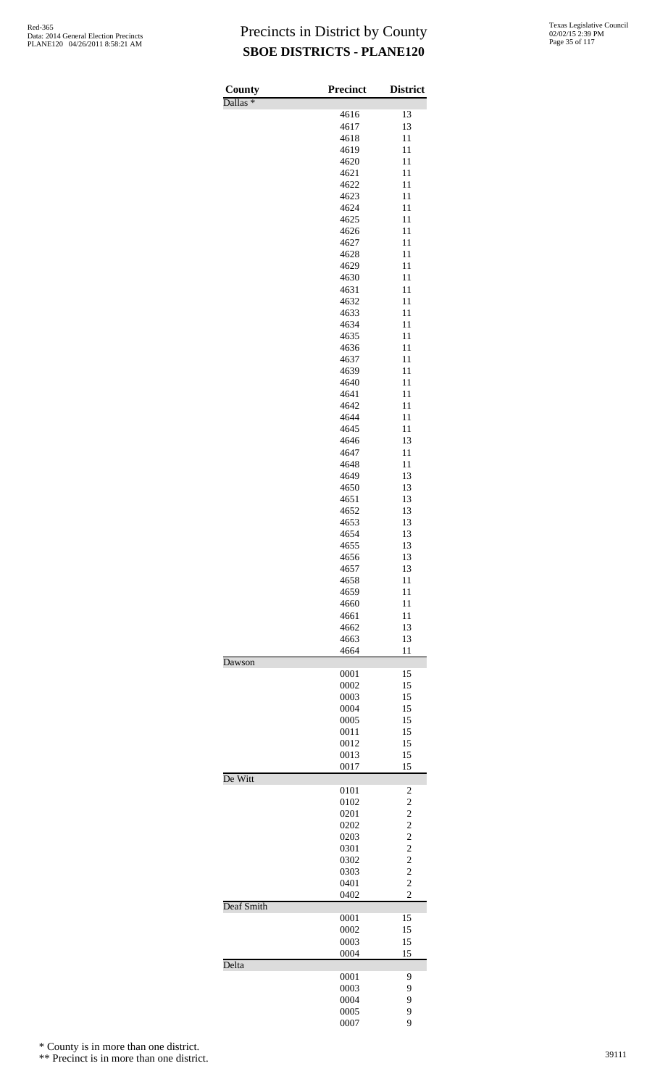| <b>County</b>       | Precinct     | <b>District</b>                  |
|---------------------|--------------|----------------------------------|
| Dallas <sup>*</sup> | 4616         | 13                               |
|                     | 4617         | 13                               |
|                     | 4618         | 11                               |
|                     | 4619         | 11                               |
|                     | 4620         | 11                               |
|                     | 4621         | 11                               |
|                     | 4622         | 11                               |
|                     | 4623         | 11<br>11                         |
|                     | 4624<br>4625 | 11                               |
|                     | 4626         | 11                               |
|                     | 4627         | 11                               |
|                     | 4628         | 11                               |
|                     | 4629         | 11                               |
|                     | 4630         | 11                               |
|                     | 4631         | 11                               |
|                     | 4632<br>4633 | 11                               |
|                     | 4634         | 11<br>11                         |
|                     | 4635         | 11                               |
|                     | 4636         | 11                               |
|                     | 4637         | 11                               |
|                     | 4639         | 11                               |
|                     | 4640         | 11                               |
|                     | 4641         | 11                               |
|                     | 4642         | 11                               |
|                     | 4644<br>4645 | 11<br>11                         |
|                     | 4646         | 13                               |
|                     | 4647         | 11                               |
|                     | 4648         | 11                               |
|                     | 4649         | 13                               |
|                     | 4650         | 13                               |
|                     | 4651         | 13                               |
|                     | 4652         | 13                               |
|                     | 4653<br>4654 | 13<br>13                         |
|                     | 4655         | 13                               |
|                     | 4656         | 13                               |
|                     | 4657         | 13                               |
|                     | 4658         | 11                               |
|                     | 4659         | 11                               |
|                     | 4660         | 11                               |
|                     | 4661<br>4662 | 11                               |
|                     | 4663         | 13<br>13                         |
|                     | 4664         | 11                               |
| Dawson              |              |                                  |
|                     | 0001         | 15                               |
|                     | 0002         | 15                               |
|                     | 0003         | 15                               |
|                     | 0004         | 15                               |
|                     | 0005<br>0011 | 15<br>15                         |
|                     | 0012         | 15                               |
|                     | 0013         | 15                               |
|                     | 0017         | 15                               |
| De Witt             |              |                                  |
|                     | 0101         | 2                                |
|                     | 0102         | $\overline{c}$                   |
|                     | 0201<br>0202 | $\overline{c}$<br>$\overline{c}$ |
|                     | 0203         | $\overline{c}$                   |
|                     | 0301         | $\overline{c}$                   |
|                     | 0302         | $\overline{c}$                   |
|                     | 0303         | $\overline{c}$                   |
|                     | 0401         | $\overline{c}$                   |
|                     | 0402         | $\overline{c}$                   |
| Deaf Smith          |              |                                  |
|                     | 0001<br>0002 | 15<br>15                         |
|                     | 0003         | 15                               |
|                     | 0004         | 15                               |
| Delta               |              |                                  |
|                     | 0001         | 9                                |
|                     | 0003         | 9                                |
|                     | 0004         | 9                                |
|                     | 0005<br>0007 | 9<br>9                           |
|                     |              |                                  |

\* County is in more than one district.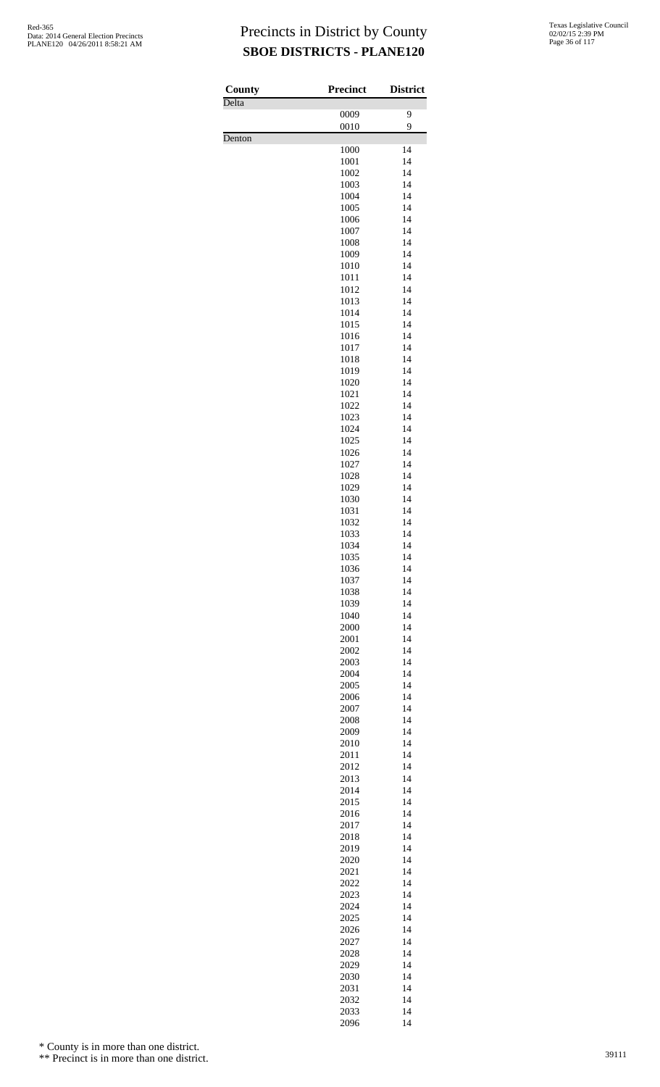| <b>County</b> | <b>Precinct</b> | <b>District</b> |
|---------------|-----------------|-----------------|
| Delta         |                 |                 |
|               | 0009<br>0010    | 9<br>9          |
| Denton        |                 |                 |
|               | 1000            | 14              |
|               | 1001<br>1002    | 14<br>14        |
|               | 1003            | 14              |
|               | 1004            | 14              |
|               | 1005            | 14              |
|               | 1006<br>1007    | 14<br>14        |
|               | 1008            | 14              |
|               | 1009            | 14              |
|               | 1010            | 14              |
|               | 1011            | 14<br>14        |
|               | 1012<br>1013    | 14              |
|               | 1014            | 14              |
|               | 1015            | 14              |
|               | 1016            | 14              |
|               | 1017<br>1018    | 14<br>14        |
|               | 1019            | 14              |
|               | 1020            | 14              |
|               | 1021            | 14              |
|               | 1022<br>1023    | 14<br>14        |
|               | 1024            | 14              |
|               | 1025            | 14              |
|               | 1026            | 14              |
|               | 1027            | 14              |
|               | 1028<br>1029    | 14<br>14        |
|               | 1030            | 14              |
|               | 1031            | 14              |
|               | 1032            | 14              |
|               | 1033<br>1034    | 14<br>14        |
|               | 1035            | 14              |
|               | 1036            | 14              |
|               | 1037            | 14              |
|               | 1038<br>1039    | 14<br>14        |
|               | 1040            | 14              |
|               | 2000            | 14              |
|               | 2001            | 14              |
|               | 2002<br>2003    | 14<br>14        |
|               | 2004            | 14              |
|               | 2005            | 14              |
|               | 2006            | 14              |
|               | 2007<br>2008    | 14<br>14        |
|               | 2009            | 14              |
|               | 2010            | 14              |
|               | 2011            | 14              |
|               | 2012<br>2013    | 14<br>14        |
|               | 2014            | 14              |
|               | 2015            | 14              |
|               | 2016            | 14              |
|               | 2017<br>2018    | 14<br>14        |
|               | 2019            | 14              |
|               | 2020            | 14              |
|               | 2021            | 14              |
|               | 2022<br>2023    | 14<br>14        |
|               | 2024            | 14              |
|               | 2025            | 14              |
|               | 2026            | 14              |
|               | 2027            | 14              |
|               | 2028<br>2029    | 14<br>14        |
|               | 2030            | 14              |
|               | 2031            | 14              |
|               | 2032            | 14              |
|               | 2033            | 14              |

14

\* County is in more than one district.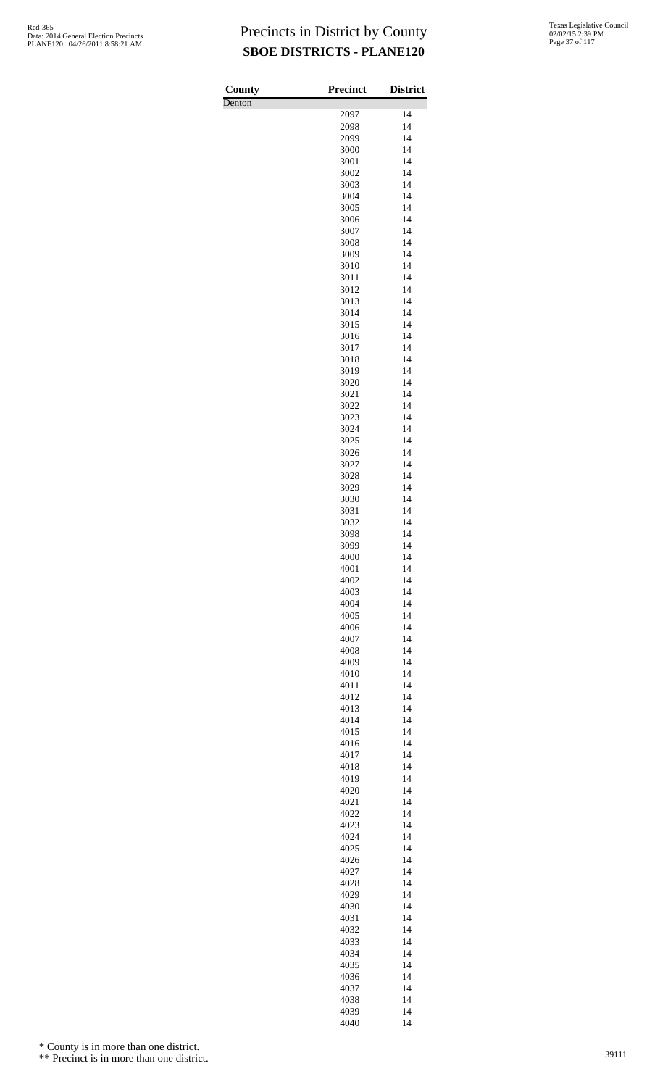| County | <b>Precinct</b> | <b>District</b> |
|--------|-----------------|-----------------|
| Denton |                 |                 |
|        | 2097            | 14              |
|        | 2098<br>2099    | 14<br>14        |
|        | 3000            | 14              |
|        | 3001            | 14              |
|        | 3002            | 14              |
|        | 3003            | 14              |
|        | 3004            | 14              |
|        | 3005            | 14              |
|        | 3006            | 14              |
|        | 3007            | 14<br>14        |
|        | 3008<br>3009    | 14              |
|        | 3010            | 14              |
|        | 3011            | 14              |
|        | 3012            | 14              |
|        | 3013            | 14              |
|        | 3014            | 14              |
|        | 3015            | 14              |
|        | 3016            | 14              |
|        | 3017            | 14              |
|        | 3018<br>3019    | 14<br>14        |
|        | 3020            | 14              |
|        | 3021            | 14              |
|        | 3022            | 14              |
|        | 3023            | 14              |
|        | 3024            | 14              |
|        | 3025            | 14              |
|        | 3026            | 14<br>14        |
|        | 3027<br>3028    | 14              |
|        | 3029            | 14              |
|        | 3030            | 14              |
|        | 3031            | 14              |
|        | 3032            | 14              |
|        | 3098            | 14              |
|        | 3099            | 14              |
|        | 4000            | 14              |
|        | 4001<br>4002    | 14<br>14        |
|        | 4003            | 14              |
|        | 4004            | 14              |
|        | 4005            | 14              |
|        | 4006            | 14              |
|        | 4007            | 14              |
|        | 4008            | 14              |
|        | 4009            | 14              |
|        | 4010            | 14<br>14        |
|        | 4011<br>4012    | 14              |
|        | 4013            | 14              |
|        | 4014            | 14              |
|        | 4015            | 14              |
|        | 4016            | 14              |
|        | 4017            | 14              |
|        | 4018            | 14              |
|        | 4019            | 14              |
|        | 4020<br>4021    | 14<br>14        |
|        | 4022            | 14              |
|        | 4023            | 14              |
|        | 4024            | 14              |
|        | 4025            | 14              |
|        | 4026            | 14              |
|        | 4027            | 14              |
|        | 4028            | 14              |
|        | 4029<br>4030    | 14<br>14        |
|        | 4031            | 14              |
|        | 4032            | 14              |
|        | 4033            | 14              |
|        | 4034            | 14              |
|        | 4035            | 14              |
|        | 4036            | 14              |
|        | 4037            | 14              |
|        | 4038            | 14              |
|        | 4039<br>4040    | 14<br>14        |
|        |                 |                 |

\* County is in more than one district.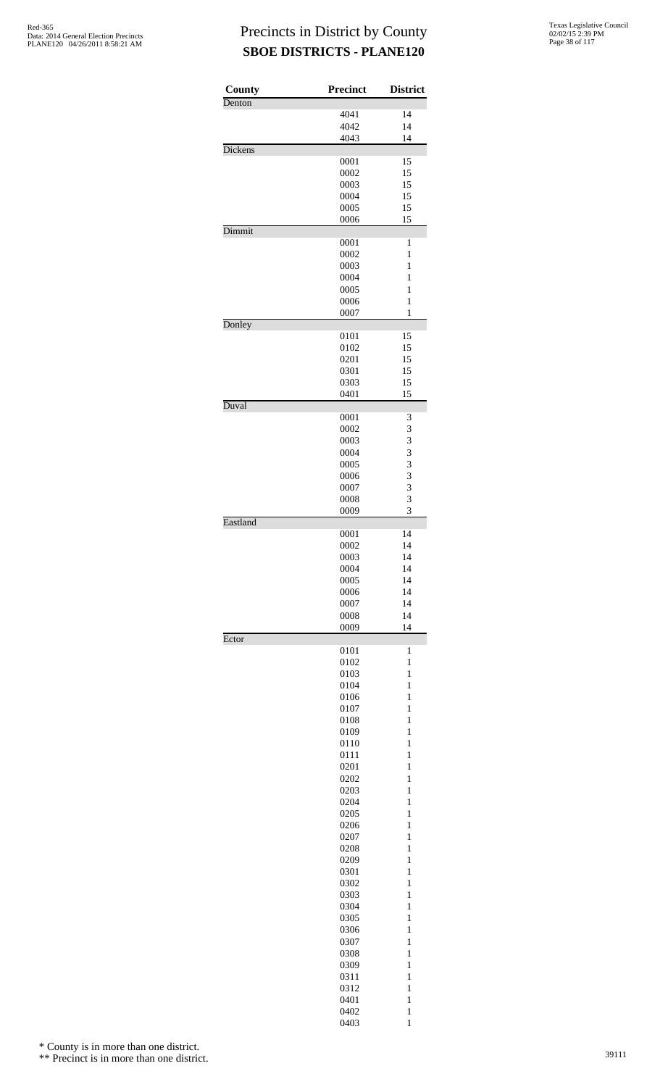| County         | <b>Precinct</b> | <b>District</b>              |
|----------------|-----------------|------------------------------|
| Denton         |                 |                              |
|                | 4041            | 14                           |
|                | 4042<br>4043    | 14<br>14                     |
| <b>Dickens</b> |                 |                              |
|                | 0001            | 15                           |
|                | 0002            | 15                           |
|                | 0003            | 15                           |
|                | 0004            | 15                           |
|                | 0005<br>0006    | 15<br>15                     |
| Dimmit         |                 |                              |
|                | 0001            | 1                            |
|                | 0002            | $\mathbf{1}$                 |
|                | 0003            | 1                            |
|                | 0004            | 1<br>$\mathbf{1}$            |
|                | 0005<br>0006    | $\mathbf{1}$                 |
|                | 0007            | $\mathbf{1}$                 |
| Donley         |                 |                              |
|                | 0101            | 15                           |
|                | 0102            | 15                           |
|                | 0201            | 15                           |
|                | 0301<br>0303    | 15<br>15                     |
|                | 0401            | 15                           |
| Duval          |                 |                              |
|                | 0001            | 3                            |
|                | 0002            | 3                            |
|                | 0003<br>0004    | 3<br>3                       |
|                | 0005            | 3                            |
|                | 0006            | 3                            |
|                | 0007            | $\overline{\mathbf{3}}$      |
|                | 0008            | 3                            |
|                | 0009            | 3                            |
| Eastland       | 0001            | 14                           |
|                | 0002            | 14                           |
|                | 0003            | 14                           |
|                | 0004            | 14                           |
|                | 0005            | 14                           |
|                | 0006            | 14                           |
|                | 0007            | 14                           |
|                | 0008<br>0009    | 14<br>14                     |
| Ector          |                 |                              |
|                | 0101            | $\mathbf{1}$                 |
|                | 0102            | $\mathbf{1}$                 |
|                | 0103            | $\mathbf{1}$                 |
|                | 0104            | 1                            |
|                | 0106<br>0107    | $\mathbf{1}$<br>$\mathbf{1}$ |
|                | 0108            | $\mathbf{1}$                 |
|                | 0109            | $\mathbf{1}$                 |
|                | 0110            | 1                            |
|                | 0111            | $\mathbf{1}$                 |
|                | 0201            | $\mathbf{1}$                 |
|                | 0202            | $\mathbf{1}$<br>$\mathbf{1}$ |
|                | 0203<br>0204    | 1                            |
|                | 0205            | $\mathbf{1}$                 |
|                | 0206            | $\mathbf{1}$                 |
|                | 0207            | $\mathbf{1}$                 |
|                | 0208            | $\mathbf{1}$                 |
|                | 0209            | 1                            |
|                | 0301            | $\mathbf{1}$<br>$\mathbf{1}$ |
|                | 0302<br>0303    | $\mathbf{1}$                 |
|                | 0304            | $\mathbf{1}$                 |
|                | 0305            | 1                            |
|                | 0306            | $\mathbf{1}$                 |
|                | 0307            | $\mathbf{1}$                 |
|                | 0308            | $\mathbf{1}$                 |
|                | 0309            | $\mathbf{1}$                 |
|                | 0311            | 1                            |
|                | 0312<br>0401    | $\mathbf{1}$<br>$\mathbf{1}$ |
|                | 0402            | $\mathbf{1}$                 |
|                | 0403            | $\mathbf{1}$                 |

\* County is in more than one district.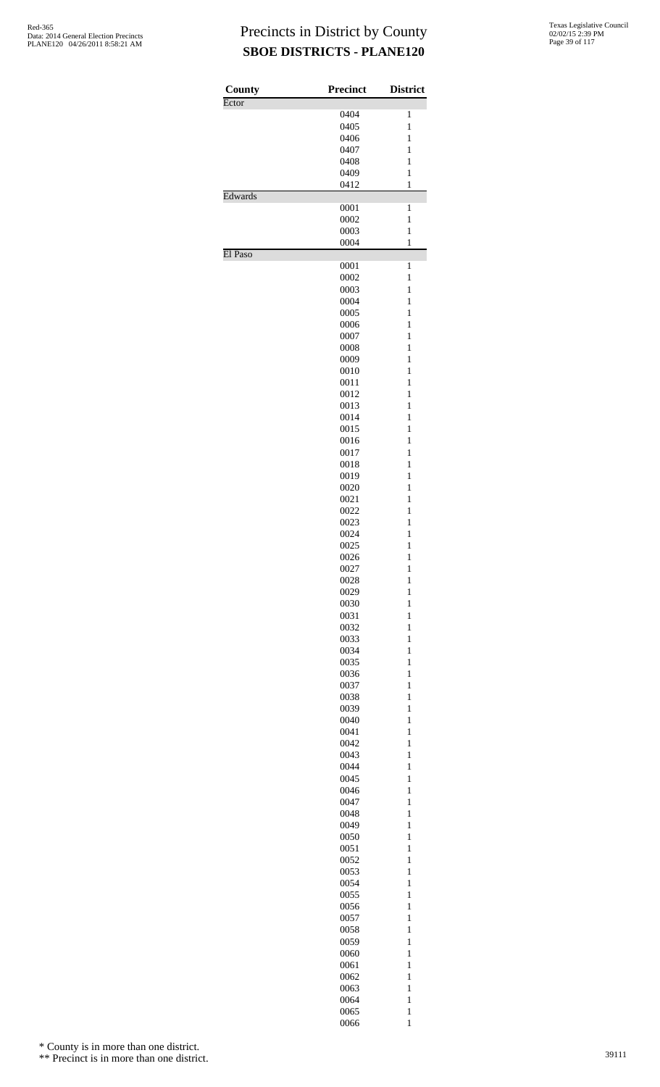| County  | <b>Precinct</b> | <b>District</b>              |
|---------|-----------------|------------------------------|
| Ector   |                 |                              |
|         | 0404            | 1                            |
|         | 0405            | $\mathbf{1}$                 |
|         | 0406            | $\mathbf{1}$                 |
|         | 0407            | 1                            |
|         | 0408            | 1                            |
|         | 0409            | 1                            |
|         | 0412            | $\mathbf{1}$                 |
| Edwards |                 |                              |
|         | 0001<br>0002    | $\mathbf{1}$<br>$\mathbf{1}$ |
|         | 0003            | 1                            |
|         | 0004            | $\mathbf{1}$                 |
| El Paso |                 |                              |
|         | 0001            | $\mathbf{1}$                 |
|         | 0002            | 1                            |
|         | 0003            | 1                            |
|         | 0004            | $\mathbf{1}$                 |
|         | 0005            | $\mathbf{1}$                 |
|         | 0006            | 1                            |
|         | 0007            | 1                            |
|         | 0008            | 1                            |
|         | 0009            | 1                            |
|         | 0010            | $\mathbf{1}$                 |
|         | 0011            | 1                            |
|         | 0012            | 1                            |
|         | 0013            | 1                            |
|         | 0014            | $\mathbf{1}$                 |
|         | 0015            | $\mathbf{1}$                 |
|         | 0016            | 1                            |
|         | 0017            | 1                            |
|         | 0018            | 1                            |
|         | 0019            | $\mathbf{1}$                 |
|         | 0020            | $\mathbf{1}$                 |
|         | 0021            | 1                            |
|         | 0022            | 1                            |
|         | 0023            | 1                            |
|         | 0024            | $\mathbf{1}$                 |
|         | 0025            | $\mathbf{1}$                 |
|         | 0026            | $\,1$                        |
|         | 0027            | $\mathbf{1}$                 |
|         | 0028            | $\mathbf{1}$                 |
|         | 0029            | $\mathbf{1}$                 |
|         | 0030            | $\mathbf{1}$                 |
|         | 0031            | $\mathbf{1}$                 |
|         | 0032            | $\mathbf{1}$                 |
|         | 0033            | $\mathbf{1}$                 |
|         | 0034            | $\mathbf{1}$                 |
|         | 0035            | $\mathbf{1}$                 |
|         | 0036            | $\mathbf{1}$                 |
|         | 0037            | $\mathbf{1}$                 |
|         | 0038            | $\mathbf{1}$                 |
|         | 0039            | $\mathbf{1}$                 |
|         | 0040            | $\mathbf{1}$                 |
|         | 0041            | $\mathbf{1}$                 |
|         | 0042            | $\mathbf{1}$                 |
|         | 0043            | $\mathbf{1}$                 |
|         | 0044            | $\mathbf{1}$                 |
|         | 0045            | $\mathbf{1}$                 |
|         | 0046            | $\mathbf{1}$                 |
|         | 0047            | $\mathbf{1}$                 |
|         | 0048<br>0049    | $\mathbf{1}$<br>$\mathbf{1}$ |
|         | 0050            | $\mathbf{1}$                 |
|         | 0051            | $\mathbf{1}$                 |
|         | 0052            | $\mathbf{1}$                 |
|         | 0053            | $\mathbf{1}$                 |
|         | 0054            | $\mathbf{1}$                 |
|         | 0055            | $\mathbf{1}$                 |
|         | 0056            | $\mathbf{1}$                 |
|         | 0057            | $\mathbf{1}$                 |
|         | 0058            | $\mathbf{1}$                 |
|         | 0059            | $\mathbf{1}$                 |
|         | 0060            | $\mathbf{1}$                 |
|         | 0061            | $\mathbf{1}$                 |
|         | 0062            | $\mathbf{1}$                 |
|         |                 | $\mathbf{1}$                 |
|         | 0063            | $\mathbf{1}$                 |
|         | 0064<br>0065    | $\mathbf{1}$                 |
|         | 0066            | $\mathbf{1}$                 |
|         |                 |                              |

\* County is in more than one district.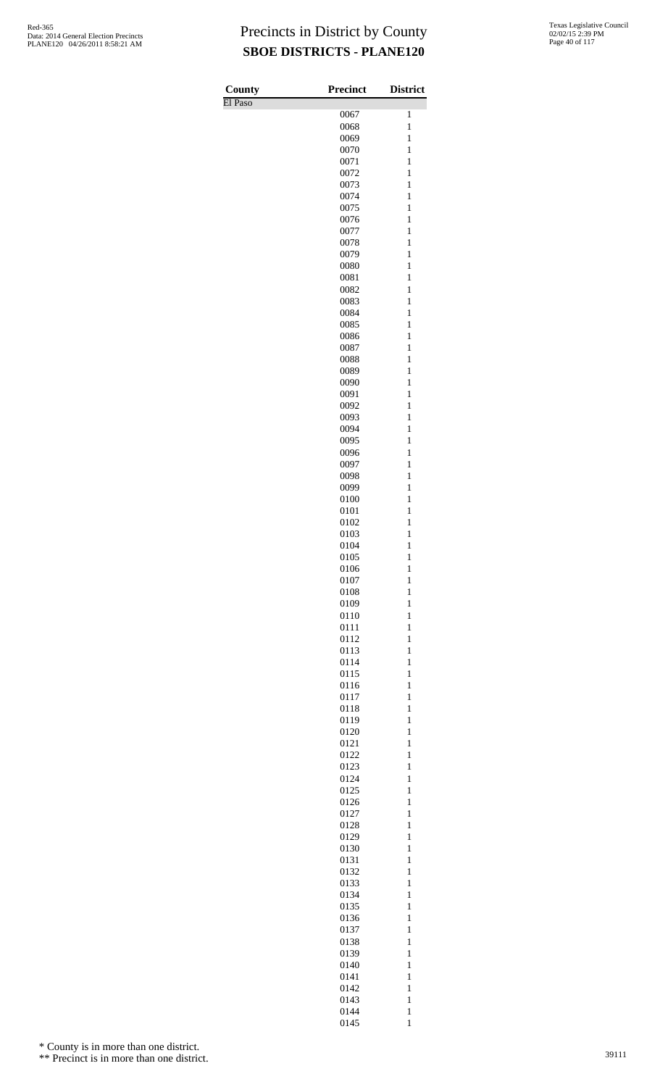| County  | Precinct     | <b>District</b>              |
|---------|--------------|------------------------------|
| El Paso |              |                              |
|         | 0067<br>0068 | 1<br>$\mathbf{1}$            |
|         | 0069         | $\mathbf{1}$                 |
|         | 0070         | $\mathbf{1}$                 |
|         | 0071         | $\mathbf{1}$                 |
|         | 0072         | $\mathbf{1}$                 |
|         | 0073         | $\mathbf{1}$                 |
|         | 0074<br>0075 | $\mathbf{1}$<br>$\mathbf{1}$ |
|         | 0076         | $\mathbf{1}$                 |
|         | 0077         | $\mathbf{1}$                 |
|         | 0078         | $\mathbf{1}$                 |
|         | 0079         | $\mathbf{1}$                 |
|         | 0080         | $\mathbf{1}$                 |
|         | 0081<br>0082 | $\mathbf{1}$<br>$\mathbf{1}$ |
|         | 0083         | $\mathbf{1}$                 |
|         | 0084         | $\mathbf{1}$                 |
|         | 0085         | $\mathbf{1}$                 |
|         | 0086         | $\mathbf{1}$                 |
|         | 0087         | $\mathbf{1}$                 |
|         | 0088<br>0089 | $\mathbf{1}$<br>$\mathbf{1}$ |
|         | 0090         | $\mathbf{1}$                 |
|         | 0091         | $\mathbf{1}$                 |
|         | 0092         | $\mathbf{1}$                 |
|         | 0093         | $\mathbf{1}$                 |
|         | 0094         | $\mathbf{1}$                 |
|         | 0095         | $\mathbf{1}$                 |
|         | 0096<br>0097 | $\mathbf{1}$<br>$\mathbf{1}$ |
|         | 0098         | $\mathbf{1}$                 |
|         | 0099         | $\mathbf{1}$                 |
|         | 0100         | $\mathbf{1}$                 |
|         | 0101         | $\mathbf{1}$                 |
|         | 0102<br>0103 | $\mathbf{1}$<br>$\mathbf{1}$ |
|         | 0104         | $\mathbf{1}$                 |
|         | 0105         | $\mathbf{1}$                 |
|         | 0106         | $\mathbf{1}$                 |
|         | 0107         | $\mathbf{1}$                 |
|         | 0108         | $\mathbf{1}$<br>$\mathbf{1}$ |
|         | 0109<br>0110 | $\mathbf{1}$                 |
|         | 0111         | $\mathbf{1}$                 |
|         | 0112         | $\mathbf{1}$                 |
|         | 0113         | $\mathbf{1}$                 |
|         | 0114         | $\mathbf{1}$                 |
|         | 0115<br>0116 | $\mathbf{1}$<br>$\mathbf{1}$ |
|         | 0117         | $\mathbf{1}$                 |
|         | 0118         | $\mathbf{1}$                 |
|         | 0119         | $\mathbf{1}$                 |
|         | 0120         | $\mathbf{1}$                 |
|         | 0121         | $\mathbf{1}$                 |
|         | 0122<br>0123 | $\mathbf{1}$<br>$\mathbf{1}$ |
|         | 0124         | $\mathbf{1}$                 |
|         | 0125         | $\mathbf{1}$                 |
|         | 0126         | $\mathbf{1}$                 |
|         | 0127         | $\mathbf{1}$                 |
|         | 0128         | $\mathbf{1}$                 |
|         | 0129<br>0130 | $\mathbf{1}$<br>$\mathbf{1}$ |
|         | 0131         | $\mathbf{1}$                 |
|         | 0132         | $\mathbf{1}$                 |
|         | 0133         | $\mathbf{1}$                 |
|         | 0134         | $\mathbf{1}$                 |
|         | 0135<br>0136 | $\mathbf{1}$<br>$\mathbf{1}$ |
|         | 0137         | $\mathbf{1}$                 |
|         | 0138         | $\mathbf{1}$                 |
|         | 0139         | $\mathbf{1}$                 |
|         | 0140         | $\mathbf{1}$                 |
|         | 0141         | $\mathbf{1}$                 |
|         | 0142<br>0143 | $\mathbf{1}$<br>$\mathbf{1}$ |
|         | 0144         | $\mathbf{1}$                 |

1

\* County is in more than one district.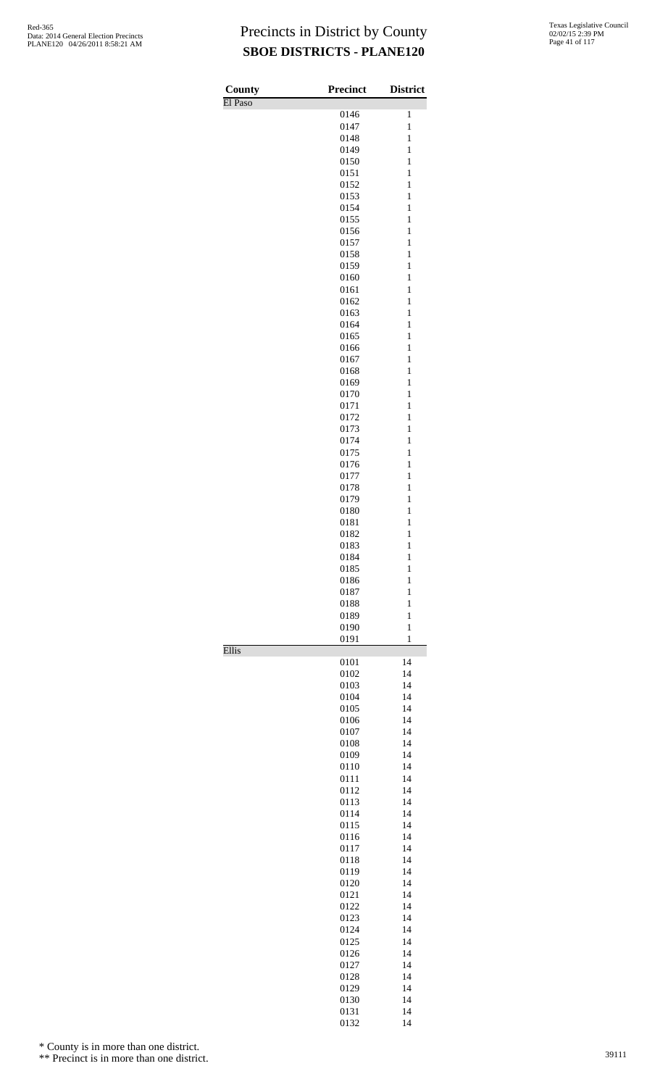| County  | <b>Precinct</b> | <b>District</b>              |
|---------|-----------------|------------------------------|
| El Paso |                 |                              |
|         | 0146<br>0147    | 1<br>$\mathbf{1}$            |
|         | 0148            | $\mathbf{1}$                 |
|         | 0149            | $\mathbf{1}$                 |
|         | 0150            | $\mathbf{1}$                 |
|         | 0151            | $\mathbf{1}$                 |
|         | 0152            | $\mathbf{1}$                 |
|         | 0153            | $\mathbf{1}$                 |
|         | 0154<br>0155    | $\mathbf{1}$<br>$\mathbf{1}$ |
|         | 0156            | $\mathbf{1}$                 |
|         | 0157            | $\mathbf{1}$                 |
|         | 0158            | $\mathbf{1}$                 |
|         | 0159            | $\mathbf{1}$                 |
|         | 0160            | $\mathbf{1}$                 |
|         | 0161<br>0162    | $\mathbf{1}$<br>$\mathbf{1}$ |
|         | 0163            | $\mathbf{1}$                 |
|         | 0164            | $\mathbf{1}$                 |
|         | 0165            | $\mathbf{1}$                 |
|         | 0166            | $\mathbf{1}$                 |
|         | 0167            | $\mathbf{1}$                 |
|         | 0168            | $\mathbf{1}$                 |
|         | 0169<br>0170    | $\mathbf{1}$<br>$\mathbf{1}$ |
|         | 0171            | $\mathbf{1}$                 |
|         | 0172            | $\mathbf{1}$                 |
|         | 0173            | $\mathbf{1}$                 |
|         | 0174            | $\mathbf{1}$                 |
|         | 0175            | $\mathbf{1}$                 |
|         | 0176<br>0177    | $\mathbf{1}$<br>$\mathbf{1}$ |
|         | 0178            | $\mathbf{1}$                 |
|         | 0179            | $\mathbf{1}$                 |
|         | 0180            | $\mathbf{1}$                 |
|         | 0181            | $\mathbf{1}$                 |
|         | 0182            | $\mathbf{1}$                 |
|         | 0183<br>0184    | $\mathbf{1}$<br>$\mathbf{1}$ |
|         | 0185            | 1                            |
|         | 0186            | $\mathbf{1}$                 |
|         | 0187            | $\mathbf{1}$                 |
|         | 0188            | $\mathbf{1}$                 |
|         | 0189            | $\mathbf{1}$                 |
|         | 0190<br>0191    | $\mathbf{1}$<br>$\mathbf{1}$ |
| Ellis   |                 |                              |
|         | 0101            | 14                           |
|         | 0102            | 14                           |
|         | 0103<br>0104    | 14<br>14                     |
|         | 0105            | 14                           |
|         | 0106            | 14                           |
|         | 0107            | 14                           |
|         | 0108            | 14                           |
|         | 0109            | 14                           |
|         | 0110<br>0111    | 14<br>14                     |
|         | 0112            | 14                           |
|         | 0113            | 14                           |
|         | 0114            | 14                           |
|         | 0115            | 14                           |
|         | 0116            | 14                           |
|         | 0117<br>0118    | 14<br>14                     |
|         | 0119            | 14                           |
|         | 0120            | 14                           |
|         | 0121            | 14                           |
|         | 0122            | 14                           |
|         | 0123            | 14                           |
|         | 0124<br>0125    | 14<br>14                     |
|         | 0126            | 14                           |
|         | 0127            | 14                           |
|         | 0128            | 14                           |
|         | 0129            | 14                           |
|         | 0130            | 14                           |
|         | 0131            | 14                           |

14

\* County is in more than one district.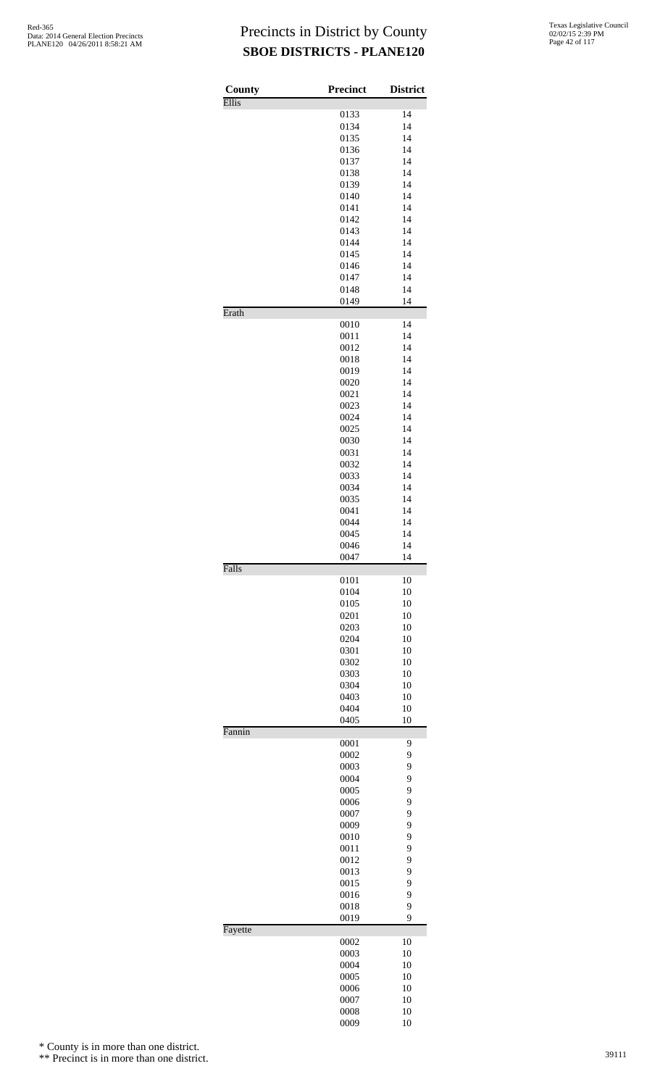| County  | <b>Precinct</b> | <b>District</b> |
|---------|-----------------|-----------------|
| Ellis   |                 |                 |
|         | 0133            | 14              |
|         | 0134<br>0135    | 14<br>14        |
|         | 0136            | 14              |
|         | 0137            | 14              |
|         | 0138            | 14              |
|         | 0139            | 14              |
|         | 0140            | 14              |
|         | 0141            | 14              |
|         | 0142            | 14              |
|         | 0143<br>0144    | 14<br>14        |
|         | 0145            | 14              |
|         | 0146            | 14              |
|         | 0147            | 14              |
|         | 0148            | 14              |
| Erath   | 0149            | 14              |
|         | 0010            | 14              |
|         | 0011            | 14              |
|         | 0012            | 14              |
|         | 0018            | 14              |
|         | 0019            | 14              |
|         | 0020            | 14              |
|         | 0021<br>0023    | 14<br>14        |
|         | 0024            | 14              |
|         | 0025            | 14              |
|         | 0030            | 14              |
|         | 0031            | 14              |
|         | 0032            | 14              |
|         | 0033            | 14              |
|         | 0034            | 14              |
|         | 0035<br>0041    | 14<br>14        |
|         | 0044            | 14              |
|         | 0045            | 14              |
|         | 0046            | 14              |
|         | 0047            | 14              |
| Falls   | 0101            | 10              |
|         | 0104            | 10              |
|         | 0105            | 10              |
|         | 0201            | 10              |
|         | 0203            | 10              |
|         | 0204            | 10              |
|         | 0301<br>0302    | 10<br>10        |
|         | 0303            | 10              |
|         | 0304            | 10              |
|         | 0403            | 10              |
|         | 0404            | 10              |
|         | 0405            | 10              |
| Fannin  | 0001            | 9               |
|         | 0002            | 9               |
|         | 0003            | 9               |
|         | 0004            | 9               |
|         | 0005            | 9               |
|         | 0006            | 9               |
|         | 0007            | 9               |
|         | 0009<br>0010    | 9<br>9          |
|         | 0011            | 9               |
|         | 0012            | 9               |
|         | 0013            | 9               |
|         | 0015            | 9               |
|         | 0016            | 9               |
|         | 0018            | 9<br>9          |
| Fayette | 0019            |                 |
|         | 0002            | 10              |
|         | 0003            | 10              |
|         | 0004            | 10              |
|         | 0005<br>0006    | 10              |
|         | 0007            | 10<br>10        |
|         | 0008            | 10              |
|         | 0009            | 10              |

\* County is in more than one district.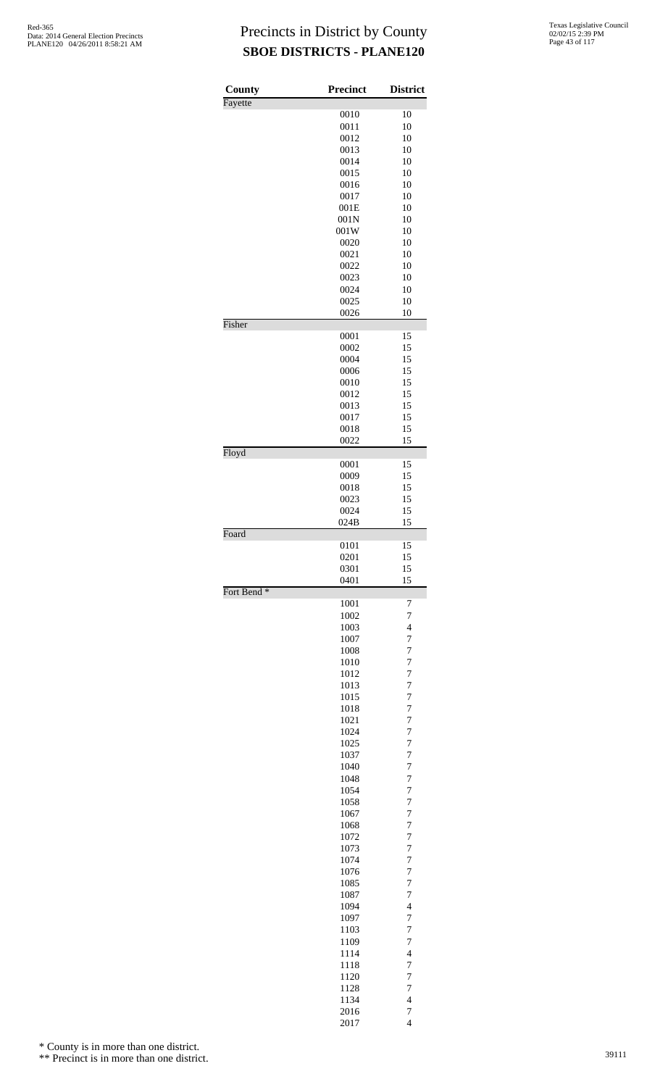| County                 | <b>Precinct</b> | <b>District</b>                  |
|------------------------|-----------------|----------------------------------|
| Fayette                | 0010            | 10                               |
|                        | 0011            | 10                               |
|                        | 0012            | 10                               |
|                        | 0013            | 10                               |
|                        | 0014            | 10                               |
|                        | 0015            | 10                               |
|                        | 0016            | 10                               |
|                        | 0017<br>001E    | 10<br>10                         |
|                        | 001N            | 10                               |
|                        | 001W            | 10                               |
|                        | 0020            | 10                               |
|                        | 0021            | 10                               |
|                        | 0022            | 10                               |
|                        | 0023<br>0024    | 10<br>10                         |
|                        | 0025            | 10                               |
|                        | 0026            | 10                               |
| Fisher                 |                 |                                  |
|                        | 0001            | 15                               |
|                        | 0002            | 15                               |
|                        | 0004<br>0006    | 15<br>15                         |
|                        | 0010            | 15                               |
|                        | 0012            | 15                               |
|                        | 0013            | 15                               |
|                        | 0017            | 15                               |
|                        | 0018            | 15                               |
| Floyd                  | 0022            | 15                               |
|                        | 0001            | 15                               |
|                        | 0009            | 15                               |
|                        | 0018            | 15                               |
|                        | 0023<br>0024    | 15<br>15                         |
|                        | 024B            | 15                               |
| Foard                  |                 |                                  |
|                        | 0101            | 15                               |
|                        | 0201<br>0301    | 15<br>15                         |
|                        | 0401            | 15                               |
| Fort Bend <sup>*</sup> |                 |                                  |
|                        | 1001<br>1002    | 7<br>$\overline{7}$              |
|                        | 1003            | $\overline{\mathcal{L}}$         |
|                        | 1007            | $\overline{7}$                   |
|                        | 1008            | $\overline{7}$                   |
|                        | 1010            | $\overline{7}$                   |
|                        | 1012            | $\overline{7}$<br>$\overline{7}$ |
|                        | 1013<br>1015    | $\overline{7}$                   |
|                        | 1018            | $\overline{7}$                   |
|                        | 1021            | $\overline{7}$                   |
|                        | 1024            | $\overline{7}$                   |
|                        | 1025            | $\overline{7}$                   |
|                        | 1037            | $\overline{7}$                   |
|                        | 1040<br>1048    | $\overline{7}$<br>$\overline{7}$ |
|                        | 1054            | $\overline{7}$                   |
|                        | 1058            | $\overline{7}$                   |
|                        | 1067            | $\overline{7}$                   |
|                        | 1068            | $\overline{7}$                   |
|                        | 1072            | $\overline{7}$<br>$\overline{7}$ |
|                        | 1073<br>1074    | $\overline{7}$                   |
|                        | 1076            | $\overline{7}$                   |
|                        | 1085            | $\overline{7}$                   |
|                        | 1087            | $\overline{7}$                   |
|                        | 1094            | $\overline{\mathcal{L}}$         |
|                        | 1097            | $\overline{7}$<br>$\overline{7}$ |
|                        | 1103<br>1109    | 7                                |
|                        | 1114            | $\overline{\mathcal{L}}$         |
|                        | 1118            | $\overline{7}$                   |
|                        | 1120            | $\overline{7}$                   |
|                        | 1128            | $\overline{7}$                   |
|                        | 1134<br>2016    | $\overline{\mathcal{L}}$<br>7    |
|                        | 2017            | $\overline{\mathbf{4}}$          |

\* County is in more than one district.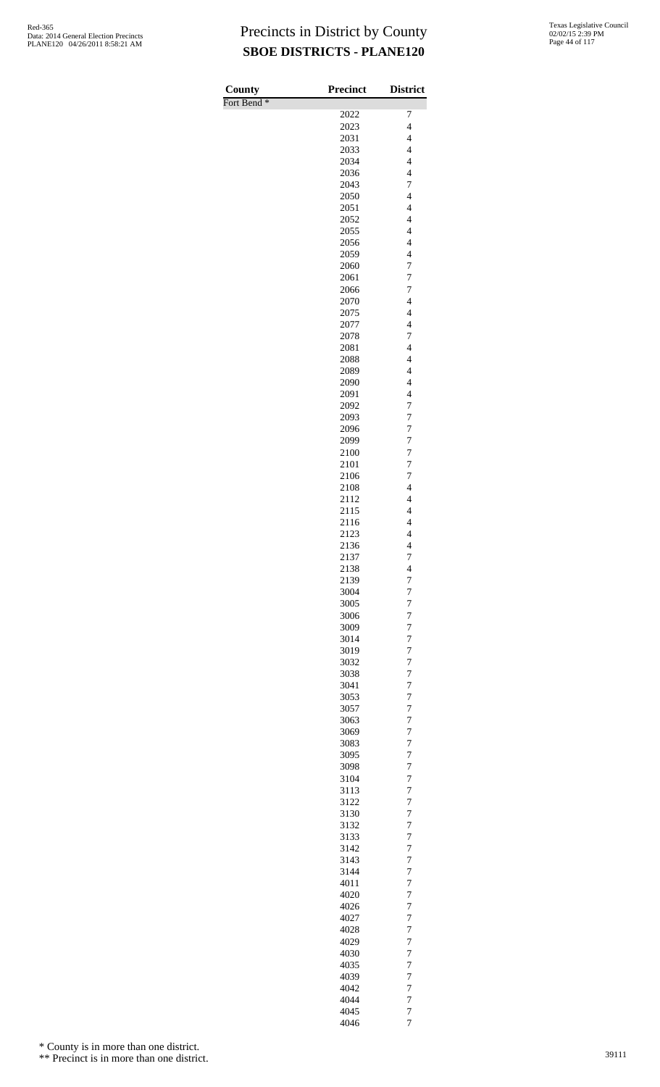| County                 | <b>Precinct</b> | <b>District</b>                            |
|------------------------|-----------------|--------------------------------------------|
| Fort Bend <sup>*</sup> |                 |                                            |
|                        | 2022<br>2023    | 7<br>$\overline{\mathcal{L}}$              |
|                        | 2031            | $\overline{\mathcal{L}}$                   |
|                        | 2033            | $\overline{4}$                             |
|                        | 2034            | $\overline{4}$                             |
|                        | 2036            | $\overline{4}$                             |
|                        | 2043            | 7                                          |
|                        | 2050<br>2051    | $\overline{4}$<br>$\overline{4}$           |
|                        | 2052            | $\overline{4}$                             |
|                        | 2055            | $\overline{4}$                             |
|                        | 2056            | $\overline{\mathcal{L}}$                   |
|                        | 2059            | $\overline{\mathcal{L}}$                   |
|                        | 2060<br>2061    | $\overline{7}$<br>7                        |
|                        | 2066            | 7                                          |
|                        | 2070            | $\overline{\mathcal{L}}$                   |
|                        | 2075            | $\overline{\mathcal{L}}$                   |
|                        | 2077            | $\overline{4}$                             |
|                        | 2078            | 7<br>$\overline{4}$                        |
|                        | 2081<br>2088    | $\overline{\mathcal{L}}$                   |
|                        | 2089            | $\overline{\mathcal{L}}$                   |
|                        | 2090            | $\overline{4}$                             |
|                        | 2091            | $\overline{4}$                             |
|                        | 2092            | $\overline{7}$                             |
|                        | 2093<br>2096    | $\overline{7}$<br>$\boldsymbol{7}$         |
|                        | 2099            | $\boldsymbol{7}$                           |
|                        | 2100            | $\boldsymbol{7}$                           |
|                        | 2101            | $\overline{7}$                             |
|                        | 2106            | $\overline{7}$                             |
|                        | 2108<br>2112    | $\overline{\mathcal{L}}$<br>$\overline{4}$ |
|                        | 2115            | $\overline{4}$                             |
|                        | 2116            | $\overline{\mathcal{L}}$                   |
|                        | 2123            | $\overline{\mathcal{L}}$                   |
|                        | 2136            | $\overline{\mathcal{L}}$                   |
|                        | 2137<br>2138    | $\overline{7}$<br>4                        |
|                        | 2139            | 7                                          |
|                        | 3004            | $\overline{7}$                             |
|                        | 3005            | 7                                          |
|                        | 3006            | $\overline{7}$<br>7                        |
|                        | 3009<br>3014    | 7                                          |
|                        | 3019            | $\overline{7}$                             |
|                        | 3032            | 7                                          |
|                        | 3038            | $\overline{7}$                             |
|                        | 3041<br>3053    | 7<br>$\overline{7}$                        |
|                        | 3057            | $\overline{7}$                             |
|                        | 3063            | 7                                          |
|                        | 3069            | $\overline{7}$                             |
|                        | 3083            | 7                                          |
|                        | 3095<br>3098    | 7<br>$\overline{7}$                        |
|                        | 3104            | 7                                          |
|                        | 3113            | $\overline{7}$                             |
|                        | 3122            | 7                                          |
|                        | 3130<br>3132    | $\overline{7}$<br>$\overline{7}$           |
|                        | 3133            | 7                                          |
|                        | 3142            | $\overline{7}$                             |
|                        | 3143            | 7                                          |
|                        | 3144            | 7                                          |
|                        | 4011<br>4020    | $\overline{7}$<br>7                        |
|                        | 4026            | $\overline{7}$                             |
|                        | 4027            | 7                                          |
|                        | 4028            | 7                                          |
|                        | 4029            | $\overline{7}$                             |
|                        | 4030<br>4035    | 7<br>$\overline{7}$                        |
|                        | 4039            | 7                                          |
|                        | 4042            | 7                                          |
|                        | 4044            | $\overline{7}$                             |
|                        | 4045<br>4046    | $\overline{7}$<br>$\overline{7}$           |

\* County is in more than one district.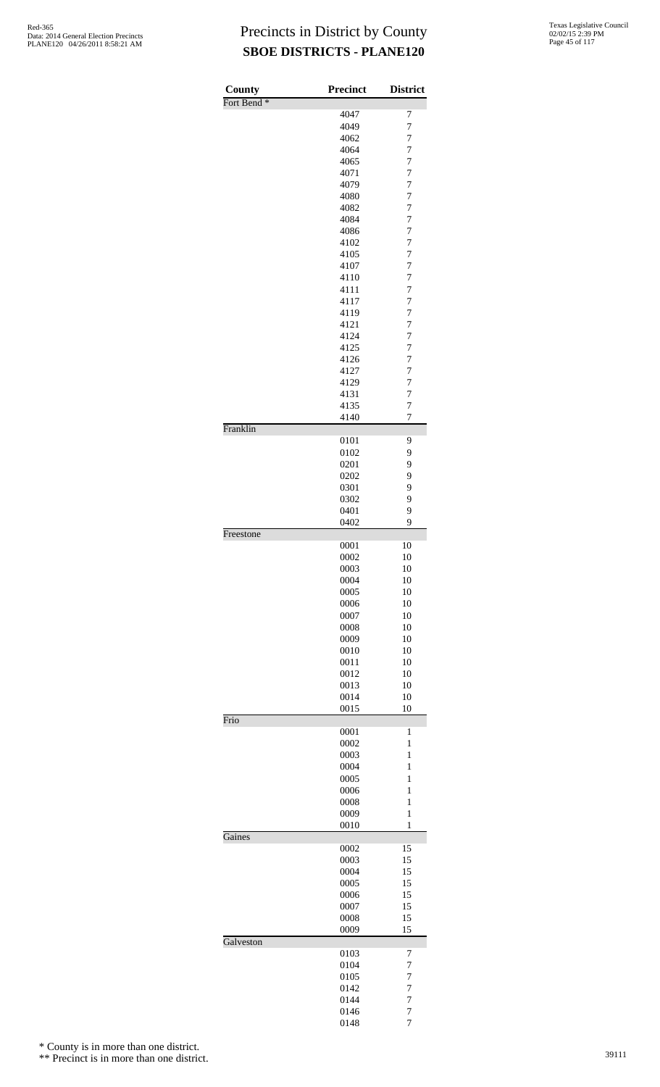| County                 | <b>Precinct</b> | <b>District</b>                  |
|------------------------|-----------------|----------------------------------|
| Fort Bend <sup>*</sup> |                 |                                  |
|                        | 4047<br>4049    | 7<br>7                           |
|                        | 4062            | 7                                |
|                        | 4064            | 7                                |
|                        | 4065            | 7                                |
|                        | 4071            | $\overline{7}$                   |
|                        | 4079            | $\overline{7}$                   |
|                        | 4080            | $\overline{7}$                   |
|                        | 4082<br>4084    | 7<br>7                           |
|                        | 4086            | $\overline{7}$                   |
|                        | 4102            | 7                                |
|                        | 4105            | $\overline{7}$                   |
|                        | 4107            | $\overline{7}$                   |
|                        | 4110            | 7<br>$\overline{7}$              |
|                        | 4111<br>4117    | $\overline{7}$                   |
|                        | 4119            | $\overline{7}$                   |
|                        | 4121            | 7                                |
|                        | 4124            | 7                                |
|                        | 4125            | $\overline{7}$                   |
|                        | 4126            | 7                                |
|                        | 4127            | $\overline{7}$<br>$\overline{7}$ |
|                        | 4129<br>4131    | 7                                |
|                        | 4135            | $\overline{7}$                   |
|                        | 4140            | 7                                |
| Franklin               |                 |                                  |
|                        | 0101            | 9<br>9                           |
|                        | 0102<br>0201    | 9                                |
|                        | 0202            | 9                                |
|                        | 0301            | 9                                |
|                        | 0302            | 9                                |
|                        | 0401            | 9                                |
| Freestone              | 0402            | 9                                |
|                        | 0001            | 10                               |
|                        | 0002            | 10                               |
|                        | 0003            | 10                               |
|                        | 0004            | 10                               |
|                        | 0005<br>0006    | 10<br>10                         |
|                        | 0007            | 10                               |
|                        | 0008            | 10                               |
|                        | 0009            | 10                               |
|                        | 0010            | 10                               |
|                        | 0011            | 10                               |
|                        | 0012            | 10                               |
|                        | 0013<br>0014    | 10<br>10                         |
|                        | 0015            | 10                               |
| Frio                   |                 |                                  |
|                        | 0001            | 1                                |
|                        | 0002<br>0003    | $\mathbf{1}$<br>$\mathbf{1}$     |
|                        | 0004            | 1                                |
|                        | 0005            | 1                                |
|                        | 0006            | 1                                |
|                        | 0008            | $\mathbf{1}$                     |
|                        | 0009<br>0010    | $\mathbf{1}$<br>$\mathbf{1}$     |
| Gaines                 |                 |                                  |
|                        | 0002            | 15                               |
|                        | 0003            | 15                               |
|                        | 0004<br>0005    | 15<br>15                         |
|                        | 0006            | 15                               |
|                        | 0007            | 15                               |
|                        | 0008            | 15                               |
|                        | 0009            | 15                               |
| Galveston              | 0103            | 7                                |
|                        | 0104            | 7                                |
|                        | 0105            | $\overline{7}$                   |
|                        | 0142            | $\overline{7}$                   |
|                        | 0144            | $\overline{7}$                   |
|                        | 0146<br>0148    | $\overline{7}$<br>7              |
|                        |                 |                                  |

\* County is in more than one district.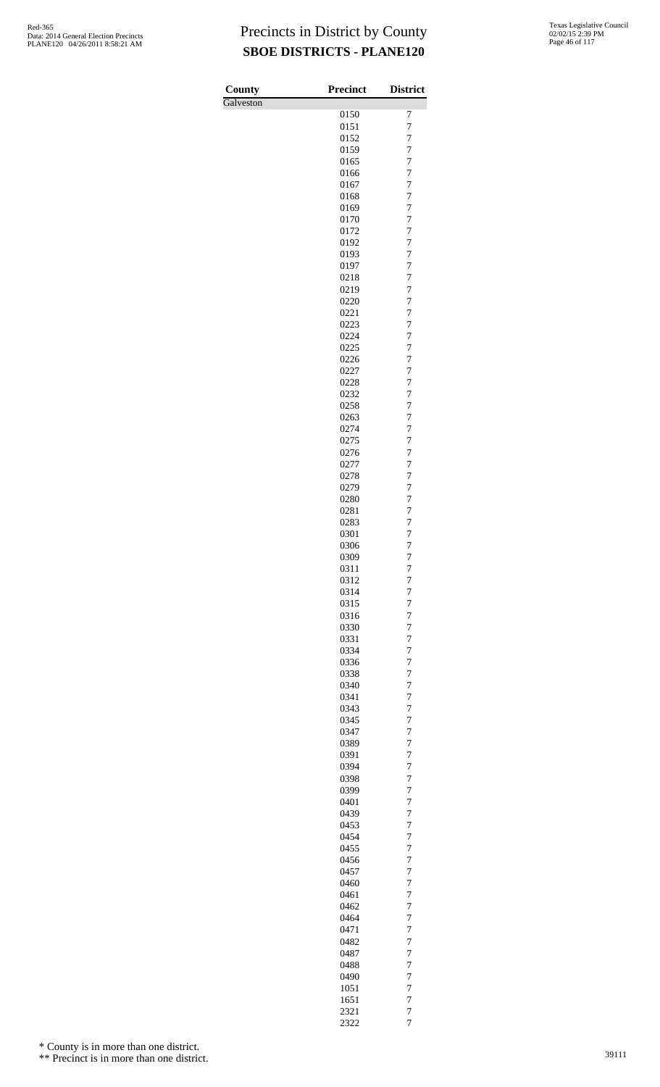| County    | <b>Precinct</b> | <b>District</b>     |
|-----------|-----------------|---------------------|
| Galveston |                 |                     |
|           | 0150<br>0151    | 7<br>$\overline{7}$ |
|           | 0152            | 7                   |
|           | 0159            | $\overline{7}$      |
|           | 0165            | 7                   |
|           | 0166            | 7                   |
|           | 0167            | $\overline{7}$      |
|           | 0168<br>0169    | 7<br>$\overline{7}$ |
|           | 0170            | 7                   |
|           | 0172            | 7                   |
|           | 0192            | $\overline{7}$      |
|           | 0193<br>0197    | 7<br>$\overline{7}$ |
|           | 0218            | 7                   |
|           | 0219            | 7                   |
|           | 0220            | $\overline{7}$      |
|           | 0221            | 7                   |
|           | 0223<br>0224    | $\overline{7}$<br>7 |
|           | 0225            | 7                   |
|           | 0226            | $\overline{7}$      |
|           | 0227            | 7                   |
|           | 0228            | $\overline{7}$      |
|           | 0232<br>0258    | 7<br>7              |
|           | 0263            | $\overline{7}$      |
|           | 0274            | 7                   |
|           | 0275            | $\overline{7}$      |
|           | 0276            | 7                   |
|           | 0277<br>0278    | 7<br>$\overline{7}$ |
|           | 0279            | 7                   |
|           | 0280            | $\overline{7}$      |
|           | 0281            | 7                   |
|           | 0283<br>0301    | 7<br>$\overline{7}$ |
|           | 0306            | $\overline{7}$      |
|           | 0309            | 7                   |
|           | 0311            | 7                   |
|           | 0312            | 7                   |
|           | 0314<br>0315    | $\overline{7}$<br>7 |
|           | 0316            | $\overline{7}$      |
|           | 0330            | 7                   |
|           | 0331            | 7                   |
|           | 0334<br>0336    | $\overline{7}$<br>7 |
|           | 0338            | $\overline{7}$      |
|           | 0340            | 7                   |
|           | 0341            | 7                   |
|           | 0343            | $\overline{7}$      |
|           | 0345<br>0347    | 7<br>$\overline{7}$ |
|           | 0389            | 7                   |
|           | 0391            | 7                   |
|           | 0394            | $\overline{7}$      |
|           | 0398<br>0399    | 7<br>$\overline{7}$ |
|           | 0401            | 7                   |
|           | 0439            | $\overline{7}$      |
|           | 0453            | $\overline{7}$      |
|           | 0454            | 7                   |
|           | 0455<br>0456    | $\overline{7}$<br>7 |
|           | 0457            | 7                   |
|           | 0460            | $\overline{7}$      |
|           | 0461            | 7                   |
|           | 0462<br>0464    | $\overline{7}$<br>7 |
|           | 0471            | 7                   |
|           | 0482            | $\overline{7}$      |
|           | 0487            | 7                   |
|           | 0488            | $\overline{7}$      |
|           | 0490<br>1051    | 7<br>7              |
|           | 1651            | $\overline{7}$      |
|           | 2321            | $\overline{7}$      |
|           | 2322            | $\overline{7}$      |

\* County is in more than one district.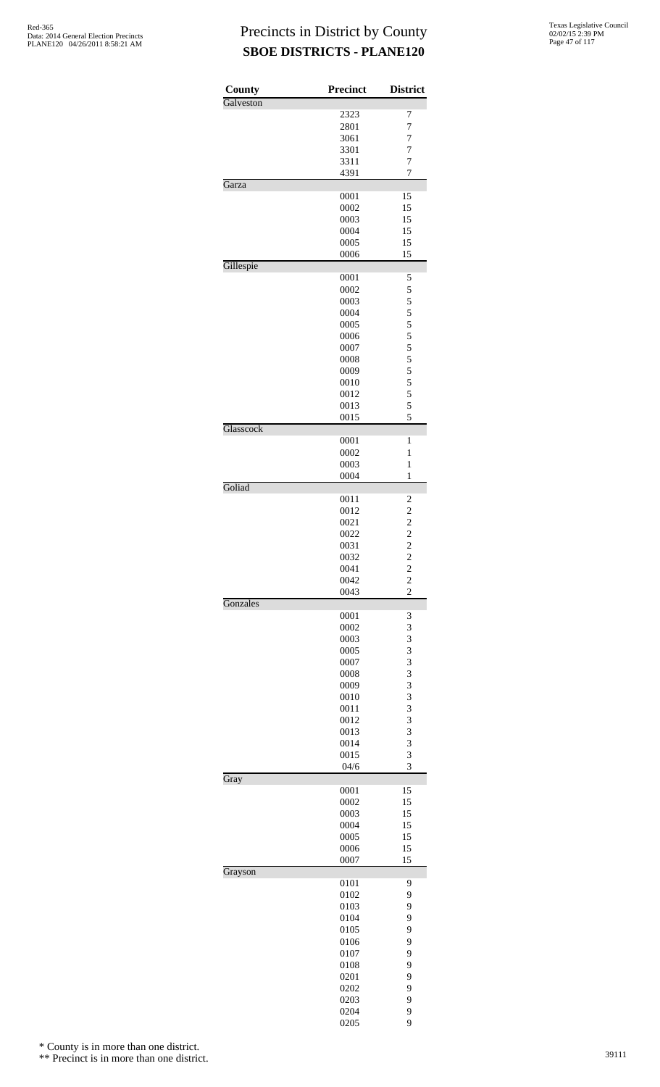| County    | Precinct     | <b>District</b>                            |
|-----------|--------------|--------------------------------------------|
| Galveston | 2323         | 7                                          |
|           | 2801         | $\overline{7}$                             |
|           | 3061         | 7                                          |
|           | 3301         | $\overline{7}$                             |
|           | 3311         | $\overline{7}$                             |
|           | 4391         | $\overline{7}$                             |
| Garza     |              |                                            |
|           | 0001         | 15                                         |
|           | 0002         | 15                                         |
|           | 0003<br>0004 | 15<br>15                                   |
|           | 0005         | 15                                         |
|           | 0006         | 15                                         |
| Gillespie |              |                                            |
|           | 0001         | 5                                          |
|           | 0002         | 5                                          |
|           | 0003         | 5                                          |
|           | 0004         | $\frac{5}{5}$                              |
|           | 0005<br>0006 | 5                                          |
|           | 0007         |                                            |
|           | 0008         | 5<br>5                                     |
|           | 0009         | 5                                          |
|           | 0010         | 5                                          |
|           | 0012         | 5                                          |
|           | 0013         | 5                                          |
|           | 0015         | 5                                          |
| Glasscock |              |                                            |
|           | 0001         | 1                                          |
|           | 0002<br>0003 | 1<br>$\mathbf{1}$                          |
|           | 0004         | $\mathbf{1}$                               |
| Goliad    |              |                                            |
|           | 0011         | 2                                          |
|           | 0012         | $\overline{c}$                             |
|           | 0021         |                                            |
|           | 0022         | $\begin{array}{c} 2 \\ 2 \\ 2 \end{array}$ |
|           | 0031         |                                            |
|           | 0032         |                                            |
|           | 0041<br>0042 | $\overline{\mathbf{c}}$<br>$\overline{c}$  |
|           | 0043         | $\overline{2}$                             |
| Gonzales  |              |                                            |
|           | 0001         | 3                                          |
|           | 0002         | 3                                          |
|           | 0003         | 3                                          |
|           | 0005<br>0007 | 3<br>3                                     |
|           | 0008         | 3                                          |
|           | 0009         | 3                                          |
|           | 0010         | 3                                          |
|           | 0011         | 3                                          |
|           | 0012         | 3                                          |
|           | 0013         | 3                                          |
|           | 0014         | 3                                          |
|           | 0015         | 3                                          |
|           | 04/6         | 3                                          |
| Gray      | 0001         | 15                                         |
|           | 0002         | 15                                         |
|           | 0003         | 15                                         |
|           | 0004         | 15                                         |
|           | 0005         | 15                                         |
|           | 0006         | 15                                         |
|           | 0007         | 15                                         |
| Grayson   | 0101         | 9                                          |
|           | 0102         | 9                                          |
|           | 0103         | 9                                          |
|           | 0104         | 9                                          |
|           | 0105         | 9                                          |
|           | 0106         | 9                                          |
|           | 0107         | 9                                          |
|           | 0108         | 9                                          |
|           | 0201         | 9                                          |
|           | 0202         | 9                                          |
|           | 0203         | 9                                          |
|           | 0204         | 9<br>9                                     |
|           | 0205         |                                            |

\* County is in more than one district.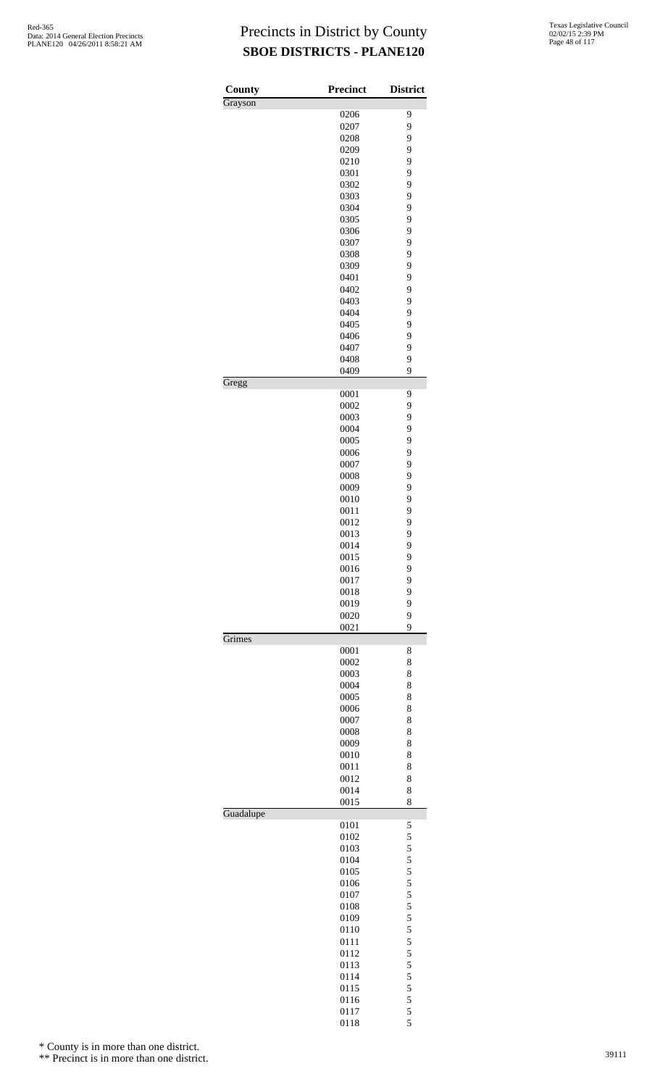| County    | <b>Precinct</b> | <b>District</b> |
|-----------|-----------------|-----------------|
| Grayson   | 0206            | 9               |
|           | 0207            | 9               |
|           | 0208            | 9               |
|           | 0209            | 9               |
|           | 0210            | 9               |
|           | 0301            | 9               |
|           | 0302            | 9               |
|           | 0303            | 9               |
|           | 0304            | 9               |
|           | 0305            | 9               |
|           | 0306            | 9               |
|           | 0307            | 9               |
|           | 0308            | 9               |
|           | 0309            | 9               |
|           | 0401            | 9               |
|           | 0402<br>0403    | 9<br>9          |
|           | 0404            | 9               |
|           | 0405            | 9               |
|           | 0406            | 9               |
|           | 0407            | 9               |
|           | 0408            | 9               |
|           | 0409            | 9               |
| Gregg     |                 |                 |
|           | 0001            | 9               |
|           | 0002            | 9               |
|           | 0003            | 9               |
|           | 0004            | 9               |
|           | 0005            | 9               |
|           | 0006            | 9               |
|           | 0007            | 9               |
|           | 0008            | 9               |
|           | 0009            | 9               |
|           | 0010            | 9               |
|           | 0011            | 9               |
|           | 0012            | 9               |
|           | 0013            | 9               |
|           | 0014<br>0015    | 9<br>9          |
|           | 0016            | 9               |
|           | 0017            | 9               |
|           | 0018            | 9               |
|           | 0019            | 9               |
|           | 0020            | 9               |
|           | 0021            | 9               |
| Grimes    |                 |                 |
|           | 0001            | 8               |
|           | 0002            | 8               |
|           | 0003            | 8               |
|           | 0004            | 8               |
|           | 0005            | 8               |
|           | 0006            | 8               |
|           | 0007            | 8               |
|           | 0008            | 8               |
|           | 0009            | 8               |
|           | 0010            | 8               |
|           | 0011<br>0012    | 8<br>8          |
|           | 0014            | 8               |
|           | 0015            | 8               |
| Guadalupe |                 |                 |
|           | 0101            | 5               |
|           | 0102            | 5               |
|           | 0103            | 5               |
|           | 0104            | 5               |
|           | 0105            | 5               |
|           | 0106            | 5               |
|           | 0107            | 5               |
|           | 0108            | 5               |
|           | 0109            | 5               |
|           | 0110            | 5               |
|           | 0111            | 5               |
|           | 0112            | 5               |
|           | 0113            | 5               |
|           | 0114            | 5               |
|           | 0115            | 5               |
|           | 0116<br>0117    | 5<br>5          |
|           | 0118            | 5               |
|           |                 |                 |

\* County is in more than one district.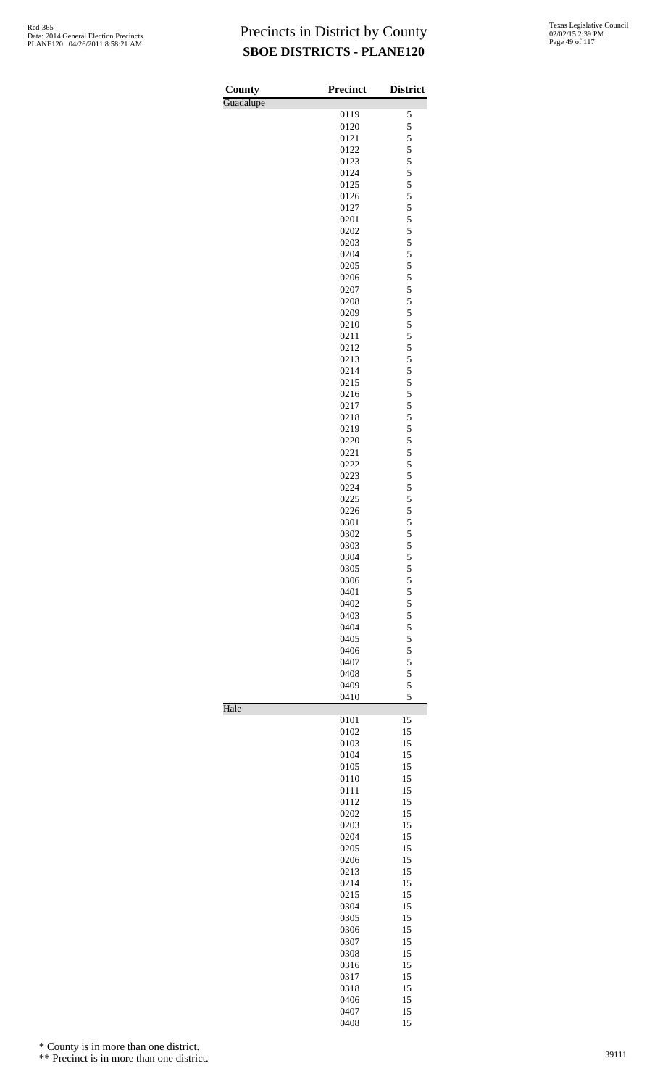| Texas Legislative Council |
|---------------------------|
| 02/02/15 2:39 PM          |
| Page 49 of 117            |

| <b>County</b> | <b>Precinct</b> | <b>District</b> |
|---------------|-----------------|-----------------|
| Guadalupe     | 0119            | 5               |
|               | 0120            | 5               |
|               | 0121            | 5               |
|               | 0122            | 5               |
|               | 0123            | 5               |
|               | 0124            | 5               |
|               | 0125            | 5               |
|               | 0126            | 5               |
|               | 0127            | 5               |
|               | 0201            | 5               |
|               | 0202            | 5<br>5          |
|               | 0203<br>0204    | 5               |
|               | 0205            | 5               |
|               | 0206            | 5               |
|               | 0207            | 5               |
|               | 0208            | 5               |
|               | 0209            | 5               |
|               | 0210            | 5               |
|               | 0211            | 5               |
|               | 0212            | 5               |
|               | 0213            | 5               |
|               | 0214<br>0215    | 5<br>5          |
|               | 0216            | 5               |
|               | 0217            | 5               |
|               | 0218            | 5               |
|               | 0219            | 5               |
|               | 0220            | 5               |
|               | 0221            | 5               |
|               | 0222            | 5               |
|               | 0223            | 5               |
|               | 0224<br>0225    | 5<br>5          |
|               | 0226            | 5               |
|               | 0301            | 5               |
|               | 0302            | 5               |
|               | 0303            | 5               |
|               | 0304            | 5               |
|               | 0305            | $\frac{5}{5}$   |
|               | 0306            |                 |
|               | 0401            | 5               |
|               | 0402<br>0403    | 5<br>5          |
|               | 0404            | 5               |
|               | 0405            | 5               |
|               | 0406            | 5               |
|               | 0407            | 5               |
|               | 0408            | 5               |
|               | 0409            | 5               |
|               | 0410            | 5               |
| Hale          |                 |                 |
|               | 0101<br>0102    | 15<br>15        |
|               | 0103            | 15              |
|               | 0104            | 15              |
|               | 0105            | 15              |
|               | 0110            | 15              |
|               | 0111            | 15              |
|               | 0112            | 15              |
|               | 0202            | 15              |
|               | 0203<br>0204    | 15<br>15        |
|               | 0205            | 15              |
|               | 0206            | 15              |
|               | 0213            | 15              |
|               | 0214            | 15              |
|               | 0215            | 15              |
|               | 0304            | 15              |
|               | 0305            | 15              |
|               | 0306            | 15              |
|               | 0307<br>0308    | 15<br>15        |
|               | 0316            | 15              |
|               | 0317            | 15              |
|               | 0318            | 15              |
|               | 0406            | 15              |
|               | 0407            | 15              |

15

\* County is in more than one district.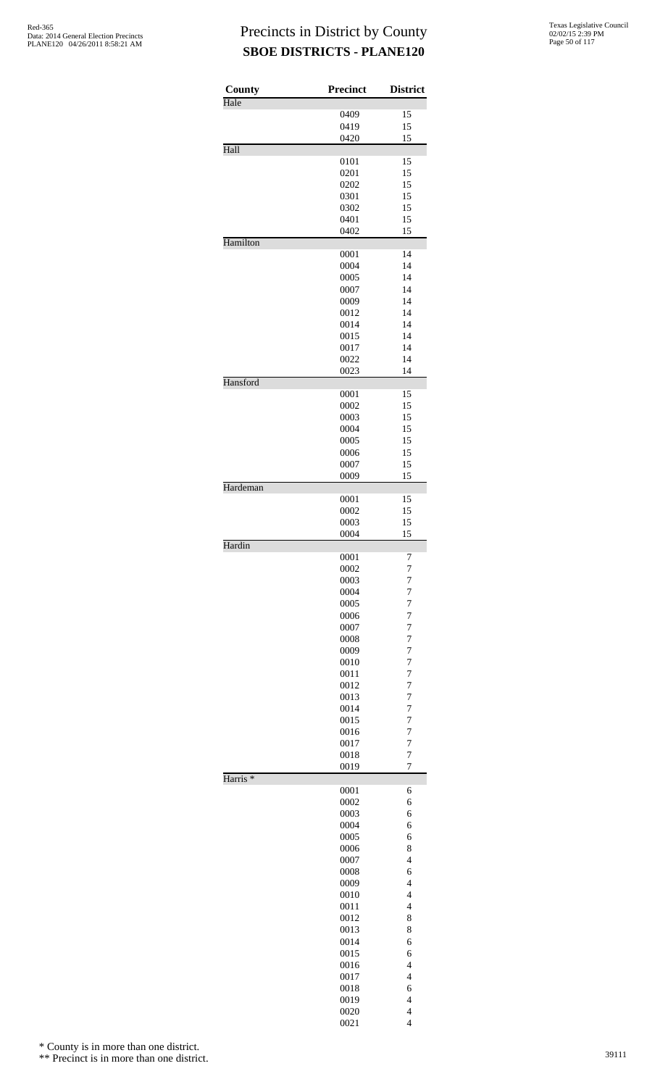| County<br>Hale      | <b>Precinct</b> | <b>District</b>                  |
|---------------------|-----------------|----------------------------------|
|                     | 0409            | 15                               |
|                     | 0419            | 15                               |
|                     | 0420            | 15                               |
| Hall                |                 |                                  |
|                     | 0101<br>0201    | 15<br>15                         |
|                     | 0202            | 15                               |
|                     | 0301            | 15                               |
|                     | 0302            | 15                               |
|                     | 0401            | 15                               |
| Hamilton            | 0402            | 15                               |
|                     | 0001            | 14                               |
|                     | 0004            | 14                               |
|                     | 0005            | 14                               |
|                     | 0007            | 14                               |
|                     | 0009<br>0012    | 14<br>14                         |
|                     | 0014            | 14                               |
|                     | 0015            | 14                               |
|                     | 0017            | 14                               |
|                     | 0022            | 14                               |
|                     | 0023            | 14                               |
| Hansford            | 0001            | 15                               |
|                     | 0002            | 15                               |
|                     | 0003            | 15                               |
|                     | 0004            | 15                               |
|                     | 0005            | 15                               |
|                     | 0006            | 15<br>15                         |
|                     | 0007<br>0009    | 15                               |
| Hardeman            |                 |                                  |
|                     | 0001            | 15                               |
|                     | 0002            | 15                               |
|                     | 0003<br>0004    | 15<br>15                         |
| Hardin              |                 |                                  |
|                     | 0001            | 7                                |
|                     | 0002            | 7                                |
|                     | 0003            | $\overline{7}$                   |
|                     | 0004<br>0005    | $\overline{7}$<br>7              |
|                     | 0006            | 7                                |
|                     | 0007            | $\overline{7}$                   |
|                     | 0008            | $\overline{7}$                   |
|                     | 0009            | $\overline{7}$                   |
|                     | 0010<br>0011    | 7<br>7                           |
|                     | 0012            | $\overline{7}$                   |
|                     | 0013            | $\overline{7}$                   |
|                     | 0014            | $\overline{7}$                   |
|                     | 0015            | 7                                |
|                     | 0016            | 7                                |
|                     | 0017<br>0018    | $\overline{7}$<br>$\overline{7}$ |
|                     | 0019            | $\overline{7}$                   |
| Harris <sup>*</sup> |                 |                                  |
|                     | 0001            | 6                                |
|                     | 0002<br>0003    | 6<br>6                           |
|                     | 0004            | 6                                |
|                     | 0005            | 6                                |
|                     | 0006            | 8                                |
|                     | 0007            | $\overline{\mathcal{L}}$         |
|                     | 0008            | 6<br>$\overline{4}$              |
|                     | 0009<br>0010    | $\overline{4}$                   |
|                     | 0011            | $\overline{\mathcal{L}}$         |
|                     | 0012            | 8                                |
|                     | 0013            | 8                                |
|                     | 0014            | 6                                |
|                     | 0015            | 6<br>$\overline{4}$              |
|                     | 0016<br>0017    | $\overline{4}$                   |
|                     | 0018            | 6                                |
|                     | 0019            | $\overline{4}$                   |
|                     | 0020            | $\overline{4}$                   |
|                     | 0021            | $\overline{4}$                   |

\* County is in more than one district.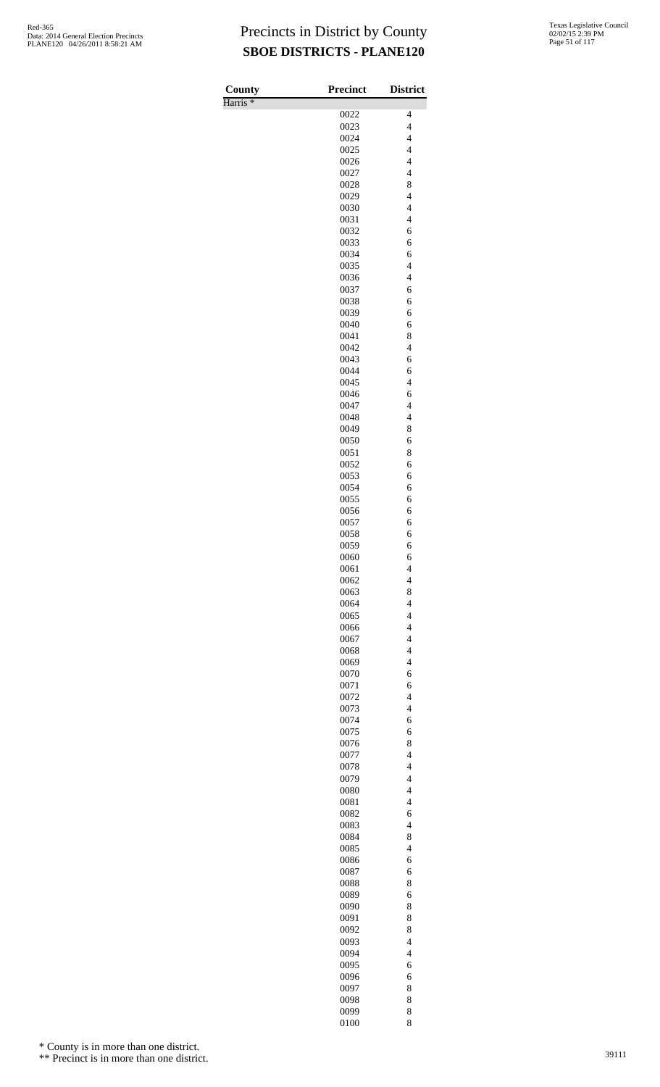Harris \*

| County              | <b>Precinct</b> | <b>District</b>                                      |
|---------------------|-----------------|------------------------------------------------------|
| Harris <sup>*</sup> |                 |                                                      |
|                     | 0022<br>0023    | 4<br>$\overline{\mathcal{L}}$                        |
|                     | 0024            | $\overline{\mathcal{L}}$                             |
|                     | 0025            | $\overline{\mathcal{L}}$                             |
|                     | 0026            | $\overline{4}$                                       |
|                     | 0027            | $\overline{\mathcal{L}}$                             |
|                     | 0028            | 8                                                    |
|                     | 0029<br>0030    | $\overline{\mathcal{L}}$<br>$\overline{\mathcal{L}}$ |
|                     | 0031            | $\overline{\mathcal{L}}$                             |
|                     | 0032            | 6                                                    |
|                     | 0033            | 6                                                    |
|                     | 0034            | 6                                                    |
|                     | 0035            | $\overline{4}$                                       |
|                     | 0036<br>0037    | $\overline{\mathcal{L}}$<br>6                        |
|                     | 0038            | 6                                                    |
|                     | 0039            | 6                                                    |
|                     | 0040            | 6                                                    |
|                     | 0041            | 8                                                    |
|                     | 0042            | $\overline{\mathcal{L}}$                             |
|                     | 0043            | 6                                                    |
|                     | 0044<br>0045    | 6<br>$\overline{4}$                                  |
|                     | 0046            | 6                                                    |
|                     | 0047            | $\overline{\mathcal{L}}$                             |
|                     | 0048            | $\overline{\mathcal{L}}$                             |
|                     | 0049            | 8                                                    |
|                     | 0050            | 6                                                    |
|                     | 0051<br>0052    | 8<br>6                                               |
|                     | 0053            | 6                                                    |
|                     | 0054            | 6                                                    |
|                     | 0055            | 6                                                    |
|                     | 0056            | 6                                                    |
|                     | 0057            | 6                                                    |
|                     | 0058<br>0059    | 6<br>6                                               |
|                     | 0060            | 6                                                    |
|                     | 0061            | $\overline{4}$                                       |
|                     | 0062            | $\overline{\mathcal{L}}$                             |
|                     | 0063            | 8                                                    |
|                     | 0064            | $\overline{4}$                                       |
|                     | 0065            | $\overline{4}$<br>$\overline{4}$                     |
|                     | 0066<br>0067    | $\overline{\mathcal{L}}$                             |
|                     | 0068            | $\overline{\mathcal{L}}$                             |
|                     | 0069            | $\overline{4}$                                       |
|                     | 0070            | 6                                                    |
|                     | 0071            | 6                                                    |
|                     | 0072            | $\overline{\mathcal{L}}$<br>$\overline{4}$           |
|                     | 0073<br>0074    | 6                                                    |
|                     | 0075            | 6                                                    |
|                     | 0076            | 8                                                    |
|                     | 0077            | $\overline{\mathcal{L}}$                             |
|                     | 0078            | $\overline{\mathcal{L}}$                             |
|                     | 0079            | $\overline{\mathcal{L}}$                             |
|                     | 0080<br>0081    | $\overline{4}$<br>$\overline{4}$                     |
|                     | 0082            | 6                                                    |
|                     | 0083            | $\overline{\mathcal{L}}$                             |
|                     | 0084            | 8                                                    |
|                     | 0085            | $\overline{4}$                                       |
|                     | 0086            | 6                                                    |
|                     | 0087<br>0088    | 6<br>8                                               |
|                     | 0089            | 6                                                    |
|                     | 0090            | 8                                                    |
|                     | 0091            | 8                                                    |
|                     | 0092            | 8                                                    |
|                     | 0093            | $\overline{\mathcal{L}}$                             |
|                     | 0094            | $\overline{4}$                                       |
|                     | 0095            | 6                                                    |
|                     | 0096<br>0097    | 6<br>8                                               |
|                     | 0098            | 8                                                    |
|                     | 0099            | 8                                                    |
|                     | 0100            | 8                                                    |

\* County is in more than one district.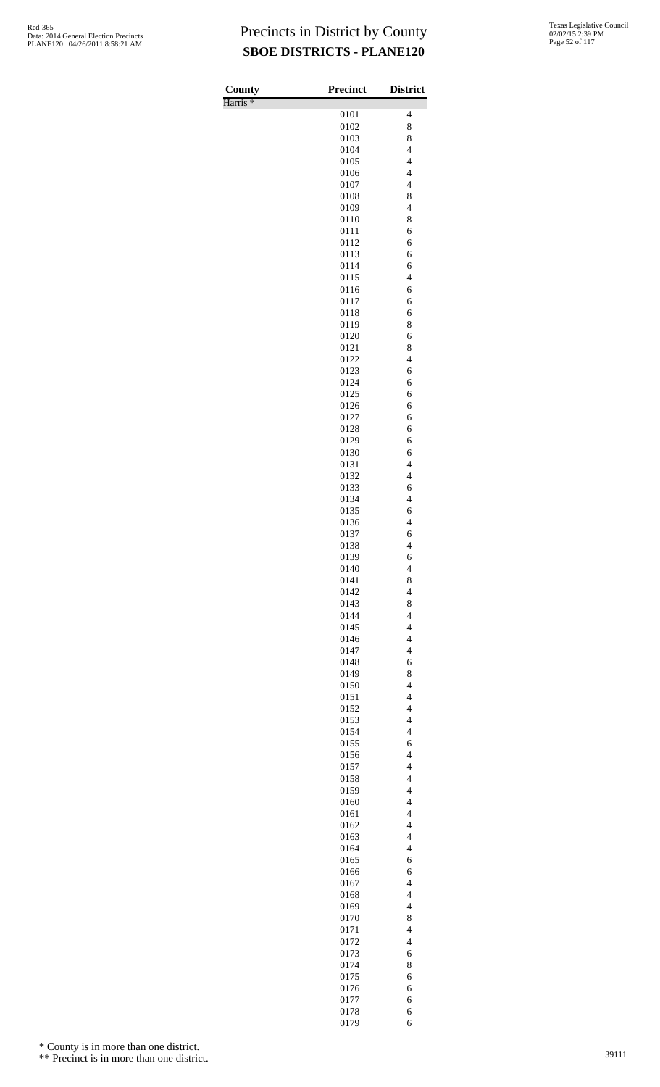Harris \*

| County<br>Harris <sup>*</sup> | <b>Precinct</b> | <b>District</b>                                      |
|-------------------------------|-----------------|------------------------------------------------------|
|                               | 0101            | 4                                                    |
|                               | 0102            | 8                                                    |
|                               | 0103<br>0104    | 8<br>$\overline{4}$                                  |
|                               | 0105            | $\overline{\mathcal{L}}$                             |
|                               | 0106<br>0107    | $\overline{\mathcal{L}}$<br>$\overline{4}$           |
|                               | 0108            | 8                                                    |
|                               | 0109            | $\overline{4}$                                       |
|                               | 0110<br>0111    | 8<br>6                                               |
|                               | 0112            | 6                                                    |
|                               | 0113            | 6                                                    |
|                               | 0114<br>0115    | 6<br>$\overline{4}$                                  |
|                               | 0116            | 6                                                    |
|                               | 0117<br>0118    | 6<br>6                                               |
|                               | 0119            | 8                                                    |
|                               | 0120            | 6                                                    |
|                               | 0121<br>0122    | 8<br>$\overline{4}$                                  |
|                               | 0123            | 6                                                    |
|                               | 0124            | 6<br>6                                               |
|                               | 0125<br>0126    | 6                                                    |
|                               | 0127            | 6                                                    |
|                               | 0128<br>0129    | 6<br>6                                               |
|                               | 0130            | 6                                                    |
|                               | 0131            | $\overline{\mathcal{L}}$                             |
|                               | 0132<br>0133    | $\overline{4}$<br>6                                  |
|                               | 0134            | $\overline{4}$                                       |
|                               | 0135<br>0136    | 6<br>$\overline{\mathbf{4}}$                         |
|                               | 0137            | 6                                                    |
|                               | 0138            | $\overline{4}$                                       |
|                               | 0139<br>0140    | 6<br>4                                               |
|                               | 0141            | 8                                                    |
|                               | 0142<br>0143    | $\overline{4}$<br>8                                  |
|                               | 0144            | $\overline{4}$                                       |
|                               | 0145            | $\overline{4}$                                       |
|                               | 0146<br>0147    | $\overline{4}$<br>$\overline{\mathcal{L}}$           |
|                               | 0148            | 6                                                    |
|                               | 0149            | 8                                                    |
|                               | 0150<br>0151    | $\overline{4}$<br>$\overline{\mathcal{L}}$           |
|                               | 0152            | $\overline{4}$                                       |
|                               | 0153<br>0154    | $\overline{\mathcal{L}}$<br>$\overline{4}$           |
|                               | 0155            | 6                                                    |
|                               | 0156            | $\overline{\mathcal{L}}$                             |
|                               | 0157<br>0158    | $\overline{\mathcal{L}}$<br>$\overline{\mathcal{L}}$ |
|                               | 0159            | $\overline{4}$                                       |
|                               | 0160            | $\overline{4}$                                       |
|                               | 0161<br>0162    | $\overline{\mathcal{L}}$<br>$\overline{4}$           |
|                               | 0163            | $\overline{\mathcal{L}}$                             |
|                               | 0164<br>0165    | $\overline{4}$<br>6                                  |
|                               | 0166            | 6                                                    |
|                               | 0167            | $\overline{\mathcal{L}}$                             |
|                               | 0168<br>0169    | $\overline{\mathcal{L}}$<br>$\overline{4}$           |
|                               | 0170            | 8                                                    |
|                               | 0171            | $\overline{\mathcal{L}}$                             |
|                               | 0172<br>0173    | $\overline{\mathcal{L}}$<br>6                        |
|                               | 0174            | 8                                                    |
|                               | 0175<br>0176    | 6<br>6                                               |
|                               | 0177            | 6                                                    |
|                               | 0178            | 6                                                    |
|                               | 0179            | 6                                                    |

\* County is in more than one district.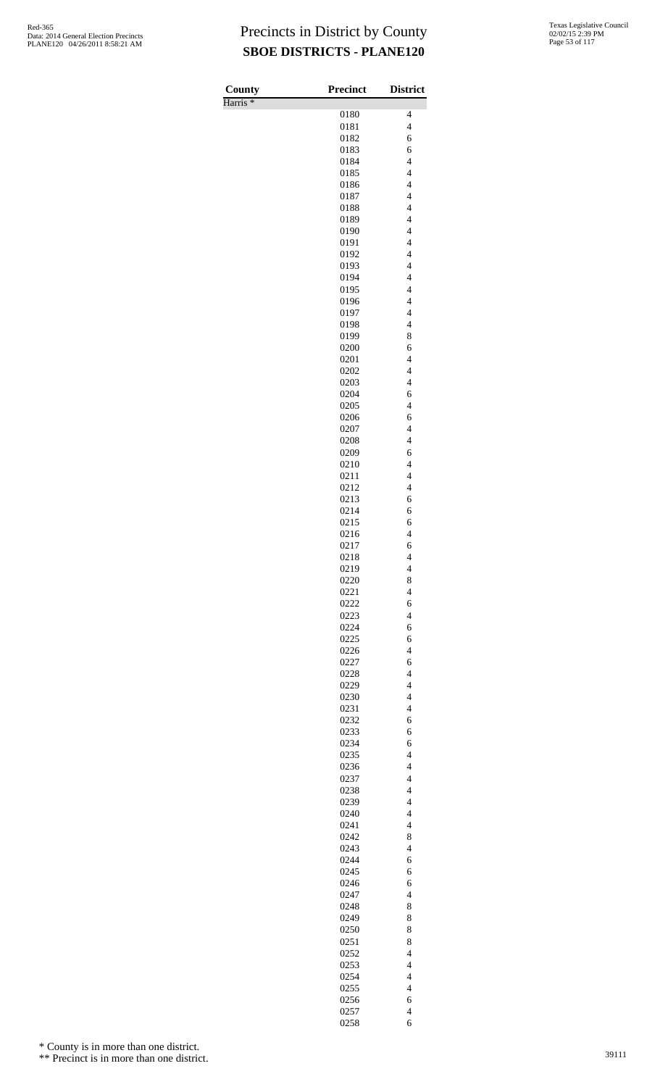Harris \*

| County<br>Harris <sup>*</sup> | <b>Precinct</b> | <b>District</b>                                      |
|-------------------------------|-----------------|------------------------------------------------------|
|                               | 0180            | 4                                                    |
|                               | 0181            | $\overline{\mathcal{L}}$                             |
|                               | 0182            | 6                                                    |
|                               | 0183<br>0184    | 6<br>$\overline{\mathbf{4}}$                         |
|                               | 0185            | $\overline{\mathcal{L}}$                             |
|                               | 0186            | $\overline{4}$                                       |
|                               | 0187            | $\overline{4}$                                       |
|                               | 0188            | $\overline{4}$                                       |
|                               | 0189<br>0190    | $\overline{\mathcal{L}}$<br>$\overline{\mathcal{L}}$ |
|                               | 0191            | $\overline{4}$                                       |
|                               | 0192            | $\overline{4}$                                       |
|                               | 0193            | $\overline{4}$                                       |
|                               | 0194<br>0195    | $\overline{\mathbf{4}}$<br>$\overline{\mathcal{L}}$  |
|                               | 0196            | $\overline{4}$                                       |
|                               | 0197            | $\overline{4}$                                       |
|                               | 0198            | $\overline{4}$                                       |
|                               | 0199            | 8                                                    |
|                               | 0200<br>0201    | 6<br>$\overline{4}$                                  |
|                               | 0202            | $\overline{\mathcal{L}}$                             |
|                               | 0203            | $\overline{4}$                                       |
|                               | 0204            | 6                                                    |
|                               | 0205<br>0206    | $\overline{\mathcal{L}}$<br>6                        |
|                               | 0207            | $\overline{4}$                                       |
|                               | 0208            | $\overline{4}$                                       |
|                               | 0209            | 6                                                    |
|                               | 0210            | $\overline{4}$                                       |
|                               | 0211<br>0212    | $\overline{4}$<br>$\overline{\mathcal{L}}$           |
|                               | 0213            | 6                                                    |
|                               | 0214            | 6                                                    |
|                               | 0215            | 6                                                    |
|                               | 0216            | $\overline{\mathcal{L}}$                             |
|                               | 0217<br>0218    | 6<br>$\overline{4}$                                  |
|                               | 0219            | 4                                                    |
|                               | 0220            | 8                                                    |
|                               | 0221            | $\overline{4}$                                       |
|                               | 0222<br>0223    | 6<br>$\overline{4}$                                  |
|                               | 0224            | 6                                                    |
|                               | 0225            | 6                                                    |
|                               | 0226            | $\overline{\mathcal{L}}$                             |
|                               | 0227            | 6                                                    |
|                               | 0228<br>0229    | $\overline{4}$<br>$\overline{\mathbf{4}}$            |
|                               | 0230            | $\overline{\mathbf{4}}$                              |
|                               | 0231            | $\overline{\mathcal{L}}$                             |
|                               | 0232            | 6                                                    |
|                               | 0233            | 6                                                    |
|                               | 0234<br>0235    | 6<br>$\overline{\mathcal{L}}$                        |
|                               | 0236            | $\overline{4}$                                       |
|                               | 0237            | $\overline{4}$                                       |
|                               | 0238            | $\overline{4}$                                       |
|                               | 0239<br>0240    | $\overline{\mathbf{4}}$<br>$\overline{\mathbf{4}}$   |
|                               | 0241            | $\overline{4}$                                       |
|                               | 0242            | 8                                                    |
|                               | 0243            | $\overline{\mathcal{L}}$                             |
|                               | 0244            | 6                                                    |
|                               | 0245<br>0246    | 6<br>6                                               |
|                               | 0247            | $\overline{\mathcal{L}}$                             |
|                               | 0248            | 8                                                    |
|                               | 0249            | 8                                                    |
|                               | 0250            | 8                                                    |
|                               | 0251<br>0252    | 8<br>$\overline{4}$                                  |
|                               | 0253            | $\overline{4}$                                       |
|                               | 0254            | $\overline{\mathbf{4}}$                              |
|                               | 0255            | $\overline{\mathbf{4}}$                              |
|                               | 0256            | 6                                                    |
|                               | 0257<br>0258    | $\overline{\mathbf{4}}$<br>6                         |

\* County is in more than one district.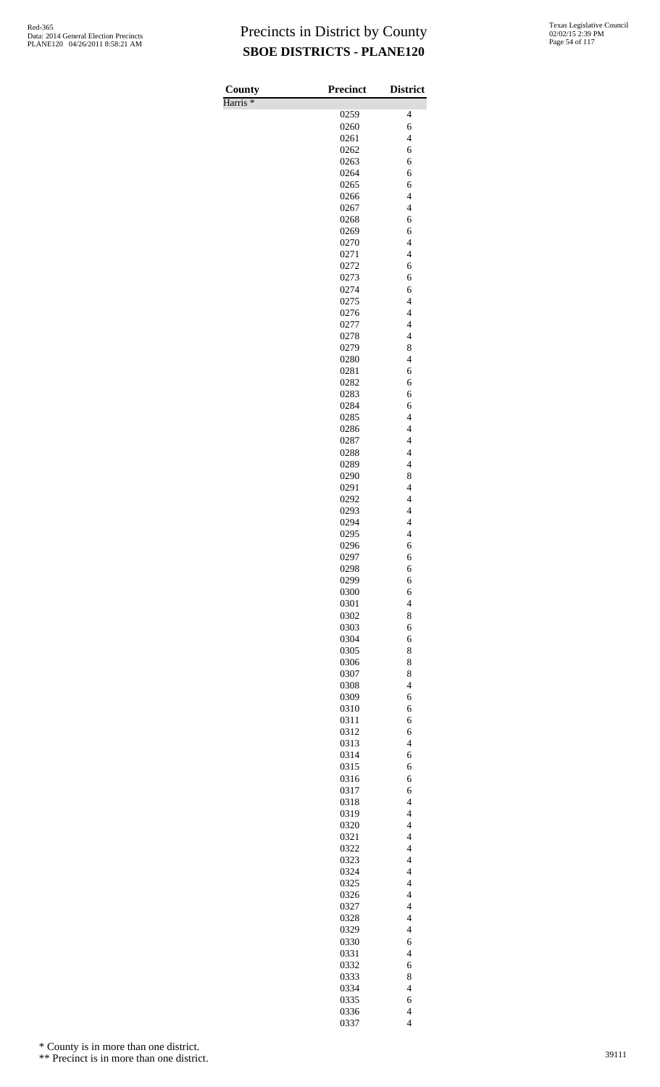Harris \*

| County              | <b>Precinct</b> | <b>District</b>                            |
|---------------------|-----------------|--------------------------------------------|
| Harris <sup>*</sup> |                 |                                            |
|                     | 0259            | 4                                          |
|                     | 0260            | 6                                          |
|                     | 0261            | $\overline{\mathcal{L}}$                   |
|                     | 0262            | 6                                          |
|                     | 0263            | 6                                          |
|                     | 0264            | 6                                          |
|                     | 0265            | 6                                          |
|                     | 0266            | $\overline{4}$<br>$\overline{4}$           |
|                     | 0267            | 6                                          |
|                     | 0268<br>0269    | 6                                          |
|                     | 0270            | $\overline{4}$                             |
|                     | 0271            | $\overline{4}$                             |
|                     | 0272            | 6                                          |
|                     | 0273            | 6                                          |
|                     | 0274            | 6                                          |
|                     | 0275            | $\overline{\mathcal{L}}$                   |
|                     | 0276            | $\overline{\mathcal{L}}$                   |
|                     | 0277            | $\overline{4}$                             |
|                     | 0278            | $\overline{\mathcal{L}}$                   |
|                     | 0279            | 8                                          |
|                     | 0280            | $\overline{4}$                             |
|                     | 0281            | 6                                          |
|                     | 0282            | 6                                          |
|                     | 0283            | 6                                          |
|                     | 0284            | 6                                          |
|                     | 0285            | $\overline{\mathcal{L}}$                   |
|                     | 0286            | $\overline{\mathcal{L}}$                   |
|                     | 0287            | $\overline{4}$                             |
|                     | 0288            | $\overline{\mathcal{L}}$                   |
|                     | 0289            | $\overline{\mathcal{L}}$                   |
|                     | 0290            | 8                                          |
|                     | 0291            | $\overline{4}$<br>$\overline{4}$           |
|                     | 0292            | $\overline{4}$                             |
|                     | 0293<br>0294    | $\overline{\mathbf{4}}$                    |
|                     | 0295            | $\overline{4}$                             |
|                     | 0296            | 6                                          |
|                     | 0297            | 6                                          |
|                     | 0298            | 6                                          |
|                     | 0299            | 6                                          |
|                     | 0300            | 6                                          |
|                     | 0301            | $\overline{4}$                             |
|                     | 0302            | 8                                          |
|                     | 0303            | 6                                          |
|                     | 0304            | 6                                          |
|                     | 0305            | 8                                          |
|                     | 0306            | 8                                          |
|                     | 0307            | 8                                          |
|                     | 0308            | $\overline{4}$                             |
|                     | 0309            | 6                                          |
|                     | 0310            | 6                                          |
|                     | 0311            | 6                                          |
|                     | 0312            | 6                                          |
|                     | 0313            | $\overline{4}$                             |
|                     | 0314            | 6                                          |
|                     | 0315            | 6                                          |
|                     | 0316            | 6                                          |
|                     | 0317            | 6                                          |
|                     | 0318            | $\overline{4}$<br>$\overline{\mathcal{L}}$ |
|                     | 0319            | $\overline{\mathcal{L}}$                   |
|                     | 0320<br>0321    | $\overline{4}$                             |
|                     | 0322            | $\overline{4}$                             |
|                     | 0323            | $\overline{4}$                             |
|                     | 0324            | $\overline{4}$                             |
|                     | 0325            | $\overline{4}$                             |
|                     | 0326            | $\overline{4}$                             |
|                     | 0327            | $\overline{4}$                             |
|                     | 0328            | $\overline{4}$                             |
|                     | 0329            | $\overline{\mathcal{L}}$                   |
|                     | 0330            | 6                                          |
|                     | 0331            | $\overline{4}$                             |
|                     | 0332            | 6                                          |
|                     | 0333            | 8                                          |
|                     | 0334            | $\overline{\mathcal{L}}$                   |
|                     | 0335            | 6                                          |
|                     | 0336            | $\overline{\mathcal{L}}$                   |
|                     | 0337            | $\overline{4}$                             |

\* County is in more than one district.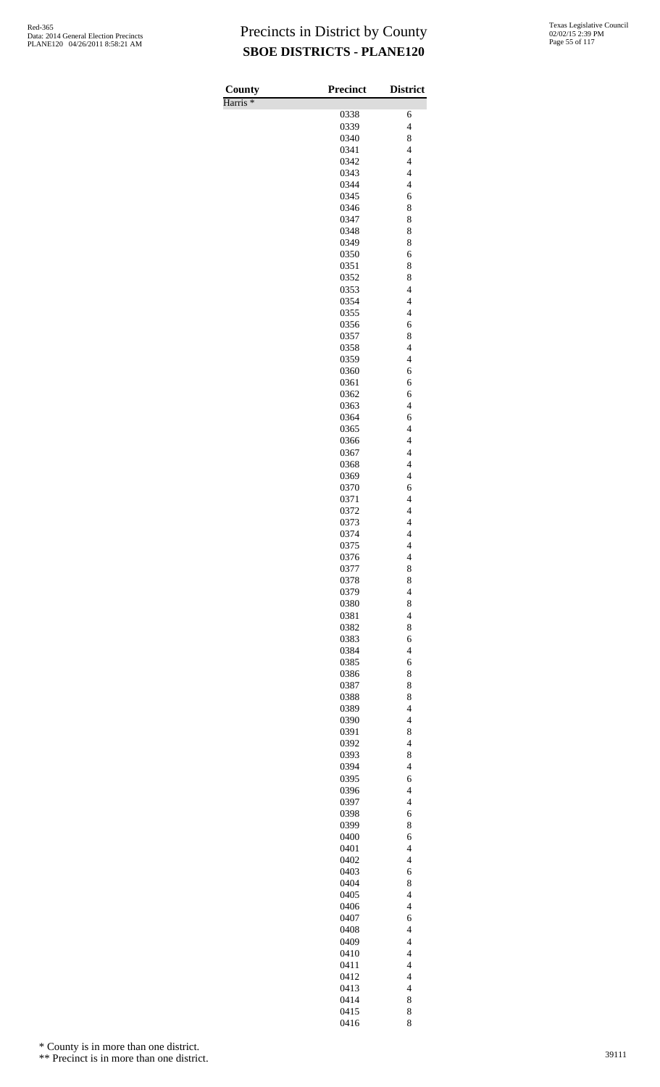| County              | <b>Precinct</b> | <b>District</b>                                      |
|---------------------|-----------------|------------------------------------------------------|
| Harris <sup>*</sup> | 0338            | 6                                                    |
|                     | 0339            | $\overline{4}$                                       |
|                     | 0340            | 8                                                    |
|                     | 0341            | $\overline{\mathcal{L}}$                             |
|                     | 0342            | $\overline{\mathcal{L}}$                             |
|                     | 0343<br>0344    | $\overline{\mathcal{L}}$<br>$\overline{\mathcal{L}}$ |
|                     | 0345            | 6                                                    |
|                     | 0346            | 8                                                    |
|                     | 0347            | 8                                                    |
|                     | 0348            | 8                                                    |
|                     | 0349<br>0350    | 8<br>6                                               |
|                     | 0351            | 8                                                    |
|                     | 0352            | 8                                                    |
|                     | 0353            | $\overline{\mathcal{L}}$                             |
|                     | 0354            | $\overline{4}$                                       |
|                     | 0355<br>0356    | $\overline{4}$<br>6                                  |
|                     | 0357            | 8                                                    |
|                     | 0358            | $\overline{4}$                                       |
|                     | 0359            | $\overline{\mathcal{L}}$                             |
|                     | 0360            | 6                                                    |
|                     | 0361<br>0362    | 6<br>6                                               |
|                     | 0363            | $\overline{\mathcal{L}}$                             |
|                     | 0364            | 6                                                    |
|                     | 0365            | $\overline{4}$                                       |
|                     | 0366            | $\overline{4}$                                       |
|                     | 0367<br>0368    | $\overline{4}$<br>$\overline{4}$                     |
|                     | 0369            | $\overline{\mathcal{L}}$                             |
|                     | 0370            | 6                                                    |
|                     | 0371            | $\overline{4}$                                       |
|                     | 0372            | $\overline{\mathcal{L}}$                             |
|                     | 0373<br>0374    | $\overline{\mathbf{4}}$<br>$\overline{\mathcal{L}}$  |
|                     | 0375            | $\overline{4}$                                       |
|                     | 0376            | 4                                                    |
|                     | 0377            | 8                                                    |
|                     | 0378            | 8                                                    |
|                     | 0379            | $\overline{\mathcal{L}}$                             |
|                     | 0380<br>0381    | 8<br>$\overline{4}$                                  |
|                     | 0382            | 8                                                    |
|                     | 0383            | 6                                                    |
|                     | 0384            | $\overline{4}$                                       |
|                     | 0385            | 6                                                    |
|                     | 0386<br>0387    | 8<br>8                                               |
|                     | 0388            | 8                                                    |
|                     | 0389            | $\overline{\mathcal{L}}$                             |
|                     | 0390            | $\overline{4}$                                       |
|                     | 0391            | 8<br>$\overline{4}$                                  |
|                     | 0392<br>0393    | 8                                                    |
|                     | 0394            | $\overline{\mathcal{L}}$                             |
|                     | 0395            | 6                                                    |
|                     | 0396            | $\overline{4}$                                       |
|                     | 0397            | $\overline{4}$                                       |
|                     | 0398<br>0399    | 6<br>8                                               |
|                     | 0400            | 6                                                    |
|                     | 0401            | $\overline{4}$                                       |
|                     | 0402            | $\overline{4}$                                       |
|                     | 0403            | 6                                                    |
|                     | 0404<br>0405    | 8<br>$\overline{\mathcal{L}}$                        |
|                     | 0406            | $\overline{4}$                                       |
|                     | 0407            | 6                                                    |
|                     | 0408            | $\overline{\mathcal{L}}$                             |
|                     | 0409            | $\overline{\mathcal{L}}$                             |
|                     | 0410<br>0411    | $\overline{\mathcal{L}}$<br>$\overline{4}$           |
|                     | 0412            | $\overline{4}$                                       |
|                     | 0413            | $\overline{4}$                                       |
|                     | 0414            | 8                                                    |
|                     | 0415            | 8                                                    |
|                     | 0416            | 8                                                    |

\* County is in more than one district.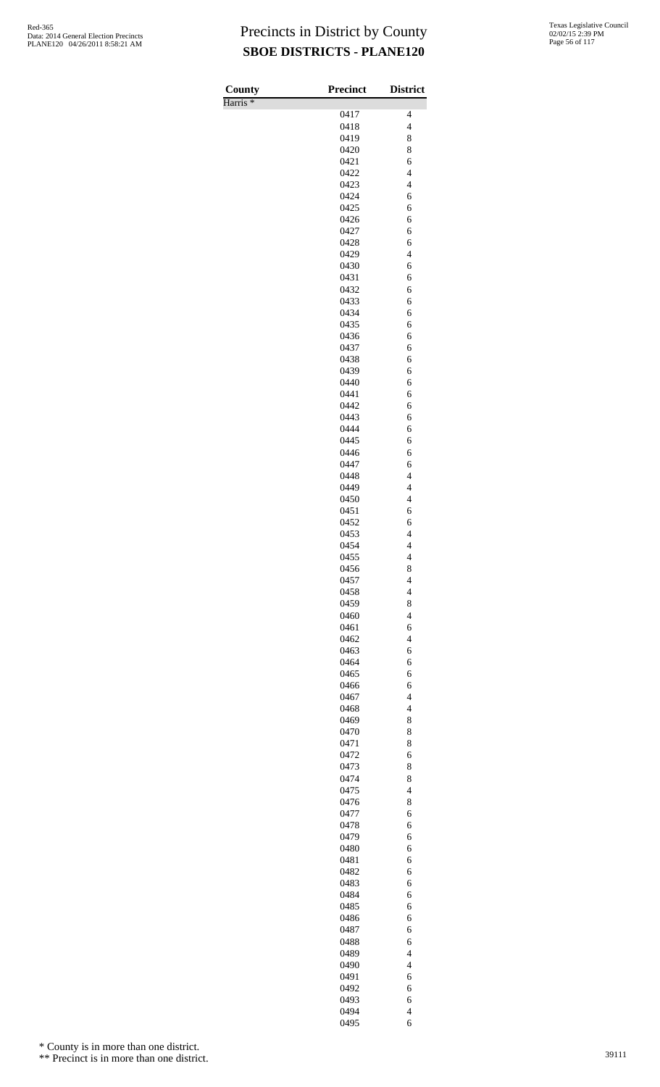Harris \*

| County              | <b>Precinct</b> | <b>District</b>               |
|---------------------|-----------------|-------------------------------|
| Harris <sup>*</sup> |                 |                               |
|                     | 0417            | 4                             |
|                     | 0418            | $\overline{\mathcal{L}}$      |
|                     | 0419<br>0420    | 8<br>8                        |
|                     | 0421            | 6                             |
|                     | 0422            | $\overline{\mathbf{4}}$       |
|                     | 0423            | $\overline{\mathbf{4}}$       |
|                     | 0424            | 6                             |
|                     | 0425            | 6                             |
|                     | 0426            | 6                             |
|                     | 0427            | 6                             |
|                     | 0428<br>0429    | 6<br>$\overline{\mathcal{L}}$ |
|                     | 0430            | 6                             |
|                     | 0431            | 6                             |
|                     | 0432            | 6                             |
|                     | 0433            | 6                             |
|                     | 0434            | 6                             |
|                     | 0435            | 6                             |
|                     | 0436            | 6                             |
|                     | 0437            | 6                             |
|                     | 0438<br>0439    | 6<br>6                        |
|                     | 0440            | 6                             |
|                     | 0441            | 6                             |
|                     | 0442            | 6                             |
|                     | 0443            | 6                             |
|                     | 0444            | 6                             |
|                     | 0445            | 6                             |
|                     | 0446            | 6                             |
|                     | 0447<br>0448    | 6<br>$\overline{\mathbf{4}}$  |
|                     | 0449            | $\overline{\mathcal{L}}$      |
|                     | 0450            | $\overline{4}$                |
|                     | 0451            | 6                             |
|                     | 0452            | 6                             |
|                     | 0453            | $\overline{\mathbf{4}}$       |
|                     | 0454            | $\overline{\mathcal{L}}$      |
|                     | 0455            | 4                             |
|                     | 0456            | 8<br>$\overline{\mathcal{L}}$ |
|                     | 0457<br>0458    | $\overline{\mathcal{L}}$      |
|                     | 0459            | 8                             |
|                     | 0460            | $\overline{4}$                |
|                     | 0461            | 6                             |
|                     | 0462            | $\overline{\mathcal{L}}$      |
|                     | 0463            | 6                             |
|                     | 0464            | 6                             |
|                     | 0465            | 6                             |
|                     | 0466            | 6<br>$\overline{\mathcal{L}}$ |
|                     | 0467<br>0468    | $\overline{\mathcal{L}}$      |
|                     | 0469            | 8                             |
|                     | 0470            | 8                             |
|                     | 0471            | 8                             |
|                     | 0472            | 6                             |
|                     | 0473            | 8                             |
|                     | 0474            | 8                             |
|                     | 0475            | $\overline{4}$                |
|                     | 0476<br>0477    | 8<br>6                        |
|                     | 0478            | 6                             |
|                     | 0479            | 6                             |
|                     | 0480            | 6                             |
|                     | 0481            | 6                             |
|                     | 0482            | 6                             |
|                     | 0483            | 6                             |
|                     | 0484            | 6                             |
|                     | 0485            | 6                             |
|                     | 0486<br>0487    | 6<br>6                        |
|                     | 0488            | 6                             |
|                     | 0489            | $\overline{4}$                |
|                     | 0490            | $\overline{4}$                |
|                     | 0491            | 6                             |
|                     | 0492            | 6                             |
|                     | 0493            | 6                             |
|                     | 0494            | $\overline{\mathcal{L}}$      |
|                     | 0495            | 6                             |

\* County is in more than one district.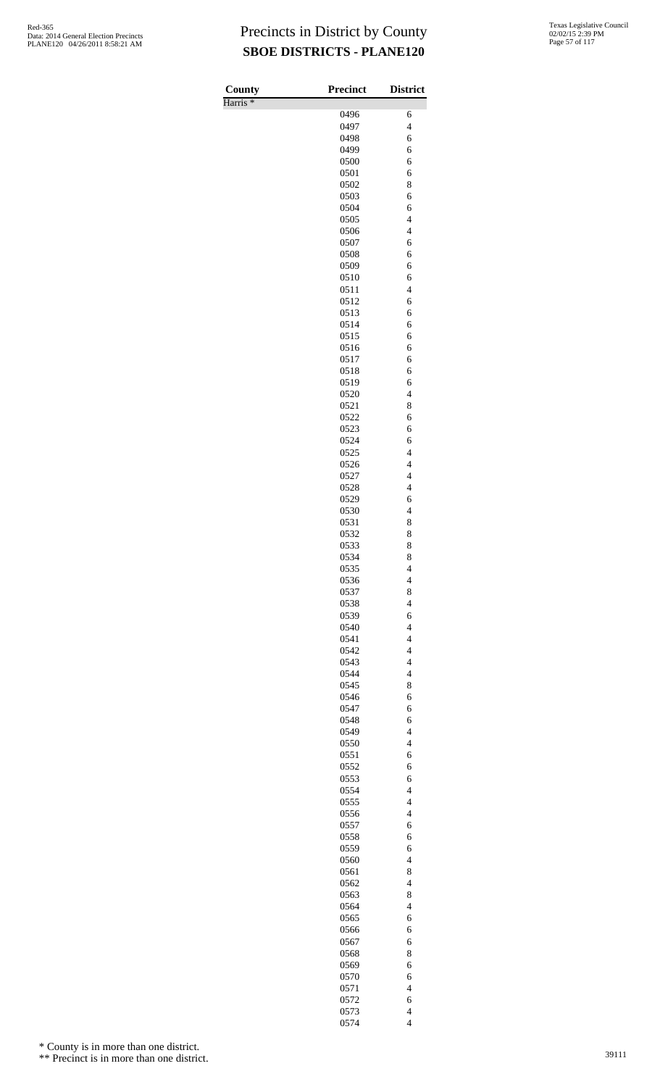Harris \*

| County              | Precinct     | <b>District</b>                            |
|---------------------|--------------|--------------------------------------------|
| Harris <sup>*</sup> |              |                                            |
|                     | 0496         | 6                                          |
|                     | 0497<br>0498 | $\overline{\mathcal{L}}$<br>6              |
|                     | 0499         | 6                                          |
|                     | 0500         | 6                                          |
|                     | 0501         | 6                                          |
|                     | 0502         | 8                                          |
|                     | 0503         | 6                                          |
|                     | 0504         | 6                                          |
|                     | 0505         | $\overline{4}$                             |
|                     | 0506<br>0507 | $\overline{\mathcal{L}}$                   |
|                     | 0508         | 6<br>6                                     |
|                     | 0509         | 6                                          |
|                     | 0510         | 6                                          |
|                     | 0511         | $\overline{4}$                             |
|                     | 0512         | 6                                          |
|                     | 0513         | 6                                          |
|                     | 0514         | 6                                          |
|                     | 0515<br>0516 | 6<br>6                                     |
|                     | 0517         | 6                                          |
|                     | 0518         | 6                                          |
|                     | 0519         | 6                                          |
|                     | 0520         | $\overline{4}$                             |
|                     | 0521         | 8                                          |
|                     | 0522         | 6                                          |
|                     | 0523         | 6                                          |
|                     | 0524<br>0525 | 6<br>$\overline{4}$                        |
|                     | 0526         | $\overline{4}$                             |
|                     | 0527         | $\overline{\mathcal{L}}$                   |
|                     | 0528         | $\overline{\mathcal{L}}$                   |
|                     | 0529         | 6                                          |
|                     | 0530         | $\overline{4}$                             |
|                     | 0531         | 8                                          |
|                     | 0532         | 8                                          |
|                     | 0533<br>0534 | 8<br>8                                     |
|                     | 0535         | 4                                          |
|                     | 0536         | $\overline{4}$                             |
|                     | 0537         | 8                                          |
|                     | 0538         | $\overline{4}$                             |
|                     | 0539         | 6                                          |
|                     | 0540         | $\overline{4}$                             |
|                     | 0541         | $\overline{\mathcal{L}}$                   |
|                     | 0542         | $\overline{\mathcal{L}}$                   |
|                     | 0543<br>0544 | $\overline{4}$<br>$\overline{\mathcal{L}}$ |
|                     | 0545         | 8                                          |
|                     | 0546         | 6                                          |
|                     | 0547         | 6                                          |
|                     | 0548         | 6                                          |
|                     | 0549         | $\overline{\mathcal{L}}$                   |
|                     | 0550         | $\overline{4}$                             |
|                     | 0551         | 6                                          |
|                     | 0552         | 6                                          |
|                     | 0553<br>0554 | 6<br>$\overline{\mathcal{L}}$              |
|                     | 0555         | $\overline{4}$                             |
|                     | 0556         | $\overline{\mathcal{L}}$                   |
|                     | 0557         | 6                                          |
|                     | 0558         | 6                                          |
|                     | 0559         | 6                                          |
|                     | 0560         | $\overline{4}$                             |
|                     | 0561         | 8                                          |
|                     | 0562         | $\overline{4}$                             |
|                     | 0563<br>0564 | 8<br>$\overline{\mathcal{L}}$              |
|                     | 0565         | 6                                          |
|                     | 0566         | 6                                          |
|                     | 0567         | 6                                          |
|                     | 0568         | 8                                          |
|                     | 0569         | 6                                          |
|                     | 0570         | 6                                          |
|                     | 0571         | $\overline{\mathcal{L}}$                   |
|                     | 0572<br>0573 | 6<br>$\overline{\mathcal{L}}$              |
|                     | 0574         | $\overline{4}$                             |

\* County is in more than one district.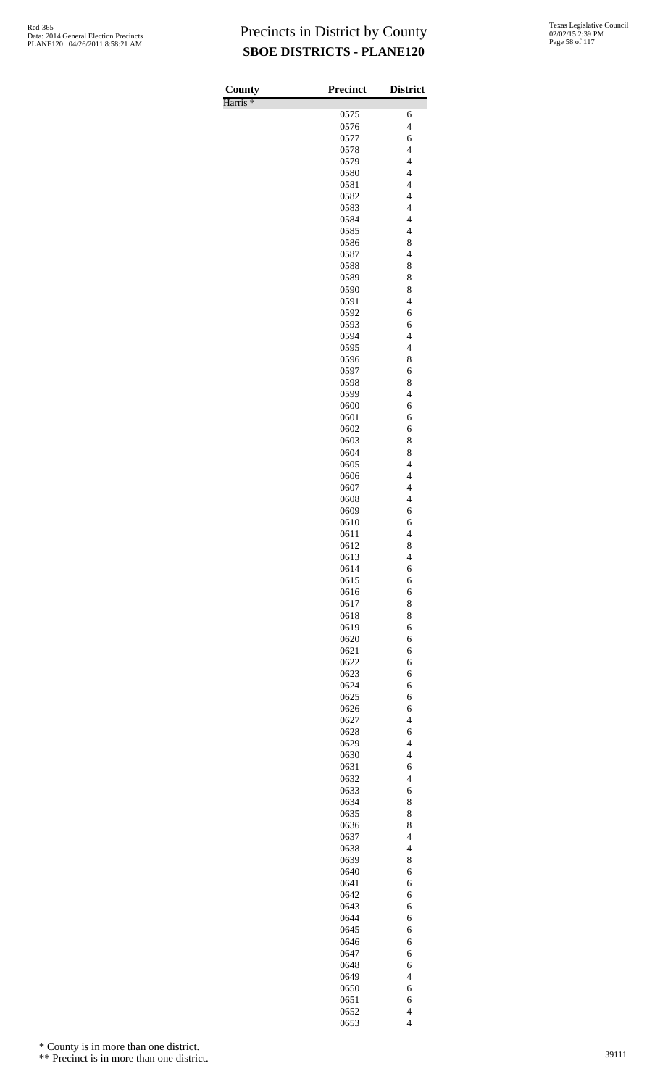| County              | <b>Precinct</b> | <b>District</b>                            |
|---------------------|-----------------|--------------------------------------------|
| Harris <sup>*</sup> |                 |                                            |
|                     | 0575            | 6                                          |
|                     | 0576<br>0577    | $\overline{\mathbf{4}}$<br>6               |
|                     | 0578            | $\overline{4}$                             |
|                     | 0579            | $\overline{4}$                             |
|                     | 0580            | $\overline{\mathbf{4}}$                    |
|                     | 0581            | $\overline{\mathbf{4}}$                    |
|                     | 0582            | $\overline{\mathcal{L}}$                   |
|                     | 0583<br>0584    | $\overline{4}$<br>$\overline{4}$           |
|                     | 0585            | $\overline{\mathcal{L}}$                   |
|                     | 0586            | 8                                          |
|                     | 0587            | $\overline{4}$                             |
|                     | 0588            | 8                                          |
|                     | 0589            | 8                                          |
|                     | 0590<br>0591    | 8<br>$\overline{\mathbf{4}}$               |
|                     | 0592            | 6                                          |
|                     | 0593            | 6                                          |
|                     | 0594            | $\overline{4}$                             |
|                     | 0595            | $\overline{\mathcal{L}}$                   |
|                     | 0596            | 8                                          |
|                     | 0597<br>0598    | 6<br>8                                     |
|                     | 0599            | $\overline{4}$                             |
|                     | 0600            | 6                                          |
|                     | 0601            | 6                                          |
|                     | 0602            | 6                                          |
|                     | 0603            | 8                                          |
|                     | 0604<br>0605    | 8<br>$\overline{\mathcal{L}}$              |
|                     | 0606            | $\overline{\mathcal{L}}$                   |
|                     | 0607            | $\overline{4}$                             |
|                     | 0608            | $\overline{4}$                             |
|                     | 0609            | 6                                          |
|                     | 0610            | 6<br>$\overline{4}$                        |
|                     | 0611<br>0612    | 8                                          |
|                     | 0613            | 4                                          |
|                     | 0614            | 6                                          |
|                     | 0615            | 6                                          |
|                     | 0616            | 6                                          |
|                     | 0617<br>0618    | 8<br>8                                     |
|                     | 0619            | 6                                          |
|                     | 0620            | 6                                          |
|                     | 0621            | 6                                          |
|                     | 0622            | 6                                          |
|                     | 0623            | 6<br>6                                     |
|                     | 0624<br>0625    | 6                                          |
|                     | 0626            | 6                                          |
|                     | 0627            | $\overline{\mathcal{L}}$                   |
|                     | 0628            | 6                                          |
|                     | 0629            | $\overline{4}$                             |
|                     | 0630<br>0631    | $\overline{\mathbf{4}}$<br>6               |
|                     | 0632            | $\overline{\mathcal{L}}$                   |
|                     | 0633            | 6                                          |
|                     | 0634            | 8                                          |
|                     | 0635            | 8                                          |
|                     | 0636            | 8                                          |
|                     | 0637<br>0638    | $\overline{\mathcal{L}}$<br>$\overline{4}$ |
|                     | 0639            | 8                                          |
|                     | 0640            | 6                                          |
|                     | 0641            | 6                                          |
|                     | 0642            | 6                                          |
|                     | 0643<br>0644    | 6<br>6                                     |
|                     | 0645            | 6                                          |
|                     | 0646            | 6                                          |
|                     | 0647            | 6                                          |
|                     | 0648            | 6                                          |
|                     | 0649            | $\overline{4}$                             |
|                     | 0650            | 6                                          |
|                     | 0651<br>0652    | 6<br>$\overline{\mathcal{L}}$              |
|                     | 0653            | $\overline{\mathcal{L}}$                   |

\* County is in more than one district.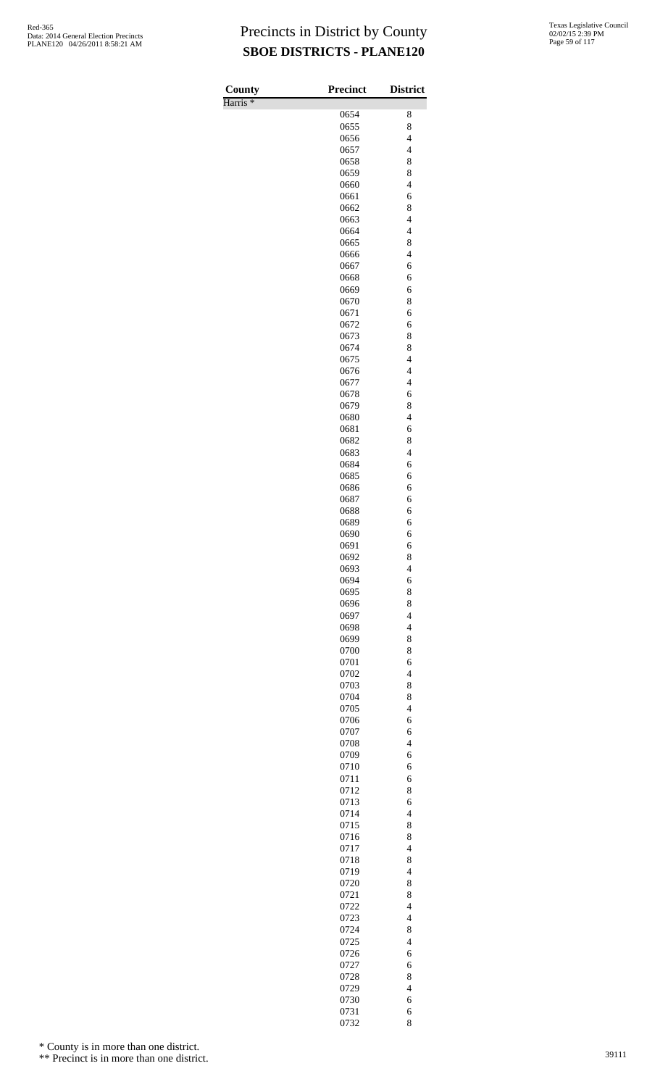Harris \*

| County              | <b>Precinct</b> | <b>District</b>                            |
|---------------------|-----------------|--------------------------------------------|
| Harris <sup>*</sup> |                 |                                            |
|                     | 0654<br>0655    | 8<br>8                                     |
|                     | 0656            | $\overline{\mathcal{L}}$                   |
|                     | 0657            | $\overline{4}$                             |
|                     | 0658            | 8                                          |
|                     | 0659            | 8                                          |
|                     | 0660            | $\overline{\mathcal{L}}$                   |
|                     | 0661<br>0662    | 6<br>8                                     |
|                     | 0663            | $\overline{4}$                             |
|                     | 0664            | $\overline{\mathcal{L}}$                   |
|                     | 0665            | 8                                          |
|                     | 0666            | $\overline{4}$                             |
|                     | 0667            | 6                                          |
|                     | 0668            | 6                                          |
|                     | 0669<br>0670    | 6<br>8                                     |
|                     | 0671            | 6                                          |
|                     | 0672            | 6                                          |
|                     | 0673            | 8                                          |
|                     | 0674            | 8                                          |
|                     | 0675            | $\overline{\mathcal{L}}$                   |
|                     | 0676            | $\overline{\mathcal{L}}$<br>$\overline{4}$ |
|                     | 0677<br>0678    | 6                                          |
|                     | 0679            | 8                                          |
|                     | 0680            | $\overline{\mathcal{L}}$                   |
|                     | 0681            | 6                                          |
|                     | 0682            | 8                                          |
|                     | 0683            | $\overline{4}$                             |
|                     | 0684<br>0685    | 6<br>6                                     |
|                     | 0686            | 6                                          |
|                     | 0687            | 6                                          |
|                     | 0688            | 6                                          |
|                     | 0689            | 6                                          |
|                     | 0690            | 6                                          |
|                     | 0691            | 6                                          |
|                     | 0692<br>0693    | 8<br>4                                     |
|                     | 0694            | 6                                          |
|                     | 0695            | 8                                          |
|                     | 0696            | 8                                          |
|                     | 0697            | $\overline{4}$                             |
|                     | 0698            | $\overline{4}$                             |
|                     | 0699<br>0700    | 8<br>8                                     |
|                     | 0701            | 6                                          |
|                     | 0702            | $\overline{4}$                             |
|                     | 0703            | 8                                          |
|                     | 0704            | 8                                          |
|                     | 0705            | $\overline{\mathcal{L}}$                   |
|                     | 0706            | 6                                          |
|                     | 0707<br>0708    | 6<br>$\overline{4}$                        |
|                     | 0709            | 6                                          |
|                     | 0710            | 6                                          |
|                     | 0711            | 6                                          |
|                     | 0712            | 8                                          |
|                     | 0713            | 6                                          |
|                     | 0714<br>0715    | $\overline{4}$<br>8                        |
|                     | 0716            | 8                                          |
|                     | 0717            | $\overline{4}$                             |
|                     | 0718            | 8                                          |
|                     | 0719            | $\overline{\mathcal{L}}$                   |
|                     | 0720            | 8                                          |
|                     | 0721            | 8                                          |
|                     | 0722<br>0723    | $\overline{\mathcal{L}}$<br>$\overline{4}$ |
|                     | 0724            | 8                                          |
|                     | 0725            | $\overline{\mathcal{L}}$                   |
|                     | 0726            | 6                                          |
|                     | 0727            | 6                                          |
|                     | 0728            | 8                                          |
|                     | 0729            | $\overline{\mathcal{L}}$                   |
|                     | 0730            | 6                                          |
|                     | 0731<br>0732    | 6<br>8                                     |

\* County is in more than one district.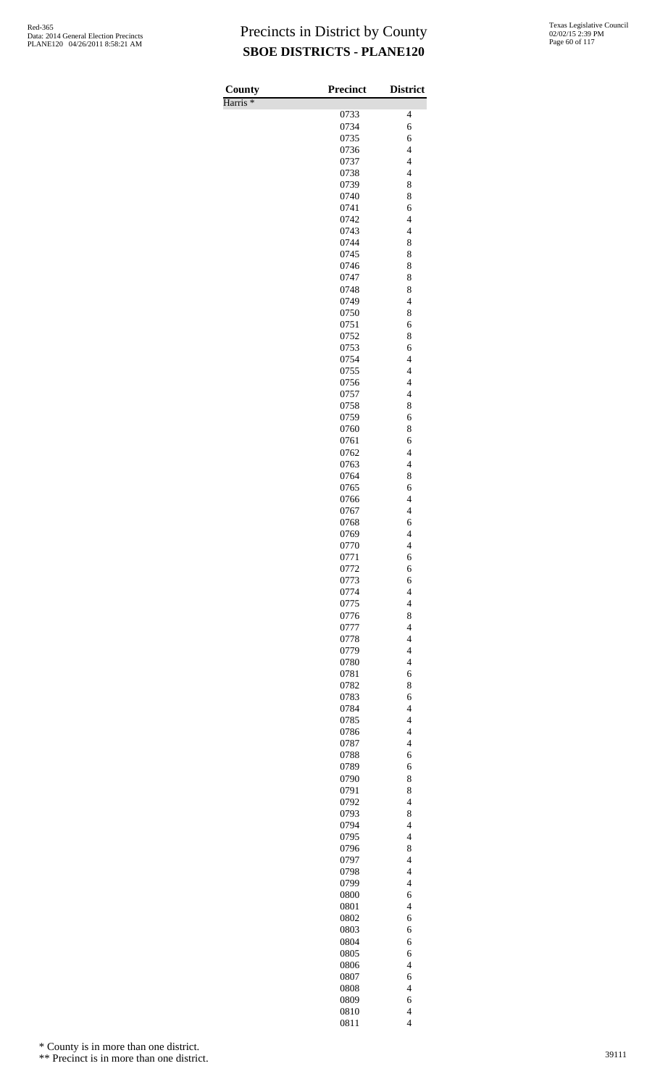| County              | <b>Precinct</b> | <b>District</b>                                     |
|---------------------|-----------------|-----------------------------------------------------|
| Harris <sup>*</sup> |                 |                                                     |
|                     | 0733<br>0734    | 4<br>6                                              |
|                     | 0735            | 6                                                   |
|                     | 0736            | $\overline{4}$                                      |
|                     | 0737            | $\overline{4}$                                      |
|                     | 0738            | $\overline{\mathbf{4}}$                             |
|                     | 0739<br>0740    | 8<br>8                                              |
|                     | 0741            | 6                                                   |
|                     | 0742            | $\overline{4}$                                      |
|                     | 0743            | $\overline{\mathbf{4}}$                             |
|                     | 0744            | 8                                                   |
|                     | 0745            | 8<br>8                                              |
|                     | 0746<br>0747    | 8                                                   |
|                     | 0748            | 8                                                   |
|                     | 0749            | $\overline{\mathbf{4}}$                             |
|                     | 0750            | 8                                                   |
|                     | 0751<br>0752    | 6<br>8                                              |
|                     | 0753            | 6                                                   |
|                     | 0754            | $\overline{\mathbf{4}}$                             |
|                     | 0755            | $\overline{\mathbf{4}}$                             |
|                     | 0756            | $\overline{4}$                                      |
|                     | 0757<br>0758    | $\overline{4}$<br>8                                 |
|                     | 0759            | 6                                                   |
|                     | 0760            | 8                                                   |
|                     | 0761            | 6                                                   |
|                     | 0762            | $\overline{4}$                                      |
|                     | 0763<br>0764    | $\overline{\mathbf{4}}$<br>8                        |
|                     | 0765            | 6                                                   |
|                     | 0766            | $\overline{4}$                                      |
|                     | 0767            | $\overline{4}$                                      |
|                     | 0768            | 6                                                   |
|                     | 0769<br>0770    | $\overline{\mathbf{4}}$<br>$\overline{\mathcal{L}}$ |
|                     | 0771            | 6                                                   |
|                     | 0772            | 6                                                   |
|                     | 0773            | 6                                                   |
|                     | 0774            | $\overline{\mathbf{4}}$                             |
|                     | 0775<br>0776    | $\overline{\mathcal{L}}$<br>8                       |
|                     | 0777            | $\overline{4}$                                      |
|                     | 0778            | $\overline{\mathbf{4}}$                             |
|                     | 0779            | $\overline{\mathbf{4}}$                             |
|                     | 0780            | $\overline{4}$                                      |
|                     | 0781<br>0782    | 6<br>8                                              |
|                     | 0783            | 6                                                   |
|                     | 0784            | $\overline{\mathbf{4}}$                             |
|                     | 0785            | $\overline{\mathcal{L}}$                            |
|                     | 0786            | $\overline{4}$                                      |
|                     | 0787<br>0788    | $\overline{4}$<br>6                                 |
|                     | 0789            | 6                                                   |
|                     | 0790            | 8                                                   |
|                     | 0791            | 8                                                   |
|                     | 0792            | $\overline{\mathcal{L}}$                            |
|                     | 0793<br>0794    | 8<br>$\overline{\mathbf{4}}$                        |
|                     | 0795            | $\overline{\mathcal{L}}$                            |
|                     | 0796            | 8                                                   |
|                     | 0797            | $\overline{4}$                                      |
|                     | 0798            | $\overline{\mathbf{4}}$<br>$\overline{\mathbf{4}}$  |
|                     | 0799<br>0800    | 6                                                   |
|                     | 0801            | $\overline{4}$                                      |
|                     | 0802            | 6                                                   |
|                     | 0803            | 6                                                   |
|                     | 0804            | 6                                                   |
|                     | 0805<br>0806    | 6<br>$\overline{4}$                                 |
|                     | 0807            | 6                                                   |
|                     | 0808            | $\overline{\mathbf{4}}$                             |
|                     | 0809            | 6                                                   |
|                     | 0810<br>0811    | $\overline{4}$<br>$\overline{\mathcal{L}}$          |
|                     |                 |                                                     |

\* County is in more than one district.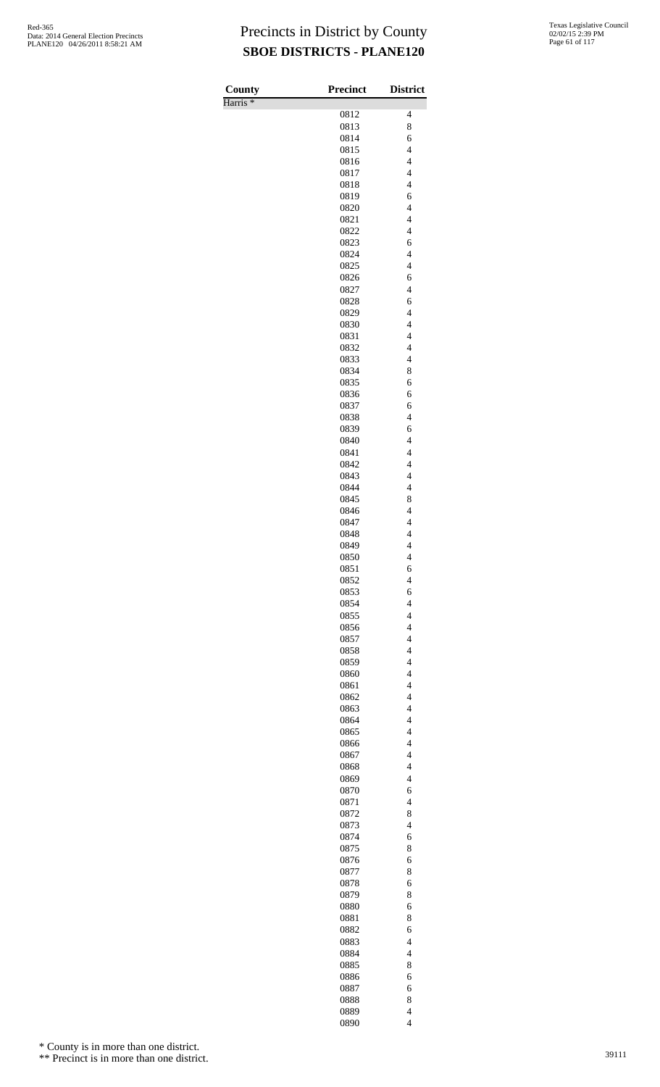Harris \*

| County              | <b>Precinct</b> | <b>District</b>                            |
|---------------------|-----------------|--------------------------------------------|
| Harris <sup>*</sup> |                 |                                            |
|                     | 0812<br>0813    | 4<br>8                                     |
|                     | 0814            | 6                                          |
|                     | 0815            | $\overline{4}$                             |
|                     | 0816            | $\overline{\mathcal{L}}$                   |
|                     | 0817            | $\overline{\mathbf{4}}$                    |
|                     | 0818            | $\overline{\mathcal{L}}$                   |
|                     | 0819            | 6                                          |
|                     | 0820            | $\overline{4}$                             |
|                     | 0821            | $\overline{\mathcal{L}}$                   |
|                     | 0822<br>0823    | $\overline{\mathcal{L}}$<br>6              |
|                     | 0824            | $\overline{\mathcal{L}}$                   |
|                     | 0825            | $\overline{4}$                             |
|                     | 0826            | 6                                          |
|                     | 0827            | $\overline{\mathbf{4}}$                    |
|                     | 0828            | 6                                          |
|                     | 0829            | $\overline{\mathcal{L}}$                   |
|                     | 0830            | $\overline{4}$<br>$\overline{4}$           |
|                     | 0831<br>0832    | $\overline{4}$                             |
|                     | 0833            | $\overline{\mathcal{L}}$                   |
|                     | 0834            | 8                                          |
|                     | 0835            | 6                                          |
|                     | 0836            | 6                                          |
|                     | 0837            | 6                                          |
|                     | 0838            | $\overline{\mathcal{L}}$                   |
|                     | 0839            | 6                                          |
|                     | 0840<br>0841    | $\overline{4}$<br>$\overline{4}$           |
|                     | 0842            | $\overline{4}$                             |
|                     | 0843            | $\overline{\mathcal{L}}$                   |
|                     | 0844            | $\overline{4}$                             |
|                     | 0845            | 8                                          |
|                     | 0846            | $\overline{4}$                             |
|                     | 0847            | $\overline{\mathbf{4}}$                    |
|                     | 0848            | $\overline{\mathcal{L}}$                   |
|                     | 0849<br>0850    | $\overline{\mathbf{4}}$                    |
|                     | 0851            | $\overline{\mathcal{L}}$<br>6              |
|                     | 0852            | $\overline{4}$                             |
|                     | 0853            | 6                                          |
|                     | 0854            | $\overline{4}$                             |
|                     | 0855            | $\overline{4}$                             |
|                     | 0856            | $\overline{4}$                             |
|                     | 0857            | $\overline{\mathcal{L}}$                   |
|                     | 0858            | $\overline{\mathcal{L}}$                   |
|                     | 0859<br>0860    | $\overline{\mathcal{L}}$<br>$\overline{4}$ |
|                     | 0861            | $\overline{\mathcal{L}}$                   |
|                     | 0862            | $\overline{\mathcal{L}}$                   |
|                     | 0863            | $\overline{\mathcal{L}}$                   |
|                     | 0864            | $\overline{\mathcal{L}}$                   |
|                     | 0865            | $\overline{4}$                             |
|                     | 0866            | $\overline{4}$                             |
|                     | 0867            | $\overline{\mathcal{L}}$                   |
|                     | 0868            | $\overline{\mathcal{L}}$                   |
|                     | 0869<br>0870    | $\overline{4}$<br>6                        |
|                     | 0871            | $\overline{4}$                             |
|                     | 0872            | 8                                          |
|                     | 0873            | $\overline{\mathcal{L}}$                   |
|                     | 0874            | 6                                          |
|                     | 0875            | 8                                          |
|                     | 0876            | 6                                          |
|                     | 0877            | 8                                          |
|                     | 0878<br>0879    | 6<br>8                                     |
|                     |                 |                                            |
|                     |                 |                                            |
|                     | 0880            | 6                                          |
|                     | 0881<br>0882    | 8<br>6                                     |
|                     | 0883            | $\overline{4}$                             |
|                     | 0884            | $\overline{4}$                             |
|                     | 0885            | 8                                          |
|                     | 0886            | 6                                          |
|                     | 0887            | 6                                          |
|                     | 0888<br>0889    | 8<br>$\overline{\mathcal{L}}$              |

\* County is in more than one district.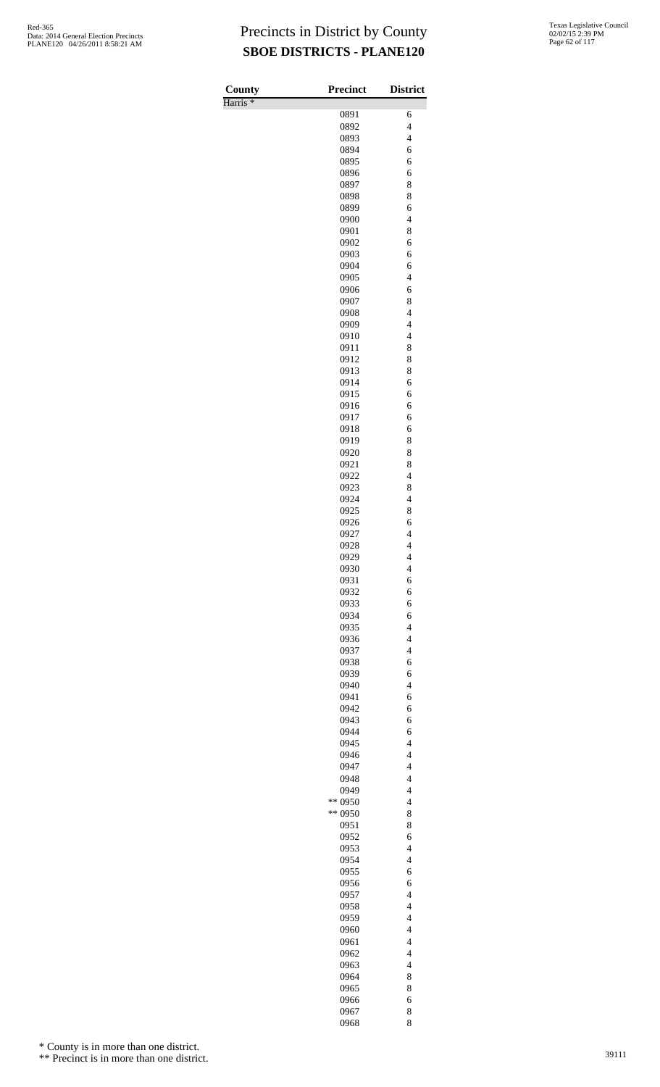Harris \*

| County              | <b>Precinct</b> | <b>District</b>               |
|---------------------|-----------------|-------------------------------|
| Harris <sup>*</sup> |                 |                               |
|                     | 0891            | 6<br>$\overline{4}$           |
|                     | 0892<br>0893    | $\overline{\mathcal{L}}$      |
|                     | 0894            | 6                             |
|                     | 0895            | 6                             |
|                     | 0896            | 6                             |
|                     | 0897            | 8                             |
|                     | 0898            | 8                             |
|                     | 0899            | 6                             |
|                     | 0900            | $\overline{\mathcal{L}}$      |
|                     | 0901            | 8                             |
|                     | 0902            | 6                             |
|                     | 0903            | 6                             |
|                     | 0904            | 6                             |
|                     | 0905            | $\overline{\mathcal{L}}$      |
|                     | 0906<br>0907    | 6<br>8                        |
|                     | 0908            | $\overline{\mathcal{L}}$      |
|                     | 0909            | $\overline{4}$                |
|                     | 0910            | $\overline{\mathcal{L}}$      |
|                     | 0911            | 8                             |
|                     | 0912            | 8                             |
|                     | 0913            | 8                             |
|                     | 0914            | 6                             |
|                     | 0915            | 6                             |
|                     | 0916            | 6                             |
|                     | 0917            | 6                             |
|                     | 0918            | 6                             |
|                     | 0919            | 8                             |
|                     | 0920            | 8                             |
|                     | 0921            | 8                             |
|                     | 0922            | $\overline{4}$                |
|                     | 0923<br>0924    | 8<br>$\overline{\mathcal{L}}$ |
|                     | 0925            | 8                             |
|                     | 0926            | 6                             |
|                     | 0927            | $\overline{4}$                |
|                     | 0928            | $\overline{\mathbf{4}}$       |
|                     | 0929            | $\overline{\mathcal{L}}$      |
|                     | 0930            | $\overline{\mathcal{L}}$      |
|                     | 0931            | 6                             |
|                     | 0932            | 6                             |
|                     | 0933            | 6                             |
|                     | 0934            | 6                             |
|                     | 0935            | $\overline{\mathcal{L}}$      |
|                     | 0936            | $\overline{4}$                |
|                     | 0937            | $\overline{4}$                |
|                     | 0938<br>0939    | 6<br>6                        |
|                     | 0940            | $\overline{\mathcal{L}}$      |
|                     | 0941            | 6                             |
|                     | 0942            | 6                             |
|                     | 0943            | 6                             |
|                     | 0944            | 6                             |
|                     | 0945            | $\overline{\mathcal{L}}$      |
|                     | 0946            | $\overline{4}$                |
|                     | 0947            | $\overline{4}$                |
|                     | 0948            | $\overline{4}$                |
|                     | 0949            | $\overline{\mathcal{L}}$      |
|                     | ** 0950         | $\overline{\mathcal{L}}$      |
|                     | ** 0950         | 8                             |
|                     | 0951            | 8<br>6                        |
|                     | 0952<br>0953    | $\overline{\mathcal{L}}$      |
|                     | 0954            | $\overline{4}$                |
|                     | 0955            | 6                             |
|                     | 0956            | 6                             |
|                     | 0957            | $\overline{\mathcal{L}}$      |
|                     | 0958            | $\overline{\mathcal{L}}$      |
|                     | 0959            | $\overline{4}$                |
|                     | 0960            | $\overline{4}$                |
|                     | 0961            | $\overline{\mathcal{L}}$      |
|                     | 0962            | $\overline{4}$                |
|                     | 0963            | $\overline{\mathcal{L}}$      |
|                     | 0964            | 8                             |
|                     | 0965            | 8                             |
|                     | 0966            | 6                             |
|                     | 0967<br>0968    | 8<br>8                        |
|                     |                 |                               |

\* County is in more than one district.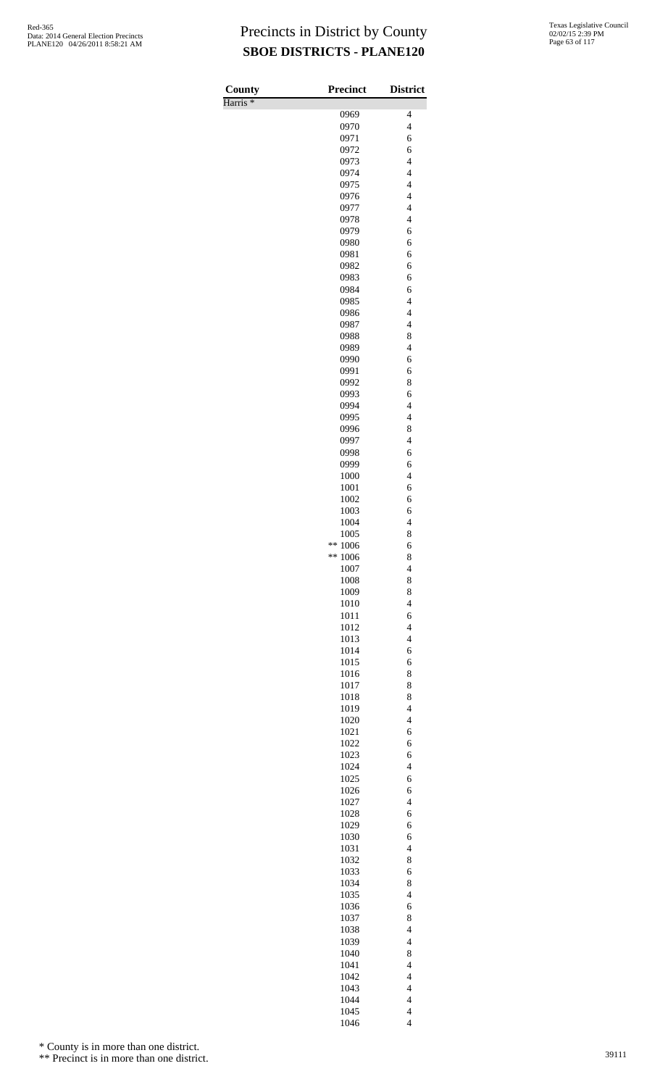Harris \*

| County              | <b>Precinct</b>   | <b>District</b>                                      |
|---------------------|-------------------|------------------------------------------------------|
| Harris <sup>*</sup> | 0969              | 4                                                    |
|                     | 0970              | $\overline{\mathcal{L}}$                             |
|                     | 0971              | 6                                                    |
|                     | 0972              | 6                                                    |
|                     | 0973              | $\overline{4}$                                       |
|                     | 0974<br>0975      | $\overline{4}$<br>$\overline{4}$                     |
|                     | 0976              | $\overline{4}$                                       |
|                     | 0977              | $\overline{4}$                                       |
|                     | 0978              | $\overline{\mathcal{L}}$                             |
|                     | 0979              | 6                                                    |
|                     | 0980<br>0981      | 6<br>6                                               |
|                     | 0982              | 6                                                    |
|                     | 0983              | 6                                                    |
|                     | 0984              | 6                                                    |
|                     | 0985              | $\overline{\mathcal{L}}$                             |
|                     | 0986<br>0987      | $\overline{\mathcal{L}}$<br>$\overline{\mathcal{L}}$ |
|                     | 0988              | 8                                                    |
|                     | 0989              | $\overline{4}$                                       |
|                     | 0990              | 6                                                    |
|                     | 0991              | 6                                                    |
|                     | 0992              | 8                                                    |
|                     | 0993<br>0994      | 6<br>$\overline{\mathcal{L}}$                        |
|                     | 0995              | $\overline{4}$                                       |
|                     | 0996              | 8                                                    |
|                     | 0997              | $\overline{\mathcal{L}}$                             |
|                     | 0998              | 6                                                    |
|                     | 0999              | 6<br>$\overline{4}$                                  |
|                     | 1000<br>1001      | 6                                                    |
|                     | 1002              | 6                                                    |
|                     | 1003              | 6                                                    |
|                     | 1004              | $\overline{\mathcal{L}}$                             |
|                     | 1005<br>**        | 8                                                    |
|                     | 1006<br>$** 1006$ | 6<br>8                                               |
|                     | 1007              | 4                                                    |
|                     | 1008              | 8                                                    |
|                     | 1009              | 8                                                    |
|                     | 1010              | $\overline{\mathcal{L}}$                             |
|                     | 1011<br>1012      | 6<br>$\overline{4}$                                  |
|                     | 1013              | $\overline{4}$                                       |
|                     | 1014              | 6                                                    |
|                     | 1015              | 6                                                    |
|                     | 1016              | 8                                                    |
|                     | 1017<br>1018      | 8<br>8                                               |
|                     | 1019              | $\overline{4}$                                       |
|                     | 1020              | $\overline{4}$                                       |
|                     | 1021              | 6                                                    |
|                     | 1022              | 6                                                    |
|                     | 1023<br>1024      | 6<br>$\overline{\mathcal{L}}$                        |
|                     | 1025              | 6                                                    |
|                     | 1026              | 6                                                    |
|                     | 1027              | $\overline{4}$                                       |
|                     | 1028              | 6                                                    |
|                     | 1029              | 6                                                    |
|                     | 1030<br>1031      | 6<br>$\overline{\mathcal{L}}$                        |
|                     | 1032              | 8                                                    |
|                     | 1033              | 6                                                    |
|                     | 1034              | 8                                                    |
|                     | 1035              | $\overline{\mathcal{L}}$                             |
|                     | 1036<br>1037      | 6<br>8                                               |
|                     | 1038              | $\overline{\mathcal{L}}$                             |
|                     | 1039              | $\overline{4}$                                       |
|                     | 1040              | 8                                                    |
|                     | 1041              | $\overline{\mathcal{L}}$                             |
|                     | 1042              | $\overline{\mathcal{L}}$                             |
|                     | 1043<br>1044      | $\overline{\mathcal{L}}$<br>$\overline{4}$           |
|                     | 1045              | $\overline{4}$                                       |
|                     | 1046              | $\overline{\mathcal{L}}$                             |

\* County is in more than one district.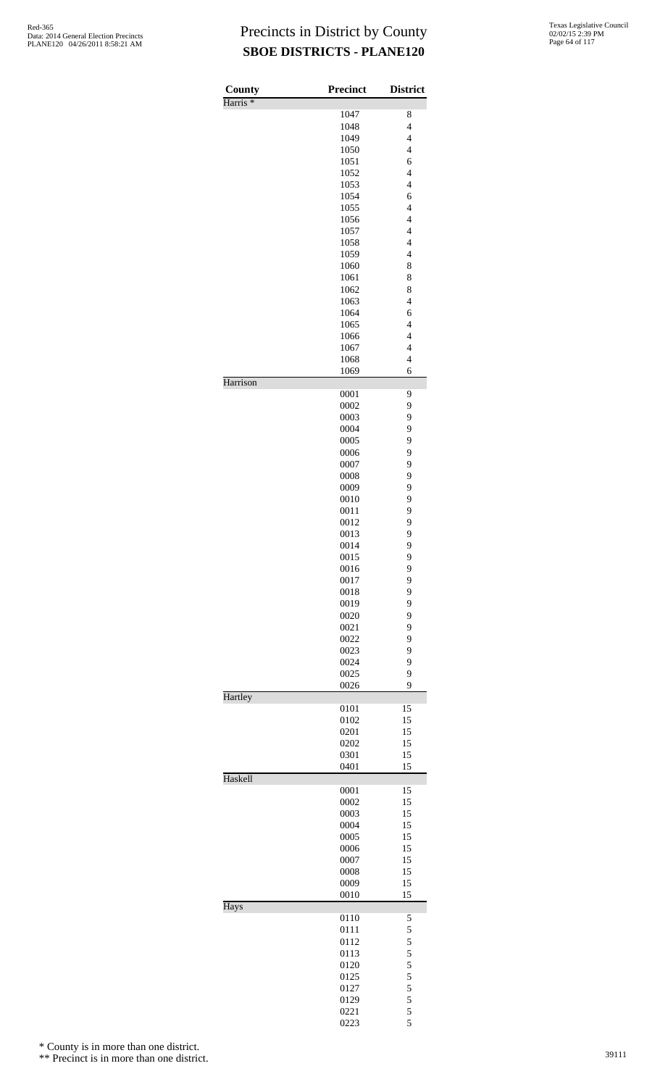| <b>County</b><br>Harris <sup>*</sup> | <b>Precinct</b> | <b>District</b>          |
|--------------------------------------|-----------------|--------------------------|
|                                      | 1047            | 8                        |
|                                      | 1048            | $\overline{\mathcal{L}}$ |
|                                      | 1049            | $\overline{4}$           |
|                                      | 1050            | $\overline{\mathcal{L}}$ |
|                                      | 1051            | 6                        |
|                                      | 1052            | $\overline{4}$           |
|                                      | 1053            | $\overline{4}$           |
|                                      | 1054            | 6                        |
|                                      | 1055            | $\overline{4}$           |
|                                      | 1056            | $\overline{\mathcal{L}}$ |
|                                      | 1057            | $\overline{4}$           |
|                                      | 1058            | $\overline{4}$           |
|                                      | 1059            | $\overline{4}$           |
|                                      | 1060            | 8                        |
|                                      | 1061            | 8                        |
|                                      | 1062            | 8                        |
|                                      | 1063            | $\overline{4}$           |
|                                      | 1064            | 6                        |
|                                      | 1065            | $\overline{4}$           |
|                                      | 1066            | $\overline{\mathcal{L}}$ |
|                                      | 1067            | $\overline{\mathcal{L}}$ |
|                                      | 1068            | $\overline{\mathcal{L}}$ |
|                                      | 1069            | 6                        |
| Harrison                             | 0001            | 9                        |
|                                      | 0002            | 9                        |
|                                      | 0003            | 9                        |
|                                      | 0004            | 9                        |
|                                      | 0005            | 9                        |
|                                      | 0006            | 9                        |
|                                      | 0007            | 9                        |
|                                      | 0008            | 9                        |
|                                      | 0009            | 9                        |
|                                      | 0010            | 9                        |
|                                      | 0011            | 9                        |
|                                      | 0012            | 9                        |
|                                      | 0013            | 9                        |
|                                      | 0014            | 9                        |
|                                      | 0015            | 9                        |
|                                      | 0016            | 9                        |
|                                      | 0017            | 9                        |
|                                      | 0018            | 9                        |
|                                      | 0019            | 9                        |
|                                      | 0020            | 9                        |
|                                      | 0021            | 9                        |
|                                      | 0022            | 9                        |
|                                      | 0023            | 9                        |
|                                      | 0024            | 9                        |
|                                      | 0025            | 9                        |
|                                      | 0026            | 9                        |
| Hartley                              |                 |                          |
|                                      | 0101            | 15                       |
|                                      | 0102            | 15                       |
|                                      | 0201            | 15                       |
|                                      | 0202            | 15                       |
|                                      | 0301            | 15                       |
| Haskell                              | 0401            | 15                       |
|                                      | 0001            | 15                       |
|                                      | 0002            | 15                       |
|                                      | 0003            | 15                       |
|                                      | 0004            | 15                       |
|                                      | 0005            | 15                       |
|                                      | 0006            | 15                       |
|                                      | 0007            | 15                       |
|                                      | 0008            | 15                       |
|                                      | 0009            | 15                       |
|                                      | 0010            | 15                       |
| Hays                                 |                 |                          |
|                                      | 0110<br>0111    | 5<br>5                   |
|                                      | 0112            | 5                        |
|                                      | 0113            | 5                        |
|                                      | 0120            | 5                        |
|                                      | 0125            | 5                        |
|                                      | 0127            | 5                        |
|                                      | 0129            | 5                        |
|                                      | 0221            | 5                        |
|                                      | 0223            | 5                        |
|                                      |                 |                          |

\* County is in more than one district.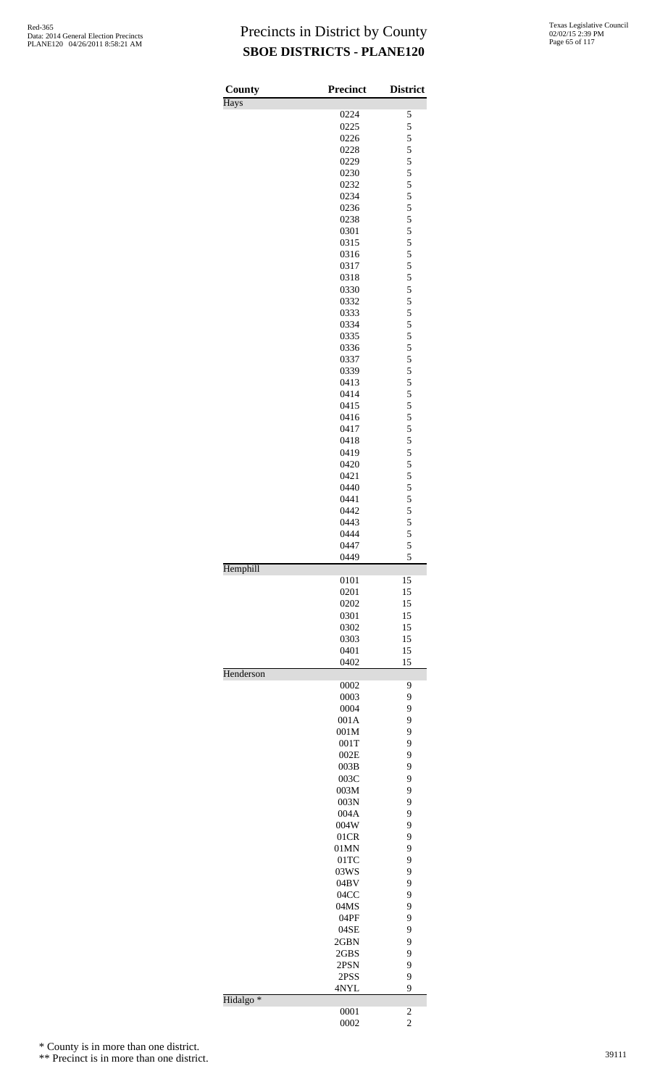| County               | <b>Precinct</b> | <b>District</b>                            |
|----------------------|-----------------|--------------------------------------------|
| <b>Hays</b>          |                 |                                            |
|                      | 0224            | 5                                          |
|                      | 0225            | 5                                          |
|                      | 0226            | 5                                          |
|                      | 0228            | 5<br>5                                     |
|                      | 0229            | 5                                          |
|                      | 0230<br>0232    | 5                                          |
|                      | 0234            |                                            |
|                      | 0236            | $\frac{5}{5}$                              |
|                      | 0238            | 5                                          |
|                      | 0301            | 5                                          |
|                      | 0315            | 5                                          |
|                      | 0316            | 5                                          |
|                      | 0317            | 5                                          |
|                      | 0318            | 5                                          |
|                      | 0330            | 5                                          |
|                      | 0332            | 5                                          |
|                      | 0333            | 5                                          |
|                      | 0334            | 5                                          |
|                      | 0335            | 5                                          |
|                      | 0336            | 5                                          |
|                      | 0337            | 5                                          |
|                      | 0339            | 5                                          |
|                      | 0413            | 5                                          |
|                      | 0414            | 5                                          |
|                      | 0415            | 5                                          |
|                      | 0416            | 5                                          |
|                      | 0417            | 5                                          |
|                      | 0418            | 5                                          |
|                      | 0419            | 5                                          |
|                      | 0420            | 5                                          |
|                      | 0421            | 5                                          |
|                      | 0440            | 5                                          |
|                      | 0441            | 5                                          |
|                      | 0442            | 5                                          |
|                      | 0443            | $\begin{array}{c} 5 \\ 5 \\ 5 \end{array}$ |
|                      | 0444            |                                            |
|                      | 0447            | 5                                          |
| Hemphill             | 0449            |                                            |
|                      | 0101            | 15                                         |
|                      | 0201            | 15                                         |
|                      | 0202            | 15                                         |
|                      | 0301            | 15                                         |
|                      | 0302            | 15                                         |
|                      | 0303            | 15                                         |
|                      | 0401            | 15                                         |
|                      | 0402            | 15                                         |
| Henderson            |                 |                                            |
|                      | 0002            | 9                                          |
|                      | 0003            | 9                                          |
|                      | 0004            | 9                                          |
|                      | 001A            | 9                                          |
|                      | 001M            | 9                                          |
|                      | 001T            | 9                                          |
|                      | 002E            | 9                                          |
|                      | 003B            | 9                                          |
|                      | 003C            | 9                                          |
|                      | 003M            | 9                                          |
|                      | 003N            | 9                                          |
|                      | 004A            | 9                                          |
|                      | 004W            | 9                                          |
|                      | 01CR            | 9                                          |
|                      | 01MN            | 9                                          |
|                      | 01TC            | 9                                          |
|                      | 03WS            | 9                                          |
|                      | 04BV            | 9                                          |
|                      | 04CC            | 9                                          |
|                      | 04MS            | 9                                          |
|                      | 04PF            | 9                                          |
|                      | 04SE            | 9                                          |
|                      | 2GBN            | 9                                          |
|                      | 2GBS            | 9                                          |
|                      | 2PSN            | 9                                          |
|                      | 2PSS            | 9<br>9                                     |
| Hidalgo <sup>*</sup> | 4NYL            |                                            |
|                      |                 | $\overline{c}$                             |
|                      | 0001            |                                            |

0002 2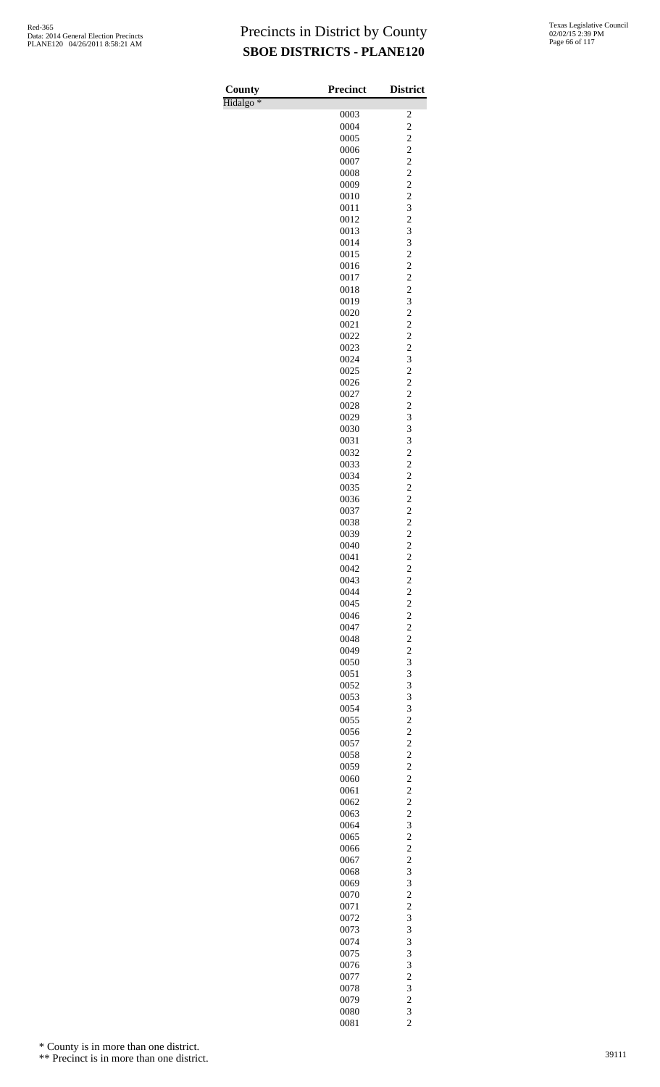| County               | <b>Precinct</b> | <b>District</b>                           |
|----------------------|-----------------|-------------------------------------------|
| Hidalgo <sup>*</sup> |                 |                                           |
|                      | 0003            | $\overline{\mathbf{c}}$                   |
|                      | 0004            | $\overline{c}$                            |
|                      | 0005<br>0006    | $\overline{\mathbf{c}}$<br>$\overline{c}$ |
|                      | 0007            | $\overline{c}$                            |
|                      | 0008            | $\overline{\mathbf{c}}$                   |
|                      | 0009            | $\overline{c}$                            |
|                      | 0010            | $\overline{\mathbf{c}}$                   |
|                      | 0011            | $\overline{\mathbf{3}}$                   |
|                      | 0012            | $\overline{c}$                            |
|                      | 0013            | 3                                         |
|                      | 0014            | 3                                         |
|                      | 0015<br>0016    | $\overline{c}$<br>$\overline{c}$          |
|                      | 0017            | $\overline{c}$                            |
|                      | 0018            | $\overline{\mathbf{c}}$                   |
|                      | 0019            | 3                                         |
|                      | 0020            | $\frac{2}{2}$                             |
|                      | 0021            |                                           |
|                      | 0022            | $\overline{c}$                            |
|                      | 0023            | $\overline{\mathbf{c}}$                   |
|                      | 0024<br>0025    | 3                                         |
|                      | 0026            | $\frac{2}{2}$                             |
|                      | 0027            | $\overline{c}$                            |
|                      | 0028            | $\overline{\mathbf{c}}$                   |
|                      | 0029            | 3                                         |
|                      | 0030            | 3                                         |
|                      | 0031            | 3                                         |
|                      | 0032            | $\overline{c}$                            |
|                      | 0033            | $\overline{\mathbf{c}}$<br>$\overline{c}$ |
|                      | 0034<br>0035    | $\overline{\mathbf{c}}$                   |
|                      | 0036            | $\overline{c}$                            |
|                      | 0037            | $\overline{c}$                            |
|                      | 0038            | $\frac{2}{2}$                             |
|                      | 0039            |                                           |
|                      | 0040            | $\overline{c}$                            |
|                      | 0041            | $\overline{c}$                            |
|                      | 0042            | $\overline{\mathbf{c}}$                   |
|                      | 0043<br>0044    | $\frac{2}{2}$                             |
|                      | 0045            |                                           |
|                      | 0046            | $\frac{2}{2}$                             |
|                      | 0047            | $\overline{c}$                            |
|                      | 0048            | $\overline{\mathbf{c}}$                   |
|                      | 0049            | $\overline{c}$                            |
|                      | 0050            | 3                                         |
|                      | 0051            | 3                                         |
|                      | 0052            | 3                                         |
|                      | 0053<br>0054    | 3<br>3                                    |
|                      | 0055            | $\overline{\mathbf{c}}$                   |
|                      | 0056            | $\overline{c}$                            |
|                      | 0057            | $\overline{c}$                            |
|                      | 0058            | $\overline{\mathbf{c}}$                   |
|                      | 0059            | $\overline{c}$                            |
|                      | 0060            | $\frac{2}{2}$                             |
|                      | 0061<br>0062    | $\overline{c}$                            |
|                      | 0063            |                                           |
|                      | 0064            | $\frac{2}{3}$                             |
|                      | 0065            |                                           |
|                      | 0066            | $\frac{2}{2}$                             |
|                      | 0067            | $\overline{c}$                            |
|                      | 0068            | 3                                         |
|                      | 0069            | 3                                         |
|                      | 0070            | $\overline{\mathbf{c}}$                   |
|                      | 0071<br>0072    | $\overline{c}$<br>3                       |
|                      | 0073            | 3                                         |
|                      | 0074            | 3                                         |
|                      | 0075            | 3                                         |
|                      | 0076            | 3                                         |
|                      | 0077            | $\overline{c}$                            |
|                      | 0078            | 3                                         |
|                      | 0079            | $\overline{c}$                            |
|                      | 0080            | 3                                         |
|                      | 0081            | $\overline{c}$                            |

\* County is in more than one district.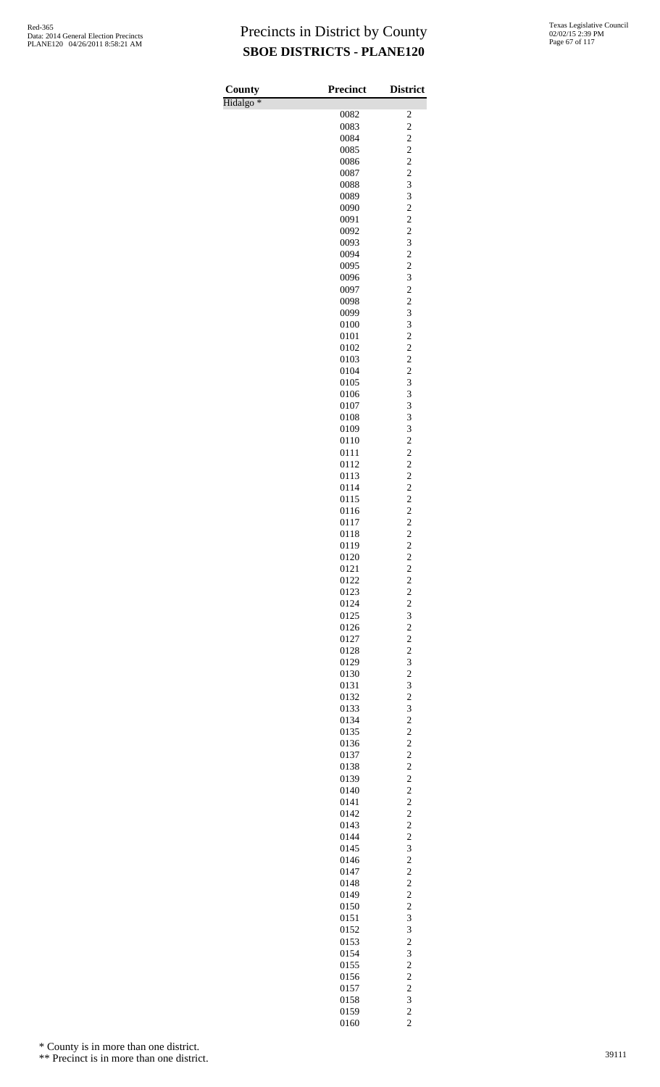| County               | <b>Precinct</b> | <b>District</b>                                    |
|----------------------|-----------------|----------------------------------------------------|
| Hidalgo <sup>*</sup> |                 |                                                    |
|                      | 0082            | $\overline{\mathbf{c}}$                            |
|                      | 0083            | $\overline{\mathbf{c}}$                            |
|                      | 0084            | $\overline{c}$                                     |
|                      | 0085<br>0086    | $\overline{\mathbf{c}}$<br>$\overline{c}$          |
|                      | 0087            | $\overline{c}$                                     |
|                      | 0088            | 3                                                  |
|                      | 0089            | 3                                                  |
|                      | 0090            | $\overline{\mathbf{c}}$                            |
|                      | 0091            | $\overline{c}$                                     |
|                      | 0092            | $\overline{c}$                                     |
|                      | 0093            | 3                                                  |
|                      | 0094<br>0095    | $\overline{\mathbf{c}}$<br>$\overline{\mathbf{c}}$ |
|                      | 0096            | $\overline{\mathbf{3}}$                            |
|                      | 0097            | $\overline{c}$                                     |
|                      | 0098            | $\overline{\mathbf{c}}$                            |
|                      | 0099            | 3                                                  |
|                      | 0100            | 3                                                  |
|                      | 0101            | $\overline{c}$                                     |
|                      | 0102            | $\overline{c}$                                     |
|                      | 0103            | $\overline{\mathbf{c}}$                            |
|                      | 0104<br>0105    | $\overline{c}$<br>3                                |
|                      | 0106            | 3                                                  |
|                      | 0107            | 3                                                  |
|                      | 0108            | 3                                                  |
|                      | 0109            | 3                                                  |
|                      | 0110            | $\overline{c}$                                     |
|                      | 0111            | $\overline{c}$                                     |
|                      | 0112<br>0113    | $\overline{c}$                                     |
|                      | 0114            | $\overline{\mathbf{c}}$<br>$\overline{\mathbf{c}}$ |
|                      | 0115            |                                                    |
|                      | 0116            | $\frac{2}{2}$                                      |
|                      | 0117            |                                                    |
|                      | 0118            | $\begin{array}{c} 2 \\ 2 \\ 2 \end{array}$         |
|                      | 0119            |                                                    |
|                      | 0120            | $\overline{\mathbf{c}}$                            |
|                      | 0121            | $\begin{array}{c}\n2 \\ 2 \\ 2 \\ 3\n\end{array}$  |
|                      | 0122<br>0123    |                                                    |
|                      | 0124            |                                                    |
|                      | 0125            |                                                    |
|                      | 0126            | $\overline{c}$                                     |
|                      | 0127            | $\overline{\mathbf{c}}$                            |
|                      | 0128            | $\overline{\mathbf{c}}$                            |
|                      | 0129            | $\overline{\mathbf{3}}$                            |
|                      | 0130<br>0131    | $\frac{2}{3}$                                      |
|                      | 0132            |                                                    |
|                      | 0133            | $\begin{array}{c}\n23 \\ 22 \\ 2\n\end{array}$     |
|                      | 0134            |                                                    |
|                      | 0135            |                                                    |
|                      | 0136            |                                                    |
|                      | 0137            | $222222222$<br>$22232$                             |
|                      | 0138            |                                                    |
|                      | 0139<br>0140    |                                                    |
|                      | 0141            |                                                    |
|                      | 0142            |                                                    |
|                      | 0143            |                                                    |
|                      | 0144            |                                                    |
|                      | 0145            |                                                    |
|                      | 0146            |                                                    |
|                      | 0147            |                                                    |
|                      | 0148<br>0149    | $\begin{array}{c}\n2 \\ 2 \\ 2 \\ 3\n\end{array}$  |
|                      | 0150            |                                                    |
|                      | 0151            |                                                    |
|                      | 0152            | 3                                                  |
|                      | 0153            | $\overline{\mathbf{c}}$                            |
|                      | 0154            | 3                                                  |
|                      | 0155            | $\frac{2}{2}$                                      |
|                      | 0156            |                                                    |
|                      | 0157            |                                                    |
|                      | 0158<br>0159    |                                                    |
|                      | 0160            | $\begin{array}{c} 2 \\ 3 \\ 2 \end{array}$         |

\* County is in more than one district.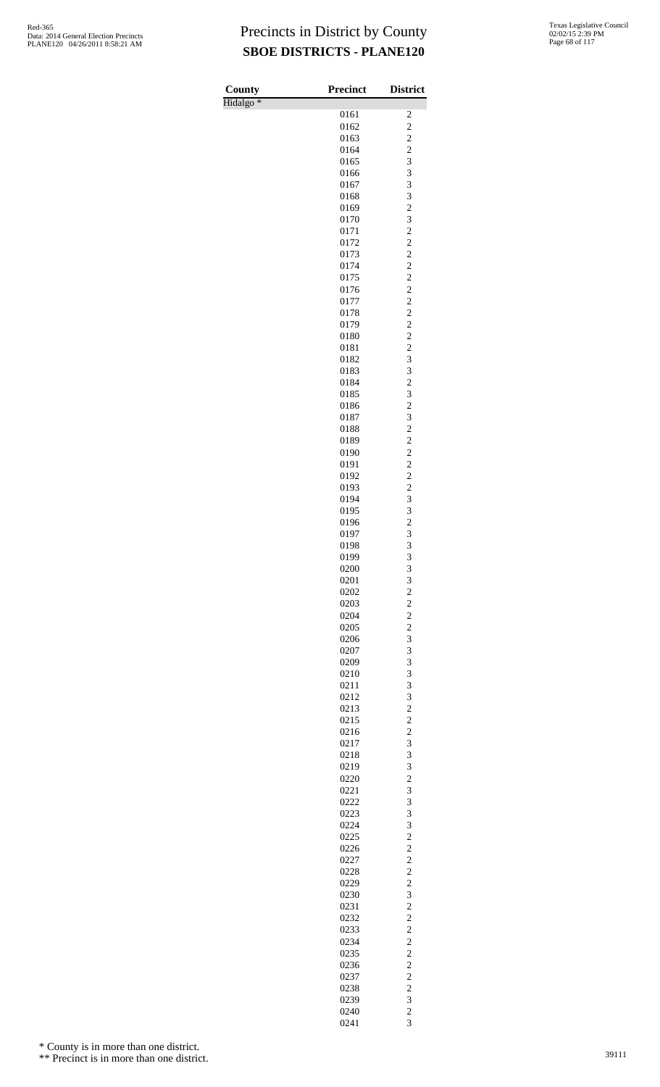| County               | <b>Precinct</b> | <b>District</b>                  |
|----------------------|-----------------|----------------------------------|
| Hidalgo <sup>*</sup> |                 |                                  |
|                      | 0161<br>0162    | 2<br>$\overline{c}$              |
|                      | 0163            |                                  |
|                      | 0164            | $\frac{2}{3}$                    |
|                      | 0165            |                                  |
|                      | 0166<br>0167    | 3<br>3                           |
|                      | 0168            |                                  |
|                      | 0169            | $\frac{3}{2}$                    |
|                      | 0170            | 3                                |
|                      | 0171<br>0172    | $\overline{c}$<br>$\overline{c}$ |
|                      | 0173            |                                  |
|                      | 0174            | $\frac{2}{2}$                    |
|                      | 0175            | $\overline{c}$                   |
|                      | 0176<br>0177    | $\overline{c}$<br>$\overline{c}$ |
|                      | 0178            |                                  |
|                      | 0179            | $\frac{2}{2}$                    |
|                      | 0180            | $\overline{c}$                   |
|                      | 0181            | $\overline{c}$                   |
|                      | 0182<br>0183    | 3                                |
|                      | 0184            | $\frac{3}{2}$                    |
|                      | 0185            | 3                                |
|                      | 0186            | $\overline{c}$                   |
|                      | 0187<br>0188    | 3                                |
|                      | 0189            | $\frac{2}{2}$                    |
|                      | 0190            | $\overline{c}$                   |
|                      | 0191            | $\overline{c}$                   |
|                      | 0192            | $\overline{c}$                   |
|                      | 0193<br>0194    | $\frac{2}{3}$                    |
|                      | 0195            | 3                                |
|                      | 0196            | $\overline{c}$                   |
|                      | 0197            | 3<br>3                           |
|                      | 0198<br>0199    | 3                                |
|                      | 0200            | 3                                |
|                      | 0201            | 3                                |
|                      | 0202            | $\overline{c}$                   |
|                      | 0203<br>0204    | $\frac{2}{2}$                    |
|                      | 0205            | $\overline{\mathbf{c}}$          |
|                      | 0206            | 3                                |
|                      | 0207            | 3                                |
|                      | 0209<br>0210    | 3<br>3                           |
|                      | 0211            | 3                                |
|                      | 0212            | 3                                |
|                      | 0213            | $\overline{c}$                   |
|                      | 0215<br>0216    | $\frac{2}{2}$                    |
|                      | 0217            | 3                                |
|                      | 0218            | 3                                |
|                      | 0219            | 3                                |
|                      | 0220            | $\frac{2}{3}$                    |
|                      | 0221<br>0222    | 3                                |
|                      | 0223            | 3                                |
|                      | 0224            | 3                                |
|                      | 0225<br>0226    | $\frac{2}{2}$                    |
|                      | 0227            | $\overline{\mathbf{c}}$          |
|                      | 0228            | $\overline{c}$                   |
|                      | 0229            | $\overline{c}$                   |
|                      | 0230            | 3                                |
|                      | 0231<br>0232    | $\overline{c}$<br>$\overline{c}$ |
|                      | 0233            | $\overline{c}$                   |
|                      | 0234            | $\overline{c}$                   |
|                      | 0235            | $\frac{2}{2}$                    |
|                      | 0236<br>0237    | $\overline{c}$                   |
|                      | 0238            | $\overline{c}$                   |
|                      | 0239            | 3                                |
|                      | 0240            | $\frac{2}{3}$                    |
|                      | 0241            |                                  |

\* County is in more than one district.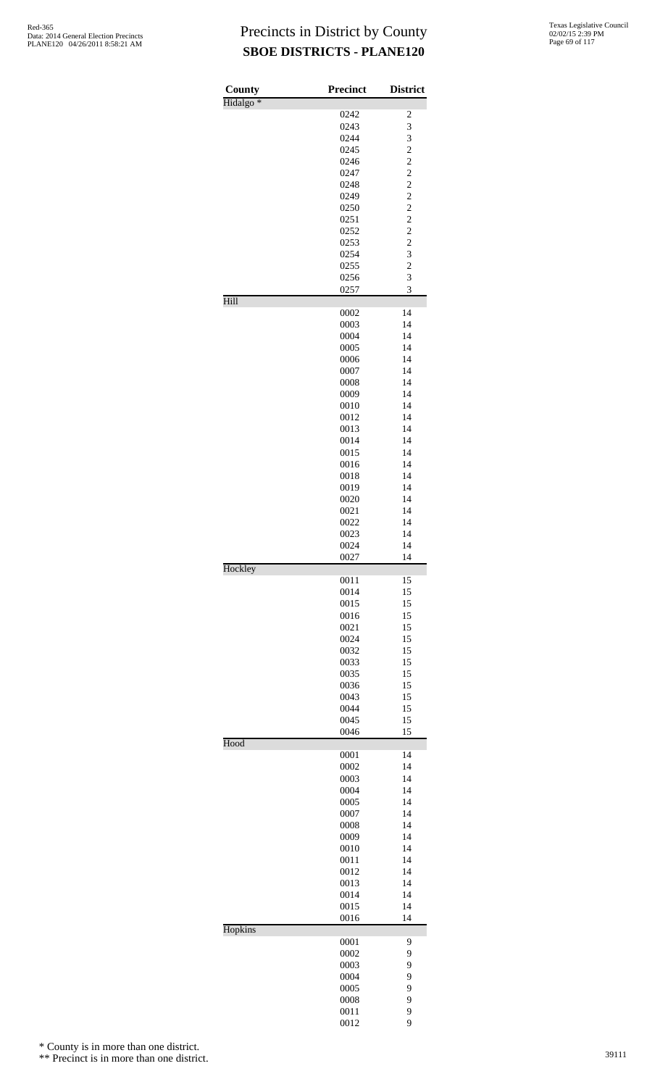| County               | <b>Precinct</b> | <b>District</b>                  |
|----------------------|-----------------|----------------------------------|
| Hidalgo <sup>*</sup> |                 |                                  |
|                      | 0242            | $\overline{\mathbf{c}}$          |
|                      | 0243            | 3                                |
|                      | 0244            | 3                                |
|                      | 0245<br>0246    | $\overline{c}$<br>$\overline{c}$ |
|                      | 0247            | $\overline{c}$                   |
|                      | 0248            | $\overline{c}$                   |
|                      | 0249            | $\overline{c}$                   |
|                      | 0250            | $\overline{c}$                   |
|                      | 0251            | $\overline{c}$                   |
|                      | 0252            | $\overline{c}$                   |
|                      | 0253            | $\overline{\mathbf{c}}$          |
|                      | 0254            | $\overline{\mathbf{3}}$          |
|                      | 0255            | $\overline{c}$                   |
|                      | 0256            | 3                                |
|                      | 0257            | 3                                |
| Hill                 |                 | 14                               |
|                      | 0002<br>0003    | 14                               |
|                      | 0004            | 14                               |
|                      | 0005            | 14                               |
|                      | 0006            | 14                               |
|                      | 0007            | 14                               |
|                      | 0008            | 14                               |
|                      | 0009            | 14                               |
|                      | 0010            | 14                               |
|                      | 0012            | 14                               |
|                      | 0013            | 14                               |
|                      | 0014            | 14                               |
|                      | 0015<br>0016    | 14<br>14                         |
|                      | 0018            | 14                               |
|                      | 0019            | 14                               |
|                      | 0020            | 14                               |
|                      | 0021            | 14                               |
|                      | 0022            | 14                               |
|                      | 0023            | 14                               |
|                      | 0024            | 14                               |
|                      | 0027            | 14                               |
| Hockley              |                 |                                  |
|                      | 0011            | 15                               |
|                      | 0014<br>0015    | 15<br>15                         |
|                      | 0016            | 15                               |
|                      | 0021            | 15                               |
|                      | 0024            | 15                               |
|                      | 0032            | 15                               |
|                      | 0033            | 15                               |
|                      | 0035            | 15                               |
|                      | 0036            | 15                               |
|                      | 0043            | 15                               |
|                      | 0044            | 15                               |
|                      | 0045<br>0046    | 15<br>15                         |
| Hood                 |                 |                                  |
|                      | 0001            | 14                               |
|                      | 0002            | 14                               |
|                      | 0003            | 14                               |
|                      | 0004            | 14                               |
|                      | 0005            | 14                               |
|                      | 0007            | 14                               |
|                      | 0008            | 14                               |
|                      | 0009<br>0010    | 14<br>14                         |
|                      | 0011            | 14                               |
|                      | 0012            | 14                               |
|                      | 0013            | 14                               |
|                      | 0014            | 14                               |
|                      | 0015            | 14                               |
|                      | 0016            | 14                               |
| Hopkins              |                 |                                  |
|                      | 0001            | 9                                |
|                      | 0002            | 9                                |
|                      | 0003            | 9<br>9                           |
|                      | 0004<br>0005    | 9                                |
|                      | 0008            | 9                                |
|                      | 0011            | 9                                |
|                      | 0012            | 9                                |

\* County is in more than one district.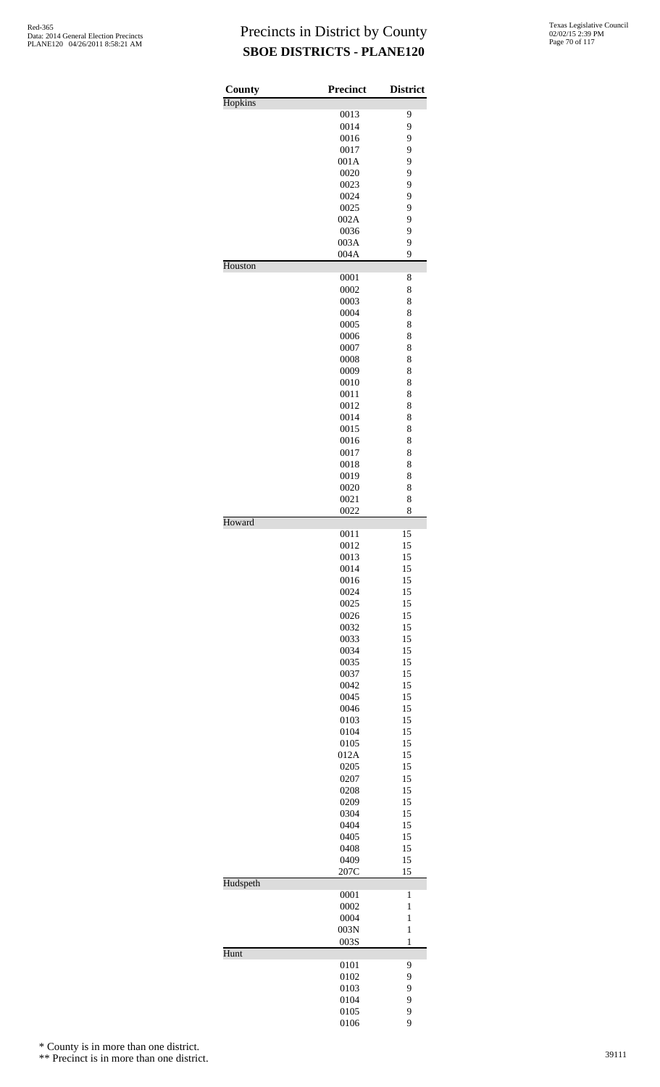| County   | <b>Precinct</b> | <b>District</b>              |
|----------|-----------------|------------------------------|
| Hopkins  |                 |                              |
|          | 0013            | 9                            |
|          | 0014<br>0016    | 9<br>9                       |
|          | 0017            | 9                            |
|          | 001A            | 9                            |
|          | 0020            | 9                            |
|          | 0023            | 9                            |
|          | 0024            | 9                            |
|          | 0025            | 9                            |
|          | 002A            | 9                            |
|          | 0036<br>003A    | 9<br>9                       |
|          | 004A            | 9                            |
| Houston  |                 |                              |
|          | 0001            | 8                            |
|          | 0002            | 8                            |
|          | 0003            | 8                            |
|          | 0004            | 8                            |
|          | 0005            | 8<br>8                       |
|          | 0006<br>0007    | 8                            |
|          | 0008            | 8                            |
|          | 0009            | 8                            |
|          | 0010            | 8                            |
|          | 0011            | 8                            |
|          | 0012            | 8                            |
|          | 0014            | 8                            |
|          | 0015<br>0016    | 8<br>8                       |
|          | 0017            | 8                            |
|          | 0018            | 8                            |
|          | 0019            | 8                            |
|          | 0020            | 8                            |
|          | 0021            | 8                            |
|          | 0022            | 8                            |
| Howard   | 0011            | 15                           |
|          | 0012            | 15                           |
|          | 0013            | 15                           |
|          | 0014            | 15                           |
|          | 0016            | 15                           |
|          | 0024            | 15                           |
|          | 0025            | 15                           |
|          | 0026            | 15<br>15                     |
|          | 0032<br>0033    | 15                           |
|          | 0034            | 15                           |
|          | 0035            | 15                           |
|          | 0037            | 15                           |
|          | 0042            | 15                           |
|          | 0045            | 15                           |
|          | 0046            | 15                           |
|          | 0103            | 15                           |
|          | 0104<br>0105    | 15<br>15                     |
|          | 012A            | 15                           |
|          | 0205            | 15                           |
|          | 0207            | 15                           |
|          | 0208            | 15                           |
|          | 0209            | 15                           |
|          | 0304            | 15                           |
|          | 0404            | 15                           |
|          | 0405<br>0408    | 15<br>15                     |
|          | 0409            | 15                           |
|          | 207C            | 15                           |
| Hudspeth |                 |                              |
|          | 0001            | $\mathbf{1}$                 |
|          | 0002            | $\mathbf{1}$                 |
|          | 0004            | $\mathbf{1}$                 |
|          | 003N<br>003S    | $\mathbf{1}$<br>$\mathbf{1}$ |
| Hunt     |                 |                              |
|          | 0101            | $\overline{9}$               |
|          | 0102            | 9                            |
|          | 0103            | 9                            |
|          | 0104            | 9                            |
|          | 0105<br>0106    | 9<br>9                       |
|          |                 |                              |

\* County is in more than one district.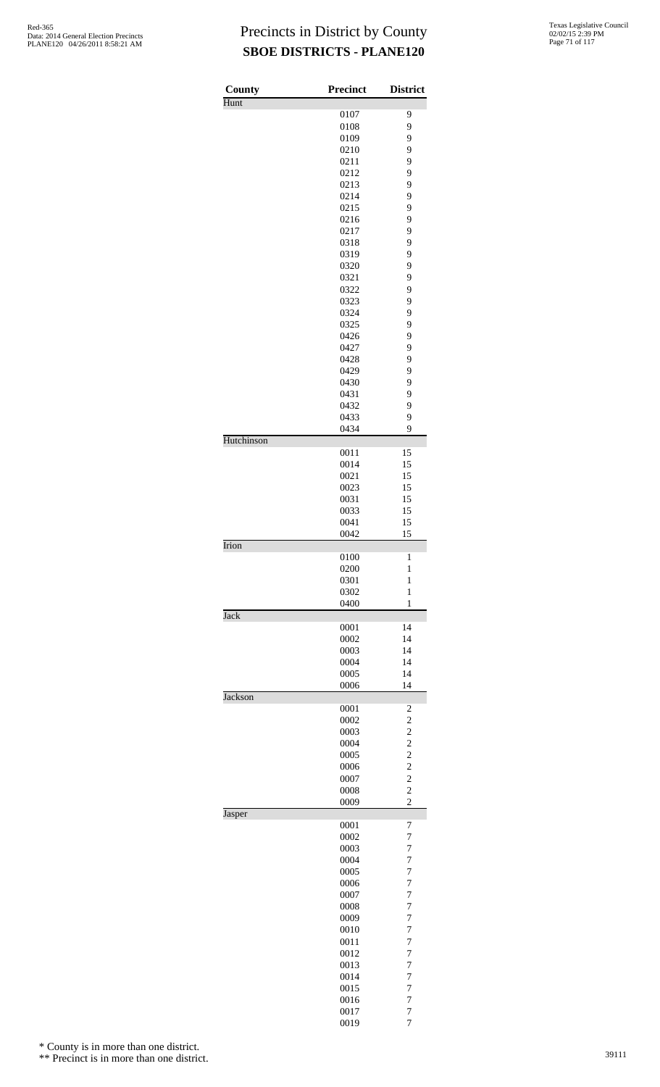| County     | <b>Precinct</b> | <b>District</b>                            |
|------------|-----------------|--------------------------------------------|
| Hunt       | 0107            | 9                                          |
|            | 0108            | 9                                          |
|            | 0109            | 9                                          |
|            | 0210            | 9                                          |
|            | 0211            | 9                                          |
|            | 0212            | 9                                          |
|            | 0213            | 9                                          |
|            | 0214<br>0215    | 9<br>9                                     |
|            | 0216            | 9                                          |
|            | 0217            | 9                                          |
|            | 0318            | 9                                          |
|            | 0319            | 9                                          |
|            | 0320            | 9                                          |
|            | 0321<br>0322    | 9<br>9                                     |
|            | 0323            | 9                                          |
|            | 0324            | 9                                          |
|            | 0325            | 9                                          |
|            | 0426            | 9                                          |
|            | 0427            | 9                                          |
|            | 0428            | 9                                          |
|            | 0429<br>0430    | 9<br>9                                     |
|            | 0431            | 9                                          |
|            | 0432            | 9                                          |
|            | 0433            | 9                                          |
|            | 0434            | 9                                          |
| Hutchinson |                 |                                            |
|            | 0011<br>0014    | 15<br>15                                   |
|            | 0021            | 15                                         |
|            | 0023            | 15                                         |
|            | 0031            | 15                                         |
|            | 0033            | 15                                         |
|            | 0041            | 15                                         |
| Irion      | 0042            | 15                                         |
|            | 0100            | 1                                          |
|            | 0200            | $\mathbf{1}$                               |
|            | 0301            | $\mathbf{1}$                               |
|            | 0302            | $\mathbf{1}$                               |
| Jack       | 0400            | 1                                          |
|            | 0001            | 14                                         |
|            | 0002            | 14                                         |
|            | 0003            | 14                                         |
|            | 0004            | 14                                         |
|            | 0005            | 14                                         |
| Jackson    | 0006            | 14                                         |
|            | 0001            | $\overline{\mathbf{c}}$                    |
|            | 0002            | $\overline{\mathbf{c}}$                    |
|            | 0003            | $\frac{2}{2}$                              |
|            | 0004            |                                            |
|            | 0005<br>0006    | $\overline{c}$                             |
|            | 0007            | $\begin{array}{c} 2 \\ 2 \\ 2 \end{array}$ |
|            | 0008            |                                            |
|            | 0009            | $\overline{c}$                             |
| Jasper     |                 |                                            |
|            | 0001<br>0002    | 7<br>$\overline{7}$                        |
|            | 0003            | 7                                          |
|            | 0004            | $\overline{7}$                             |
|            | 0005            | $\overline{7}$                             |
|            | 0006            | $\overline{7}$                             |
|            | 0007            | $\overline{7}$                             |
|            | 0008            | 7                                          |
|            | 0009<br>0010    | $\overline{7}$<br>$\overline{7}$           |
|            | 0011            | $\overline{7}$                             |
|            | 0012            | $\overline{7}$                             |
|            | 0013            | 7                                          |
|            | 0014            | $\overline{7}$                             |
|            | 0015            | $\overline{7}$                             |
|            | 0016<br>0017    | $\overline{7}$<br>$\overline{7}$           |
|            | 0019            | 7                                          |

\* County is in more than one district.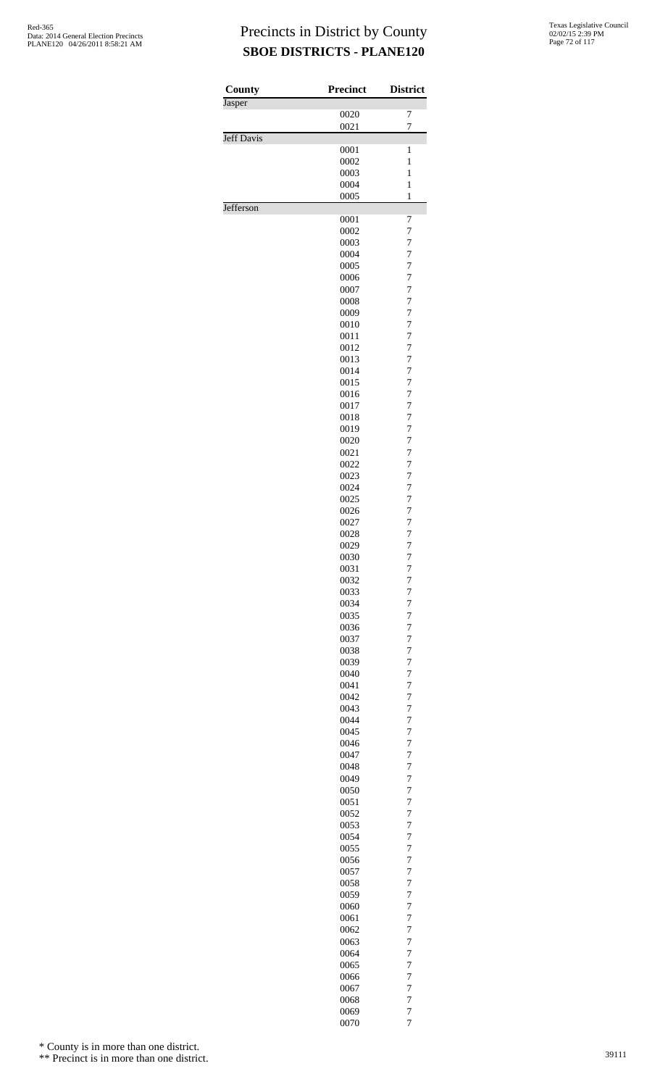| County            | <b>Precinct</b> | <b>District</b>                  |
|-------------------|-----------------|----------------------------------|
| Jasper            |                 |                                  |
|                   | 0020<br>0021    | 7<br>$\overline{7}$              |
| <b>Jeff Davis</b> |                 |                                  |
|                   | 0001            | $\mathbf{1}$                     |
|                   | 0002            | $\mathbf{1}$<br>$\mathbf{1}$     |
|                   | 0003<br>0004    | $\mathbf{1}$                     |
|                   | 0005            | $\mathbf{1}$                     |
| Jefferson         |                 |                                  |
|                   | 0001            | 7                                |
|                   | 0002<br>0003    | 7<br>$\overline{7}$              |
|                   | 0004            | 7                                |
|                   | 0005            | $\overline{7}$                   |
|                   | 0006            | 7                                |
|                   | 0007            | 7<br>$\overline{7}$              |
|                   | 0008<br>0009    | $\overline{7}$                   |
|                   | 0010            | $\overline{7}$                   |
|                   | 0011            | 7                                |
|                   | 0012            | 7                                |
|                   | 0013            | $\overline{7}$                   |
|                   | 0014<br>0015    | 7<br>$\overline{7}$              |
|                   | 0016            | 7                                |
|                   | 0017            | 7                                |
|                   | 0018            | $\overline{7}$                   |
|                   | 0019<br>0020    | $\overline{7}$<br>$\overline{7}$ |
|                   | 0021            | 7                                |
|                   | 0022            | 7                                |
|                   | 0023            | $\overline{7}$                   |
|                   | 0024            | 7                                |
|                   | 0025            | $\overline{7}$<br>7              |
|                   | 0026<br>0027    | 7                                |
|                   | 0028            | $\overline{7}$                   |
|                   | 0029            | $\overline{7}$                   |
|                   | 0030            | 7                                |
|                   | 0031            | 7                                |
|                   | 0032<br>0033    | 7<br>$\overline{7}$              |
|                   | 0034            | 7                                |
|                   | 0035            | $\overline{7}$                   |
|                   | 0036            | 7                                |
|                   | 0037<br>0038    | 7<br>$\overline{7}$              |
|                   | 0039            | 7                                |
|                   | 0040            | $\overline{7}$                   |
|                   | 0041            | 7                                |
|                   | 0042            | 7                                |
|                   | 0043            | $\overline{7}$                   |
|                   | 0044<br>0045    | 7<br>$\overline{7}$              |
|                   | 0046            | 7                                |
|                   | 0047            | 7                                |
|                   | 0048            | $\overline{7}$                   |
|                   | 0049<br>0050    | 7<br>$\overline{7}$              |
|                   | 0051            | 7                                |
|                   | 0052            | 7                                |
|                   | 0053            | $\overline{7}$                   |
|                   | 0054            | 7                                |
|                   | 0055<br>0056    | $\overline{7}$<br>7              |
|                   | 0057            | 7                                |
|                   | 0058            | $\overline{7}$                   |
|                   | 0059            | 7                                |
|                   | 0060            | $\overline{7}$                   |
|                   | 0061<br>0062    | 7<br>7                           |
|                   | 0063            | $\overline{7}$                   |
|                   | 0064            | 7                                |
|                   | 0065            | $\overline{7}$                   |
|                   | 0066            | 7                                |
|                   | 0067            | 7<br>$\overline{7}$              |
|                   | 0068<br>0069    | $\overline{7}$                   |
|                   | 0070            | $\overline{7}$                   |

\* County is in more than one district.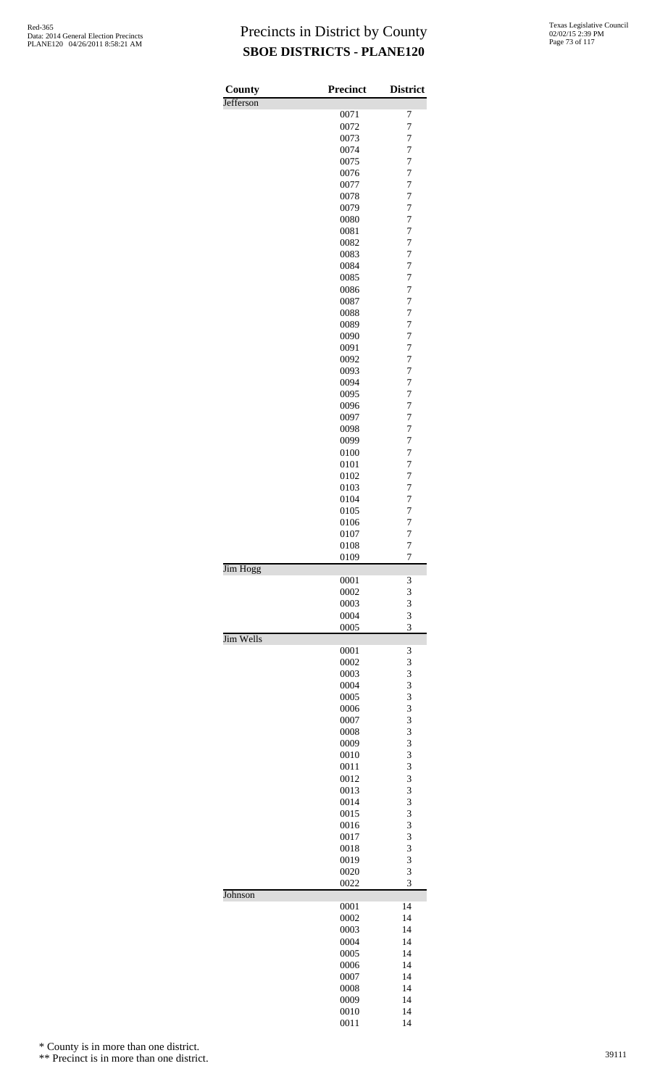| County    | <b>Precinct</b> | <b>District</b>                  |
|-----------|-----------------|----------------------------------|
| Jefferson |                 | 7                                |
|           | 0071<br>0072    | 7                                |
|           | 0073            | $\overline{7}$                   |
|           | 0074            | $\overline{7}$                   |
|           | 0075            | 7                                |
|           | 0076            | $\overline{7}$                   |
|           | 0077            | 7<br>7                           |
|           | 0078<br>0079    | $\overline{7}$                   |
|           | 0080            | 7                                |
|           | 0081            | $\overline{7}$                   |
|           | 0082            | 7                                |
|           | 0083            | $\overline{7}$                   |
|           | 0084<br>0085    | 7<br>7                           |
|           | 0086            | $\overline{7}$                   |
|           | 0087            | 7                                |
|           | 0088            | $\overline{7}$                   |
|           | 0089            | $\overline{7}$                   |
|           | 0090            | 7                                |
|           | 0091<br>0092    | $\overline{7}$<br>7              |
|           | 0093            | $\overline{7}$                   |
|           | 0094            | $\overline{7}$                   |
|           | 0095            | 7                                |
|           | 0096            | $\overline{7}$                   |
|           | 0097<br>0098    | 7<br>$\overline{7}$              |
|           | 0099            | $\overline{7}$                   |
|           | 0100            | 7                                |
|           | 0101            | $\overline{7}$                   |
|           | 0102            | 7                                |
|           | 0103            | $\overline{7}$                   |
|           | 0104<br>0105    | $\overline{7}$<br>$\overline{7}$ |
|           | 0106            | $\overline{7}$                   |
|           | 0107            | 7                                |
|           | 0108            | $\overline{7}$                   |
| Jim Hogg  | 0109            | $\overline{7}$                   |
|           | 0001            | 3                                |
|           | 0002            | 3                                |
|           | 0003<br>0004    | 3<br>3                           |
|           | 0005            | 3                                |
| Jim Wells |                 |                                  |
|           | 0001            | 3                                |
|           | 0002<br>0003    | 3<br>3                           |
|           | 0004            | 3                                |
|           | 0005            | 3                                |
|           | 0006            | 3                                |
|           | 0007            | 3                                |
|           | 0008<br>0009    | 3<br>3                           |
|           | 0010            | 3                                |
|           | 0011            | 3                                |
|           | 0012            | 3                                |
|           | 0013            | 3                                |
|           | 0014            | 3                                |
|           | 0015<br>0016    | 3<br>3                           |
|           | 0017            | 3                                |
|           | 0018            | 3                                |
|           | 0019            | 3                                |
|           | 0020            | 3                                |
| Johnson   | 0022            | 3                                |
|           | 0001            | 14                               |
|           | 0002<br>0003    | 14<br>14                         |
|           | 0004            | 14                               |
|           | 0005            | 14                               |
|           | 0006            | 14                               |
|           | 0007            | 14                               |
|           | 0008            | 14                               |
|           | 0009<br>0010    | 14<br>14                         |
|           | 0011            | 14                               |

\* County is in more than one district.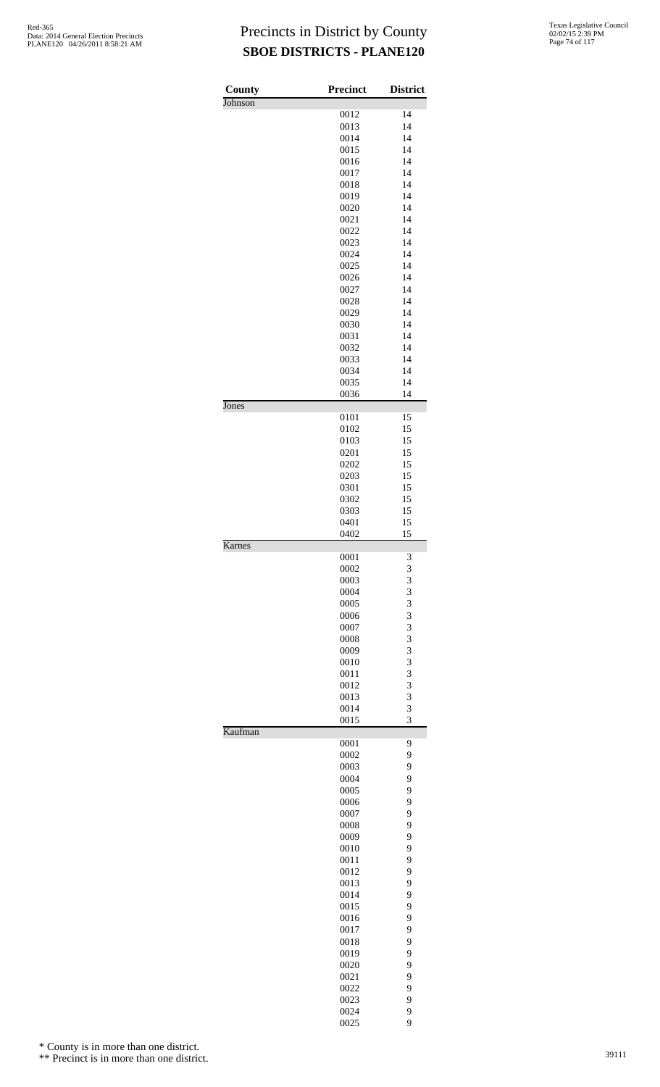| County  | <b>Precinct</b> | <b>District</b> |
|---------|-----------------|-----------------|
| Johnson |                 |                 |
|         | 0012            | 14              |
|         | 0013<br>0014    | 14<br>14        |
|         | 0015            | 14              |
|         | 0016            | 14              |
|         | 0017            | 14              |
|         | 0018            | 14              |
|         | 0019            | 14              |
|         | 0020            | 14              |
|         | 0021            | 14              |
|         | 0022            | 14              |
|         | 0023<br>0024    | 14<br>14        |
|         | 0025            | 14              |
|         | 0026            | 14              |
|         | 0027            | 14              |
|         | 0028            | 14              |
|         | 0029            | 14              |
|         | 0030            | 14              |
|         | 0031<br>0032    | 14<br>14        |
|         | 0033            | 14              |
|         | 0034            | 14              |
|         | 0035            | 14              |
|         | 0036            | 14              |
| Jones   |                 |                 |
|         | 0101<br>0102    | 15<br>15        |
|         | 0103            | 15              |
|         | 0201            | 15              |
|         | 0202            | 15              |
|         | 0203            | 15              |
|         | 0301            | 15              |
|         | 0302            | 15              |
|         | 0303<br>0401    | 15<br>15        |
|         | 0402            | 15              |
| Karnes  |                 |                 |
|         | 0001            | 3               |
|         | 0002            | 3               |
|         | 0003<br>0004    | 3<br>3          |
|         | 0005            | 3               |
|         | 0006            | 3               |
|         | 0007            | 3               |
|         | 0008            | 3               |
|         | 0009            | 3               |
|         | 0010            | 3               |
|         | 0011<br>0012    | 3<br>3          |
|         | 0013            | 3               |
|         | 0014            | 3               |
|         | 0015            | 3               |
| Kaufman |                 |                 |
|         | 0001            | 9<br>9          |
|         | 0002<br>0003    | 9               |
|         | 0004            | 9               |
|         | 0005            | 9               |
|         | 0006            | 9               |
|         | 0007            | 9               |
|         | 0008            | 9               |
|         | 0009            | 9<br>9          |
|         | 0010<br>0011    | 9               |
|         | 0012            | 9               |
|         | 0013            | 9               |
|         | 0014            | 9               |
|         | 0015            | 9               |
|         | 0016            | 9               |
|         | 0017            | 9               |
|         | 0018<br>0019    | 9<br>9          |
|         | 0020            | 9               |
|         | 0021            | 9               |
|         | 0022            | 9               |
|         | 0023            | 9               |
|         | 0024            | 9               |
|         | 0025            | 9               |

\* County is in more than one district.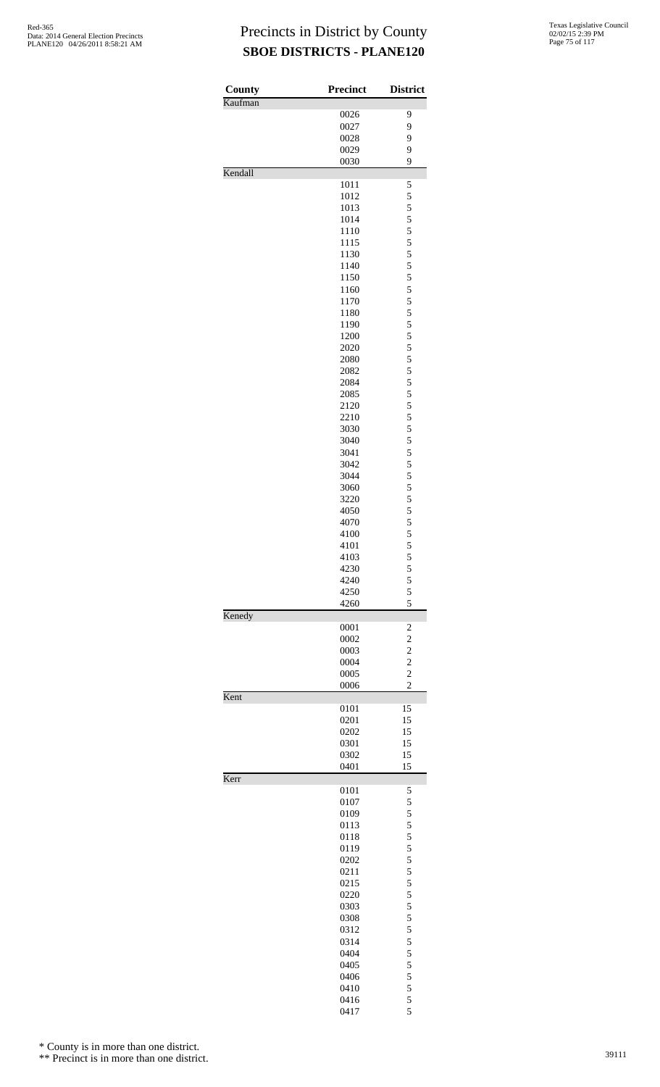| County<br>Kaufman | <b>Precinct</b> | <b>District</b>                           |
|-------------------|-----------------|-------------------------------------------|
|                   | 0026            | 9                                         |
|                   | 0027            | 9                                         |
|                   | 0028            | 9                                         |
|                   | 0029            | 9                                         |
| Kendall           | 0030            | 9                                         |
|                   | 1011            | 5                                         |
|                   | 1012            | 5                                         |
|                   | 1013            | 5                                         |
|                   | 1014            | 5                                         |
|                   | 1110            | 5<br>5                                    |
|                   | 1115<br>1130    | 5                                         |
|                   | 1140            | 5                                         |
|                   | 1150            | 5                                         |
|                   | 1160            | 5                                         |
|                   | 1170            | 5                                         |
|                   | 1180            | 5                                         |
|                   | 1190            | 5                                         |
|                   | 1200<br>2020    | 5<br>5                                    |
|                   | 2080            | 5                                         |
|                   | 2082            | 5                                         |
|                   | 2084            | 5                                         |
|                   | 2085            | 5                                         |
|                   | 2120            | 5                                         |
|                   | 2210            | 5                                         |
|                   | 3030<br>3040    | 5<br>5                                    |
|                   | 3041            | 5                                         |
|                   | 3042            | 5                                         |
|                   | 3044            | 5                                         |
|                   | 3060            | 5                                         |
|                   | 3220            | 5                                         |
|                   | 4050            | 5                                         |
|                   | 4070<br>4100    | 5<br>5                                    |
|                   | 4101            | 5                                         |
|                   | 4103            | 5                                         |
|                   | 4230            |                                           |
|                   | 4240            | $\frac{5}{5}$                             |
|                   | 4250<br>4260    | 5<br>5                                    |
| Kenedy            |                 |                                           |
|                   | 0001            | $\overline{c}$                            |
|                   | 0002<br>0003    | $\overline{\mathbf{c}}$                   |
|                   | 0004            | $\overline{\mathbf{c}}$<br>$\overline{c}$ |
|                   | 0005            | $\overline{c}$                            |
|                   | 0006            | $\overline{c}$                            |
| Kent              | 0101            | 15                                        |
|                   | 0201            | 15                                        |
|                   | 0202            | 15                                        |
|                   | 0301            | 15                                        |
|                   | 0302            | 15                                        |
| Kerr              | 0401            | 15                                        |
|                   | 0101            | 5                                         |
|                   | 0107            | 5                                         |
|                   | 0109<br>0113    | 5                                         |
|                   | 0118            | 5<br>5                                    |
|                   | 0119            | 5                                         |
|                   | 0202            | 5                                         |
|                   | 0211            | 5                                         |
|                   | 0215            | 5                                         |
|                   | 0220            | 5                                         |
|                   | 0303<br>0308    | 5<br>5                                    |
|                   | 0312            | 5                                         |
|                   | 0314            | 5                                         |
|                   | 0404            | 5                                         |
|                   | 0405            | 5                                         |
|                   | 0406            | 5                                         |
|                   | 0410            | 5<br>5                                    |
|                   | 0416            |                                           |

5

\* County is in more than one district.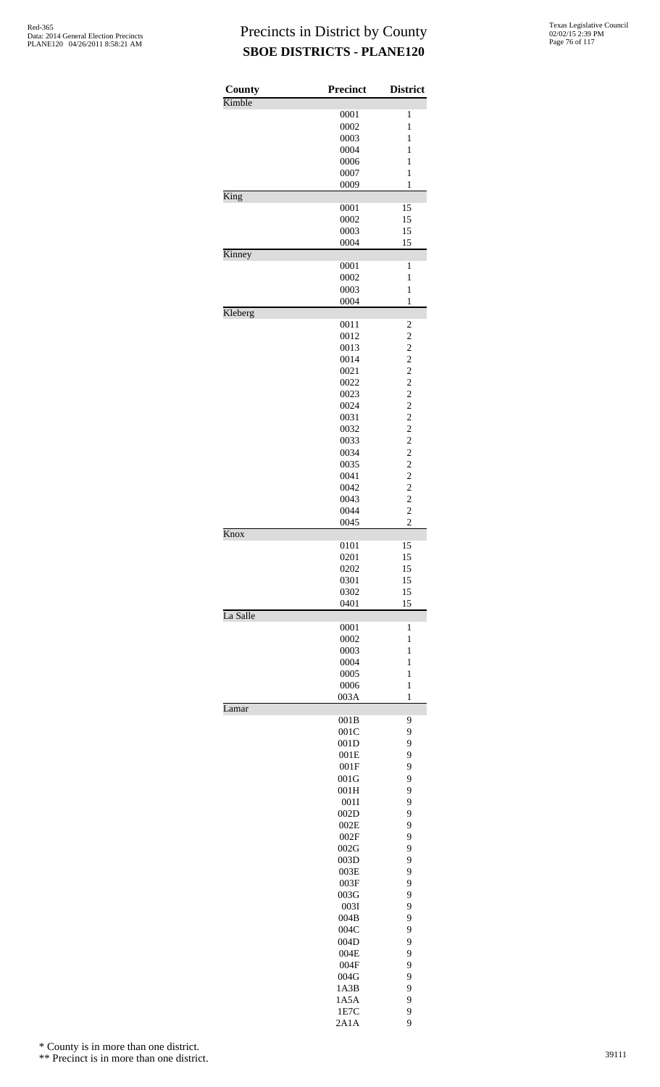| County   | <b>Precinct</b> | <b>District</b>                            |
|----------|-----------------|--------------------------------------------|
| Kimble   |                 |                                            |
|          | 0001            | $\mathbf{1}$<br>$\mathbf{1}$               |
|          | 0002<br>0003    | 1                                          |
|          | 0004            | 1                                          |
|          | 0006            | $\mathbf{1}$                               |
|          | 0007            | $\mathbf{1}$                               |
|          | 0009            | $\mathbf{1}$                               |
| King     |                 |                                            |
|          | 0001            | 15                                         |
|          | 0002            | 15                                         |
|          | 0003            | 15                                         |
| Kinney   | 0004            | 15                                         |
|          | 0001            | 1                                          |
|          | 0002            | $\mathbf{1}$                               |
|          | 0003            | $\mathbf{1}$                               |
|          | 0004            | $\mathbf{1}$                               |
| Kleberg  |                 |                                            |
|          | 0011            | $\overline{c}$                             |
|          | 0012            | $\overline{c}$                             |
|          | 0013            | $\overline{\mathbf{c}}$                    |
|          | 0014<br>0021    | $\overline{\mathbf{c}}$                    |
|          | 0022            |                                            |
|          | 0023            | $\begin{array}{c} 2 \\ 2 \\ 2 \end{array}$ |
|          | 0024            | $\overline{\mathbf{c}}$                    |
|          | 0031            | $\overline{c}$                             |
|          | 0032            | $\begin{array}{c} 2 \\ 2 \\ 2 \end{array}$ |
|          | 0033            |                                            |
|          | 0034            |                                            |
|          | 0035            | $\overline{\mathbf{c}}$                    |
|          | 0041            | $\overline{c}$                             |
|          | 0042            | $\begin{array}{c} 2 \\ 2 \\ 2 \end{array}$ |
|          | 0043<br>0044    |                                            |
|          | 0045            | $\overline{2}$                             |
| Knox     |                 |                                            |
|          | 0101            | 15                                         |
|          | 0201            | 15                                         |
|          | 0202            | 15                                         |
|          | 0301            | 15                                         |
|          | 0302<br>0401    | 15<br>15                                   |
| La Salle |                 |                                            |
|          | 0001            | $\mathbf{1}$                               |
|          | 0002            | $\mathbf{1}$                               |
|          | 0003            | $\mathbf{1}$                               |
|          | 0004            | 1                                          |
|          | 0005            | 1                                          |
|          | 0006            | $\mathbf{1}$                               |
| Lamar    | 003A            | $\mathbf{1}$                               |
|          | 001B            | 9                                          |
|          | 001C            | 9                                          |
|          | 001D            | 9                                          |
|          | 001E            | 9                                          |
|          | 001F            | 9                                          |
|          | 001G            | 9                                          |
|          | 001H            | 9                                          |
|          | 001I<br>002D    | 9<br>9                                     |
|          | 002E            | 9                                          |
|          | 002F            | 9                                          |
|          | 002G            | 9                                          |
|          | 003D            | 9                                          |
|          | 003E            | 9                                          |
|          | 003F            | 9                                          |
|          | 003G            | 9                                          |
|          | 003I            | 9                                          |
|          | 004B            | 9                                          |
|          | 004C            | 9                                          |
|          | 004D<br>004E    | 9<br>9                                     |
|          | 004F            | 9                                          |
|          | 004G            | 9                                          |
|          | 1A3B            | 9                                          |
|          | 1A5A            | 9                                          |
|          | 1E7C            | 9                                          |
|          | 2A1A            | 9                                          |

\* County is in more than one district.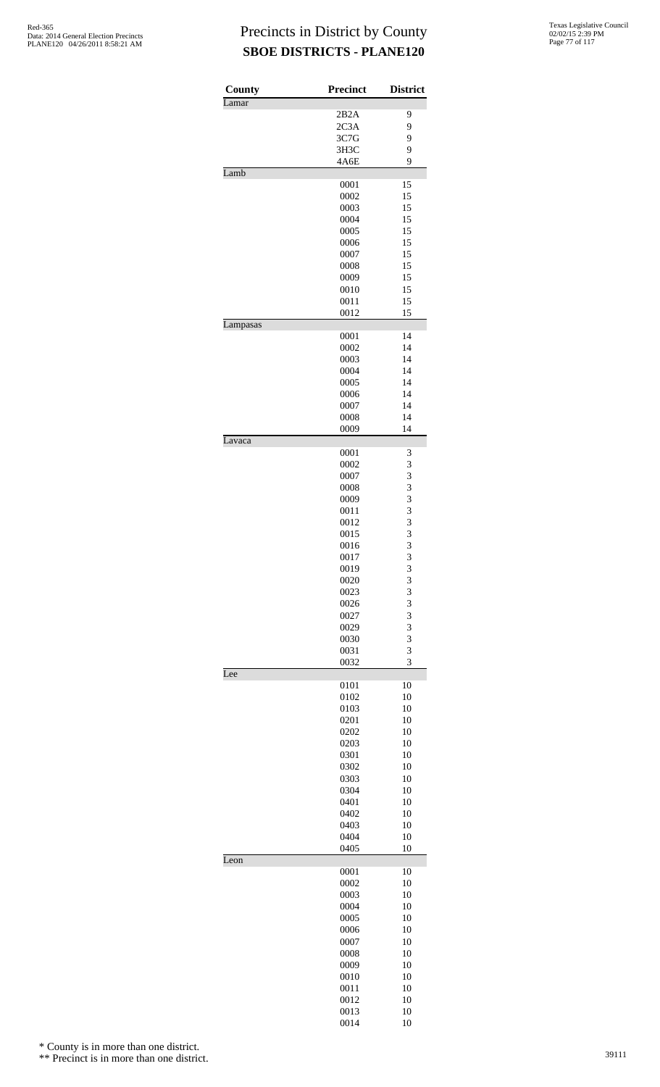| County   | <b>Precinct</b> | <b>District</b> |
|----------|-----------------|-----------------|
| Lamar    | 2B2A            | 9               |
|          | 2C3A            | 9               |
|          | 3C7G            | 9               |
|          | 3H3C            | 9               |
|          | 4A6E            | 9               |
| Lamb     |                 | 15              |
|          | 0001<br>0002    | 15              |
|          | 0003            | 15              |
|          | 0004            | 15              |
|          | 0005            | 15              |
|          | 0006            | 15              |
|          | 0007<br>0008    | 15<br>15        |
|          | 0009            | 15              |
|          | 0010            | 15              |
|          | 0011            | 15              |
|          | 0012            | 15              |
| Lampasas |                 |                 |
|          | 0001<br>0002    | 14<br>14        |
|          | 0003            | 14              |
|          | 0004            | 14              |
|          | 0005            | 14              |
|          | 0006            | 14              |
|          | 0007            | 14              |
|          | 0008            | 14              |
| Lavaca   | 0009            | 14              |
|          | 0001            | 3               |
|          | 0002            | 3               |
|          | 0007            | 3               |
|          | 0008            | 3               |
|          | 0009<br>0011    | 3<br>3          |
|          | 0012            | 3               |
|          | 0015            | 3               |
|          | 0016            | 3               |
|          | 0017            | 3               |
|          | 0019            | 3               |
|          | 0020            | 3               |
|          | 0023<br>0026    | 3<br>3          |
|          | 0027            | 3               |
|          | 0029            | 3               |
|          | 0030            | 3               |
|          | 0031            | 3               |
| Lee      | 0032            | 3               |
|          | 0101            | 10              |
|          | 0102            | 10              |
|          | 0103            | 10              |
|          | 0201            | 10              |
|          | 0202            | 10<br>10        |
|          | 0203<br>0301    | 10              |
|          | 0302            | 10              |
|          | 0303            | 10              |
|          | 0304            | 10              |
|          | 0401            | 10              |
|          | 0402            | 10              |
|          | 0403<br>0404    | 10<br>10        |
|          | 0405            | 10              |
| Leon     |                 |                 |
|          | 0001            | 10              |
|          | 0002            | 10              |
|          | 0003<br>0004    | 10<br>10        |
|          | 0005            | 10              |
|          | 0006            | 10              |
|          | 0007            | 10              |
|          | 0008            | 10              |
|          | 0009            | 10              |
|          | 0010<br>0011    | 10<br>10        |
|          | 0012            | 10              |
|          | 0013            | 10              |
|          | 0014            | 10              |

\* County is in more than one district.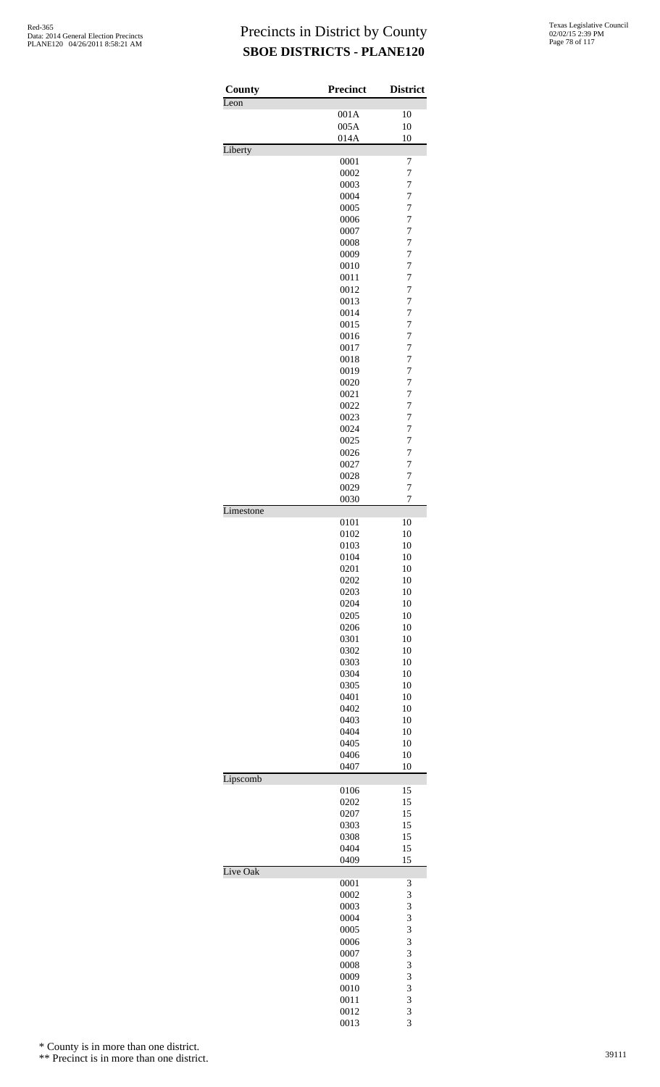| County    | <b>Precinct</b> | <b>District</b>                  |
|-----------|-----------------|----------------------------------|
| Leon      |                 |                                  |
|           | 001A            | 10                               |
|           | 005A<br>014A    | 10<br>10                         |
| Liberty   |                 |                                  |
|           | 0001            | 7                                |
|           | 0002            | 7                                |
|           | 0003            | 7                                |
|           | 0004            | $\overline{7}$                   |
|           | 0005<br>0006    | $\overline{7}$<br>$\overline{7}$ |
|           | 0007            | $\overline{7}$                   |
|           | 0008            | $\overline{7}$                   |
|           | 0009            | $\overline{7}$                   |
|           | 0010            | $\overline{7}$                   |
|           | 0011            | 7                                |
|           | 0012            | 7                                |
|           | 0013            | $\overline{7}$                   |
|           | 0014            | $\overline{7}$                   |
|           | 0015<br>0016    | $\overline{7}$<br>$\overline{7}$ |
|           | 0017            | $\overline{7}$                   |
|           | 0018            | $\overline{7}$                   |
|           | 0019            | $\overline{7}$                   |
|           | 0020            | $\overline{7}$                   |
|           | 0021            | 7                                |
|           | 0022            | $\overline{7}$                   |
|           | 0023            | $\overline{7}$                   |
|           | 0024            | $\overline{7}$                   |
|           | 0025            | $\overline{7}$                   |
|           | 0026            | $\overline{7}$                   |
|           | 0027<br>0028    | $\overline{7}$<br>$\overline{7}$ |
|           | 0029            | 7                                |
|           | 0030            | 7                                |
| Limestone |                 |                                  |
|           | 0101            | 10                               |
|           | 0102            | 10                               |
|           | 0103            | 10                               |
|           | 0104            | 10                               |
|           | 0201<br>0202    | 10<br>10                         |
|           | 0203            | 10                               |
|           | 0204            | 10                               |
|           | 0205            | 10                               |
|           | 0206            | 10                               |
|           | 0301            | 10                               |
|           | 0302            | 10                               |
|           | 0303            | 10                               |
|           | 0304            | 10                               |
|           | 0305            | 10                               |
|           | 0401<br>0402    | 10<br>10                         |
|           | 0403            | 10                               |
|           | 0404            | 10                               |
|           | 0405            | 10                               |
|           | 0406            | 10                               |
|           | 0407            | 10                               |
| Lipscomb  |                 |                                  |
|           | 0106<br>0202    | 15<br>15                         |
|           | 0207            | 15                               |
|           | 0303            | 15                               |
|           | 0308            | 15                               |
|           | 0404            | 15                               |
|           | 0409            | 15                               |
| Live Oak  |                 |                                  |
|           | 0001            | 3                                |
|           | 0002<br>0003    | 3<br>3                           |
|           | 0004            | 3                                |
|           | 0005            | 3                                |
|           | 0006            | 3                                |
|           | 0007            | 3                                |
|           | 0008            | 3                                |
|           | 0009            | 3                                |
|           | 0010            | 3                                |
|           | 0011            | 3                                |
|           | 0012            | 3<br>3                           |
|           | 0013            |                                  |

\* County is in more than one district.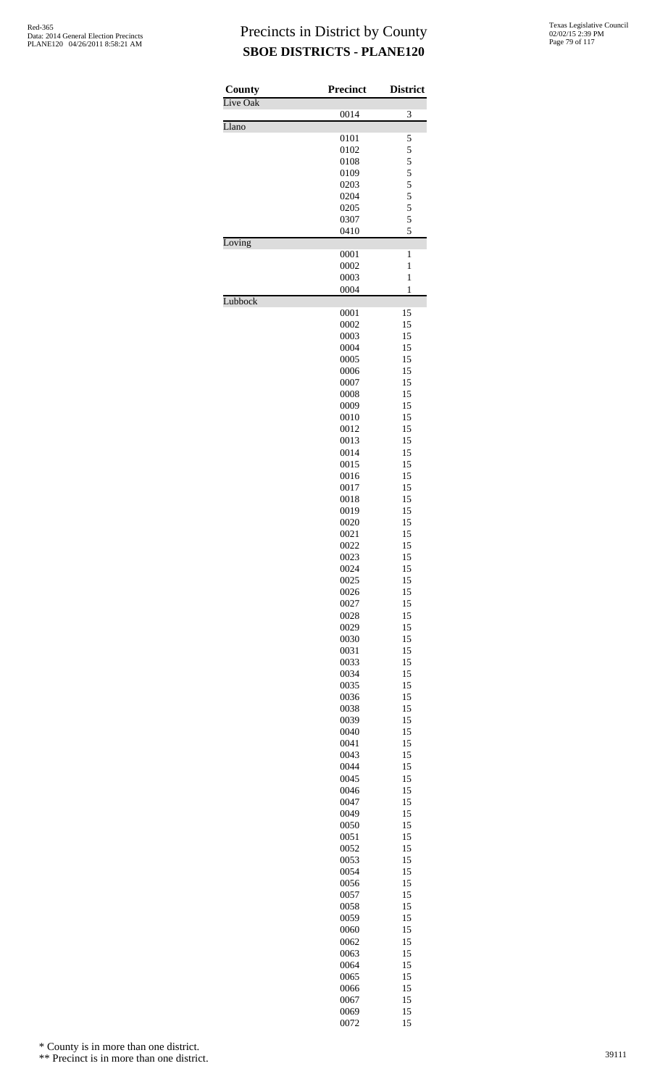| County   | <b>Precinct</b> | <b>District</b>                |
|----------|-----------------|--------------------------------|
| Live Oak | 0014            | 3                              |
| Llano    |                 |                                |
|          | 0101            | 5                              |
|          | 0102            | 5<br>5                         |
|          | 0108<br>0109    |                                |
|          | 0203            | $\frac{5}{5}$<br>$\frac{5}{5}$ |
|          | 0204            |                                |
|          | 0205            |                                |
|          | 0307            | 5                              |
|          | 0410            | 5                              |
| Loving   |                 |                                |
|          | 0001<br>0002    | $\mathbf{1}$<br>$\mathbf{1}$   |
|          | 0003            | $\mathbf{1}$                   |
|          | 0004            | $\mathbf{1}$                   |
| Lubbock  |                 |                                |
|          | 0001            | 15                             |
|          | 0002            | 15                             |
|          | 0003            | 15                             |
|          | 0004            | 15                             |
|          | 0005            | 15                             |
|          | 0006<br>0007    | 15<br>15                       |
|          | 0008            | 15                             |
|          | 0009            | 15                             |
|          | 0010            | 15                             |
|          | 0012            | 15                             |
|          | 0013            | 15                             |
|          | 0014            | 15                             |
|          | 0015            | 15                             |
|          | 0016            | 15                             |
|          | 0017<br>0018    | 15<br>15                       |
|          | 0019            | 15                             |
|          | 0020            | 15                             |
|          | 0021            | 15                             |
|          | 0022            | 15                             |
|          | 0023            | 15                             |
|          | 0024            | 15                             |
|          | 0025            | 15                             |
|          | 0026            | 15<br>15                       |
|          | 0027<br>0028    | 15                             |
|          | 0029            | 15                             |
|          | 0030            | 15                             |
|          | 0031            | 15                             |
|          | 0033            | 15                             |
|          | 0034            | 15                             |
|          | 0035            | 15                             |
|          | 0036            | 15                             |
|          | 0038<br>0039    | 15<br>15                       |
|          | 0040            | 15                             |
|          | 0041            | 15                             |
|          | 0043            | 15                             |
|          | 0044            | 15                             |
|          | 0045            | 15                             |
|          | 0046            | 15                             |
|          | 0047            | 15                             |
|          | 0049<br>0050    | 15<br>15                       |
|          | 0051            | 15                             |
|          | 0052            | 15                             |
|          | 0053            | 15                             |
|          | 0054            | 15                             |
|          | 0056            | 15                             |
|          | 0057            | 15                             |
|          | 0058            | 15                             |
|          | 0059            | 15                             |
|          | 0060            | 15                             |
|          | 0062            | 15                             |
|          | 0063<br>0064    | 15<br>15                       |
|          | 0065            | 15                             |
|          | 0066            | 15                             |
|          | 0067            | 15                             |
|          | 0069            | 15                             |
|          | 0072            | 15                             |

\* County is in more than one district.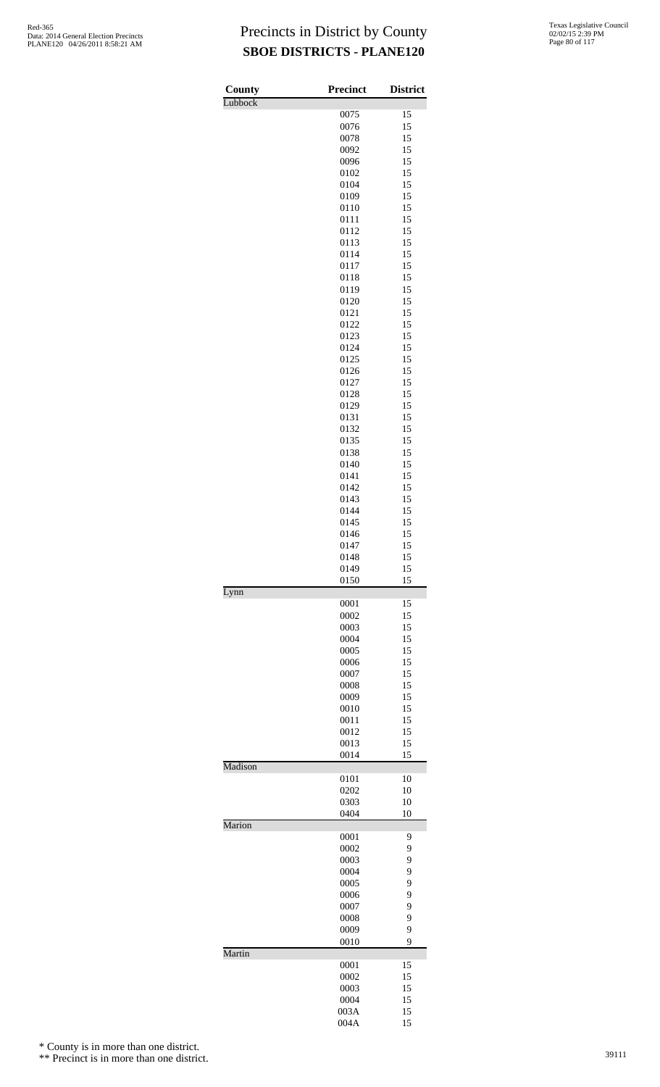| Texas Legislative Council |
|---------------------------|
| 02/02/15 2:39 PM          |
| Page 80 of 117            |

| County  | Precinct     | <b>District</b> |
|---------|--------------|-----------------|
| Lubbock |              |                 |
|         | 0075         | 15              |
|         | 0076<br>0078 | 15<br>15        |
|         | 0092         | 15              |
|         | 0096         | 15              |
|         | 0102         | 15              |
|         | 0104         | 15              |
|         | 0109<br>0110 | 15<br>15        |
|         | 0111         | 15              |
|         | 0112         | 15              |
|         | 0113         | 15              |
|         | 0114         | 15              |
|         | 0117<br>0118 | 15<br>15        |
|         | 0119         | 15              |
|         | 0120         | 15              |
|         | 0121         | 15              |
|         | 0122         | 15              |
|         | 0123<br>0124 | 15<br>15        |
|         | 0125         | 15              |
|         | 0126         | 15              |
|         | 0127         | 15              |
|         | 0128         | 15              |
|         | 0129         | 15              |
|         | 0131<br>0132 | 15<br>15        |
|         | 0135         | 15              |
|         | 0138         | 15              |
|         | 0140         | 15              |
|         | 0141         | 15              |
|         | 0142<br>0143 | 15<br>15        |
|         | 0144         | 15              |
|         | 0145         | 15              |
|         | 0146         | 15              |
|         | 0147         | 15              |
|         | 0148<br>0149 | 15<br>15        |
|         | 0150         | 15              |
| Lynn    |              |                 |
|         | 0001         | 15              |
|         | 0002<br>0003 | 15<br>15        |
|         | 0004         | 15              |
|         | 0005         | 15              |
|         | 0006         | 15              |
|         | 0007         | 15              |
|         | 0008<br>0009 | 15<br>15        |
|         | 0010         | 15              |
|         | 0011         | 15              |
|         | 0012         | 15              |
|         | 0013<br>0014 | 15<br>15        |
| Madison |              |                 |
|         | 0101         | 10              |
|         | 0202         | 10              |
|         | 0303<br>0404 | 10<br>10        |
| Marion  |              |                 |
|         | 0001         | 9               |
|         | 0002         | 9               |
|         | 0003         | 9               |
|         | 0004<br>0005 | 9<br>9          |
|         | 0006         | 9               |
|         | 0007         | 9               |
|         | 0008         | 9               |
|         | 0009         | 9               |
| Martin  | 0010         | 9               |
|         | 0001         | 15              |
|         | 0002         | 15              |
|         | 0003         | 15              |
|         | 0004         | 15              |
|         | 003A<br>004A | 15<br>15        |
|         |              |                 |

\* County is in more than one district.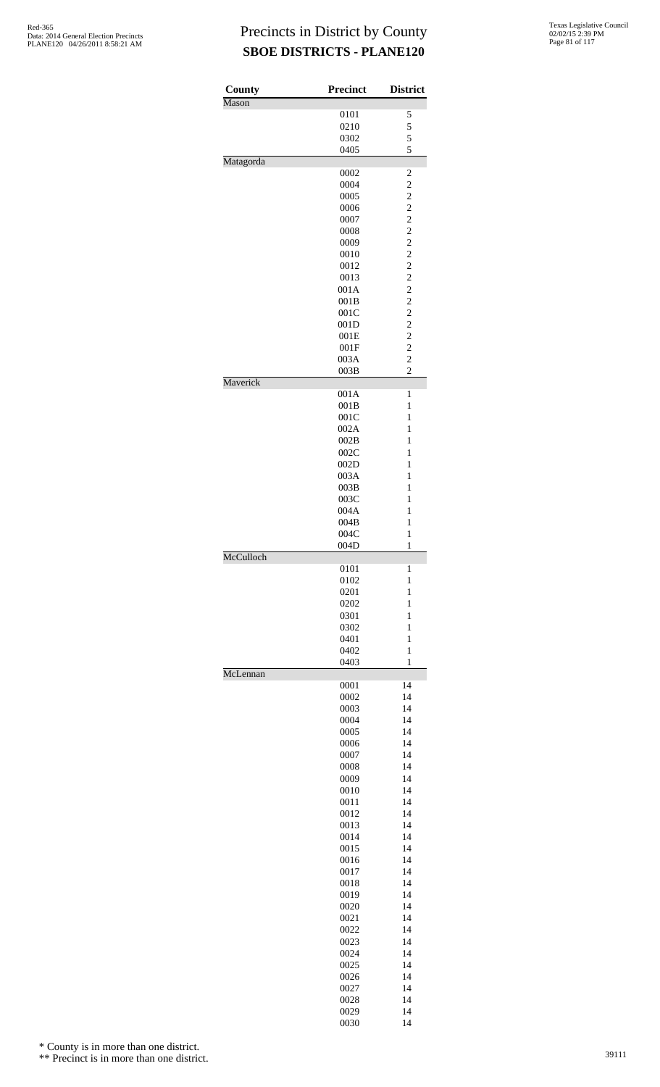| County    | <b>Precinct</b> | <b>District</b>                            |
|-----------|-----------------|--------------------------------------------|
| Mason     |                 |                                            |
|           | 0101            | 5                                          |
|           | 0210            | 5                                          |
|           | 0302            | 5                                          |
|           | 0405            | 5                                          |
| Matagorda |                 |                                            |
|           | 0002            | $\overline{\mathbf{c}}$                    |
|           | 0004            | $\overline{c}$                             |
|           | 0005            |                                            |
|           | 0006            | $\begin{array}{c} 2 \\ 2 \\ 2 \end{array}$ |
|           | 0007            |                                            |
|           | 0008            | $\frac{2}{2}$                              |
|           | 0009            |                                            |
|           | 0010            | $\begin{array}{c} 2 \\ 2 \\ 2 \end{array}$ |
|           | 0012            |                                            |
|           | 0013            |                                            |
|           | 001A            | $\frac{2}{2}$                              |
|           | 001B            |                                            |
|           | 001C            | $\begin{array}{c} 2 \\ 2 \\ 2 \end{array}$ |
|           | 001D            |                                            |
|           | 001E            |                                            |
|           | 001F            | $\overline{\mathbf{c}}$                    |
|           | 003A            | $\overline{c}$                             |
|           | 003B            | $\overline{c}$                             |
| Maverick  | 001A            | 1                                          |
|           | 001B            | $\mathbf{1}$                               |
|           |                 | $\mathbf{1}$                               |
|           | 001C<br>002A    | $\mathbf{1}$                               |
|           | 002B            | $\mathbf{1}$                               |
|           | 002C            | 1                                          |
|           | 002D            | $\mathbf{1}$                               |
|           | 003A            | $\mathbf{1}$                               |
|           | 003B            | $\mathbf{1}$                               |
|           | 003C            | 1                                          |
|           | 004A            | 1                                          |
|           | 004B            | $\mathbf{1}$                               |
|           | 004C            | $\mathbf{1}$                               |
|           | 004D            | $\mathbf{1}$                               |
| McCulloch |                 |                                            |
|           | 0101            | 1                                          |
|           | 0102            | $\mathbf{1}$                               |
|           | 0201            | $\mathbf{1}$                               |
|           | 0202            | $\mathbf{1}$                               |
|           | 0301            | $\mathbf{1}$                               |
|           | 0302            | $\mathbf{1}$                               |
|           | 0401            | $\mathbf{1}$                               |
|           | 0402<br>0403    | $\mathbf{1}$<br>$\mathbf{1}$               |
| McLennan  |                 |                                            |
|           | 0001            | 14                                         |
|           | 0002            | 14                                         |
|           | 0003            | 14                                         |
|           | 0004            | 14                                         |
|           | 0005            | 14                                         |
|           | 0006            | 14                                         |
|           | 0007            | 14                                         |
|           | 0008            | 14                                         |
|           | 0009            | 14                                         |
|           | 0010            | 14                                         |
|           | 0011            | 14                                         |
|           | 0012            | 14                                         |
|           | 0013            | 14                                         |
|           | 0014            | 14                                         |
|           | 0015            | 14                                         |
|           | 0016            | 14                                         |
|           | 0017            | 14                                         |
|           | 0018            | 14                                         |
|           | 0019            | 14                                         |
|           | 0020            | 14                                         |
|           | 0021            | 14                                         |
|           | 0022            | 14                                         |
|           | 0023            | 14                                         |
|           | 0024            | 14                                         |
|           | 0025            | 14                                         |
|           | 0026            | 14                                         |
|           | 0027            | 14                                         |
|           | 0028            | 14                                         |

0029 14<br>0030 14

0030

\* County is in more than one district.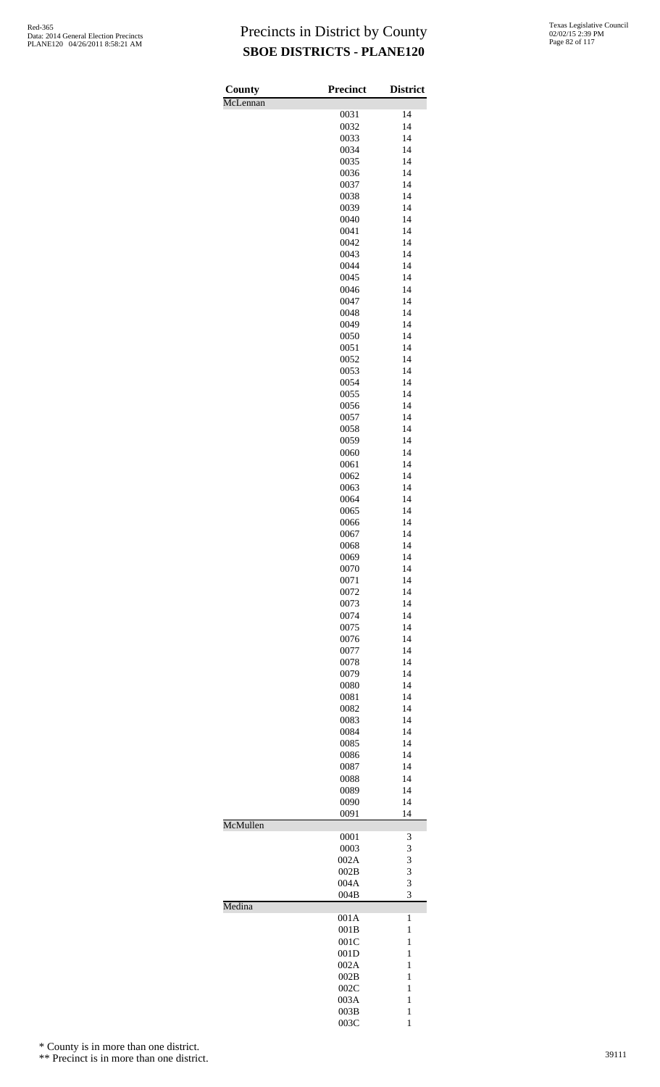| County   | <b>Precinct</b> | <b>District</b>              |
|----------|-----------------|------------------------------|
| McLennan |                 |                              |
|          | 0031<br>0032    | 14<br>14                     |
|          | 0033            | 14                           |
|          | 0034            | 14                           |
|          | 0035            | 14                           |
|          | 0036            | 14                           |
|          | 0037<br>0038    | 14<br>14                     |
|          | 0039            | 14                           |
|          | 0040            | 14                           |
|          | 0041            | 14                           |
|          | 0042            | 14<br>14                     |
|          | 0043<br>0044    | 14                           |
|          | 0045            | 14                           |
|          | 0046            | 14                           |
|          | 0047            | 14                           |
|          | 0048            | 14                           |
|          | 0049<br>0050    | 14<br>14                     |
|          | 0051            | 14                           |
|          | 0052            | 14                           |
|          | 0053            | 14                           |
|          | 0054            | 14                           |
|          | 0055<br>0056    | 14<br>14                     |
|          | 0057            | 14                           |
|          | 0058            | 14                           |
|          | 0059            | 14                           |
|          | 0060            | 14                           |
|          | 0061<br>0062    | 14<br>14                     |
|          | 0063            | 14                           |
|          | 0064            | 14                           |
|          | 0065            | 14                           |
|          | 0066            | 14                           |
|          | 0067<br>0068    | 14<br>14                     |
|          | 0069            | 14                           |
|          | 0070            | 14                           |
|          | 0071            | 14                           |
|          | 0072            | 14                           |
|          | 0073<br>0074    | 14<br>14                     |
|          | 0075            | 14                           |
|          | 0076            | 14                           |
|          | 0077            | 14                           |
|          | 0078            | 14                           |
|          | 0079            | 14                           |
|          | 0080<br>0081    | 14<br>14                     |
|          | 0082            | 14                           |
|          | 0083            | 14                           |
|          | 0084            | 14                           |
|          | 0085            | 14<br>14                     |
|          | 0086<br>0087    | 14                           |
|          | 0088            | 14                           |
|          | 0089            | 14                           |
|          | 0090            | 14                           |
| McMullen | 0091            | 14                           |
|          | 0001            | 3                            |
|          | 0003            | 3                            |
|          | 002A            | 3                            |
|          | 002B<br>004A    | 3<br>3                       |
|          | 004B            | 3                            |
| Medina   |                 |                              |
|          | 001A            | $\mathbf{1}$                 |
|          | 001B            | $\mathbf{1}$                 |
|          | 001C<br>001D    | 1<br>1                       |
|          | 002A            | 1                            |
|          | 002B            | 1                            |
|          | 002C            | 1                            |
|          | 003A            | 1                            |
|          | 003B<br>003C    | $\mathbf{1}$<br>$\mathbf{1}$ |

\* County is in more than one district.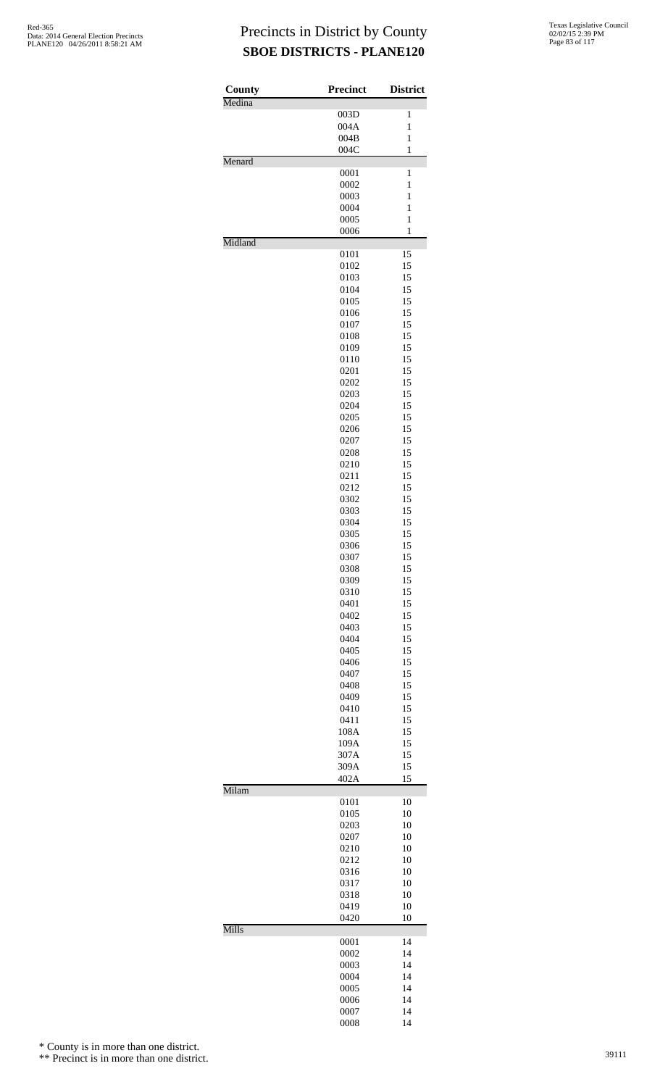| County<br>Medina | Precinct     | <b>District</b> |
|------------------|--------------|-----------------|
|                  | 003D         | 1               |
|                  | 004A         | 1               |
|                  | 004B         | $\mathbf{1}$    |
|                  | 004C         | $\mathbf{1}$    |
| Menard           |              | $\mathbf{1}$    |
|                  | 0001<br>0002 | 1               |
|                  | 0003         | $\mathbf{1}$    |
|                  | 0004         | $\mathbf{1}$    |
|                  | 0005         | $\mathbf{1}$    |
|                  | 0006         | 1               |
| Midland          |              |                 |
|                  | 0101         | 15<br>15        |
|                  | 0102<br>0103 | 15              |
|                  | 0104         | 15              |
|                  | 0105         | 15              |
|                  | 0106         | 15              |
|                  | 0107         | 15              |
|                  | 0108         | 15              |
|                  | 0109         | 15              |
|                  | 0110         | 15              |
|                  | 0201         | 15              |
|                  | 0202         | 15              |
|                  | 0203         | 15              |
|                  | 0204         | 15              |
|                  | 0205<br>0206 | 15<br>15        |
|                  | 0207         | 15              |
|                  | 0208         | 15              |
|                  | 0210         | 15              |
|                  | 0211         | 15              |
|                  | 0212         | 15              |
|                  | 0302         | 15              |
|                  | 0303         | 15              |
|                  | 0304         | 15              |
|                  | 0305         | 15              |
|                  | 0306         | 15<br>15        |
|                  | 0307<br>0308 | 15              |
|                  | 0309         | 15              |
|                  | 0310         | 15              |
|                  | 0401         | 15              |
|                  | 0402         | 15              |
|                  | 0403         | 15              |
|                  | 0404         | 15              |
|                  | 0405         | 15              |
|                  | 0406         | 15              |
|                  | 0407         | 15              |
|                  | 0408<br>0409 | 15<br>15        |
|                  | 0410         | 15              |
|                  | 0411         | 15              |
|                  | 108A         | 15              |
|                  | 109A         | 15              |
|                  | 307A         | 15              |
|                  | 309A         | 15              |
|                  | 402A         | 15              |
| Milam            | 0101         | 10              |
|                  | 0105         | 10              |
|                  | 0203         | 10              |
|                  | 0207         | 10              |
|                  | 0210         | 10              |
|                  | 0212         | 10              |
|                  | 0316         | 10              |
|                  | 0317         | 10              |
|                  | 0318         | 10<br>10        |
|                  | 0419<br>0420 | 10              |
| Mills            |              |                 |
|                  | 0001         | 14              |
|                  | 0002         | 14              |
|                  | 0003<br>0004 | 14<br>14        |
|                  | 0005         | 14              |
|                  | 0006         | 14              |
|                  | 0007         | 14              |
|                  | 0008         | 14              |

\* County is in more than one district.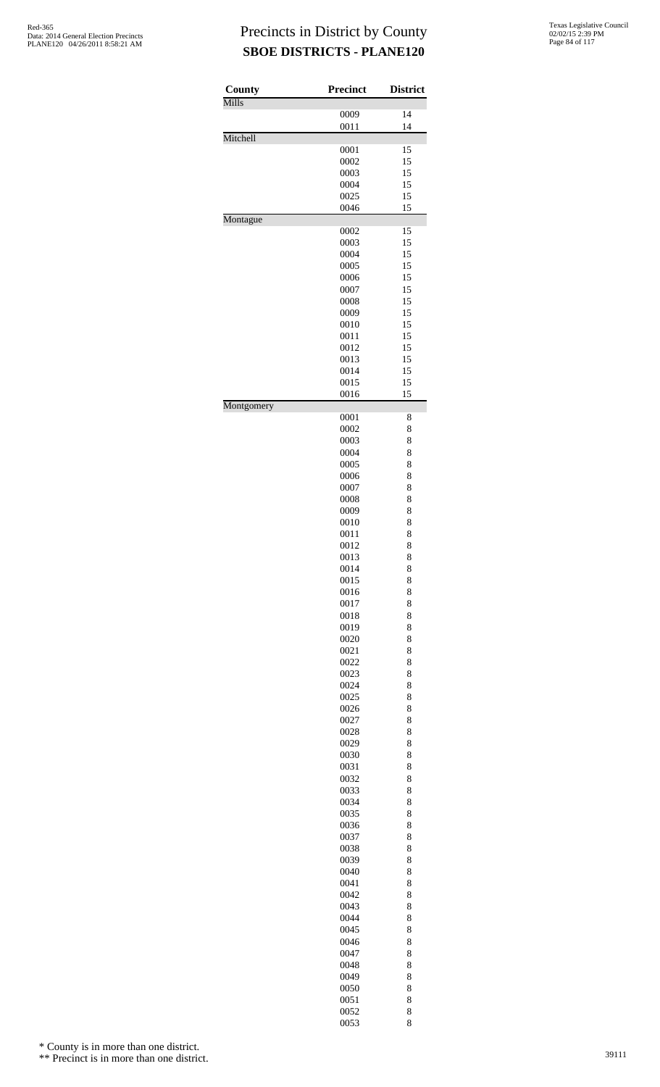| County     | <b>Precinct</b> | <b>District</b> |
|------------|-----------------|-----------------|
| Mills      |                 | 14              |
|            | 0009<br>0011    | 14              |
| Mitchell   |                 |                 |
|            | 0001            | 15              |
|            | 0002            | 15              |
|            | 0003<br>0004    | 15<br>15        |
|            | 0025            | 15              |
|            | 0046            | 15              |
| Montague   |                 |                 |
|            | 0002<br>0003    | 15<br>15        |
|            | 0004            | 15              |
|            | 0005            | 15              |
|            | 0006            | 15              |
|            | 0007            | 15              |
|            | 0008            | 15              |
|            | 0009<br>0010    | 15<br>15        |
|            | 0011            | 15              |
|            | 0012            | 15              |
|            | 0013            | 15              |
|            | 0014            | 15              |
|            | 0015<br>0016    | 15<br>15        |
| Montgomery |                 |                 |
|            | 0001            | 8               |
|            | 0002            | 8               |
|            | 0003<br>0004    | 8<br>8          |
|            | 0005            | 8               |
|            | 0006            | 8               |
|            | 0007            | 8               |
|            | 0008            | 8               |
|            | 0009<br>0010    | 8<br>8          |
|            | 0011            | 8               |
|            | 0012            | 8               |
|            | 0013            | 8               |
|            | 0014            | 8               |
|            | 0015<br>0016    | 8<br>8          |
|            | 0017            | 8               |
|            | 0018            | 8               |
|            | 0019            | 8               |
|            | 0020            | 8               |
|            | 0021            | 8               |
|            | 0022<br>0023    | 8<br>8          |
|            | 0024            | 8               |
|            | 0025            | 8               |
|            | 0026            | 8               |
|            | 0027            | 8               |
|            | 0028<br>0029    | 8<br>8          |
|            | 0030            | 8               |
|            | 0031            | 8               |
|            | 0032            | 8               |
|            | 0033            | 8               |
|            | 0034<br>0035    | 8<br>8          |
|            | 0036            | 8               |
|            | 0037            | 8               |
|            | 0038            | 8               |
|            | 0039            | 8               |
|            | 0040<br>0041    | 8<br>8          |
|            | 0042            | 8               |
|            | 0043            | 8               |
|            | 0044            | 8               |
|            | 0045            | 8               |
|            | 0046            | 8               |
|            | 0047<br>0048    | 8<br>8          |
|            | 0049            | 8               |
|            | 0050            | 8               |
|            | 0051            | 8               |
|            | 0052            | 8               |
|            | 0053            | 8               |

\* County is in more than one district.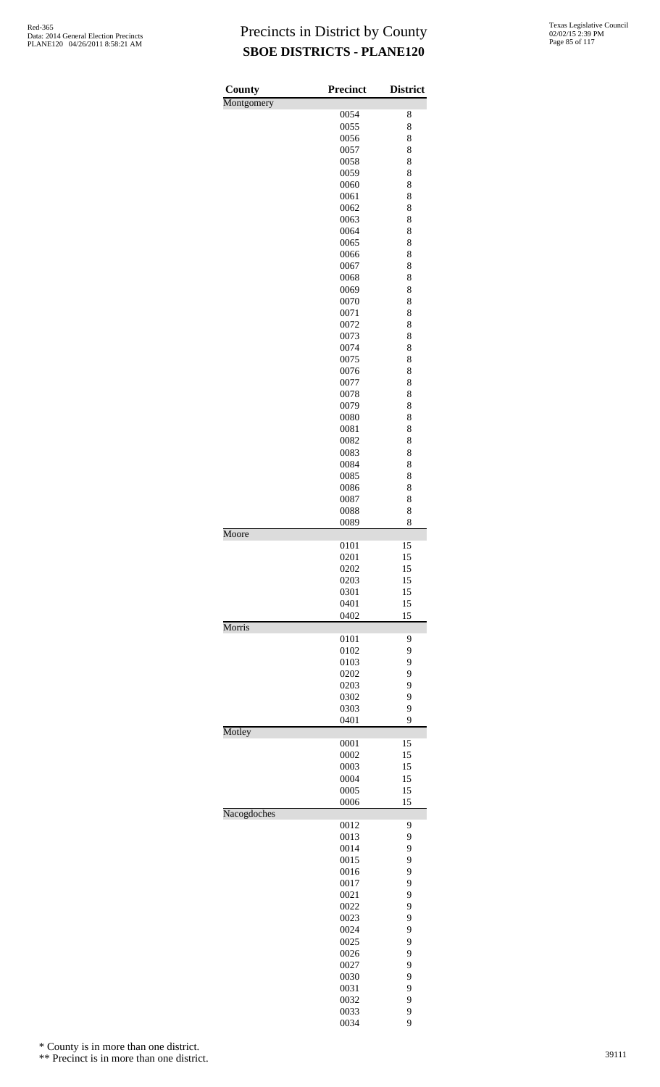| County      | <b>Precinct</b> | <b>District</b> |
|-------------|-----------------|-----------------|
| Montgomery  |                 |                 |
|             | 0054            | 8               |
|             | 0055            | 8               |
|             | 0056            | 8               |
|             | 0057            | 8               |
|             | 0058<br>0059    | 8<br>8          |
|             | 0060            | 8               |
|             | 0061            | 8               |
|             | 0062            | 8               |
|             | 0063            | 8               |
|             | 0064            | 8               |
|             | 0065            | 8               |
|             | 0066            | 8               |
|             | 0067            | 8               |
|             | 0068            | 8               |
|             | 0069            | 8               |
|             | 0070            | 8               |
|             | 0071            | 8               |
|             | 0072            | 8               |
|             | 0073            | 8               |
|             | 0074<br>0075    | 8<br>8          |
|             | 0076            | 8               |
|             | 0077            | 8               |
|             | 0078            | 8               |
|             | 0079            | 8               |
|             | 0080            | 8               |
|             | 0081            | 8               |
|             | 0082            | 8               |
|             | 0083            | 8               |
|             | 0084            | 8               |
|             | 0085            | 8               |
|             | 0086            | 8               |
|             | 0087            | 8               |
|             | 0088            | 8               |
|             | 0089            | 8               |
| Moore       | 0101            | 15              |
|             | 0201            | 15              |
|             | 0202            | 15              |
|             | 0203            | 15              |
|             | 0301            | 15              |
|             | 0401            | 15              |
|             | 0402            | 15              |
| Morris      | 0101            | 9               |
|             | 0102            | 9               |
|             | 0103            | 9               |
|             | 0202            | 9               |
|             | 0203            | 9               |
|             | 0302            | 9               |
|             | 0303            | 9               |
|             | 0401            | 9               |
| Motley      | 0001            | 15              |
|             | 0002            | 15              |
|             | 0003            | 15              |
|             | 0004            | 15              |
|             | 0005            | 15              |
|             | 0006            | 15              |
| Nacogdoches |                 |                 |
|             | 0012            | 9               |
|             | 0013            | 9               |
|             | 0014            | 9               |
|             | 0015            | 9               |
|             | 0016<br>0017    | 9<br>9          |
|             | 0021            | 9               |
|             | 0022            | 9               |
|             | 0023            | 9               |
|             | 0024            | 9               |
|             | 0025            | 9               |
|             | 0026            | 9               |
|             | 0027            | 9               |
|             | 0030            | 9               |
|             | 0031            | 9               |
|             | 0032            | 9               |
|             | 0033            | 9               |
|             | 0034            | 9               |

\* County is in more than one district.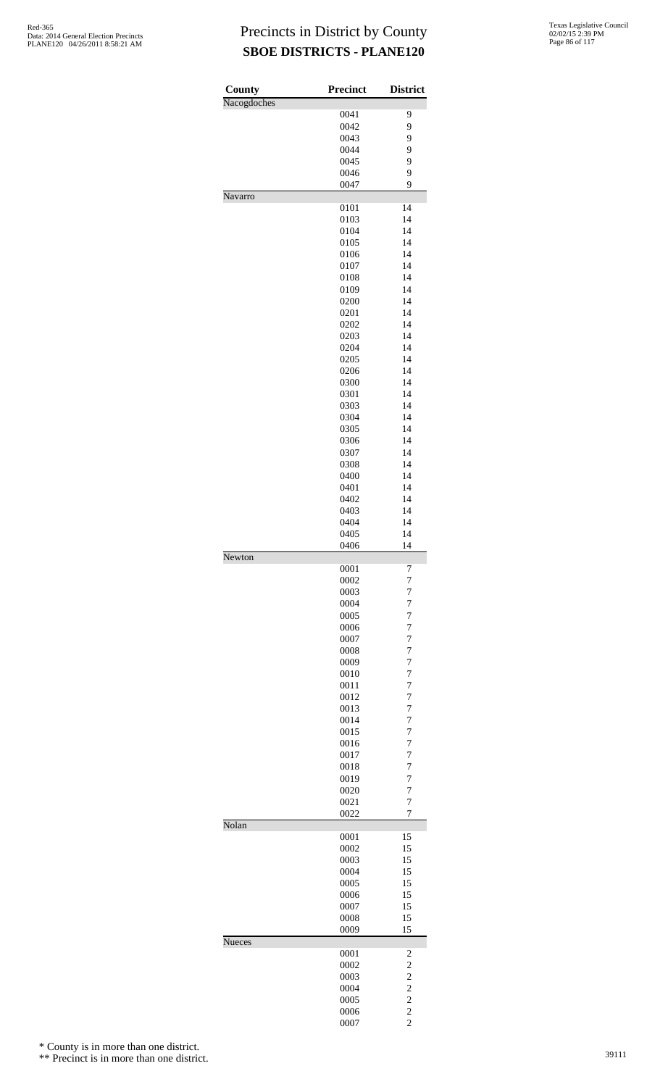| County      | <b>Precinct</b> | <b>District</b>                  |
|-------------|-----------------|----------------------------------|
| Nacogdoches |                 |                                  |
|             | 0041<br>0042    | 9<br>9                           |
|             | 0043            | 9                                |
|             | 0044            | 9                                |
|             | 0045            | 9                                |
|             | 0046            | 9                                |
|             | 0047            | 9                                |
| Navarro     |                 |                                  |
|             | 0101            | 14                               |
|             | 0103            | 14                               |
|             | 0104            | 14                               |
|             | 0105            | 14                               |
|             | 0106            | 14                               |
|             | 0107            | 14                               |
|             | 0108            | 14                               |
|             | 0109            | 14                               |
|             | 0200            | 14                               |
|             | 0201            | 14                               |
|             | 0202            | 14                               |
|             | 0203            | 14                               |
|             | 0204            | 14                               |
|             | 0205            | 14                               |
|             | 0206            | 14                               |
|             | 0300            | 14                               |
|             | 0301            | 14                               |
|             | 0303            | 14                               |
|             | 0304            | 14                               |
|             | 0305            | 14                               |
|             | 0306            | 14                               |
|             | 0307            | 14                               |
|             | 0308            | 14                               |
|             | 0400            | 14                               |
|             | 0401            | 14                               |
|             | 0402            | 14                               |
|             | 0403            | 14                               |
|             | 0404            | 14                               |
|             | 0405            | 14                               |
|             | 0406            | 14                               |
| Newton      |                 |                                  |
|             | 0001            | 7                                |
|             | 0002            | 7                                |
|             | 0003            | $\overline{7}$                   |
|             | 0004            | $\overline{7}$                   |
|             | 0005            | $\overline{7}$                   |
|             | 0006            | 7                                |
|             | 0007            | $\overline{7}$                   |
|             | 0008<br>0009    | $\overline{7}$                   |
|             | 0010            | $\overline{7}$<br>$\overline{7}$ |
|             | 0011            | 7                                |
|             | 0012            | $\overline{7}$                   |
|             | 0013            | $\overline{7}$                   |
|             | 0014            | $\overline{7}$                   |
|             | 0015            | $\overline{7}$                   |
|             | 0016            | 7                                |
|             | 0017            | 7                                |
|             | 0018            | $\overline{7}$                   |
|             | 0019            | $\overline{7}$                   |
|             | 0020            | $\overline{7}$                   |
|             | 0021            | $\overline{7}$                   |
|             | 0022            | 7                                |
| Nolan       |                 |                                  |
|             | 0001            | 15                               |
|             | 0002            | 15                               |
|             | 0003            | 15                               |
|             | 0004            | 15                               |
|             | 0005            | 15                               |
|             | 0006            | 15                               |
|             | 0007            | 15                               |
|             | 0008            | 15                               |
|             | 0009            | 15                               |
| Nueces      |                 |                                  |
|             | 0001            | $\overline{\mathbf{c}}$          |
|             | 0002            | $\overline{\mathbf{c}}$          |
|             | 0003            | $\overline{\mathbf{c}}$          |
|             | 0004            | $\frac{2}{2}$                    |
|             | 0005            |                                  |
|             | 0006            | $\frac{2}{2}$                    |
|             | 0007            |                                  |

\* County is in more than one district.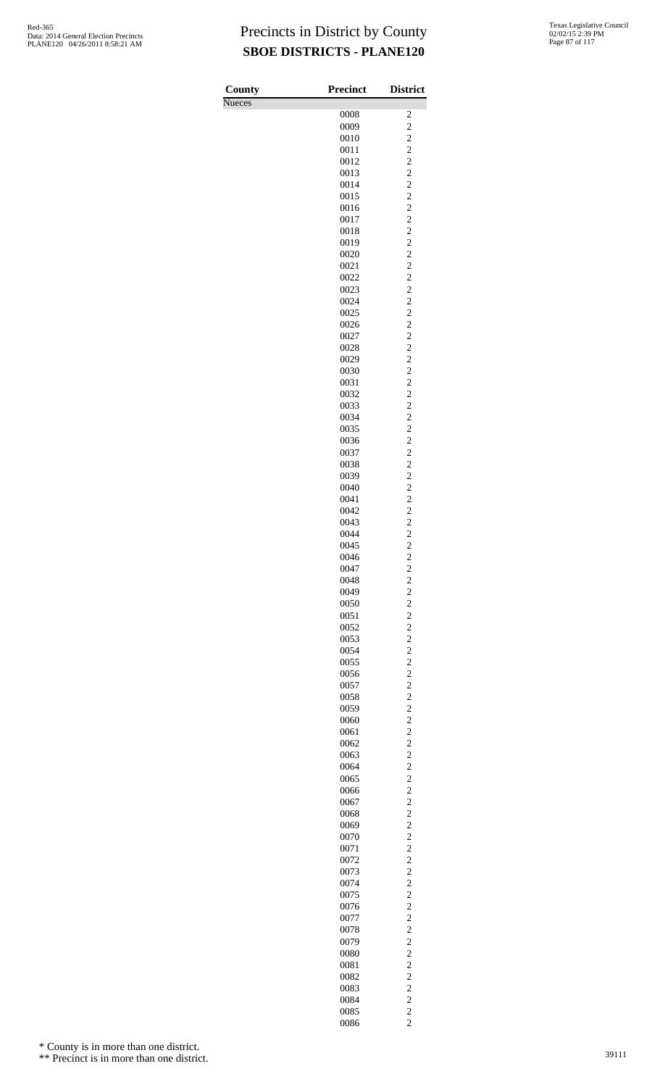| County        | <b>Precinct</b> | <b>District</b>                                    |
|---------------|-----------------|----------------------------------------------------|
| <b>Nueces</b> |                 |                                                    |
|               | 0008<br>0009    | 2<br>$\overline{c}$                                |
|               | 0010            | $\overline{c}$                                     |
|               | 0011            | $\overline{c}$                                     |
|               | 0012            | $\overline{c}$                                     |
|               | 0013            | $\overline{c}$                                     |
|               | 0014            | $\overline{c}$                                     |
|               | 0015<br>0016    | $\overline{c}$<br>$\overline{c}$                   |
|               | 0017            | $\overline{c}$                                     |
|               | 0018            | $\overline{c}$                                     |
|               | 0019            | $\overline{c}$                                     |
|               | 0020            | $\overline{\mathbf{c}}$                            |
|               | 0021<br>0022    | $\overline{\mathbf{c}}$<br>$\overline{\mathbf{c}}$ |
|               | 0023            | $\overline{c}$                                     |
|               | 0024            | $\overline{c}$                                     |
|               | 0025            | $\overline{c}$                                     |
|               | 0026            | $\overline{c}$                                     |
|               | 0027<br>0028    | $\overline{c}$<br>$\overline{c}$                   |
|               | 0029            | $\overline{c}$                                     |
|               | 0030            | $\overline{\mathbf{c}}$                            |
|               | 0031            | $\overline{\mathbf{c}}$                            |
|               | 0032            | $\overline{c}$                                     |
|               | 0033            | $\overline{c}$                                     |
|               | 0034<br>0035    | $\overline{c}$<br>$\overline{c}$                   |
|               | 0036            | $\overline{c}$                                     |
|               | 0037            | $\overline{c}$                                     |
|               | 0038            | $\overline{c}$                                     |
|               | 0039            | $\overline{c}$                                     |
|               | 0040<br>0041    | $\overline{c}$<br>$\overline{c}$                   |
|               | 0042            | $\overline{c}$                                     |
|               | 0043            | $\overline{c}$                                     |
|               | 0044            | $\overline{c}$                                     |
|               | 0045            | $\overline{c}$                                     |
|               | 0046<br>0047    | $\overline{c}$                                     |
|               | 0048            | $\overline{\mathbf{c}}$<br>$\overline{c}$          |
|               | 0049            | $\overline{c}$                                     |
|               | 0050            | $\overline{c}$                                     |
|               | 0051            | $\overline{c}$                                     |
|               | 0052<br>0053    | $\overline{c}$<br>$\overline{c}$                   |
|               | 0054            | $\overline{c}$                                     |
|               | 0055            | $\overline{c}$                                     |
|               | 0056            | $\overline{c}$                                     |
|               | 0057            | $\overline{\mathbf{c}}$                            |
|               | 0058            | $\overline{c}$                                     |
|               | 0059<br>0060    | $\overline{c}$<br>$\overline{c}$                   |
|               | 0061            | $\overline{c}$                                     |
|               | 0062            | $\overline{c}$                                     |
|               | 0063            | $\overline{c}$                                     |
|               | 0064            | $\overline{c}$                                     |
|               | 0065<br>0066    | $\overline{c}$<br>$\overline{c}$                   |
|               | 0067            | $\overline{\mathbf{c}}$                            |
|               | 0068            | $\overline{c}$                                     |
|               | 0069            | $\overline{c}$                                     |
|               | 0070            | $\overline{c}$                                     |
|               | 0071<br>0072    | $\overline{c}$<br>$\overline{c}$                   |
|               | 0073            | $\overline{c}$                                     |
|               | 0074            | $\overline{c}$                                     |
|               | 0075            | $\overline{c}$                                     |
|               | 0076            | $\overline{c}$                                     |
|               | 0077<br>0078    | $\overline{\mathbf{c}}$<br>$\overline{c}$          |
|               | 0079            | $\overline{c}$                                     |
|               | 0080            | $\overline{c}$                                     |
|               | 0081            | $\overline{c}$                                     |
|               | 0082            | $\overline{\mathbf{c}}$                            |
|               | 0083            | $\overline{c}$                                     |
|               | 0084<br>0085    | $\overline{c}$<br>$\overline{c}$                   |
|               | 0086            | $\overline{c}$                                     |

\* County is in more than one district.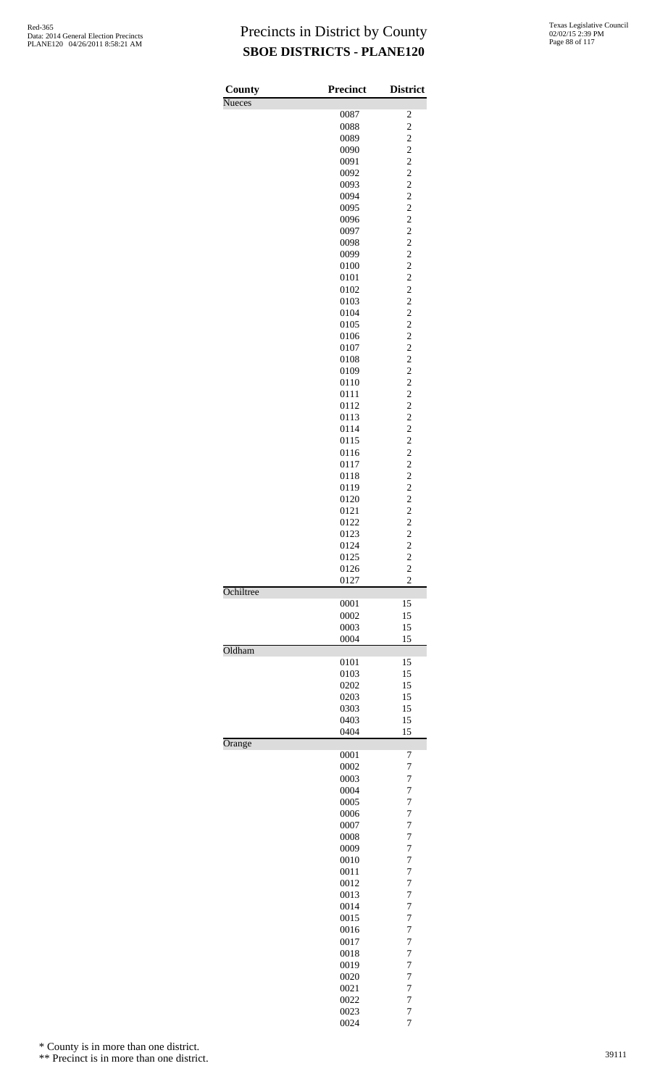| County        | <b>Precinct</b> | <b>District</b>                                    |
|---------------|-----------------|----------------------------------------------------|
| <b>Nueces</b> |                 |                                                    |
|               | 0087<br>0088    | $\overline{\mathbf{c}}$<br>$\overline{\mathbf{c}}$ |
|               | 0089            |                                                    |
|               | 0090            | $\frac{2}{2}$                                      |
|               | 0091            |                                                    |
|               | 0092<br>0093    | $\overline{c}$<br>$\overline{\mathbf{c}}$          |
|               | 0094            |                                                    |
|               | 0095            | $\frac{2}{2}$                                      |
|               | 0096            |                                                    |
|               | 0097            | $\overline{c}$                                     |
|               | 0098<br>0099    | $\overline{c}$                                     |
|               | 0100            | $\begin{array}{c} 2 \\ 2 \\ 2 \end{array}$         |
|               | 0101            |                                                    |
|               | 0102            | $\overline{c}$                                     |
|               | 0103<br>0104    | $\overline{\mathbf{c}}$                            |
|               | 0105            | $\frac{2}{2}$                                      |
|               | 0106            |                                                    |
|               | 0107            | $\overline{c}$                                     |
|               | 0108            | $\overline{c}$                                     |
|               | 0109<br>0110    | $\begin{array}{c} 2 \\ 2 \\ 2 \end{array}$         |
|               | 0111            |                                                    |
|               | 0112            | $\overline{c}$                                     |
|               | 0113            | $\overline{\mathbf{c}}$                            |
|               | 0114            |                                                    |
|               | 0115<br>0116    | $\frac{2}{2}$                                      |
|               | 0117            | $\overline{c}$                                     |
|               | 0118            | $\overline{c}$                                     |
|               | 0119            |                                                    |
|               | 0120            |                                                    |
|               | 0121<br>0122    | $\begin{array}{c}\n2 \\ 2 \\ 2 \\ 2\n\end{array}$  |
|               | 0123            |                                                    |
|               | 0124            | $\overline{\mathbf{c}}$                            |
|               | 0125            | $\overline{c}$                                     |
|               | 0126<br>0127    | $\overline{\mathbf{c}}$<br>$\overline{c}$          |
| Ochiltree     |                 |                                                    |
|               | 0001<br>0002    | 15<br>15                                           |
|               | 0003            | 15                                                 |
| Oldham        | 0004            | 15                                                 |
|               | 0101            | 15                                                 |
|               | 0103            | 15                                                 |
|               | 0202            | 15                                                 |
|               | 0203<br>0303    | 15<br>15                                           |
|               | 0403            | 15                                                 |
|               | 0404            | 15                                                 |
| Orange        | 0001            | 7                                                  |
|               | 0002            | 7                                                  |
|               | 0003            | $\overline{7}$                                     |
|               | 0004            | 7                                                  |
|               | 0005            | 7                                                  |
|               | 0006<br>0007    | 7<br>7                                             |
|               | 0008            | $\overline{7}$                                     |
|               | 0009            | 7                                                  |
|               | 0010            | $\overline{7}$                                     |
|               | 0011<br>0012    | $\overline{7}$<br>7                                |
|               | 0013            | $\overline{7}$                                     |
|               | 0014            | 7                                                  |
|               | 0015            | 7                                                  |
|               | 0016            | 7                                                  |
|               | 0017<br>0018    | 7<br>$\overline{7}$                                |
|               | 0019            | 7                                                  |
|               | 0020            | $\overline{7}$                                     |
|               | 0021            | 7                                                  |
|               | 0022<br>0023    | 7<br>7                                             |
|               | 0024            | 7                                                  |

\* County is in more than one district.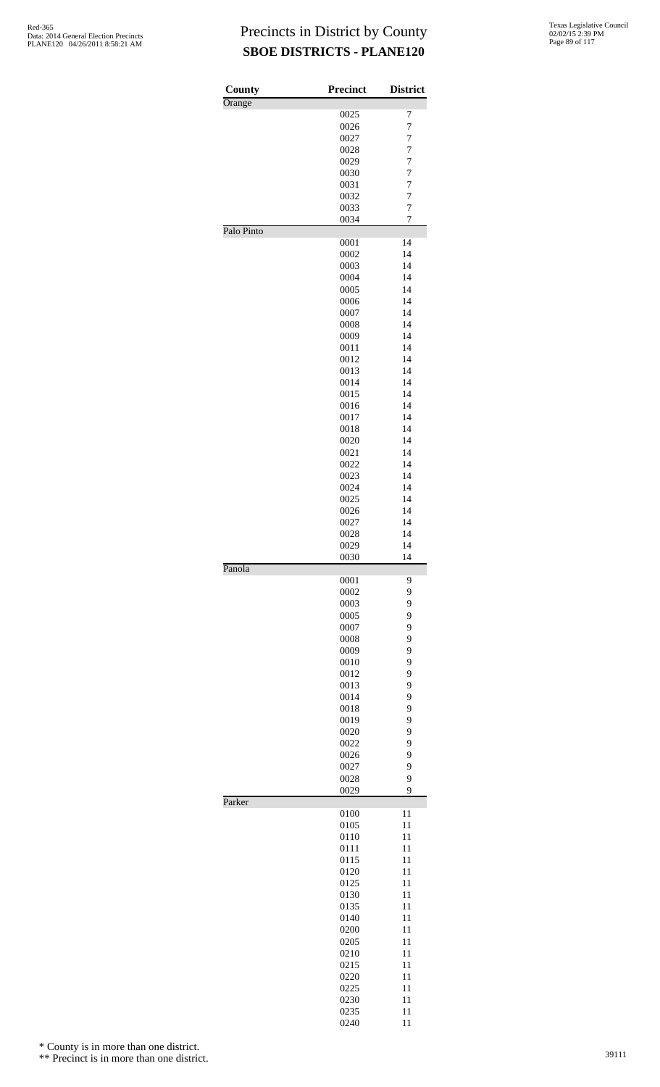| County     | <b>Precinct</b> | <b>District</b>     |
|------------|-----------------|---------------------|
| Orange     |                 |                     |
|            | 0025            | 7                   |
|            | 0026            | $\overline{7}$      |
|            | 0027            | 7<br>$\overline{7}$ |
|            | 0028<br>0029    | 7                   |
|            | 0030            | 7                   |
|            | 0031            | $\overline{7}$      |
|            | 0032            | 7                   |
|            | 0033            | 7                   |
|            | 0034            | 7                   |
| Palo Pinto | 0001            | 14                  |
|            | 0002            | 14                  |
|            | 0003            | 14                  |
|            | 0004            | 14                  |
|            | 0005            | 14                  |
|            | 0006            | 14                  |
|            | 0007            | 14                  |
|            | 0008            | 14                  |
|            | 0009            | 14                  |
|            | 0011            | 14                  |
|            | 0012            | 14                  |
|            | 0013<br>0014    | 14<br>14            |
|            | 0015            | 14                  |
|            | 0016            | 14                  |
|            | 0017            | 14                  |
|            | 0018            | 14                  |
|            | 0020            | 14                  |
|            | 0021            | 14                  |
|            | 0022            | 14                  |
|            | 0023            | 14                  |
|            | 0024            | 14                  |
|            | 0025            | 14                  |
|            | 0026            | 14                  |
|            | 0027<br>0028    | 14<br>14            |
|            | 0029            | 14                  |
|            | 0030            | 14                  |
| Panola     |                 |                     |
|            | 0001            | 9                   |
|            | 0002<br>0003    | 9<br>9              |
|            | 0005            | 9                   |
|            | 0007            | 9                   |
|            | 0008            | 9                   |
|            | 0009            | 9                   |
|            | 0010            | 9                   |
|            | 0012            | 9                   |
|            | 0013            | 9                   |
|            | 0014            | 9                   |
|            | 0018            | 9                   |
|            | 0019            | 9                   |
|            | 0020<br>0022    | 9<br>9              |
|            | 0026            | 9                   |
|            | 0027            | 9                   |
|            | 0028            | 9                   |
|            | 0029            | 9                   |
| Parker     |                 |                     |
|            | 0100<br>0105    | 11<br>11            |
|            | 0110            | 11                  |
|            | 0111            | 11                  |
|            | 0115            | 11                  |
|            | 0120            | 11                  |
|            | 0125            | 11                  |
|            | 0130            | 11                  |
|            | 0135            | 11                  |
|            | 0140            | 11                  |
|            | 0200            | 11                  |
|            | 0205            | 11                  |
|            | 0210            | 11                  |
|            | 0215            | 11<br>11            |
|            | 0220<br>0225    | 11                  |
|            | 0230            | 11                  |
|            | 0235            | 11                  |
|            | 0240            | 11                  |

\* County is in more than one district.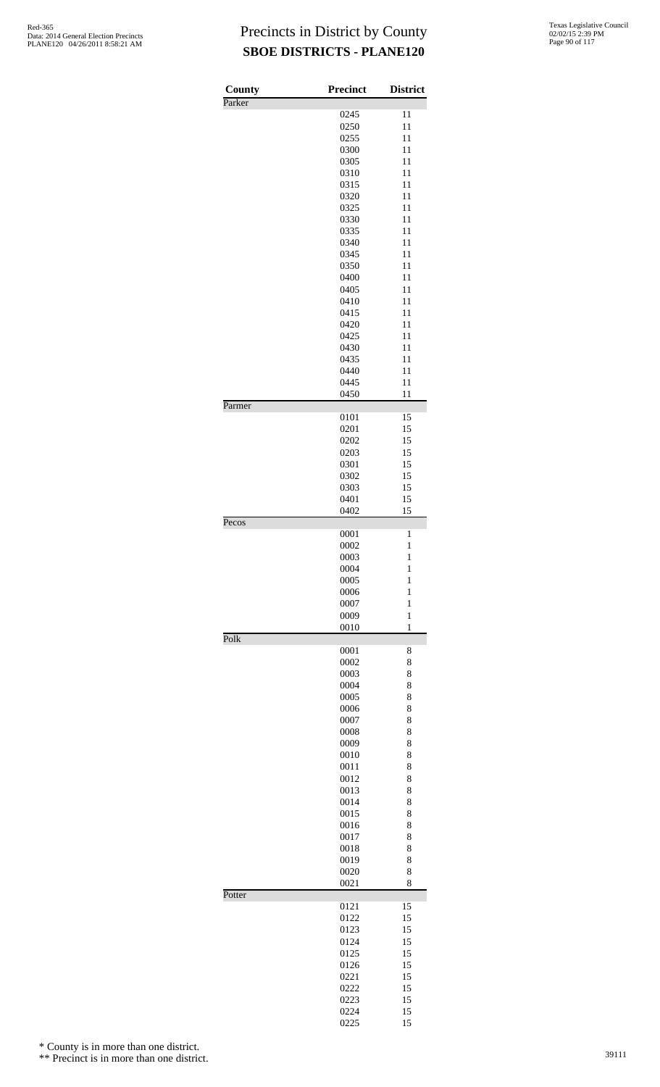| County | <b>Precinct</b> | <b>District</b>   |
|--------|-----------------|-------------------|
| Parker | 0245            | 11                |
|        | 0250            | 11                |
|        | 0255            | 11                |
|        | 0300            | 11                |
|        | 0305            | 11                |
|        | 0310<br>0315    | 11<br>11          |
|        | 0320            | 11                |
|        | 0325            | 11                |
|        | 0330            | 11                |
|        | 0335            | 11                |
|        | 0340<br>0345    | 11<br>11          |
|        | 0350            | 11                |
|        | 0400            | 11                |
|        | 0405            | 11                |
|        | 0410            | 11                |
|        | 0415<br>0420    | 11<br>11          |
|        | 0425            | 11                |
|        | 0430            | 11                |
|        | 0435            | 11                |
|        | 0440            | 11                |
|        | 0445            | 11                |
| Parmer | 0450            | 11                |
|        | 0101            | 15                |
|        | 0201            | 15                |
|        | 0202<br>0203    | 15<br>15          |
|        | 0301            | 15                |
|        | 0302            | 15                |
|        | 0303            | 15                |
|        | 0401            | 15                |
| Pecos  | 0402            | 15                |
|        | 0001            | $\mathbf{1}$      |
|        | 0002            | $\mathbf{1}$      |
|        | 0003<br>0004    | 1<br>$\mathbf{1}$ |
|        | 0005            | $\mathbf{1}$      |
|        | 0006            | $\mathbf{1}$      |
|        | 0007            | $\mathbf{1}$      |
|        | 0009            | $\mathbf{1}$      |
| Polk   | 0010            | $\mathbf{1}$      |
|        | 0001            | 8                 |
|        | 0002            | 8                 |
|        | 0003            | 8                 |
|        | 0004<br>0005    | 8<br>8            |
|        | 0006            | 8                 |
|        | 0007            | 8                 |
|        | 0008            | 8                 |
|        | 0009            | 8                 |
|        | 0010<br>0011    | 8<br>8            |
|        | 0012            | 8                 |
|        | 0013            | 8                 |
|        | 0014            | 8                 |
|        | 0015            | 8                 |
|        | 0016<br>0017    | 8<br>8            |
|        | 0018            | 8                 |
|        | 0019            | 8                 |
|        | 0020            | 8                 |
| Potter | 0021            | 8                 |
|        | 0121            | 15                |
|        | 0122            | 15                |
|        | 0123<br>0124    | 15<br>15          |
|        | 0125            | 15                |
|        | 0126            | 15                |
|        | 0221            | 15                |
|        | 0222            | 15                |
|        | 0223<br>0224    | 15<br>15          |
|        | 0225            | 15                |

\* County is in more than one district.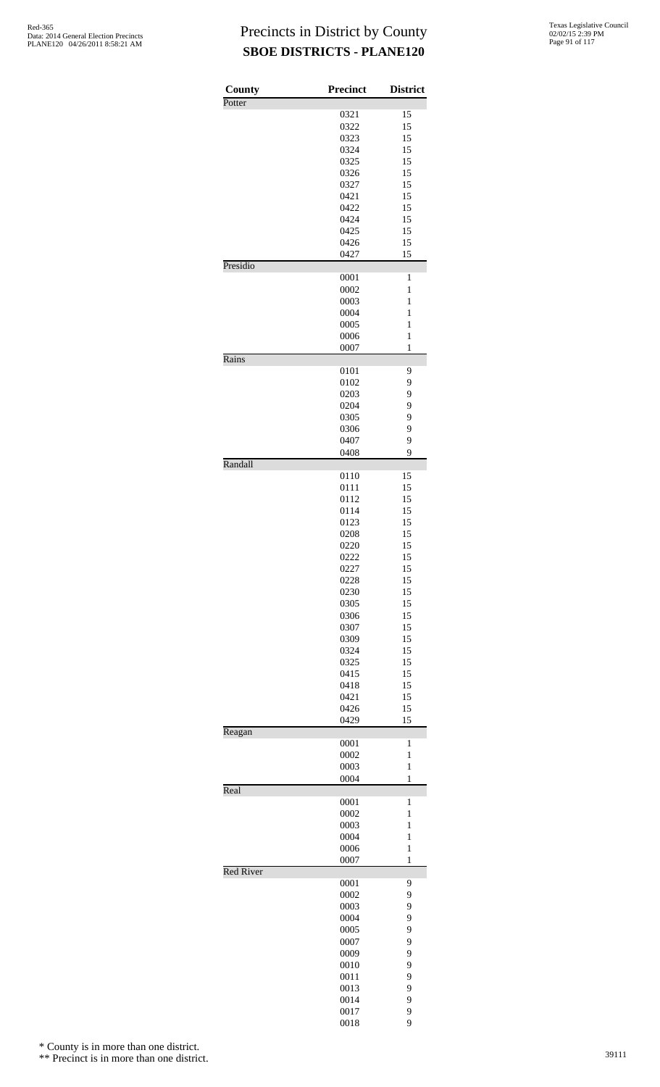| County           | <b>Precinct</b> | <b>District</b>   |
|------------------|-----------------|-------------------|
| Potter           |                 |                   |
|                  | 0321            | 15                |
|                  | 0322<br>0323    | 15<br>15          |
|                  | 0324            | 15                |
|                  | 0325            | 15                |
|                  | 0326            | 15                |
|                  | 0327            | 15                |
|                  | 0421            | 15                |
|                  | 0422            | 15                |
|                  | 0424            | 15                |
|                  | 0425            | 15                |
|                  | 0426            | 15                |
|                  | 0427            | 15                |
| Presidio         |                 |                   |
|                  | 0001<br>0002    | 1<br>1            |
|                  | 0003            | 1                 |
|                  | 0004            | 1                 |
|                  | 0005            | $\mathbf{1}$      |
|                  | 0006            | $\mathbf{1}$      |
|                  | 0007            | 1                 |
| Rains            |                 |                   |
|                  | 0101            | 9                 |
|                  | 0102            | 9                 |
|                  | 0203            | 9                 |
|                  | 0204            | 9                 |
|                  | 0305            | 9                 |
|                  | 0306            | 9                 |
|                  | 0407            | 9<br>9            |
| Randall          | 0408            |                   |
|                  | 0110            | 15                |
|                  | 0111            | 15                |
|                  | 0112            | 15                |
|                  | 0114            | 15                |
|                  | 0123            | 15                |
|                  | 0208            | 15                |
|                  | 0220            | 15                |
|                  | 0222            | 15                |
|                  | 0227            | 15                |
|                  | 0228            | 15                |
|                  | 0230            | 15                |
|                  | 0305<br>0306    | 15<br>15          |
|                  | 0307            | 15                |
|                  | 0309            | 15                |
|                  | 0324            | 15                |
|                  | 0325            | 15                |
|                  | 0415            | 15                |
|                  | 0418            | 15                |
|                  | 0421            | 15                |
|                  | 0426            | 15                |
|                  | 0429            | 15                |
| Reagan           |                 |                   |
|                  | 0001            | 1                 |
|                  | 0002            | $\mathbf{1}$      |
|                  | 0003<br>0004    | $\mathbf{1}$<br>1 |
| Real             |                 |                   |
|                  | 0001            | 1                 |
|                  | 0002            | $\mathbf{1}$      |
|                  | 0003            | 1                 |
|                  | 0004            | 1                 |
|                  | 0006            | $\mathbf{1}$      |
|                  | 0007            | 1                 |
| <b>Red River</b> |                 |                   |
|                  | 0001            | 9                 |
|                  | 0002            | 9                 |
|                  | 0003<br>0004    | 9<br>9            |
|                  | 0005            | 9                 |
|                  | 0007            | 9                 |
|                  | 0009            | 9                 |
|                  | 0010            | 9                 |
|                  | 0011            | 9                 |
|                  | 0013            | 9                 |
|                  | 0014            | 9                 |
|                  | 0017            | 9                 |

9

\* County is in more than one district.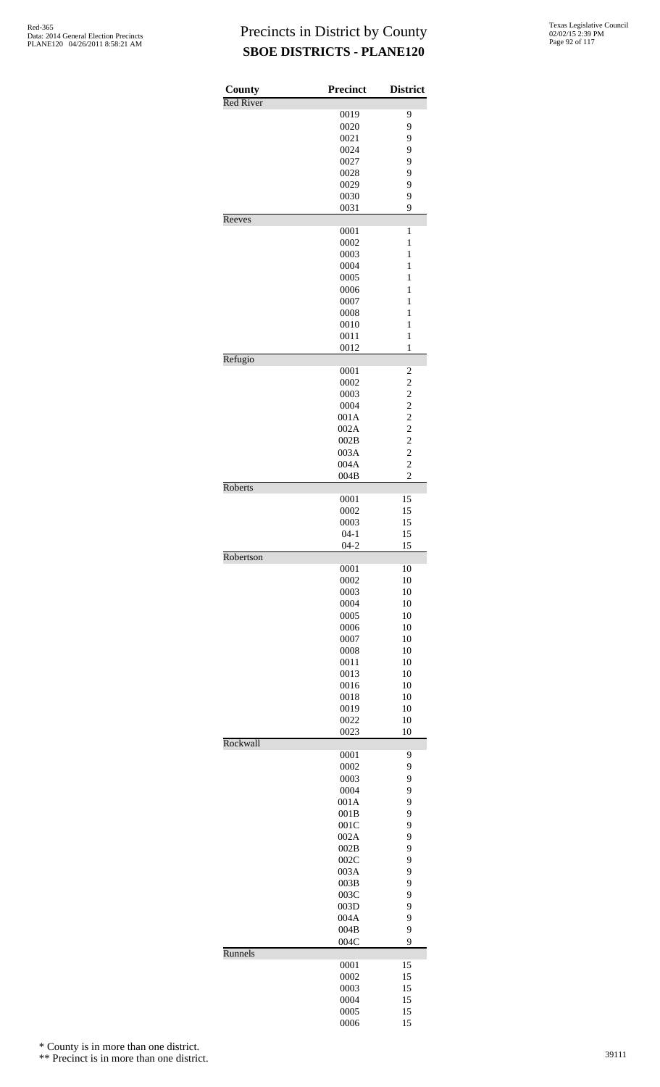| County           | Precinct     | <b>District</b>                            |
|------------------|--------------|--------------------------------------------|
| <b>Red River</b> |              |                                            |
|                  | 0019<br>0020 | 9                                          |
|                  | 0021         | 9<br>9                                     |
|                  | 0024         | 9                                          |
|                  | 0027         | 9                                          |
|                  | 0028         | 9                                          |
|                  | 0029         | 9                                          |
|                  | 0030         | 9                                          |
|                  | 0031         | 9                                          |
| Reeves           |              |                                            |
|                  | 0001         | $\mathbf{1}$                               |
|                  | 0002         | 1                                          |
|                  | 0003         | 1                                          |
|                  | 0004<br>0005 | $\mathbf{1}$<br>$\mathbf{1}$               |
|                  | 0006         | $\mathbf{1}$                               |
|                  | 0007         | $\mathbf{1}$                               |
|                  | 0008         | 1                                          |
|                  | 0010         | $\mathbf{1}$                               |
|                  | 0011         | $\mathbf{1}$                               |
|                  | 0012         | $\mathbf{1}$                               |
| Refugio          |              |                                            |
|                  | 0001         | $\overline{\mathbf{c}}$                    |
|                  | 0002         | $\overline{c}$                             |
|                  | 0003         | $\overline{c}$                             |
|                  | 0004         | $\begin{array}{c} 2 \\ 2 \\ 2 \end{array}$ |
|                  | 001A         |                                            |
|                  | 002A         |                                            |
|                  | 002B         |                                            |
|                  | 003A<br>004A | $\overline{\mathbf{c}}$<br>$\overline{c}$  |
|                  | 004B         | $\overline{c}$                             |
| Roberts          |              |                                            |
|                  | 0001         | 15                                         |
|                  | 0002         | 15                                         |
|                  | 0003         | 15                                         |
|                  | $04 - 1$     | 15                                         |
|                  | $04 - 2$     | 15                                         |
| Robertson        |              |                                            |
|                  | 0001         | 10                                         |
|                  | 0002         | 10                                         |
|                  | 0003         | 10                                         |
|                  | 0004         | 10                                         |
|                  | 0005<br>0006 | 10<br>10                                   |
|                  | 0007         | 10                                         |
|                  | 0008         | 10                                         |
|                  | 0011         | 10                                         |
|                  | 0013         | 10                                         |
|                  | 0016         | 10                                         |
|                  | 0018         | 10                                         |
|                  | 0019         | 10                                         |
|                  | 0022         | 10                                         |
|                  | 0023         | 10                                         |
| Rockwall         |              |                                            |
|                  | 0001         | 9                                          |
|                  | 0002         | 9                                          |
|                  | 0003         | 9                                          |
|                  | 0004         | 9                                          |
|                  | 001A         | 9<br>9                                     |
|                  | 001B<br>001C | 9                                          |
|                  | 002A         | 9                                          |
|                  | 002B         | 9                                          |
|                  | 002C         | 9                                          |
|                  | 003A         | 9                                          |
|                  | 003B         | 9                                          |
|                  | 003C         | 9                                          |
|                  | 003D         | 9                                          |
|                  | 004A         | 9                                          |
|                  | 004B         | 9                                          |
|                  | 004C         | 9                                          |
| Runnels          |              |                                            |
|                  | 0001         | 15                                         |
|                  | 0002         | 15                                         |
|                  | 0003         | 15                                         |
|                  | 0004<br>0005 | 15<br>15                                   |
|                  | 0006         | 15                                         |
|                  |              |                                            |

\* County is in more than one district.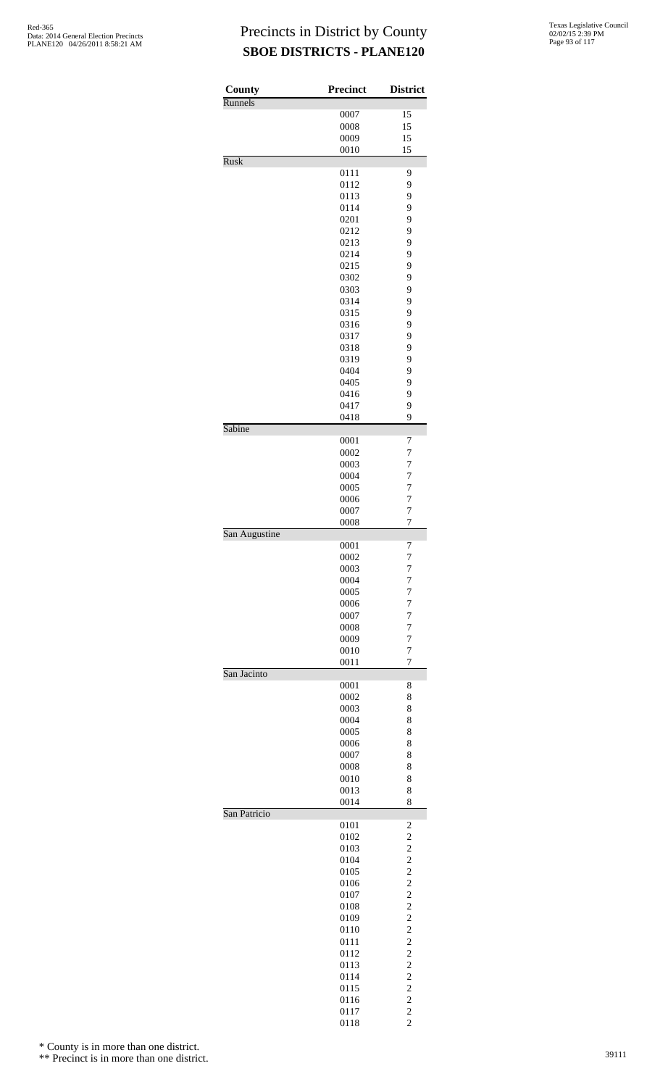| County        | <b>Precinct</b> | <b>District</b>         |
|---------------|-----------------|-------------------------|
| Runnels       |                 |                         |
|               | 0007<br>0008    | 15<br>15                |
|               | 0009            | 15                      |
|               | 0010            | 15                      |
| Rusk          |                 |                         |
|               | 0111            | 9                       |
|               | 0112            | 9                       |
|               | 0113            | 9                       |
|               | 0114            | 9                       |
|               | 0201            | 9                       |
|               | 0212            | 9                       |
|               | 0213<br>0214    | 9<br>9                  |
|               | 0215            | 9                       |
|               | 0302            | 9                       |
|               | 0303            | 9                       |
|               | 0314            | 9                       |
|               | 0315            | 9                       |
|               | 0316            | 9                       |
|               | 0317            | 9                       |
|               | 0318            | 9                       |
|               | 0319            | 9                       |
|               | 0404            | 9                       |
|               | 0405            | 9                       |
|               | 0416<br>0417    | 9<br>9                  |
|               | 0418            | 9                       |
| Sabine        |                 |                         |
|               | 0001            | 7                       |
|               | 0002            | $\overline{7}$          |
|               | 0003            | $\overline{7}$          |
|               | 0004            | 7                       |
|               | 0005            | $\overline{7}$          |
|               | 0006            | 7                       |
|               | 0007            | 7                       |
|               | 0008            | $\overline{7}$          |
| San Augustine | 0001            | 7                       |
|               | 0002            | 7                       |
|               | 0003            | 7                       |
|               | 0004            | $\overline{7}$          |
|               | 0005            | 7                       |
|               | 0006            | $\overline{7}$          |
|               | 0007            | 7                       |
|               | 0008            | $\overline{7}$          |
|               | 0009            | $\overline{7}$          |
|               | 0010            | $\overline{7}$          |
| San Jacinto   | 0011            | 7                       |
|               | 0001            | 8                       |
|               | 0002            | 8                       |
|               | 0003            | 8                       |
|               | 0004            | 8                       |
|               | 0005            | 8                       |
|               | 0006            | 8                       |
|               | 0007            | 8                       |
|               | 0008            | 8                       |
|               | 0010<br>0013    | 8<br>8                  |
|               | 0014            | 8                       |
| San Patricio  |                 |                         |
|               | 0101            | $\overline{\mathbf{c}}$ |
|               | 0102            |                         |
|               | 0103            |                         |
|               | 0104            |                         |
|               | 0105            |                         |
|               | 0106            |                         |
|               | 0107<br>0108    |                         |
|               | 0109            |                         |
|               | 0110            |                         |
|               | 0111            |                         |
|               | 0112            |                         |
|               | 0113            |                         |
|               | 0114            |                         |
|               | 0115            | 2222222222222           |
|               | 0116            |                         |
|               | 0117            | $\overline{c}$          |

2

\* County is in more than one district.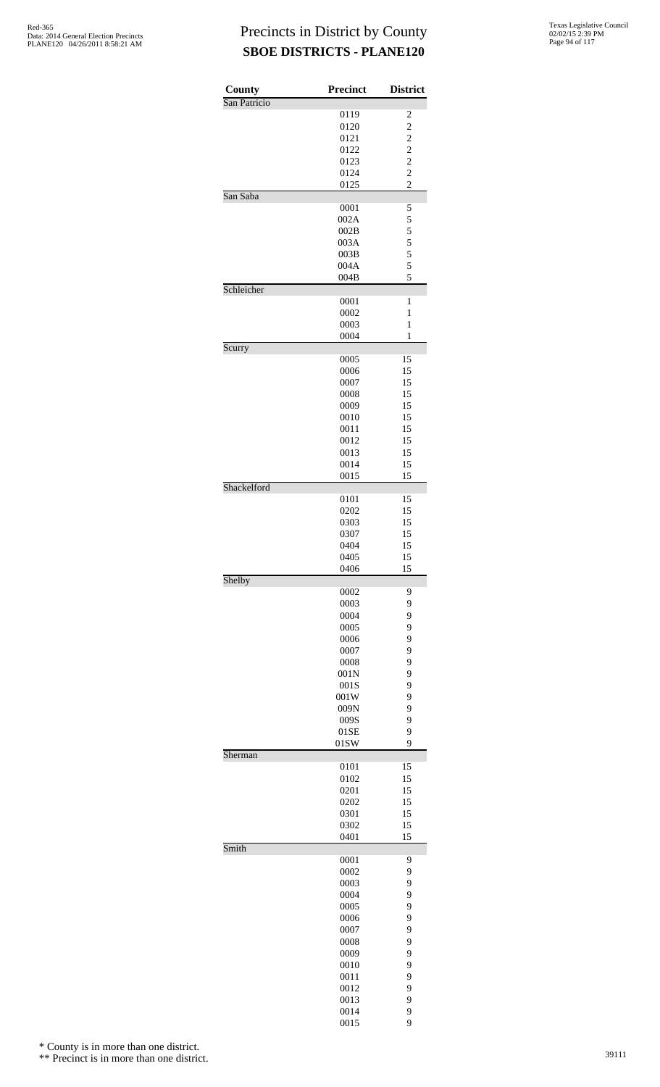| County<br>San Patricio | Precinct     | <b>District</b>         |
|------------------------|--------------|-------------------------|
|                        | 0119         | $\overline{\mathbf{c}}$ |
|                        | 0120         | $\overline{c}$          |
|                        | 0121         |                         |
|                        | 0122         | $\frac{2}{2}$           |
|                        | 0123         | $\overline{c}$          |
|                        | 0124         | $\overline{c}$          |
|                        | 0125         | $\overline{2}$          |
| San Saba               | 0001         | 5                       |
|                        | 002A         | 5                       |
|                        | 002B         |                         |
|                        | 003A         | $\frac{5}{5}$           |
|                        | 003B         | $\frac{5}{5}$           |
|                        | 004A         |                         |
| Schleicher             | 004B         | 5                       |
|                        | 0001         | 1                       |
|                        | 0002         | 1                       |
|                        | 0003         | $\mathbf{1}$            |
|                        | 0004         | 1                       |
| Scurry                 |              |                         |
|                        | 0005<br>0006 | 15<br>15                |
|                        | 0007         | 15                      |
|                        | 0008         | 15                      |
|                        | 0009         | 15                      |
|                        | 0010         | 15                      |
|                        | 0011         | 15<br>15                |
|                        | 0012<br>0013 | 15                      |
|                        | 0014         | 15                      |
|                        | 0015         | 15                      |
| Shackelford            |              |                         |
|                        | 0101         | 15                      |
|                        | 0202         | 15                      |
|                        | 0303<br>0307 | 15<br>15                |
|                        | 0404         | 15                      |
|                        | 0405         | 15                      |
|                        | 0406         | 15                      |
| Shelby                 |              |                         |
|                        | 0002<br>0003 | 9<br>9                  |
|                        | 0004         | 9                       |
|                        | 0005         | 9                       |
|                        | 0006         | 9                       |
|                        | 0007         | 9                       |
|                        | 0008         | 9                       |
|                        | 001N<br>001S | 9<br>9                  |
|                        | 001W         | 9                       |
|                        | 009N         | 9                       |
|                        | 009S         | 9                       |
|                        | 01SE         | 9                       |
|                        | 01SW         | 9                       |
| Sherman                | 0101         | 15                      |
|                        | 0102         | 15                      |
|                        | 0201         | 15                      |
|                        | 0202         | 15                      |
|                        | 0301         | 15                      |
|                        | 0302<br>0401 | 15<br>15                |
| Smith                  |              |                         |
|                        | 0001         | 9                       |
|                        | 0002         | 9                       |
|                        | 0003         | 9                       |
|                        | 0004<br>0005 | 9<br>9                  |
|                        | 0006         | 9                       |
|                        | 0007         | 9                       |
|                        | 0008         | 9                       |
|                        | 0009         | 9                       |
|                        | 0010         | 9                       |
|                        | 0011<br>0012 | 9<br>9                  |
|                        | 0013         | 9                       |
|                        | 0014         | 9                       |
|                        | 0015         | 9                       |

\* County is in more than one district.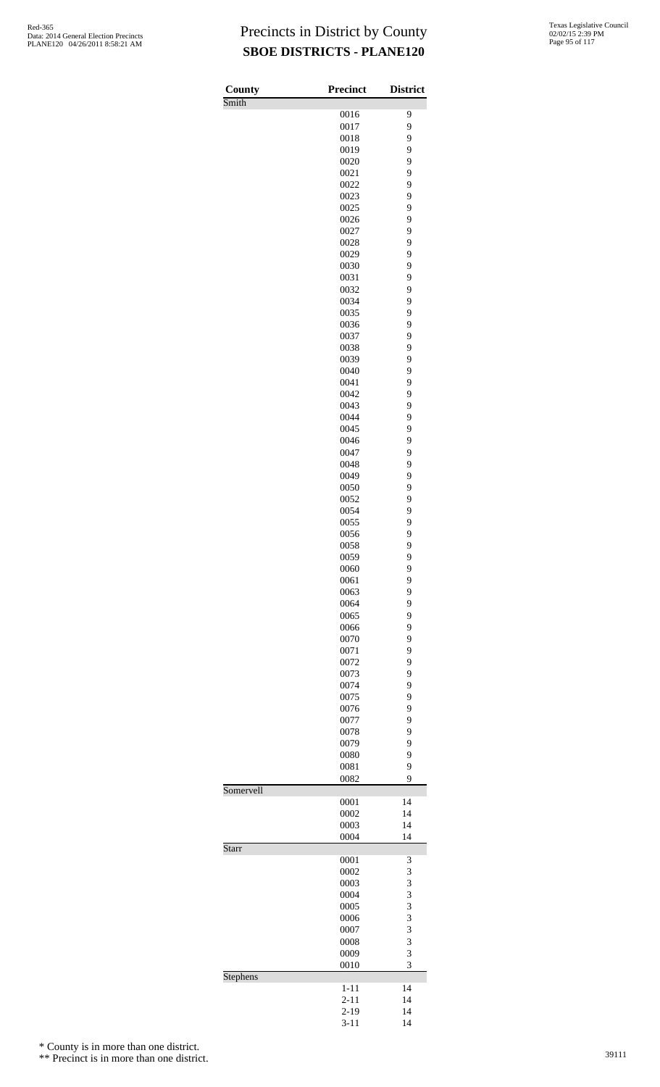| County    | <b>Precinct</b>      | <b>District</b> |
|-----------|----------------------|-----------------|
| Smith     | 0016                 | 9               |
|           | 0017                 | 9               |
|           | 0018                 | 9               |
|           | 0019                 | 9               |
|           | 0020                 | 9               |
|           | 0021                 | 9               |
|           | 0022<br>0023         | 9<br>9          |
|           | 0025                 | 9               |
|           | 0026                 | 9               |
|           | 0027                 | 9               |
|           | 0028                 | 9               |
|           | 0029                 | 9               |
|           | 0030                 | 9<br>9          |
|           | 0031<br>0032         | 9               |
|           | 0034                 | 9               |
|           | 0035                 | 9               |
|           | 0036                 | 9               |
|           | 0037                 | 9               |
|           | 0038                 | 9               |
|           | 0039                 | 9               |
|           | 0040<br>0041         | 9<br>9          |
|           | 0042                 | 9               |
|           | 0043                 | 9               |
|           | 0044                 | 9               |
|           | 0045                 | 9               |
|           | 0046                 | 9               |
|           | 0047<br>0048         | 9<br>9          |
|           | 0049                 | 9               |
|           | 0050                 | 9               |
|           | 0052                 | 9               |
|           | 0054                 | 9               |
|           | 0055                 | 9               |
|           | 0056<br>0058         | 9<br>9          |
|           | 0059                 | 9               |
|           | 0060                 | 9               |
|           | 0061                 | 9               |
|           | 0063                 | 9               |
|           | 0064                 | 9               |
|           | 0065                 | 9<br>9          |
|           | 0066<br>0070         | 9               |
|           | 0071                 | 9               |
|           | 0072                 | 9               |
|           | 0073                 | 9               |
|           | 0074                 | 9               |
|           | 0075                 | 9               |
|           | 0076<br>0077         | 9<br>9          |
|           | 0078                 | 9               |
|           | 0079                 | 9               |
|           | 0080                 | 9               |
|           | 0081                 | 9               |
|           | 0082                 | 9               |
| Somervell | 0001                 | 14              |
|           | 0002                 | 14              |
|           | 0003                 | 14              |
|           | 0004                 | 14              |
| Starr     | 0001                 | 3               |
|           | 0002                 | 3               |
|           | 0003                 | 3               |
|           | 0004                 | 3               |
|           | 0005                 | 3<br>3          |
|           | 0006<br>0007         | 3               |
|           | 0008                 | 3               |
|           | 0009                 | 3               |
|           | 0010                 | 3               |
| Stephens  |                      |                 |
|           | $1 - 11$<br>$2 - 11$ | 14<br>14        |
|           | $2 - 19$             | 14              |
|           | $3 - 11$             | 14              |

\* County is in more than one district.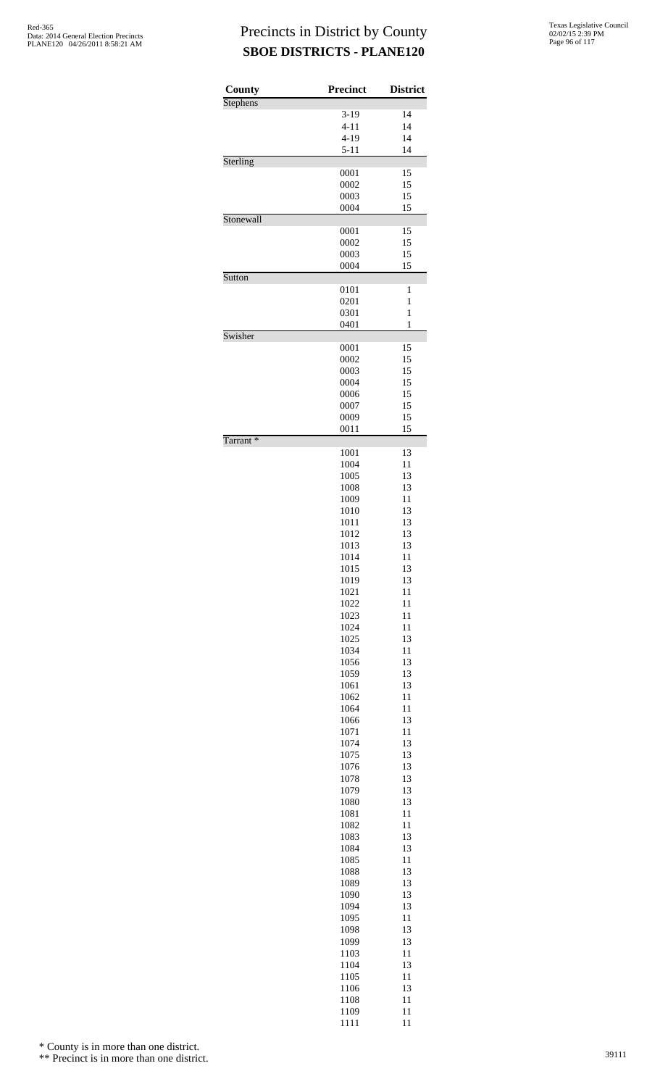| Texas Legislative Council |
|---------------------------|
| 02/02/15 2:39 PM          |
| Page 96 of 117            |

| County               | <b>Precinct</b> | <b>District</b> |
|----------------------|-----------------|-----------------|
| <b>Stephens</b>      |                 |                 |
|                      | $3-19$          | 14              |
|                      | $4 - 11$        | 14              |
|                      | $4 - 19$        | 14              |
|                      | $5 - 11$        | 14              |
| Sterling             |                 |                 |
|                      | 0001            | 15              |
|                      | 0002            | 15              |
|                      | 0003            | 15              |
|                      | 0004            | 15              |
| Stonewall            |                 |                 |
|                      | 0001<br>0002    | 15<br>15        |
|                      | 0003            | 15              |
|                      | 0004            | 15              |
| Sutton               |                 |                 |
|                      | 0101            | 1               |
|                      | 0201            | 1               |
|                      | 0301            | $\mathbf{1}$    |
|                      | 0401            | 1               |
| Swisher              |                 |                 |
|                      | 0001            | 15              |
|                      | 0002            | 15              |
|                      | 0003<br>0004    | 15<br>15        |
|                      | 0006            | 15              |
|                      | 0007            | 15              |
|                      | 0009            | 15              |
|                      | 0011            | 15              |
| Tarrant <sup>*</sup> |                 |                 |
|                      | 1001            | 13              |
|                      | 1004            | 11              |
|                      | 1005            | 13              |
|                      | 1008            | 13              |
|                      | 1009            | 11              |
|                      | 1010            | 13              |
|                      | 1011            | 13<br>13        |
|                      | 1012<br>1013    | 13              |
|                      | 1014            | 11              |
|                      | 1015            | 13              |
|                      | 1019            | 13              |
|                      | 1021            | 11              |
|                      | 1022            | 11              |
|                      | 1023            | 11              |
|                      | 1024            | 11              |
|                      | 1025            | 13              |
|                      | 1034            | 11              |
|                      | 1056            | 13              |
|                      | 1059            | 13              |
|                      | 1061            | 13              |
|                      | 1062            | 11              |
|                      | 1064            | 11<br>13        |
|                      | 1066<br>1071    | 11              |
|                      | 1074            | 13              |
|                      | 1075            | 13              |
|                      | 1076            | 13              |
|                      | 1078            | 13              |
|                      | 1079            | 13              |
|                      | 1080            | 13              |
|                      | 1081            | 11              |
|                      | 1082            | 11              |
|                      | 1083            | 13              |
|                      | 1084            | 13              |
|                      | 1085            | 11              |
|                      | 1088            | 13              |
|                      | 1089            | 13              |
|                      | 1090            | 13              |
|                      | 1094            | 13              |
|                      | 1095            | 11              |
|                      | 1098            | 13              |
|                      | 1099<br>1103    | 13<br>11        |
|                      | 1104            | 13              |
|                      | 1105            | 11              |
|                      | 1106            | 13              |
|                      | 1108            | 11              |

1109 11<br>1111 11

11

\* County is in more than one district.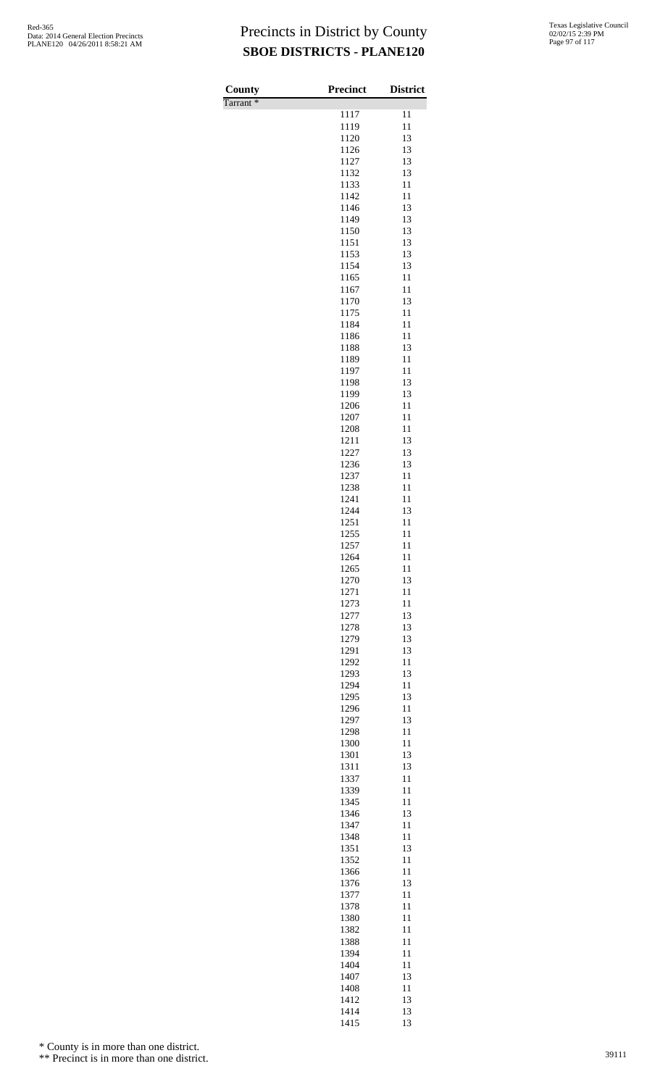| Texas Legislative Council |
|---------------------------|
| 02/02/15 2:39 PM          |
| Page 97 of 117            |

| County               | Precinct     | <b>District</b> |
|----------------------|--------------|-----------------|
| Tarrant <sup>*</sup> | 1117         | 11              |
|                      | 1119         | 11              |
|                      | 1120         | 13              |
|                      | 1126<br>1127 | 13<br>13        |
|                      | 1132         | 13              |
|                      | 1133         | 11              |
|                      | 1142         | 11              |
|                      | 1146<br>1149 | 13<br>13        |
|                      | 1150         | 13              |
|                      | 1151         | 13              |
|                      | 1153<br>1154 | 13<br>13        |
|                      | 1165         | 11              |
|                      | 1167         | 11              |
|                      | 1170         | 13              |
|                      | 1175<br>1184 | 11<br>11        |
|                      | 1186         | 11              |
|                      | 1188         | 13              |
|                      | 1189         | 11<br>11        |
|                      | 1197<br>1198 | 13              |
|                      | 1199         | 13              |
|                      | 1206         | 11              |
|                      | 1207<br>1208 | 11<br>11        |
|                      | 1211         | 13              |
|                      | 1227         | 13              |
|                      | 1236         | 13              |
|                      | 1237<br>1238 | 11<br>11        |
|                      | 1241         | 11              |
|                      | 1244         | 13              |
|                      | 1251         | 11<br>11        |
|                      | 1255<br>1257 | 11              |
|                      | 1264         | 11              |
|                      | 1265         | 11              |
|                      | 1270<br>1271 | 13<br>11        |
|                      | 1273         | 11              |
|                      | 1277         | 13              |
|                      | 1278         | 13              |
|                      | 1279<br>1291 | 13<br>13        |
|                      | 1292         | 11              |
|                      | 1293         | 13              |
|                      | 1294         | 11              |
|                      | 1295<br>1296 | 13<br>11        |
|                      | 1297         | 13              |
|                      | 1298         | 11              |
|                      | 1300<br>1301 | 11<br>13        |
|                      | 1311         | 13              |
|                      | 1337         | 11              |
|                      | 1339         | 11              |
|                      | 1345<br>1346 | 11<br>13        |
|                      | 1347         | 11              |
|                      | 1348         | 11              |
|                      | 1351         | 13              |
|                      | 1352<br>1366 | 11<br>11        |
|                      | 1376         | 13              |
|                      | 1377         | 11              |
|                      | 1378<br>1380 | 11<br>11        |
|                      | 1382         | 11              |
|                      | 1388         | 11              |
|                      | 1394         | 11              |
|                      | 1404<br>1407 | 11<br>13        |
|                      | 1408         | 11              |
|                      | 1412         | 13              |
|                      | 1414<br>1415 | 13<br>13        |
|                      |              |                 |

\* County is in more than one district.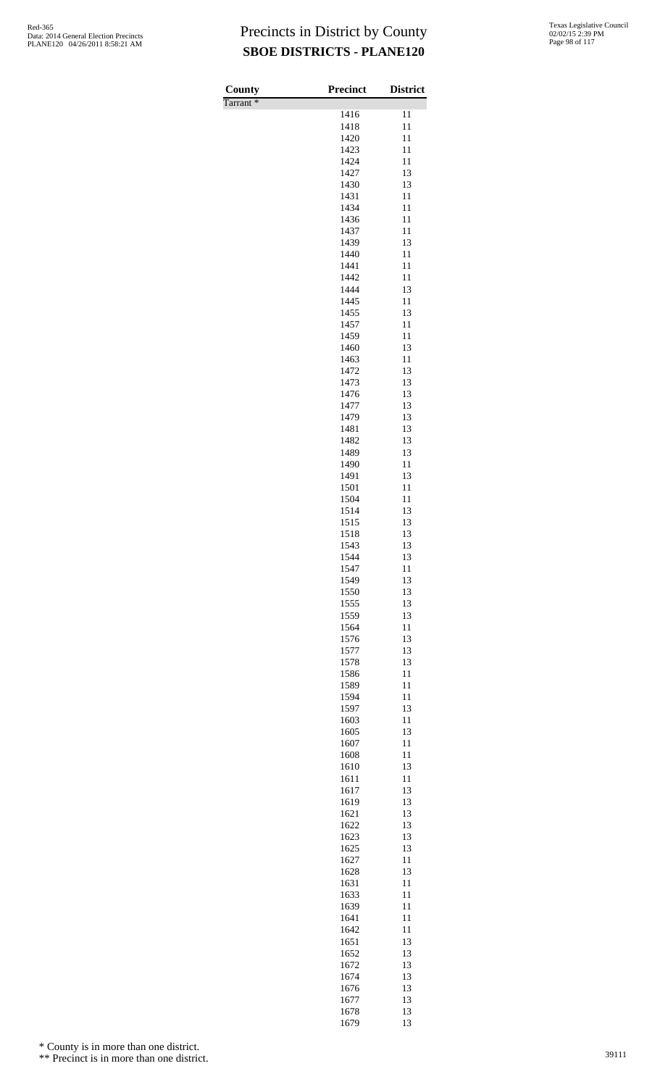Tarrant \*

| County<br>Tarrant <sup>*</sup> | <b>Precinct</b> | <b>District</b> |
|--------------------------------|-----------------|-----------------|
|                                | 1416            | 11              |
|                                | 1418            | 11              |
|                                | 1420<br>1423    | 11<br>11        |
|                                | 1424            | 11              |
|                                | 1427<br>1430    | 13<br>13        |
|                                | 1431            | 11              |
|                                | 1434            | 11              |
|                                | 1436<br>1437    | 11<br>11        |
|                                | 1439            | 13              |
|                                | 1440<br>1441    | 11<br>11        |
|                                | 1442            | 11              |
|                                | 1444            | 13              |
|                                | 1445<br>1455    | 11<br>13        |
|                                | 1457            | 11              |
|                                | 1459            | 11              |
|                                | 1460<br>1463    | 13<br>11        |
|                                | 1472            | 13              |
|                                | 1473<br>1476    | 13<br>13        |
|                                | 1477            | 13              |
|                                | 1479            | 13              |
|                                | 1481<br>1482    | 13<br>13        |
|                                | 1489            | 13              |
|                                | 1490<br>1491    | 11<br>13        |
|                                | 1501            | 11              |
|                                | 1504            | 11              |
|                                | 1514<br>1515    | 13<br>13        |
|                                | 1518            | 13              |
|                                | 1543<br>1544    | 13<br>13        |
|                                | 1547            | 11              |
|                                | 1549            | 13              |
|                                | 1550<br>1555    | 13<br>13        |
|                                | 1559            | 13              |
|                                | 1564            | 11<br>13        |
|                                | 1576<br>1577    | 13              |
|                                | 1578            | 13              |
|                                | 1586<br>1589    | 11<br>11        |
|                                | 1594            | 11              |
|                                | 1597            | 13              |
|                                | 1603<br>1605    | 11<br>13        |
|                                | 1607            | 11              |
|                                | 1608<br>1610    | 11<br>13        |
|                                | 1611            | 11              |
|                                | 1617            | 13              |
|                                | 1619<br>1621    | 13<br>13        |
|                                | 1622            | 13              |
|                                | 1623<br>1625    | 13<br>13        |
|                                | 1627            | 11              |
|                                | 1628            | 13              |
|                                | 1631<br>1633    | 11<br>11        |
|                                | 1639            | 11              |
|                                | 1641<br>1642    | 11<br>11        |
|                                | 1651            | 13              |
|                                | 1652            | 13              |
|                                | 1672<br>1674    | 13<br>13        |
|                                | 1676            | 13              |
|                                | 1677<br>1678    | 13<br>13        |
|                                | 1679            | 13              |

\* County is in more than one district.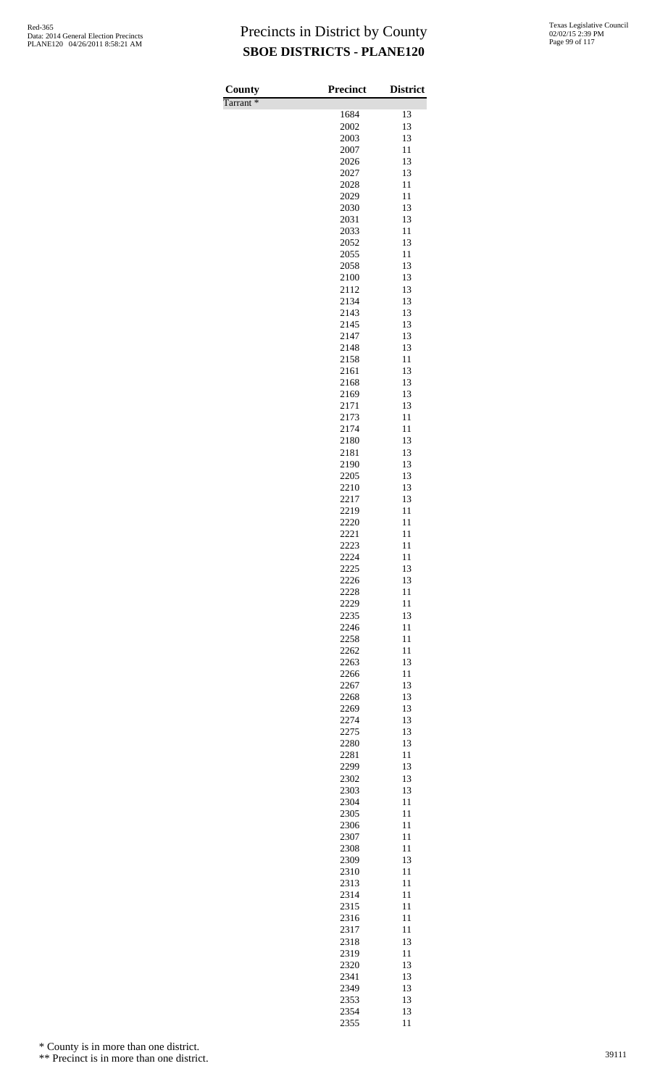Tarrant \*

| County               | <b>Precinct</b> | <b>District</b> |
|----------------------|-----------------|-----------------|
| Tarrant <sup>*</sup> | 1684            | 13              |
|                      | 2002            | 13              |
|                      | 2003            | 13              |
|                      | 2007            | 11              |
|                      | 2026            | 13              |
|                      | 2027            | 13              |
|                      | 2028            | 11<br>11        |
|                      | 2029<br>2030    | 13              |
|                      | 2031            | 13              |
|                      | 2033            | 11              |
|                      | 2052            | 13              |
|                      | 2055            | 11              |
|                      | 2058            | 13              |
|                      | 2100            | 13              |
|                      | 2112<br>2134    | 13<br>13        |
|                      | 2143            | 13              |
|                      | 2145            | 13              |
|                      | 2147            | 13              |
|                      | 2148            | 13              |
|                      | 2158            | 11              |
|                      | 2161            | 13              |
|                      | 2168            | 13              |
|                      | 2169<br>2171    | 13<br>13        |
|                      | 2173            | 11              |
|                      | 2174            | 11              |
|                      | 2180            | 13              |
|                      | 2181            | 13              |
|                      | 2190            | 13              |
|                      | 2205            | 13              |
|                      | 2210            | 13              |
|                      | 2217<br>2219    | 13<br>11        |
|                      | 2220            | 11              |
|                      | 2221            | 11              |
|                      | 2223            | 11              |
|                      | 2224            | 11              |
|                      | 2225            | 13              |
|                      | 2226            | 13              |
|                      | 2228            | 11              |
|                      | 2229            | 11              |
|                      | 2235<br>2246    | 13<br>11        |
|                      | 2258            | 11              |
|                      | 2262            | 11              |
|                      | 2263            | 13              |
|                      | 2266            | 11              |
|                      | 2267            | 13              |
|                      | 2268            | 13              |
|                      | 2269            | 13              |
|                      | 2274            | 13<br>13        |
|                      | 2275<br>2280    | 13              |
|                      | 2281            | 11              |
|                      | 2299            | 13              |
|                      | 2302            | 13              |
|                      | 2303            | 13              |
|                      | 2304            | 11              |
|                      | 2305            | 11              |
|                      | 2306            | 11<br>11        |
|                      | 2307<br>2308    | 11              |
|                      | 2309            | 13              |
|                      | 2310            | 11              |
|                      | 2313            | 11              |
|                      | 2314            | 11              |
|                      | 2315            | 11              |
|                      | 2316            | 11              |
|                      | 2317            | 11              |
|                      | 2318<br>2319    | 13<br>11        |
|                      | 2320            | 13              |
|                      | 2341            | 13              |
|                      | 2349            | 13              |
|                      | 2353            | 13              |
|                      | 2354            | 13              |
|                      | 2355            | 11              |

\* County is in more than one district.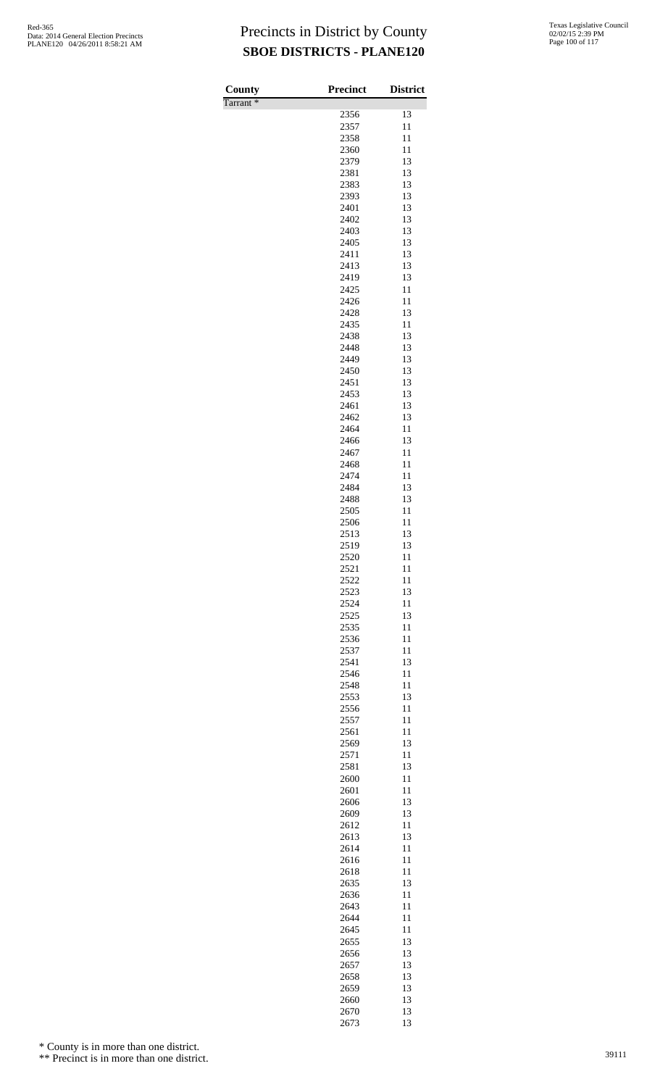| County               | <b>Precinct</b> | <b>District</b> |
|----------------------|-----------------|-----------------|
| Tarrant <sup>*</sup> | 2356            | 13              |
|                      | 2357            | 11              |
|                      | 2358            | 11              |
|                      | 2360            | 11              |
|                      | 2379            | 13              |
|                      | 2381<br>2383    | 13<br>13        |
|                      | 2393            | 13              |
|                      | 2401            | 13              |
|                      | 2402            | 13              |
|                      | 2403            | 13              |
|                      | 2405<br>2411    | 13<br>13        |
|                      | 2413            | 13              |
|                      | 2419            | 13              |
|                      | 2425            | 11              |
|                      | 2426            | 11              |
|                      | 2428<br>2435    | 13<br>11        |
|                      | 2438            | 13              |
|                      | 2448            | 13              |
|                      | 2449            | 13              |
|                      | 2450            | 13              |
|                      | 2451<br>2453    | 13<br>13        |
|                      | 2461            | 13              |
|                      | 2462            | 13              |
|                      | 2464            | 11              |
|                      | 2466            | 13              |
|                      | 2467<br>2468    | 11<br>11        |
|                      | 2474            | 11              |
|                      | 2484            | 13              |
|                      | 2488            | 13              |
|                      | 2505            | 11              |
|                      | 2506<br>2513    | 11<br>13        |
|                      | 2519            | 13              |
|                      | 2520            | 11              |
|                      | 2521            | 11              |
|                      | 2522            | 11              |
|                      | 2523<br>2524    | 13<br>11        |
|                      | 2525            | 13              |
|                      | 2535            | 11              |
|                      | 2536            | 11              |
|                      | 2537            | 11              |
|                      | 2541            | 13<br>11        |
|                      | 2546<br>2548    | 11              |
|                      | 2553            | 13              |
|                      | 2556            | 11              |
|                      | 2557            | 11              |
|                      | 2561            | 11              |
|                      | 2569<br>2571    | 13<br>11        |
|                      | 2581            | 13              |
|                      | 2600            | 11              |
|                      | 2601            | 11              |
|                      | 2606            | 13<br>13        |
|                      | 2609<br>2612    | 11              |
|                      | 2613            | 13              |
|                      | 2614            | 11              |
|                      | 2616            | 11              |
|                      | 2618            | 11              |
|                      | 2635<br>2636    | 13<br>11        |
|                      | 2643            | 11              |
|                      | 2644            | 11              |
|                      | 2645            | 11              |
|                      | 2655            | 13              |
|                      | 2656<br>2657    | 13<br>13        |
|                      | 2658            | 13              |
|                      | 2659            | 13              |
|                      | 2660            | 13              |
|                      | 2670            | 13              |
|                      | 2673            | 13              |

\* County is in more than one district.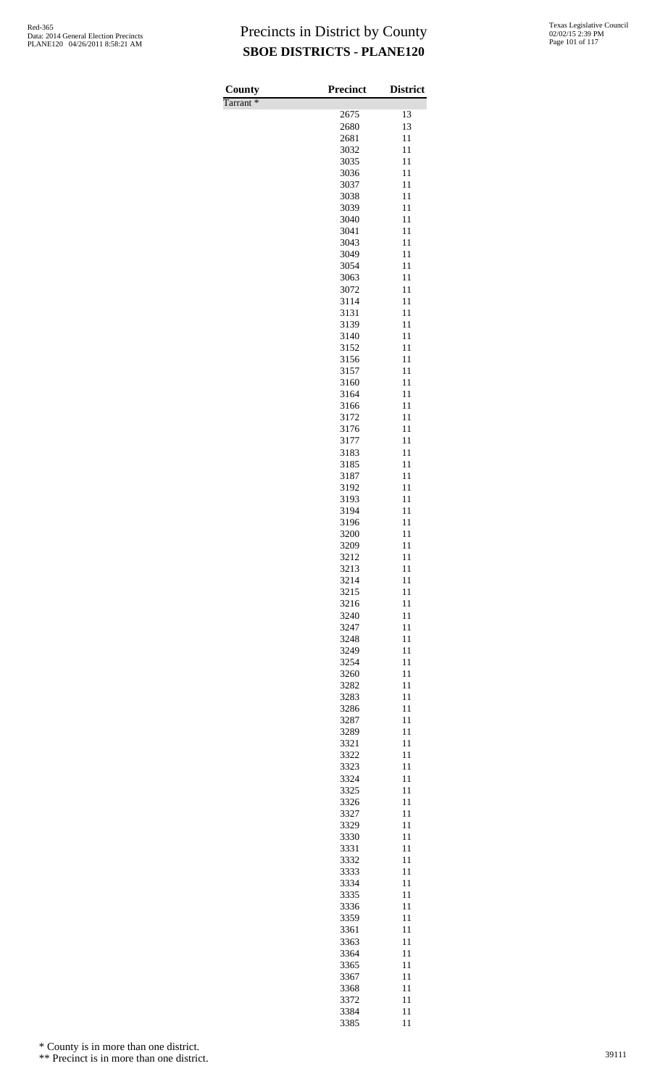| County   | <b>Precinct</b> | <b>District</b> |
|----------|-----------------|-----------------|
| Tarrant* |                 |                 |
|          | 2675            | 13              |
|          | 2680            | 13              |
|          | 2681            | 11              |
|          | 3032            | 11              |
|          | 3035<br>3036    | 11<br>11        |
|          | 3037            | 11              |
|          | 3038            | 11              |
|          | 3039            | 11              |
|          | 3040            | 11              |
|          | 3041            | 11              |
|          | 3043            | 11              |
|          | 3049            | 11              |
|          | 3054            | 11              |
|          | 3063<br>3072    | 11<br>11        |
|          | 3114            | 11              |
|          | 3131            | 11              |
|          | 3139            | 11              |
|          | 3140            | 11              |
|          | 3152            | 11              |
|          | 3156            | 11              |
|          | 3157            | 11              |
|          | 3160            | 11              |
|          | 3164            | 11              |
|          | 3166<br>3172    | 11<br>11        |
|          | 3176            | 11              |
|          | 3177            | 11              |
|          | 3183            | 11              |
|          | 3185            | 11              |
|          | 3187            | 11              |
|          | 3192            | 11              |
|          | 3193            | 11              |
|          | 3194            | 11              |
|          | 3196<br>3200    | 11<br>11        |
|          | 3209            | 11              |
|          | 3212            | 11              |
|          | 3213            | 11              |
|          | 3214            | 11              |
|          | 3215            | 11              |
|          | 3216            | 11              |
|          | 3240            | 11              |
|          | 3247            | 11              |
|          | 3248<br>3249    | 11<br>11        |
|          | 3254            | 11              |
|          | 3260            | 11              |
|          | 3282            | 11              |
|          | 3283            | 11              |
|          | 3286            | 11              |
|          | 3287            | 11              |
|          | 3289            | 11              |
|          | 3321            | 11              |
|          | 3322            | 11              |
|          | 3323<br>3324    | 11<br>11        |
|          | 3325            | 11              |
|          | 3326            | 11              |
|          | 3327            | 11              |
|          | 3329            | 11              |
|          | 3330            | 11              |
|          | 3331            | 11              |
|          | 3332            | 11              |
|          | 3333            | 11              |
|          | 3334<br>3335    | 11<br>11        |
|          | 3336            | 11              |
|          | 3359            | 11              |
|          | 3361            | 11              |
|          | 3363            | 11              |
|          | 3364            | 11              |
|          | 3365            | 11              |
|          | 3367            | 11              |
|          | 3368            | 11              |
|          | 3372            | 11              |
|          | 3384            | 11              |

11

\* County is in more than one district.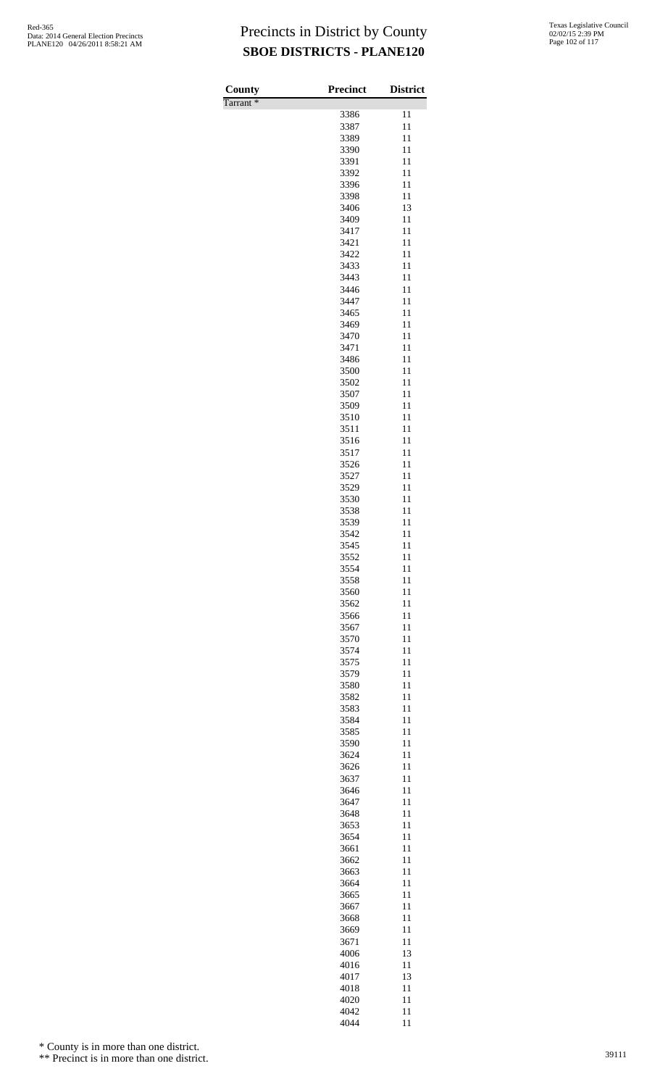| County               | <b>Precinct</b> | <b>District</b> |
|----------------------|-----------------|-----------------|
| Tarrant <sup>*</sup> |                 |                 |
|                      | 3386            | 11              |
|                      | 3387            | 11<br>11        |
|                      | 3389<br>3390    | 11              |
|                      | 3391            | 11              |
|                      | 3392            | 11              |
|                      | 3396            | 11              |
|                      | 3398            | 11              |
|                      | 3406            | 13              |
|                      | 3409            | 11              |
|                      | 3417<br>3421    | 11<br>11        |
|                      | 3422            | 11              |
|                      | 3433            | 11              |
|                      | 3443            | 11              |
|                      | 3446            | 11              |
|                      | 3447            | 11              |
|                      | 3465            | 11              |
|                      | 3469            | 11              |
|                      | 3470            | 11              |
|                      | 3471<br>3486    | 11<br>11        |
|                      | 3500            | 11              |
|                      | 3502            | 11              |
|                      | 3507            | 11              |
|                      | 3509            | 11              |
|                      | 3510            | 11              |
|                      | 3511            | 11              |
|                      | 3516            | 11              |
|                      | 3517            | 11<br>11        |
|                      | 3526<br>3527    | 11              |
|                      | 3529            | 11              |
|                      | 3530            | 11              |
|                      | 3538            | 11              |
|                      | 3539            | 11              |
|                      | 3542            | 11              |
|                      | 3545            | 11              |
|                      | 3552            | 11              |
|                      | 3554<br>3558    | 11<br>11        |
|                      | 3560            | 11              |
|                      | 3562            | 11              |
|                      | 3566            | 11              |
|                      | 3567            | 11              |
|                      | 3570            | 11              |
|                      | 3574            | 11              |
|                      | 3575            | 11              |
|                      | 3579            | 11              |
|                      | 3580<br>3582    | 11<br>11        |
|                      | 3583            | 11              |
|                      | 3584            | 11              |
|                      | 3585            | 11              |
|                      | 3590            | 11              |
|                      | 3624            | 11              |
|                      | 3626            | 11              |
|                      | 3637            | 11<br>11        |
|                      | 3646<br>3647    | 11              |
|                      | 3648            | 11              |
|                      | 3653            | 11              |
|                      | 3654            | 11              |
|                      | 3661            | 11              |
|                      | 3662            | 11              |
|                      | 3663            | 11              |
|                      | 3664            | 11              |
|                      | 3665            | 11<br>11        |
|                      | 3667<br>3668    | 11              |
|                      | 3669            | 11              |
|                      | 3671            | 11              |
|                      | 4006            | 13              |
|                      | 4016            | 11              |
|                      | 4017            | 13              |
|                      | 4018            | 11              |
|                      | 4020            | 11              |
|                      | 4042<br>4044    | 11<br>11        |

\* County is in more than one district.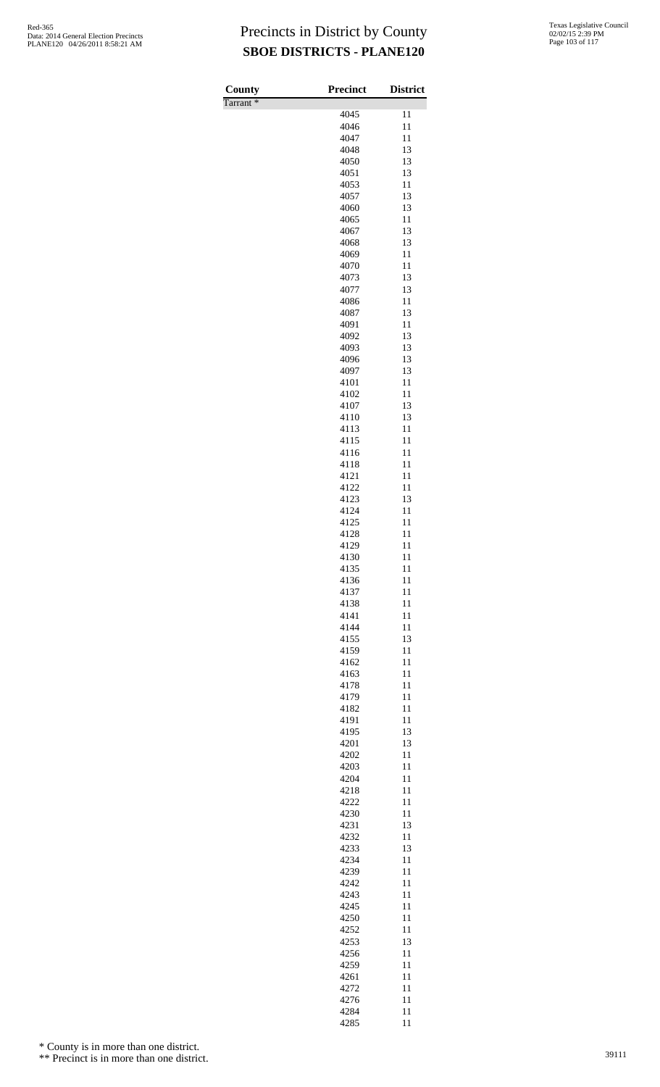| County               | <b>Precinct</b> | <b>District</b> |
|----------------------|-----------------|-----------------|
| Tarrant <sup>*</sup> |                 |                 |
|                      | 4045<br>4046    | 11<br>11        |
|                      | 4047            | 11              |
|                      | 4048            | 13              |
|                      | 4050            | 13              |
|                      | 4051            | 13              |
|                      | 4053<br>4057    | 11<br>13        |
|                      | 4060            | 13              |
|                      | 4065            | 11              |
|                      | 4067            | 13              |
|                      | 4068            | 13              |
|                      | 4069            | 11              |
|                      | 4070<br>4073    | 11<br>13        |
|                      | 4077            | 13              |
|                      | 4086            | 11              |
|                      | 4087            | 13              |
|                      | 4091            | 11              |
|                      | 4092<br>4093    | 13<br>13        |
|                      | 4096            | 13              |
|                      | 4097            | 13              |
|                      | 4101            | 11              |
|                      | 4102            | 11              |
|                      | 4107<br>4110    | 13<br>13        |
|                      | 4113            | 11              |
|                      | 4115            | 11              |
|                      | 4116            | 11              |
|                      | 4118            | 11<br>11        |
|                      | 4121<br>4122    | 11              |
|                      | 4123            | 13              |
|                      | 4124            | 11              |
|                      | 4125            | 11              |
|                      | 4128            | 11              |
|                      | 4129<br>4130    | 11<br>11        |
|                      | 4135            | 11              |
|                      | 4136            | 11              |
|                      | 4137            | 11              |
|                      | 4138            | 11              |
|                      | 4141<br>4144    | 11<br>11        |
|                      | 4155            | 13              |
|                      | 4159            | 11              |
|                      | 4162            | 11              |
|                      | 4163            | 11              |
|                      | 4178<br>4179    | 11<br>11        |
|                      | 4182            | 11              |
|                      | 4191            | 11              |
|                      | 4195            | 13              |
|                      | 4201            | 13              |
|                      | 4202<br>4203    | 11<br>11        |
|                      | 4204            | 11              |
|                      | 4218            | 11              |
|                      | 4222            | 11              |
|                      | 4230            | 11              |
|                      | 4231<br>4232    | 13<br>11        |
|                      | 4233            | 13              |
|                      | 4234            | 11              |
|                      | 4239            | 11              |
|                      | 4242            | 11              |
|                      | 4243<br>4245    | 11<br>11        |
|                      | 4250            | 11              |
|                      | 4252            | 11              |
|                      | 4253            | 13              |
|                      | 4256            | 11              |
|                      | 4259<br>4261    | 11              |
|                      | 4272            | 11<br>11        |
|                      | 4276            | 11              |
|                      | 4284            | 11              |
|                      | 4285            | 11              |

\* County is in more than one district.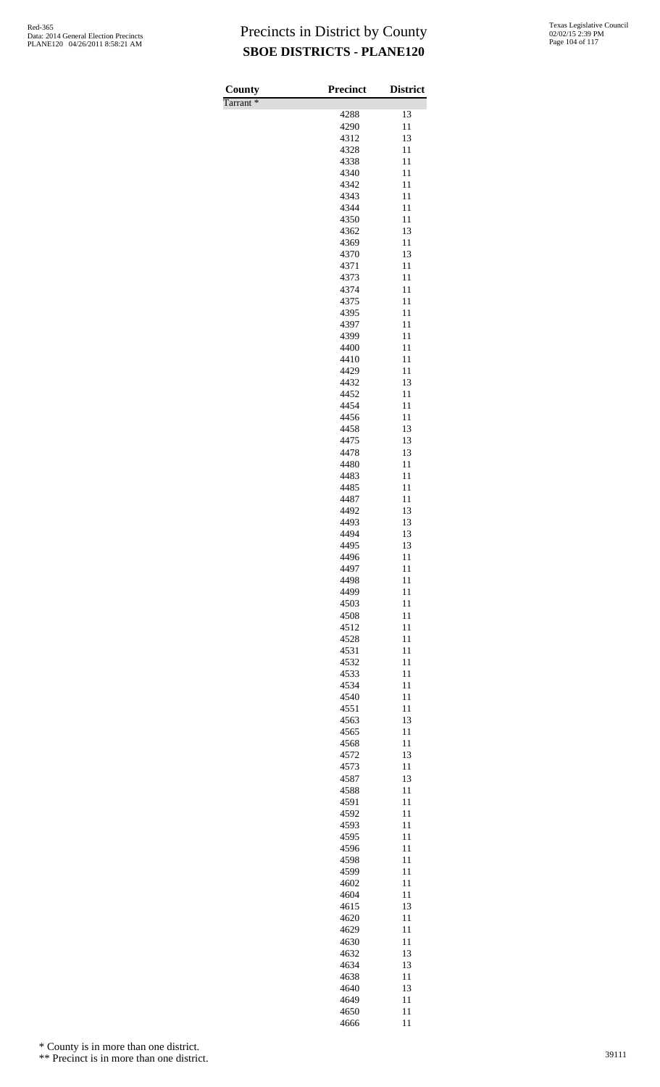| County               | <b>Precinct</b> | <b>District</b> |
|----------------------|-----------------|-----------------|
| Tarrant <sup>*</sup> | 4288            | 13              |
|                      | 4290            | 11              |
|                      | 4312            | 13              |
|                      | 4328            | 11<br>11        |
|                      | 4338<br>4340    | 11              |
|                      | 4342            | 11              |
|                      | 4343            | 11              |
|                      | 4344<br>4350    | 11<br>11        |
|                      | 4362            | 13              |
|                      | 4369            | 11              |
|                      | 4370            | 13              |
|                      | 4371<br>4373    | 11<br>11        |
|                      | 4374            | 11              |
|                      | 4375            | 11              |
|                      | 4395<br>4397    | 11<br>11        |
|                      | 4399            | 11              |
|                      | 4400            | 11              |
|                      | 4410            | 11              |
|                      | 4429<br>4432    | 11<br>13        |
|                      | 4452            | 11              |
|                      | 4454            | 11              |
|                      | 4456            | 11              |
|                      | 4458<br>4475    | 13<br>13        |
|                      | 4478            | 13              |
|                      | 4480            | 11              |
|                      | 4483            | 11              |
|                      | 4485<br>4487    | 11<br>11        |
|                      | 4492            | 13              |
|                      | 4493            | 13              |
|                      | 4494<br>4495    | 13<br>13        |
|                      | 4496            | 11              |
|                      | 4497            | 11              |
|                      | 4498            | 11              |
|                      | 4499<br>4503    | 11<br>11        |
|                      | 4508            | 11              |
|                      | 4512            | 11              |
|                      | 4528<br>4531    | 11<br>11        |
|                      | 4532            | 11              |
|                      | 4533            | 11              |
|                      | 4534            | 11              |
|                      | 4540<br>4551    | 11<br>11        |
|                      | 4563            | 13              |
|                      | 4565            | 11              |
|                      | 4568            | 11<br>13        |
|                      | 4572<br>4573    | 11              |
|                      | 4587            | 13              |
|                      | 4588            | 11              |
|                      | 4591<br>4592    | 11<br>11        |
|                      | 4593            | 11              |
|                      | 4595            | 11              |
|                      | 4596            | 11              |
|                      | 4598<br>4599    | 11<br>11        |
|                      | 4602            | 11              |
|                      | 4604            | 11              |
|                      | 4615<br>4620    | 13<br>11        |
|                      | 4629            | 11              |
|                      | 4630            | 11              |
|                      | 4632            | 13              |
|                      | 4634<br>4638    | 13<br>11        |
|                      | 4640            | 13              |
|                      | 4649            | 11              |
|                      | 4650            | 11<br>11        |
|                      | 4666            |                 |

\* County is in more than one district.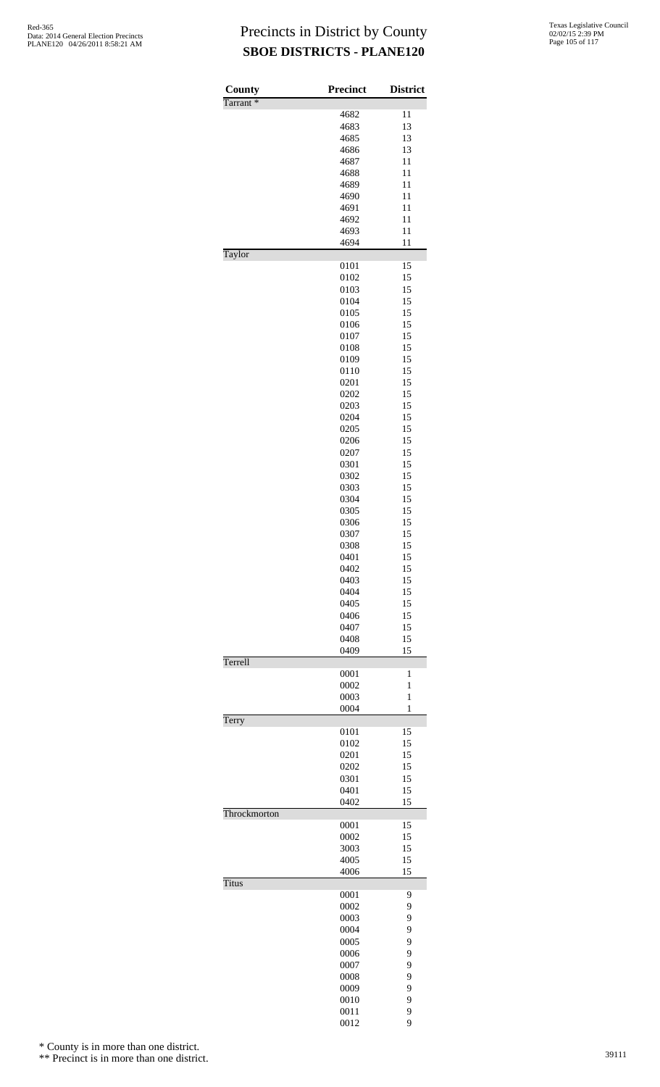| County<br>Tarrant <sup>*</sup> | <b>Precinct</b> | <b>District</b> |
|--------------------------------|-----------------|-----------------|
|                                | 4682            | 11              |
|                                | 4683            | 13              |
|                                | 4685            | 13              |
|                                | 4686            | 13              |
|                                | 4687            | 11              |
|                                | 4688            | 11              |
|                                | 4689            | 11              |
|                                | 4690            | 11              |
|                                | 4691            | 11              |
|                                | 4692            | 11              |
|                                | 4693            | 11              |
| Taylor                         | 4694            | 11              |
|                                | 0101            | 15              |
|                                | 0102            | 15              |
|                                | 0103            | 15<br>15        |
|                                | 0104<br>0105    | 15              |
|                                | 0106            | 15              |
|                                | 0107            | 15              |
|                                | 0108            | 15              |
|                                | 0109            | 15              |
|                                | 0110            | 15              |
|                                | 0201            | 15              |
|                                | 0202            | 15              |
|                                | 0203            | 15              |
|                                | 0204            | 15              |
|                                | 0205            | 15              |
|                                | 0206            | 15              |
|                                | 0207            | 15              |
|                                | 0301            | 15              |
|                                | 0302            | 15              |
|                                | 0303            | 15              |
|                                | 0304            | 15              |
|                                | 0305            | 15              |
|                                | 0306            | 15              |
|                                | 0307            | 15              |
|                                | 0308            | 15              |
|                                | 0401            | 15              |
|                                | 0402            | 15              |
|                                | 0403            | 15              |
|                                | 0404            | 15              |
|                                | 0405<br>0406    | 15<br>15        |
|                                | 0407            | 15              |
|                                | 0408            | 15              |
|                                | 0409            | 15              |
| Terrell                        | 0001            | 1               |
|                                | 0002            | $\mathbf{1}$    |
|                                | 0003            | $\mathbf{1}$    |
|                                | 0004            | 1               |
| Terry                          | 0101            | 15              |
|                                | 0102            | 15              |
|                                | 0201            | 15              |
|                                | 0202            | 15              |
|                                | 0301            | 15              |
|                                | 0401            | 15              |
|                                | 0402            | 15              |
| Throckmorton                   | 0001            | 15              |
|                                | 0002            | 15              |
|                                | 3003            | 15              |
|                                | 4005            | 15              |
|                                | 4006            | 15              |
| <b>Titus</b>                   | 0001            | 9               |
|                                | 0002            | 9               |
|                                | 0003            | 9               |
|                                | 0004            | 9               |
|                                | 0005            | 9               |
|                                | 0006            | 9               |
|                                | 0007            | 9               |
|                                | 0008            | 9               |
|                                | 0009            | 9               |
|                                | 0010            | 9               |
|                                | 0011            | 9               |
|                                | 0012            | 9               |

\* County is in more than one district.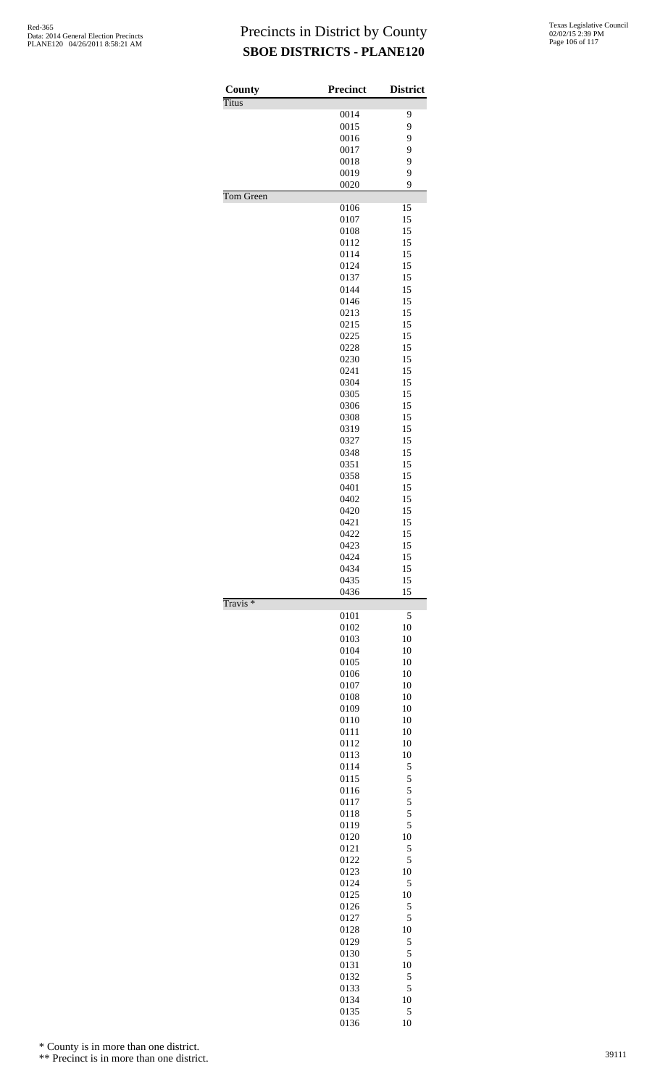| County              | <b>Precinct</b> | <b>District</b> |
|---------------------|-----------------|-----------------|
| <b>Titus</b>        |                 |                 |
|                     | 0014            | 9               |
|                     | 0015            | 9               |
|                     | 0016            | 9               |
|                     | 0017            | 9               |
|                     | 0018            | 9               |
|                     | 0019            | 9               |
|                     | 0020            | 9               |
| Tom Green           |                 |                 |
|                     | 0106            | 15              |
|                     | 0107            | 15              |
|                     | 0108            | 15              |
|                     | 0112            | 15              |
|                     | 0114            | 15              |
|                     | 0124            | 15              |
|                     | 0137            | 15              |
|                     | 0144            | 15<br>15        |
|                     | 0146<br>0213    |                 |
|                     |                 | 15<br>15        |
|                     | 0215            | 15              |
|                     | 0225            | 15              |
|                     | 0228            |                 |
|                     | 0230<br>0241    | 15<br>15        |
|                     | 0304            | 15              |
|                     | 0305            | 15              |
|                     | 0306            | 15              |
|                     | 0308            | 15              |
|                     | 0319            | 15              |
|                     | 0327            | 15              |
|                     | 0348            | 15              |
|                     | 0351            | 15              |
|                     | 0358            | 15              |
|                     | 0401            | 15              |
|                     | 0402            | 15              |
|                     | 0420            | 15              |
|                     | 0421            | 15              |
|                     | 0422            | 15              |
|                     | 0423            | 15              |
|                     | 0424            | 15              |
|                     | 0434            | 15              |
|                     | 0435<br>0436    | 15<br>15        |
| Travis <sup>*</sup> |                 |                 |
|                     | 0101            | 5               |
|                     | 0102            | 10              |
|                     | 0103            | 10              |
|                     | 0104            | 10              |
|                     | 0105            | 10              |
|                     | 0106            | 10              |
|                     | 0107            | 10              |
|                     | 0108            | 10              |
|                     | 0109            | 10              |
|                     | 0110            | 10              |
|                     | 0111            | 10              |
|                     |                 |                 |
|                     | 0112            | 10              |
|                     | 0113            | 10              |
|                     | 0114            | 5               |
|                     | 0115            | 5               |
|                     | 0116            | 5               |
|                     | 0117            | 5               |
|                     | 0118            | 5               |
|                     | 0119            | 5               |
|                     | 0120            | 10              |
|                     | 0121            | 5               |
|                     | 0122            | 5               |
|                     | 0123<br>0124    | 10<br>5         |
|                     | 0125            | 10              |
|                     | 0126            | 5               |
|                     | 0127            | 5               |
|                     | 0128            | 10              |
|                     | 0129            | 5               |
|                     | 0130            | 5               |
|                     | 0131            | 10              |
|                     | 0132            | 5               |
|                     | 0133            | 5               |
|                     | 0134<br>0135    | 10<br>5         |

\* County is in more than one district.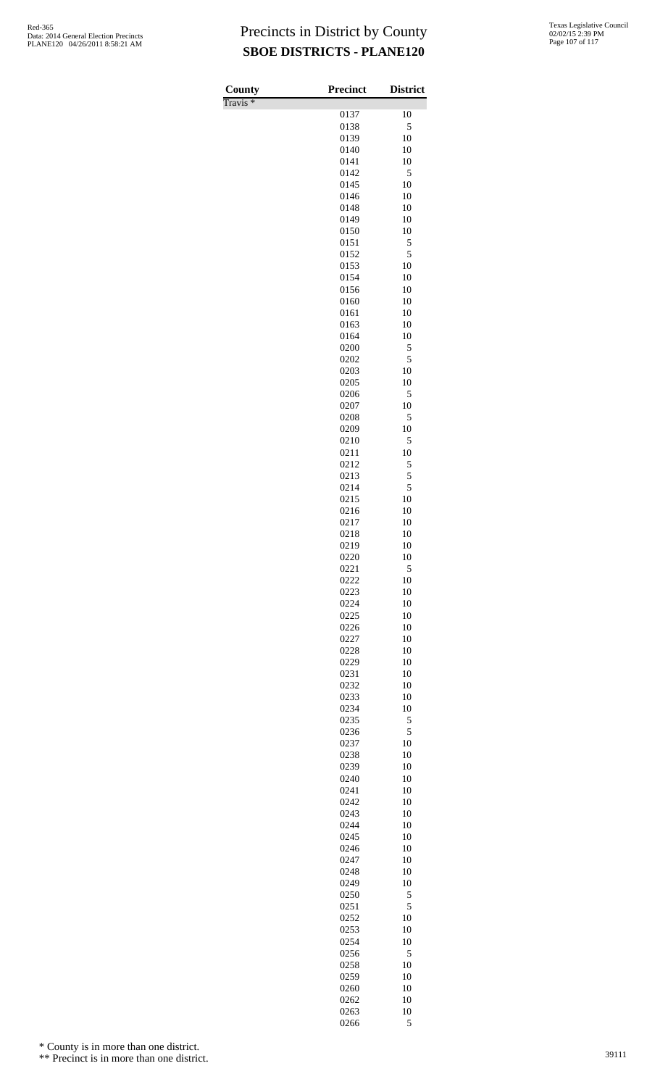Travis \*

| County<br>$\overline{\Gamma}$ ravis * | <b>Precinct</b> | <b>District</b> |
|---------------------------------------|-----------------|-----------------|
|                                       | 0137            | 10              |
|                                       | 0138            | 5               |
|                                       | 0139            | 10              |
|                                       | 0140            | 10              |
|                                       | 0141            | 10              |
|                                       | 0142            | 5               |
|                                       | 0145<br>0146    | 10<br>10        |
|                                       | 0148            | 10              |
|                                       | 0149            | 10              |
|                                       | 0150            | 10              |
|                                       | 0151            | 5               |
|                                       | 0152            | 5               |
|                                       | 0153            | 10              |
|                                       | 0154            | 10<br>10        |
|                                       | 0156<br>0160    | 10              |
|                                       | 0161            | 10              |
|                                       | 0163            | 10              |
|                                       | 0164            | 10              |
|                                       | 0200            | 5               |
|                                       | 0202            | 5               |
|                                       | 0203            | 10              |
|                                       | 0205<br>0206    | 10<br>5         |
|                                       | 0207            | 10              |
|                                       | 0208            | 5               |
|                                       | 0209            | 10              |
|                                       | 0210            | 5               |
|                                       | 0211            | 10              |
|                                       | 0212            | 5               |
|                                       | 0213            | 5               |
|                                       | 0214<br>0215    | 5<br>10         |
|                                       | 0216            | 10              |
|                                       | 0217            | 10              |
|                                       | 0218            | 10              |
|                                       | 0219            | 10              |
|                                       | 0220            | 10              |
|                                       | 0221            | 5               |
|                                       | 0222            | 10              |
|                                       | 0223<br>0224    | 10<br>10        |
|                                       | 0225            | 10              |
|                                       | 0226            | 10              |
|                                       | 0227            | 10              |
|                                       | 0228            | 10              |
|                                       | 0229            | 10              |
|                                       | 0231            | 10              |
|                                       | 0232            | 10              |
|                                       | 0233<br>0234    | 10<br>10        |
|                                       | 0235            | 5               |
|                                       | 0236            | 5               |
|                                       | 0237            | 10              |
|                                       | 0238            | 10              |
|                                       | 0239            | 10              |
|                                       | 0240            | 10              |
|                                       | 0241            | 10              |
|                                       | 0242<br>0243    | 10<br>10        |
|                                       | 0244            | 10              |
|                                       | 0245            | 10              |
|                                       | 0246            | 10              |
|                                       | 0247            | 10              |
|                                       | 0248            | 10              |
|                                       | 0249            | 10              |
|                                       | 0250            | 5               |
|                                       | 0251<br>0252    | 5<br>10         |
|                                       | 0253            | 10              |
|                                       | 0254            | 10              |
|                                       | 0256            | 5               |
|                                       | 0258            | 10              |
|                                       | 0259            | 10              |
|                                       | 0260            | 10              |
|                                       | 0262            | 10              |
|                                       | 0263<br>0266    | 10<br>5         |
|                                       |                 |                 |

\* County is in more than one district.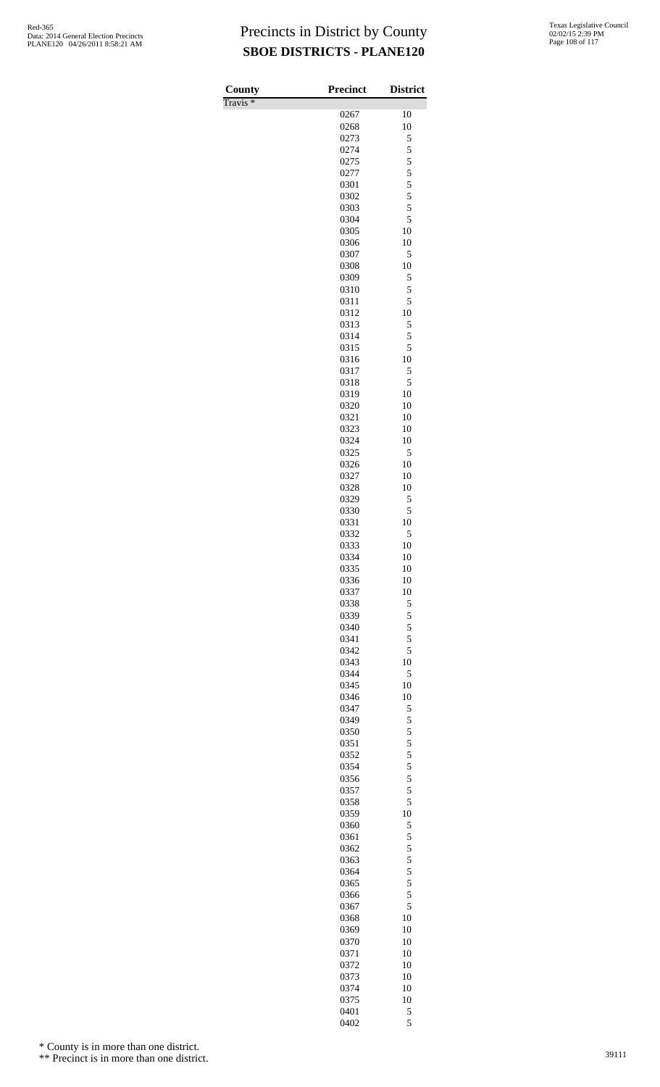Travis \*

| County                      | <b>Precinct</b> | <b>District</b> |
|-----------------------------|-----------------|-----------------|
| $\overline{\Gamma}$ ravis * |                 |                 |
|                             | 0267            | 10              |
|                             | 0268<br>0273    | 10<br>5         |
|                             | 0274            | 5               |
|                             | 0275            | 5               |
|                             | 0277            | 5               |
|                             | 0301            | 5               |
|                             | 0302            | 5               |
|                             | 0303<br>0304    | 5<br>5          |
|                             | 0305            | 10              |
|                             | 0306            | 10              |
|                             | 0307            | 5               |
|                             | 0308            | 10              |
|                             | 0309            | 5               |
|                             | 0310<br>0311    | 5<br>5          |
|                             | 0312            | 10              |
|                             | 0313            | 5               |
|                             | 0314            | 5               |
|                             | 0315            | 5               |
|                             | 0316            | 10              |
|                             | 0317            | 5<br>5          |
|                             | 0318<br>0319    | 10              |
|                             | 0320            | 10              |
|                             | 0321            | 10              |
|                             | 0323            | 10              |
|                             | 0324            | 10              |
|                             | 0325            | 5               |
|                             | 0326<br>0327    | 10<br>10        |
|                             | 0328            | 10              |
|                             | 0329            | 5               |
|                             | 0330            | 5               |
|                             | 0331            | 10              |
|                             | 0332            | 5               |
|                             | 0333<br>0334    | 10<br>10        |
|                             | 0335            | 10              |
|                             | 0336            | 10              |
|                             | 0337            | 10              |
|                             | 0338            | 5               |
|                             | 0339            | 5               |
|                             | 0340<br>0341    | 5<br>5          |
|                             | 0342            | 5               |
|                             | 0343            | 10              |
|                             | 0344            | 5               |
|                             | 0345            | 10              |
|                             | 0346            | 10              |
|                             | 0347<br>0349    | 5<br>5          |
|                             | 0350            | 5               |
|                             | 0351            | 5               |
|                             | 0352            | 5               |
|                             | 0354            | 5               |
|                             | 0356            | 5               |
|                             | 0357<br>0358    | 5<br>5          |
|                             | 0359            | 10              |
|                             | 0360            | 5               |
|                             | 0361            | 5               |
|                             | 0362            | 5               |
|                             | 0363            | 5               |
|                             | 0364            | 5<br>5          |
|                             | 0365<br>0366    | 5               |
|                             | 0367            | 5               |
|                             | 0368            | 10              |
|                             | 0369            | 10              |
|                             | 0370            | 10              |
|                             | 0371            | 10              |
|                             | 0372            | 10              |
|                             | 0373<br>0374    | 10<br>10        |
|                             | 0375            | 10              |
|                             | 0401            | 5               |
|                             | 0402            | 5               |

\* County is in more than one district.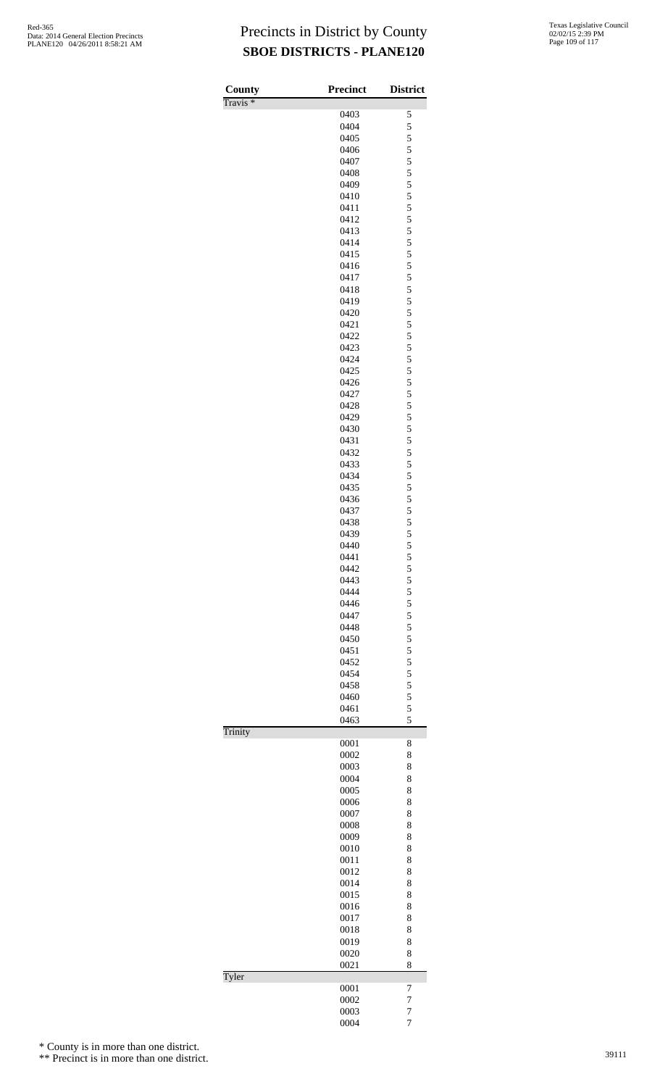| County<br>Travis <sup>*</sup> | <b>Precinct</b> | <b>District</b> |
|-------------------------------|-----------------|-----------------|
|                               | 0403            | 5               |
|                               | 0404            | 5               |
|                               | 0405            | 5               |
|                               | 0406            | 5               |
|                               | 0407            | 5               |
|                               | 0408            | 5               |
|                               | 0409            | 5               |
|                               | 0410            | 5               |
|                               | 0411            | 5               |
|                               | 0412            | 5               |
|                               | 0413            | 5               |
|                               | 0414            | 5               |
|                               | 0415            | 5               |
|                               | 0416            | 5               |
|                               | 0417            | 5               |
|                               | 0418            | 5               |
|                               | 0419            | 5<br>5          |
|                               | 0420<br>0421    | 5               |
|                               | 0422            | 5               |
|                               | 0423            | 5               |
|                               | 0424            | 5               |
|                               | 0425            | 5               |
|                               | 0426            | 5               |
|                               | 0427            | 5               |
|                               | 0428            | 5               |
|                               | 0429            | 5               |
|                               | 0430            | 5               |
|                               | 0431            | 5               |
|                               | 0432            | 5               |
|                               | 0433            | 5               |
|                               | 0434            | 5               |
|                               | 0435            | 5               |
|                               | 0436            | 5               |
|                               | 0437            | 5               |
|                               | 0438            | 5               |
|                               | 0439            | 5               |
|                               | 0440            | 5               |
|                               | 0441            | 5               |
|                               | 0442            | 5               |
|                               | 0443            | 5               |
|                               | 0444            | 5               |
|                               | 0446            | $\frac{5}{5}$   |
|                               | 0447<br>0448    | 5               |
|                               | 0450            | 5               |
|                               | 0451            | 5               |
|                               | 0452            | 5               |
|                               | 0454            | 5               |
|                               | 0458            | 5               |
|                               | 0460            | 5               |
|                               | 0461            | 5               |
|                               | 0463            | 5               |
| Trinity                       |                 |                 |
|                               | 0001            | 8               |
|                               | 0002            | 8               |
|                               | 0003            | 8               |
|                               | 0004            | 8               |
|                               | 0005            | 8               |
|                               | 0006            | 8               |
|                               | 0007            | 8               |
|                               | 0008            | 8               |
|                               | 0009            | 8               |
|                               | 0010            | 8               |
|                               | 0011            | 8               |
|                               | 0012            | 8               |
|                               | 0014            | 8               |
|                               | 0015<br>0016    | 8<br>8          |
|                               | 0017            | 8               |
|                               | 0018            | 8               |
|                               | 0019            | 8               |
|                               | 0020            | 8               |
|                               | 0021            | 8               |
| Tyler                         |                 |                 |
|                               | 0001            | 7               |
|                               | 0002            | 7               |
|                               | 0003            | 7               |
|                               | 0004            | $\overline{7}$  |

\* County is in more than one district.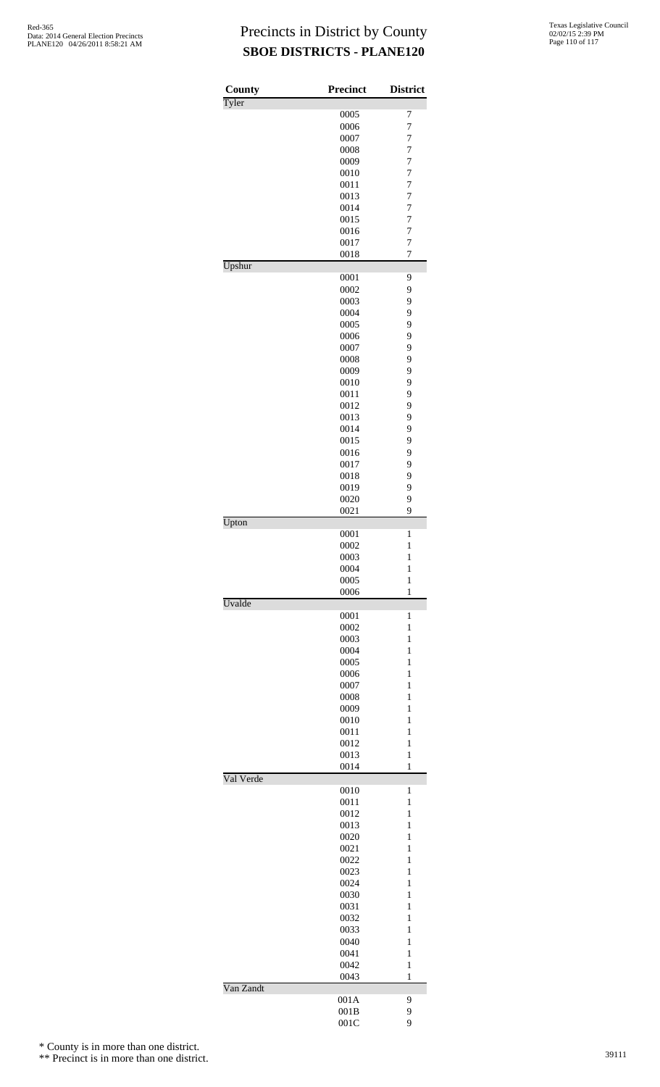| County<br>Tyler | Precinct     | <b>District</b>     |
|-----------------|--------------|---------------------|
|                 | 0005         | 7                   |
|                 | 0006         | $\overline{7}$      |
|                 | 0007         | $\overline{7}$      |
|                 | 0008         | $\overline{7}$      |
|                 | 0009         | 7                   |
|                 | 0010         | $\overline{7}$      |
|                 | 0011<br>0013 | $\overline{7}$<br>7 |
|                 | 0014         | $\overline{7}$      |
|                 | 0015         | 7                   |
|                 | 0016         | $\overline{7}$      |
|                 | 0017         | $\overline{7}$      |
|                 | 0018         | 7                   |
| Upshur          | 0001         | 9                   |
|                 | 0002         | 9                   |
|                 | 0003         | 9                   |
|                 | 0004         | 9                   |
|                 | 0005         | 9                   |
|                 | 0006         | 9                   |
|                 | 0007         | 9                   |
|                 | 0008         | 9                   |
|                 | 0009         | 9                   |
|                 | 0010         | 9                   |
|                 | 0011         | 9                   |
|                 | 0012         | 9                   |
|                 | 0013<br>0014 | 9<br>9              |
|                 | 0015         | 9                   |
|                 | 0016         | 9                   |
|                 | 0017         | 9                   |
|                 | 0018         | 9                   |
|                 | 0019         | 9                   |
|                 | 0020         | 9                   |
|                 | 0021         | 9                   |
| Upton           | 0001         | 1                   |
|                 | 0002         | $\mathbf{1}$        |
|                 | 0003         | $\mathbf{1}$        |
|                 | 0004         | $\mathbf{1}$        |
|                 | 0005         | 1                   |
|                 | 0006         | 1                   |
| Uvalde          | 0001         | 1                   |
|                 | 0002         | $\mathbf{1}$        |
|                 | 0003         | 1                   |
|                 | 0004         | 1                   |
|                 | 0005         | 1                   |
|                 | 0006         | $\mathbf{1}$        |
|                 | 0007         | $\mathbf{1}$        |
|                 | 0008         | 1                   |
|                 | 0009         | 1                   |
|                 | 0010         | 1                   |
|                 | 0011         | $\mathbf{1}$        |
|                 | 0012<br>0013 | $\mathbf{1}$<br>1   |
|                 | 0014         | 1                   |
| Val Verde       |              |                     |
|                 | 0010         | 1                   |
|                 | 0011         | $\mathbf{1}$        |
|                 | 0012         | 1                   |
|                 | 0013         | 1<br>1              |
|                 | 0020<br>0021 | $\mathbf{1}$        |
|                 | 0022         | $\mathbf{1}$        |
|                 | 0023         | 1                   |
|                 | 0024         | 1                   |
|                 | 0030         | 1                   |
|                 | 0031         | $\mathbf{1}$        |
|                 | 0032         | $\mathbf{1}$        |
|                 | 0033         | 1                   |
|                 | 0040         | 1                   |
|                 | 0041         | 1                   |
|                 | 0042         | $\mathbf{1}$        |
| Van Zandt       | 0043         | 1                   |
|                 | 001A         | 9                   |
|                 | 001B         | 9                   |
|                 | 001C         | 9                   |

\* County is in more than one district.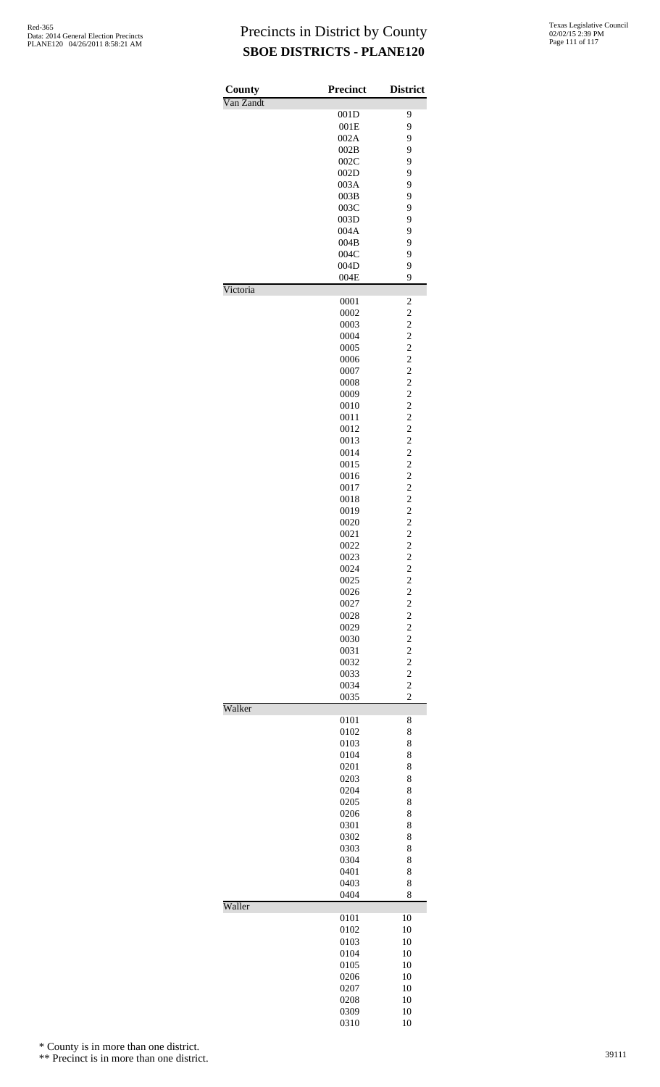| County    | <b>Precinct</b> | <b>District</b>                                    |
|-----------|-----------------|----------------------------------------------------|
| Van Zandt | 001D            | 9                                                  |
|           | 001E            | 9                                                  |
|           | 002A            | 9                                                  |
|           | 002B            | 9                                                  |
|           | 002C            | 9                                                  |
|           | 002D            | 9                                                  |
|           | 003A            | 9                                                  |
|           | 003B            | 9                                                  |
|           | 003C            | 9                                                  |
|           | 003D            | 9                                                  |
|           | 004A            | 9                                                  |
|           | 004B            | 9                                                  |
|           | 004C            | 9                                                  |
|           | 004D<br>004E    | 9<br>9                                             |
| Victoria  |                 |                                                    |
|           | 0001<br>0002    | $\overline{\mathbf{c}}$<br>$\overline{\mathbf{c}}$ |
|           | 0003            | $\overline{c}$                                     |
|           | 0004            | $\overline{c}$                                     |
|           | 0005            | $\overline{\mathbf{c}}$                            |
|           | 0006            | $\overline{c}$                                     |
|           | 0007            |                                                    |
|           | 0008            |                                                    |
|           | 0009            | $\frac{2}{2}$                                      |
|           | 0010            | $\overline{c}$                                     |
|           | 0011            | $\overline{c}$                                     |
|           | 0012            | $\frac{2}{2}$                                      |
|           | 0013            |                                                    |
|           | 0014            | $\overline{c}$                                     |
|           | 0015            | $\overline{\mathbf{c}}$                            |
|           | 0016            | $\overline{c}$                                     |
|           | 0017            | $\frac{2}{2}$                                      |
|           | 0018            |                                                    |
|           | 0019            |                                                    |
|           | 0020            | $\overline{\mathbf{c}}$                            |
|           | 0021            | $\overline{\mathbf{c}}$                            |
|           | 0022            | $\overline{c}$                                     |
|           | 0023            | $\overline{c}$                                     |
|           | 0024            | $\overline{\mathbf{c}}$                            |
|           | 0025<br>0026    | $\overline{c}$<br>$\overline{c}$                   |
|           | 0027            |                                                    |
|           | 0028            | $\frac{2}{2}$                                      |
|           | 0029            | $\overline{c}$                                     |
|           | 0030            | $\overline{c}$                                     |
|           | 0031            | $\overline{c}$                                     |
|           | 0032            | $\overline{c}$                                     |
|           | 0033            | $\overline{c}$                                     |
|           | 0034            | $\overline{c}$                                     |
|           | 0035            | $\overline{c}$                                     |
| Walker    | 0101            | 8                                                  |
|           | 0102            | 8                                                  |
|           | 0103            | 8                                                  |
|           | 0104            | 8                                                  |
|           | 0201            | 8                                                  |
|           | 0203            | 8                                                  |
|           | 0204            | 8                                                  |
|           | 0205            | 8                                                  |
|           | 0206            | 8                                                  |
|           | 0301            | 8                                                  |
|           | 0302            | 8                                                  |
|           | 0303            | 8                                                  |
|           | 0304            | 8<br>8                                             |
|           | 0401<br>0403    | 8                                                  |
|           | 0404            | 8                                                  |
| Waller    | 0101            | 10                                                 |
|           | 0102            | 10                                                 |
|           | 0103            | 10                                                 |
|           | 0104            | 10                                                 |
|           | 0105            | 10                                                 |
|           | 0206            | 10                                                 |
|           | 0207            | 10                                                 |
|           | 0208            | 10                                                 |
|           | 0309            | 10                                                 |
|           | 0310            | 10                                                 |

\* County is in more than one district.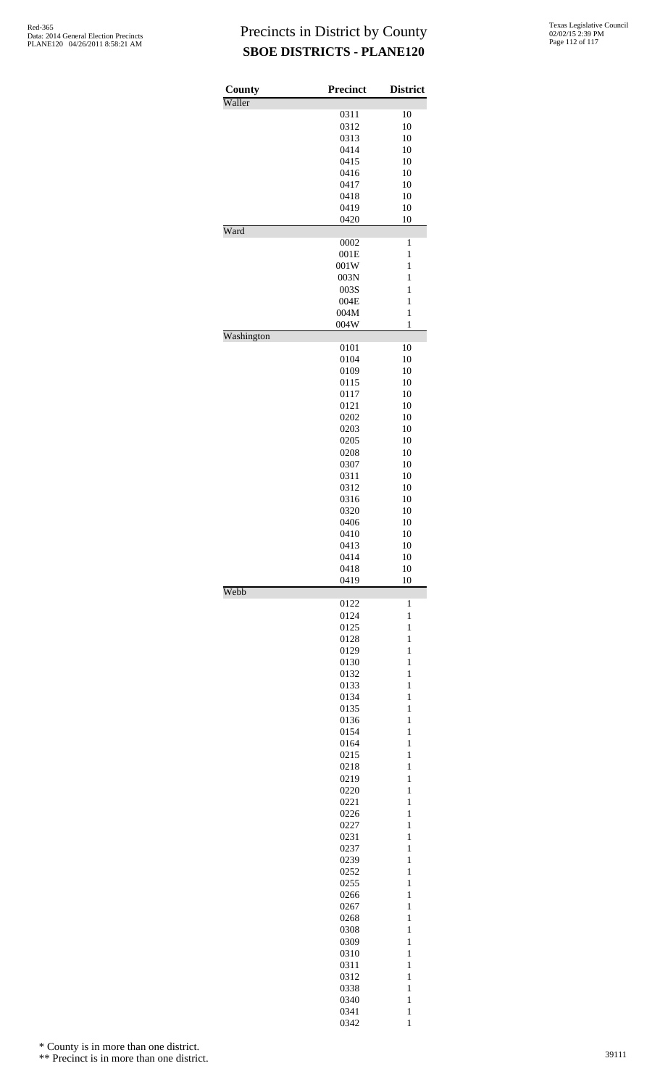| County     | <b>Precinct</b> | <b>District</b>              |
|------------|-----------------|------------------------------|
| Waller     | 0311            | 10                           |
|            | 0312            | 10                           |
|            | 0313            | 10                           |
|            | 0414            | 10                           |
|            | 0415            | 10                           |
|            | 0416            | 10                           |
|            | 0417            | 10                           |
|            | 0418            | 10                           |
|            | 0419<br>0420    | 10<br>10                     |
| Ward       |                 |                              |
|            | 0002            | 1                            |
|            | 001E            | $\mathbf{1}$                 |
|            | 001W            | $\mathbf{1}$                 |
|            | 003N<br>003S    | 1<br>$\mathbf{1}$            |
|            | 004E            | $\mathbf{1}$                 |
|            | 004M            | $\,1$                        |
|            | 004W            | $\mathbf{1}$                 |
| Washington |                 |                              |
|            | 0101            | 10                           |
|            | 0104<br>0109    | 10<br>10                     |
|            | 0115            | 10                           |
|            | 0117            | 10                           |
|            | 0121            | 10                           |
|            | 0202            | 10                           |
|            | 0203            | 10                           |
|            | 0205<br>0208    | 10<br>10                     |
|            | 0307            | 10                           |
|            | 0311            | 10                           |
|            | 0312            | 10                           |
|            | 0316            | 10                           |
|            | 0320            | 10                           |
|            | 0406<br>0410    | 10                           |
|            | 0413            | 10<br>10                     |
|            | 0414            | 10                           |
|            | 0418            | 10                           |
|            | 0419            | 10                           |
| Webb       | 0122            | $\mathbf{1}$                 |
|            | 0124            | $\mathbf{1}$                 |
|            | 0125            | $\mathbf{1}$                 |
|            | 0128            | $\mathbf{1}$                 |
|            | 0129            | $\mathbf{1}$                 |
|            | 0130<br>0132    | $\mathbf{1}$<br>$\mathbf{1}$ |
|            | 0133            | $\mathbf{1}$                 |
|            | 0134            | $\mathbf{1}$                 |
|            | 0135            | $\mathbf{1}$                 |
|            | 0136            | $\mathbf{1}$                 |
|            | 0154            | $\mathbf{1}$                 |
|            | 0164<br>0215    | $\mathbf{1}$<br>$\mathbf{1}$ |
|            | 0218            | $\mathbf{1}$                 |
|            | 0219            | $\mathbf{1}$                 |
|            | 0220            | $\mathbf{1}$                 |
|            | 0221            | $\mathbf{1}$                 |
|            | 0226            | $\mathbf{1}$                 |
|            | 0227<br>0231    | $\mathbf{1}$<br>$\mathbf{1}$ |
|            | 0237            | $\mathbf{1}$                 |
|            | 0239            | $\mathbf{1}$                 |
|            | 0252            | $\mathbf{1}$                 |
|            | 0255            | $\mathbf{1}$                 |
|            | 0266            | $\mathbf{1}$                 |
|            | 0267            | $\mathbf{1}$<br>$\mathbf{1}$ |
|            | 0268<br>0308    | $\mathbf{1}$                 |
|            | 0309            | $\mathbf{1}$                 |
|            | 0310            | $\mathbf{1}$                 |
|            | 0311            | $\mathbf{1}$                 |
|            | 0312            | $\mathbf{1}$                 |
|            | 0338            | $\mathbf{1}$                 |
|            | 0340<br>0341    | $\mathbf{1}$<br>$\mathbf{1}$ |
|            | 0342            | $\mathbf{1}$                 |

\* County is in more than one district.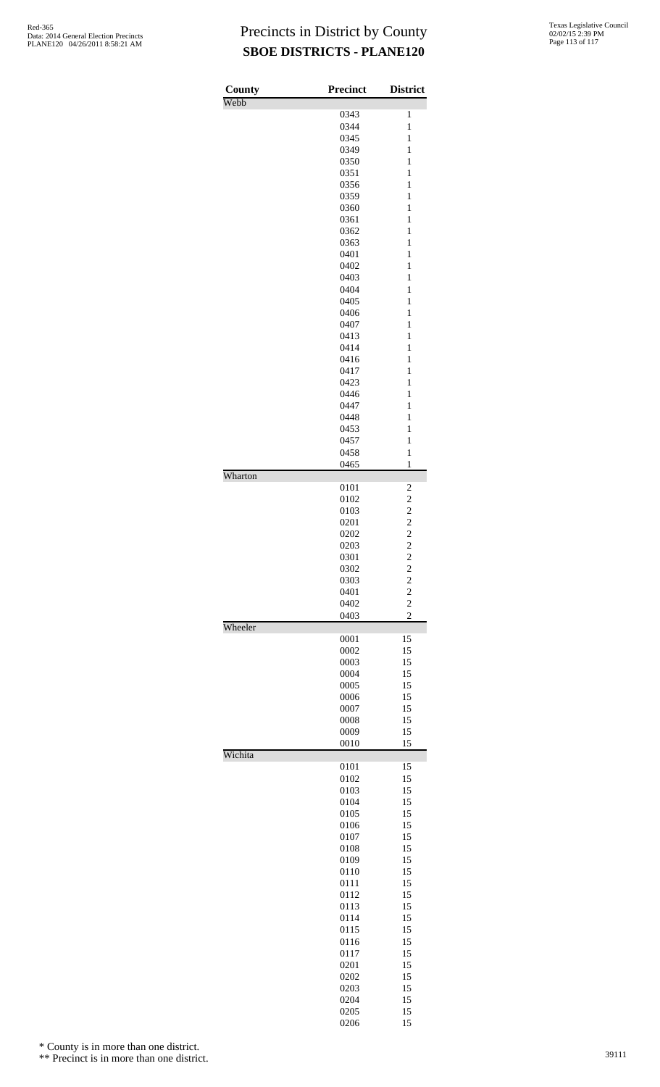| County  | <b>Precinct</b> | <b>District</b>         |
|---------|-----------------|-------------------------|
| Webb    |                 |                         |
|         | 0343            | 1<br>$\mathbf{1}$       |
|         | 0344<br>0345    | 1                       |
|         | 0349            | $\mathbf{1}$            |
|         | 0350            | 1                       |
|         | 0351            | $\mathbf{1}$            |
|         | 0356            | $\mathbf{1}$            |
|         | 0359            | 1                       |
|         | 0360            | $\mathbf{1}$            |
|         | 0361            | 1                       |
|         | 0362            | $\mathbf{1}$            |
|         | 0363<br>0401    | $\mathbf{1}$<br>1       |
|         | 0402            | $\mathbf{1}$            |
|         | 0403            | 1                       |
|         | 0404            | $\mathbf{1}$            |
|         | 0405            | $\mathbf{1}$            |
|         | 0406            | 1                       |
|         | 0407            | $\mathbf{1}$            |
|         | 0413            | 1                       |
|         | 0414            | $\mathbf{1}$            |
|         | 0416            | $\mathbf{1}$            |
|         | 0417            | 1                       |
|         | 0423            | $\mathbf{1}$<br>1       |
|         | 0446<br>0447    | $\mathbf{1}$            |
|         | 0448            | $\mathbf{1}$            |
|         | 0453            | 1                       |
|         | 0457            | $\mathbf{1}$            |
|         | 0458            | $\mathbf{1}$            |
|         | 0465            | $\mathbf{1}$            |
| Wharton |                 |                         |
|         | 0101            | $\overline{\mathbf{c}}$ |
|         | 0102            | $\overline{\mathbf{c}}$ |
|         | 0103            | $\overline{\mathbf{c}}$ |
|         | 0201<br>0202    | $\frac{2}{2}$           |
|         | 0203            | $\overline{c}$          |
|         | 0301            | $\overline{c}$          |
|         | 0302            | $\overline{\mathbf{c}}$ |
|         | 0303            | $\overline{c}$          |
|         | 0401            | $\overline{c}$          |
|         | 0402            | $\overline{\mathbf{c}}$ |
| Wheeler | 0403            | $\overline{c}$          |
|         | 0001            | 15                      |
|         | 0002            | 15                      |
|         | 0003            | 15                      |
|         | 0004            | 15                      |
|         | 0005            | 15                      |
|         | 0006            | 15                      |
|         | 0007            | 15                      |
|         | 0008            | 15                      |
|         | 0009<br>0010    | 15<br>15                |
| Wichita |                 |                         |
|         | 0101            | 15                      |
|         | 0102            | 15                      |
|         | 0103            | 15                      |
|         | 0104            | 15                      |
|         | 0105            | 15                      |
|         | 0106            | 15                      |
|         | 0107            | 15                      |
|         | 0108<br>0109    | 15<br>15                |
|         | 0110            | 15                      |
|         | 0111            | 15                      |
|         | 0112            | 15                      |
|         | 0113            | 15                      |
|         | 0114            | 15                      |
|         | 0115            | 15                      |
|         | 0116            | 15                      |
|         | 0117            | 15                      |
|         | 0201            | 15                      |
|         | 0202            | 15                      |
|         | 0203            | 15                      |
|         | 0204<br>0205    | 15<br>15                |
|         | 0206            | 15                      |

\* County is in more than one district.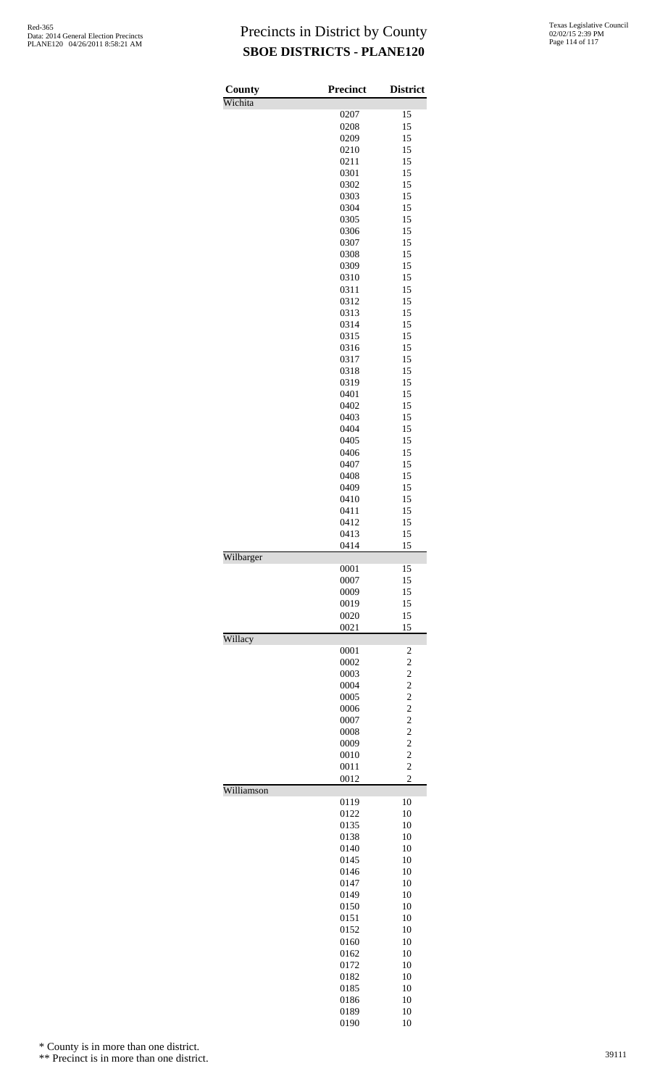| County     | <b>Precinct</b> | <b>District</b>                  |
|------------|-----------------|----------------------------------|
| Wichita    |                 |                                  |
|            | 0207            | 15                               |
|            | 0208            | 15                               |
|            | 0209            | 15                               |
|            | 0210            | 15<br>15                         |
|            | 0211<br>0301    | 15                               |
|            | 0302            | 15                               |
|            | 0303            | 15                               |
|            | 0304            | 15                               |
|            | 0305            | 15                               |
|            | 0306            | 15                               |
|            | 0307            | 15                               |
|            | 0308            | 15                               |
|            | 0309            | 15                               |
|            | 0310            | 15                               |
|            | 0311            | 15                               |
|            | 0312            | 15                               |
|            | 0313            | 15                               |
|            | 0314            | 15                               |
|            | 0315            | 15                               |
|            | 0316            | 15                               |
|            | 0317            | 15                               |
|            | 0318            | 15                               |
|            | 0319            | 15                               |
|            | 0401            | 15                               |
|            | 0402            | 15                               |
|            | 0403            | 15                               |
|            | 0404            | 15                               |
|            | 0405            | 15                               |
|            | 0406            | 15                               |
|            | 0407            | 15                               |
|            | 0408            | 15                               |
|            | 0409<br>0410    | 15<br>15                         |
|            | 0411            | 15                               |
|            | 0412            | 15                               |
|            | 0413            | 15                               |
|            | 0414            | 15                               |
| Wilbarger  |                 |                                  |
|            | 0001            | 15                               |
|            | 0007            | 15                               |
|            | 0009            | 15                               |
|            | 0019            | 15                               |
|            | 0020            | 15                               |
|            | 0021            | 15                               |
| Willacy    |                 |                                  |
|            | 0001            | 2                                |
|            | 0002            | $\overline{c}$                   |
|            | 0003            | $\overline{c}$                   |
|            | 0004            | $\overline{c}$                   |
|            | 0005            | $\overline{c}$                   |
|            | 0006            | $\overline{c}$<br>$\overline{c}$ |
|            | 0007<br>0008    | $\overline{c}$                   |
|            | 0009            | $\overline{c}$                   |
|            | 0010            | $\overline{c}$                   |
|            | 0011            | $\overline{c}$                   |
|            | 0012            | $\overline{c}$                   |
| Williamson |                 |                                  |
|            | 0119            | 10                               |
|            | 0122            | 10                               |
|            | 0135            | 10                               |
|            | 0138            | 10                               |
|            | 0140            | 10                               |
|            | 0145            | 10                               |
|            | 0146            | 10                               |
|            | 0147            | 10                               |
|            | 0149            | 10                               |
|            | 0150            | 10                               |
|            | 0151            | 10                               |
|            | 0152            | 10                               |
|            | 0160            | 10                               |
|            | 0162            | 10                               |
|            | 0172            | 10<br>10                         |
|            | 0182<br>0185    | 10                               |
|            | 0186            | 10                               |
|            | 0189            | 10                               |
|            | 0190            | 10                               |

\* County is in more than one district.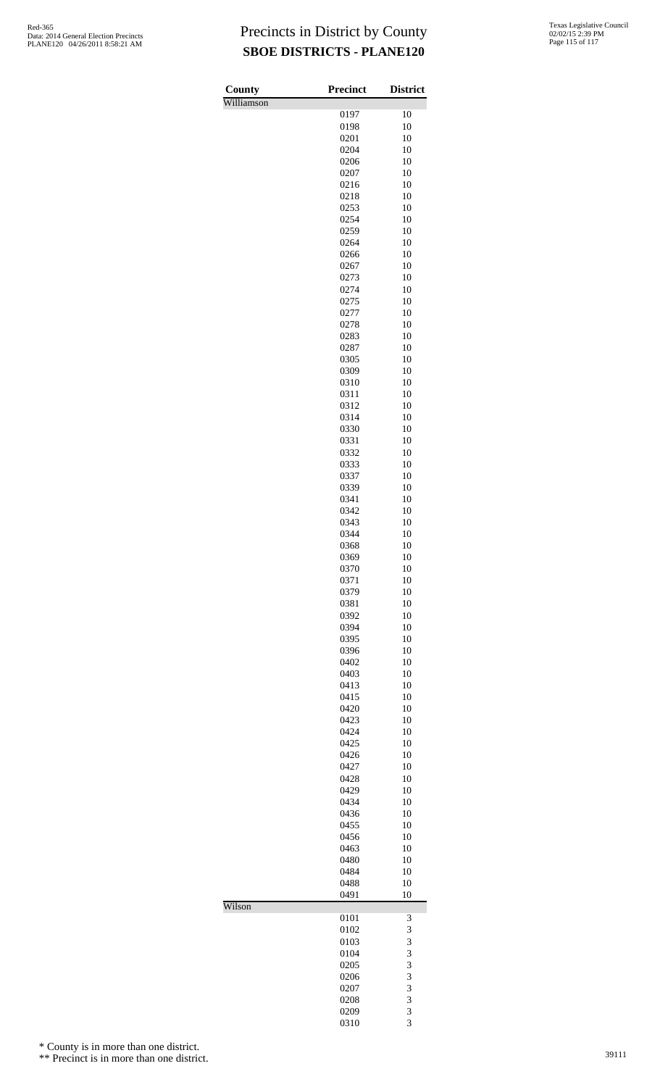| County     | <b>Precinct</b> | <b>District</b> |
|------------|-----------------|-----------------|
| Williamson | 0197            | 10              |
|            | 0198            | 10              |
|            | 0201            | 10              |
|            | 0204            | 10              |
|            | 0206            | 10              |
|            | 0207            | 10<br>10        |
|            | 0216<br>0218    | 10              |
|            | 0253            | 10              |
|            | 0254            | 10              |
|            | 0259            | 10              |
|            | 0264            | 10              |
|            | 0266            | 10              |
|            | 0267            | 10              |
|            | 0273<br>0274    | 10<br>10        |
|            | 0275            | 10              |
|            | 0277            | 10              |
|            | 0278            | 10              |
|            | 0283            | 10              |
|            | 0287            | 10              |
|            | 0305            | 10<br>10        |
|            | 0309<br>0310    | 10              |
|            | 0311            | 10              |
|            | 0312            | 10              |
|            | 0314            | 10              |
|            | 0330            | 10              |
|            | 0331            | 10              |
|            | 0332            | 10              |
|            | 0333<br>0337    | 10<br>10        |
|            | 0339            | 10              |
|            | 0341            | 10              |
|            | 0342            | 10              |
|            | 0343            | 10              |
|            | 0344            | 10              |
|            | 0368<br>0369    | 10<br>10        |
|            | 0370            | 10              |
|            | 0371            | 10              |
|            | 0379            | 10              |
|            | 0381            | 10              |
|            | 0392            | 10              |
|            | 0394            | 10<br>10        |
|            | 0395<br>0396    | 10              |
|            | 0402            | 10              |
|            | 0403            | 10              |
|            | 0413            | 10              |
|            | 0415            | 10              |
|            | 0420            | 10              |
|            | 0423<br>0424    | 10<br>10        |
|            | 0425            | 10              |
|            | 0426            | 10              |
|            | 0427            | 10              |
|            | 0428            | 10              |
|            | 0429            | 10              |
|            | 0434<br>0436    | 10<br>10        |
|            | 0455            | 10              |
|            | 0456            | 10              |
|            | 0463            | 10              |
|            | 0480            | 10              |
|            | 0484            | 10              |
|            | 0488<br>0491    | 10<br>10        |
| Wilson     |                 |                 |
|            | 0101            | 3               |
|            | 0102            | 3               |
|            | 0103            | 3               |
|            | 0104<br>0205    | 3<br>3          |
|            | 0206            | 3               |
|            | 0207            | 3               |
|            | 0208            | 3               |
|            | 0209            | 3               |
|            | 0310            | 3               |

\* County is in more than one district.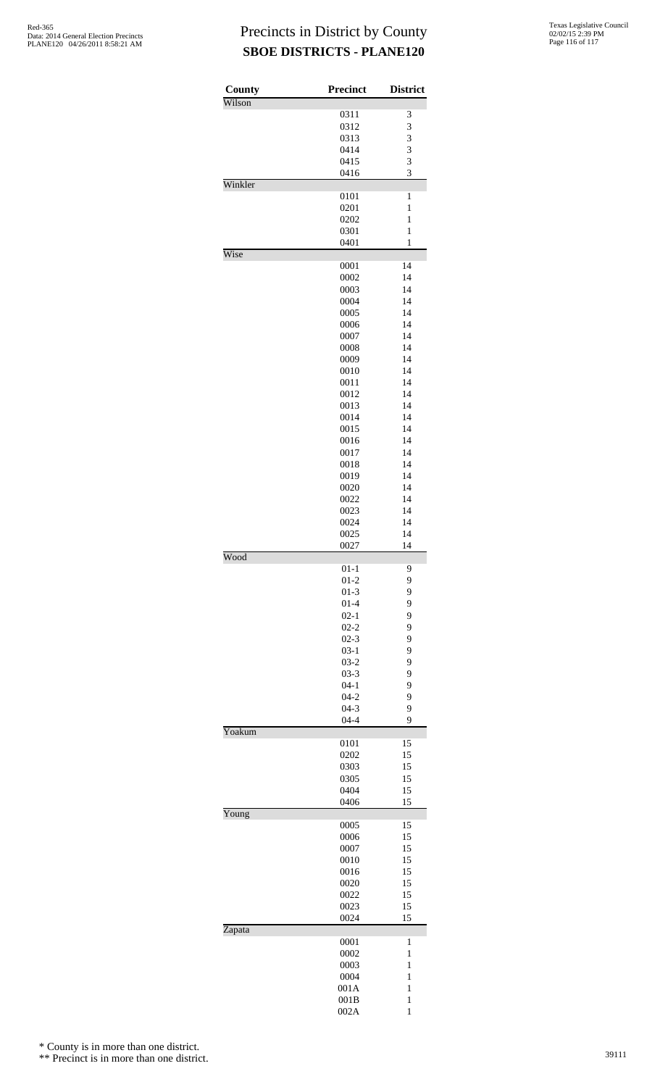| County  | Precinct             | <b>District</b>              |
|---------|----------------------|------------------------------|
| Wilson  |                      |                              |
|         | 0311                 | 3                            |
|         | 0312                 | 3                            |
|         | 0313<br>0414         | 3<br>3                       |
|         | 0415                 | 3                            |
|         | 0416                 | 3                            |
| Winkler |                      |                              |
|         | 0101                 | 1                            |
|         | 0201                 | $\mathbf{1}$                 |
|         | 0202                 | $\mathbf{1}$                 |
|         | 0301<br>0401         | $\mathbf{1}$<br>$\mathbf{1}$ |
| Wise    |                      |                              |
|         | 0001                 | 14                           |
|         | 0002                 | 14                           |
|         | 0003                 | 14                           |
|         | 0004                 | 14                           |
|         | 0005                 | 14                           |
|         | 0006<br>0007         | 14<br>14                     |
|         | 0008                 | 14                           |
|         | 0009                 | 14                           |
|         | 0010                 | 14                           |
|         | 0011                 | 14                           |
|         | 0012                 | 14                           |
|         | 0013                 | 14                           |
|         | 0014<br>0015         | 14<br>14                     |
|         | 0016                 | 14                           |
|         | 0017                 | 14                           |
|         | 0018                 | 14                           |
|         | 0019                 | 14                           |
|         | 0020                 | 14                           |
|         | 0022                 | 14                           |
|         | 0023<br>0024         | 14<br>14                     |
|         | 0025                 | 14                           |
|         | 0027                 | 14                           |
| Wood    |                      |                              |
|         | $01-1$               | 9                            |
|         | $01 - 2$             | 9                            |
|         | $01 - 3$             | 9                            |
|         | $01 - 4$<br>$02 - 1$ | 9<br>9                       |
|         | $02 - 2$             | 9                            |
|         | $02 - 3$             | 9                            |
|         | $03-1$               | 9                            |
|         | $03 - 2$             | 9                            |
|         | $03 - 3$             | 9                            |
|         | $04 - 1$<br>$04 - 2$ | 9<br>9                       |
|         | $04 - 3$             | 9                            |
|         | $04 - 4$             | 9                            |
| Yoakum  |                      |                              |
|         | 0101                 | 15                           |
|         | 0202                 | 15                           |
|         | 0303                 | 15                           |
|         | 0305<br>0404         | 15<br>15                     |
|         | 0406                 | 15                           |
| Young   |                      |                              |
|         | 0005                 | 15                           |
|         | 0006                 | 15                           |
|         | 0007<br>0010         | 15<br>15                     |
|         | 0016                 | 15                           |
|         | 0020                 | 15                           |
|         | 0022                 | 15                           |
|         | 0023                 | 15                           |
|         | 0024                 | 15                           |
| Zapata  | 0001                 | 1                            |
|         | 0002                 | $\mathbf{1}$                 |
|         | 0003                 | $\mathbf{1}$                 |
|         | 0004                 | $\mathbf{1}$                 |
|         | 001A                 | $\mathbf{1}$                 |
|         | 001B                 | 1                            |
|         | 002A                 | $\mathbf{1}$                 |

\* County is in more than one district.